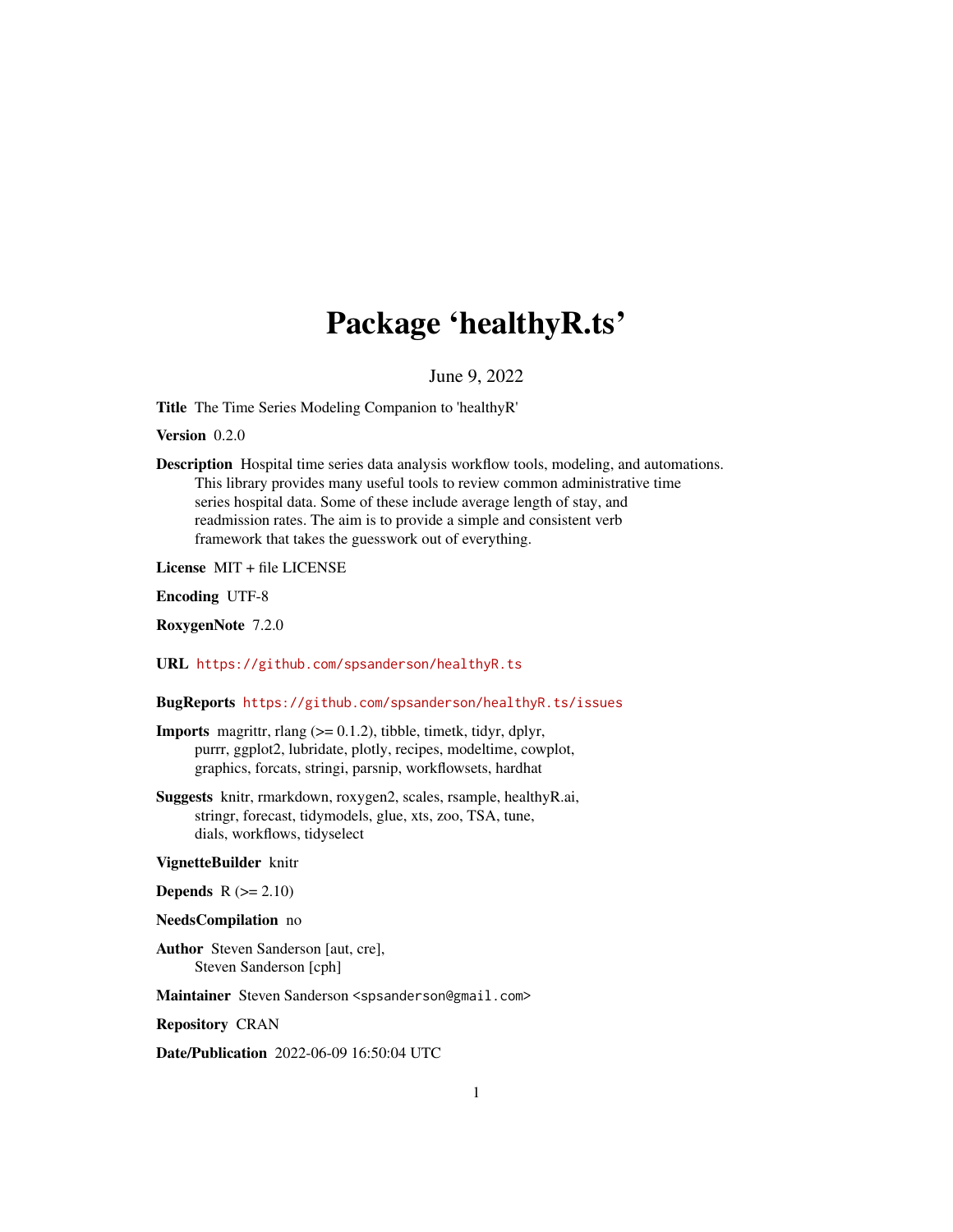# Package 'healthyR.ts'

# June 9, 2022

<span id="page-0-0"></span>Title The Time Series Modeling Companion to 'healthyR'

Version 0.2.0

Description Hospital time series data analysis workflow tools, modeling, and automations. This library provides many useful tools to review common administrative time series hospital data. Some of these include average length of stay, and readmission rates. The aim is to provide a simple and consistent verb framework that takes the guesswork out of everything.

License MIT + file LICENSE

Encoding UTF-8

RoxygenNote 7.2.0

URL <https://github.com/spsanderson/healthyR.ts>

#### BugReports <https://github.com/spsanderson/healthyR.ts/issues>

- **Imports** magrittr, rlang  $(>= 0.1.2)$ , tibble, timetk, tidyr, dplyr, purrr, ggplot2, lubridate, plotly, recipes, modeltime, cowplot, graphics, forcats, stringi, parsnip, workflowsets, hardhat
- Suggests knitr, rmarkdown, roxygen2, scales, rsample, healthyR.ai, stringr, forecast, tidymodels, glue, xts, zoo, TSA, tune, dials, workflows, tidyselect

#### VignetteBuilder knitr

Depends  $R$  ( $>= 2.10$ )

#### NeedsCompilation no

Author Steven Sanderson [aut, cre], Steven Sanderson [cph]

Maintainer Steven Sanderson <spsanderson@gmail.com>

Repository CRAN

Date/Publication 2022-06-09 16:50:04 UTC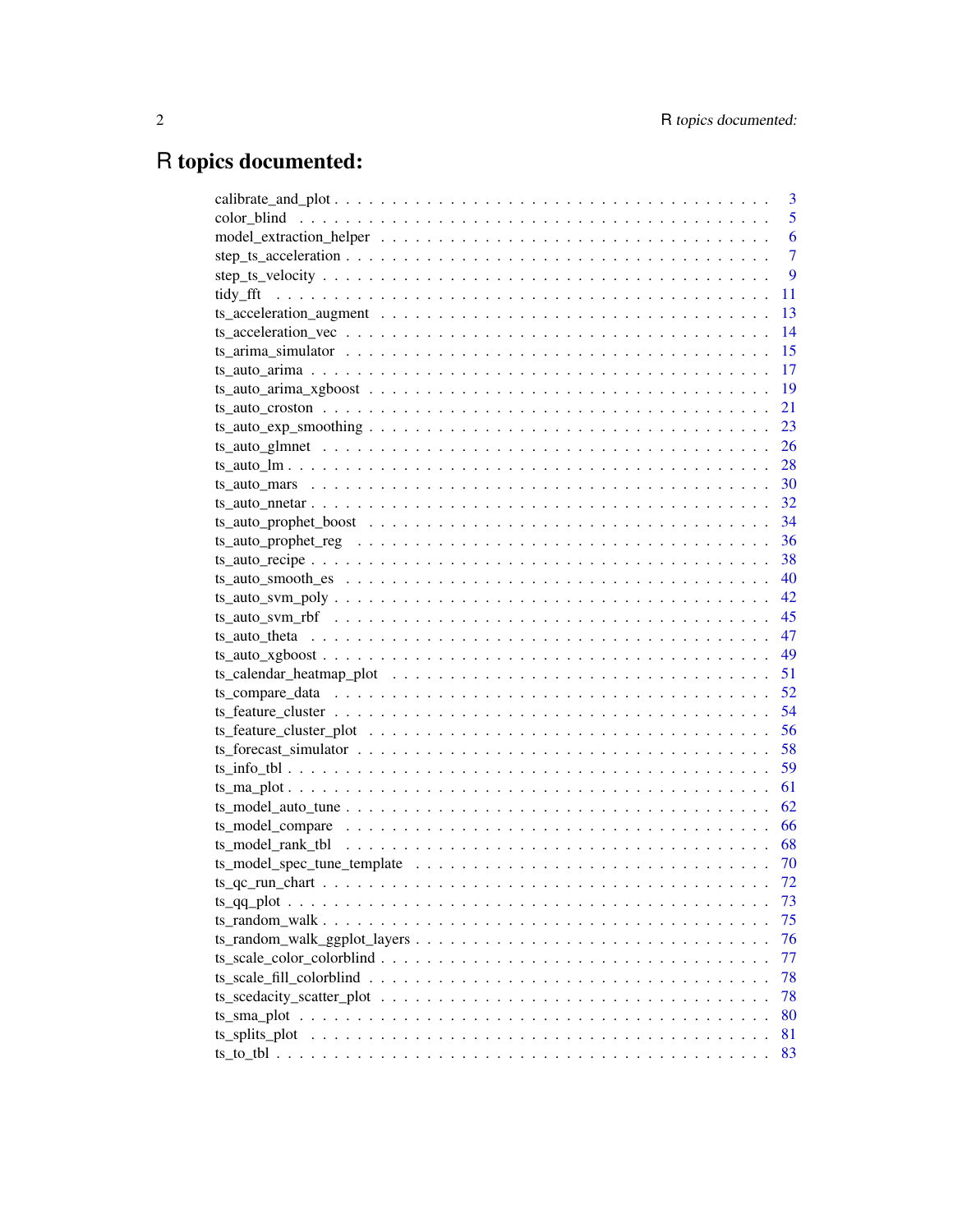# R topics documented:

|                                                                                                                        | 3              |
|------------------------------------------------------------------------------------------------------------------------|----------------|
|                                                                                                                        | 5              |
|                                                                                                                        | 6              |
|                                                                                                                        | $\overline{7}$ |
|                                                                                                                        | 9              |
|                                                                                                                        | 11             |
| $ts_acceleration_augment \dots \dots \dots \dots \dots \dots \dots \dots \dots \dots \dots \dots \dots \dots$          | 13             |
|                                                                                                                        | 14             |
|                                                                                                                        | 15             |
|                                                                                                                        | 17             |
|                                                                                                                        | 19             |
|                                                                                                                        | 21             |
|                                                                                                                        | 23             |
| $ts_auto_glmnet \dots \dots \dots \dots \dots \dots \dots \dots \dots \dots \dots \dots \dots \dots \dots \dots \dots$ | 26             |
|                                                                                                                        | 28             |
|                                                                                                                        | 30             |
|                                                                                                                        | 32             |
|                                                                                                                        | 34             |
|                                                                                                                        | 36             |
|                                                                                                                        | 38             |
|                                                                                                                        |                |
|                                                                                                                        |                |
|                                                                                                                        |                |
|                                                                                                                        |                |
|                                                                                                                        | 49             |
|                                                                                                                        | 51             |
|                                                                                                                        | 52             |
|                                                                                                                        | 54             |
|                                                                                                                        | 56             |
|                                                                                                                        | 58             |
|                                                                                                                        | 59             |
|                                                                                                                        |                |
|                                                                                                                        |                |
|                                                                                                                        |                |
|                                                                                                                        |                |
|                                                                                                                        | 70             |
|                                                                                                                        | 72             |
|                                                                                                                        | 73             |
|                                                                                                                        | 75             |
| $ts\_random\_walk\_ggplot\_layers \ldots \ldots \ldots \ldots \ldots \ldots \ldots \ldots \ldots$                      | 76             |
|                                                                                                                        | 77             |
|                                                                                                                        | 78             |
|                                                                                                                        | 78             |
|                                                                                                                        | 80             |
|                                                                                                                        | 81             |
|                                                                                                                        | 83             |
|                                                                                                                        |                |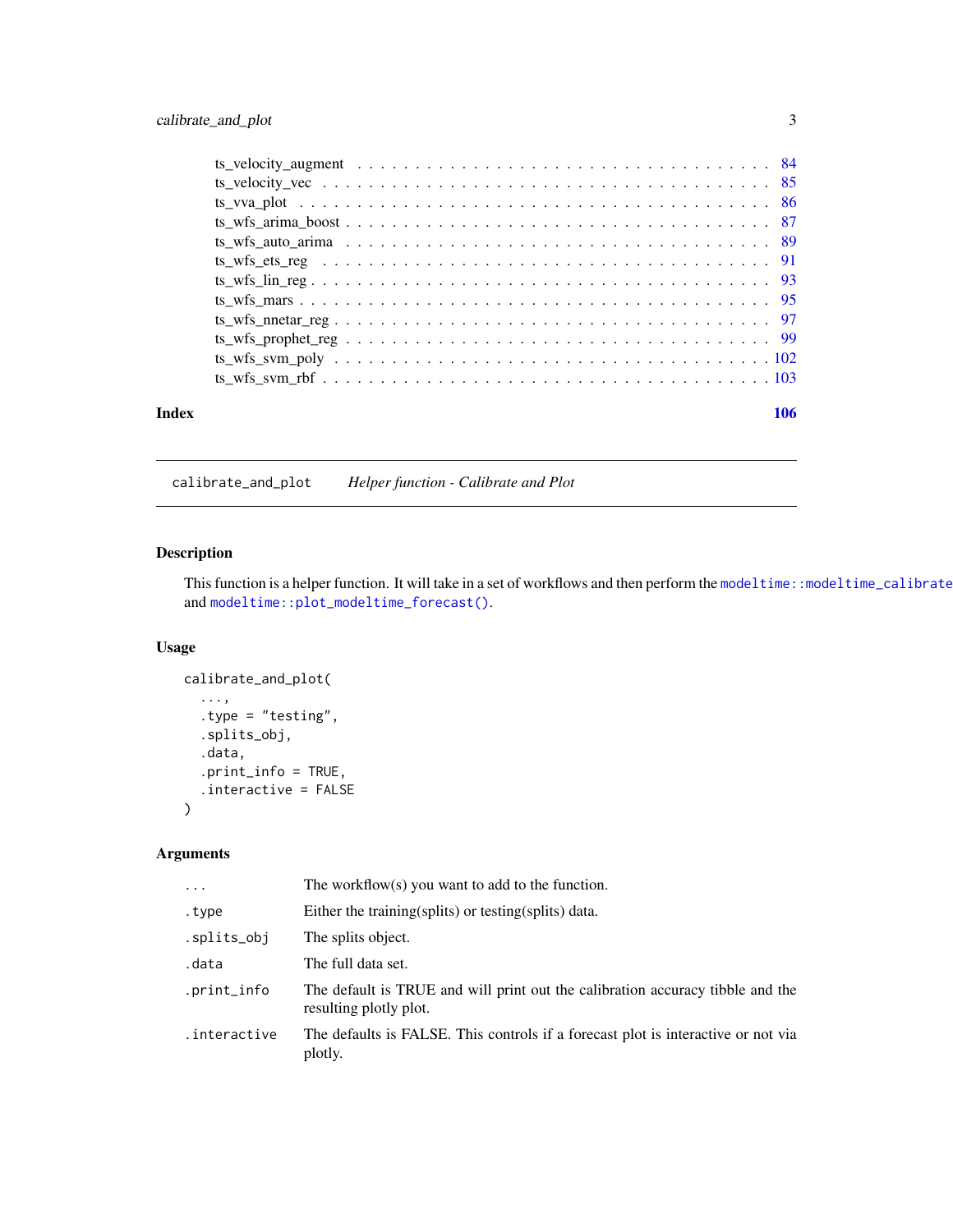<span id="page-2-0"></span>

|       | ts_velocity_augment $\dots \dots \dots \dots \dots \dots \dots \dots \dots \dots \dots \dots \dots \dots \dots \dots \dots \$ |     |
|-------|-------------------------------------------------------------------------------------------------------------------------------|-----|
|       |                                                                                                                               |     |
|       |                                                                                                                               |     |
|       |                                                                                                                               |     |
|       |                                                                                                                               |     |
|       |                                                                                                                               |     |
|       |                                                                                                                               |     |
|       |                                                                                                                               |     |
|       |                                                                                                                               |     |
|       |                                                                                                                               |     |
|       |                                                                                                                               |     |
|       |                                                                                                                               |     |
| Index |                                                                                                                               | 106 |

# <span id="page-2-1"></span>calibrate\_and\_plot *Helper function - Calibrate and Plot*

# Description

This function is a helper function. It will take in a set of workflows and then perform the modeltime::modeltime\_calibrate and [modeltime::plot\\_modeltime\\_forecast\(\)](#page-0-0).

#### Usage

```
calibrate_and_plot(
  ...,
  .type = "testing",
  .splits_obj,
  .data,
  .print_info = TRUE,
  .interactive = FALSE
\mathcal{L}
```
#### Arguments

| $\cdots$     | The workflow(s) you want to add to the function.                                                         |
|--------------|----------------------------------------------------------------------------------------------------------|
| .type        | Either the training (splits) or testing (splits) data.                                                   |
| .splits_obj  | The splits object.                                                                                       |
| .data        | The full data set.                                                                                       |
| .print_info  | The default is TRUE and will print out the calibration accuracy tibble and the<br>resulting plotly plot. |
| .interactive | The defaults is FALSE. This controls if a forecast plot is interactive or not via<br>plotly.             |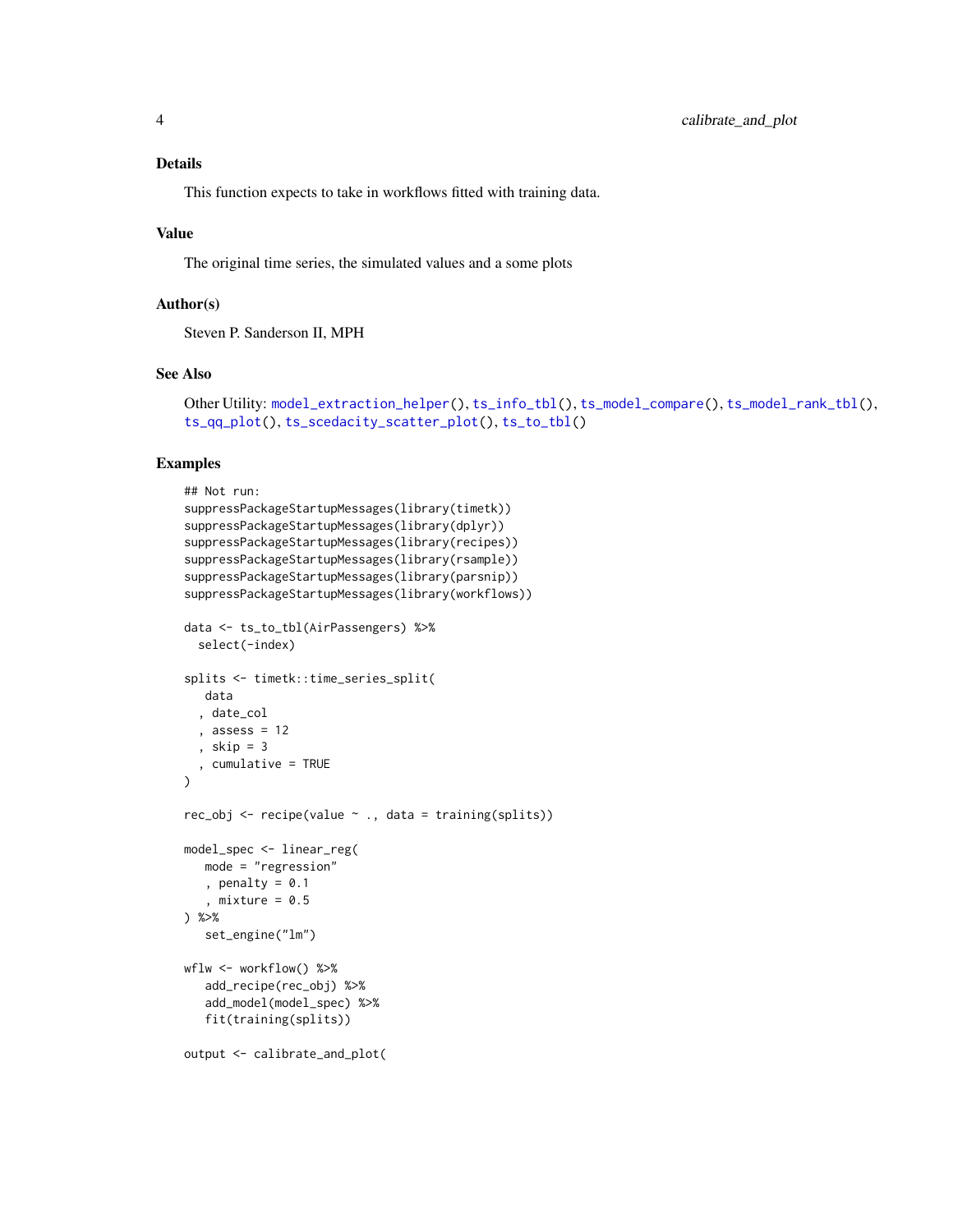#### Details

This function expects to take in workflows fitted with training data.

#### Value

The original time series, the simulated values and a some plots

#### Author(s)

Steven P. Sanderson II, MPH

#### See Also

```
Other Utility: model_extraction_helper(), ts_info_tbl(), ts_model_compare(), ts_model_rank_tbl(),
ts_qq_plot(), ts_scedacity_scatter_plot(), ts_to_tbl()
```

```
## Not run:
suppressPackageStartupMessages(library(timetk))
suppressPackageStartupMessages(library(dplyr))
suppressPackageStartupMessages(library(recipes))
suppressPackageStartupMessages(library(rsample))
suppressPackageStartupMessages(library(parsnip))
suppressPackageStartupMessages(library(workflows))
data <- ts_to_tbl(AirPassengers) %>%
  select(-index)
splits <- timetk::time_series_split(
  data
  , date_col
  , assess = 12
  , skip = 3, cumulative = TRUE
\mathcal{L}rec_obj <- recipe(value ~ ., data = training(splits))
model_spec <- linear_reg(
  mode = "regression"
   , penalty = 0.1, mixture = 0.5) %>%
   set_engine("lm")
wflw <- workflow() %>%
   add_recipe(rec_obj) %>%
   add_model(model_spec) %>%
   fit(training(splits))
output <- calibrate_and_plot(
```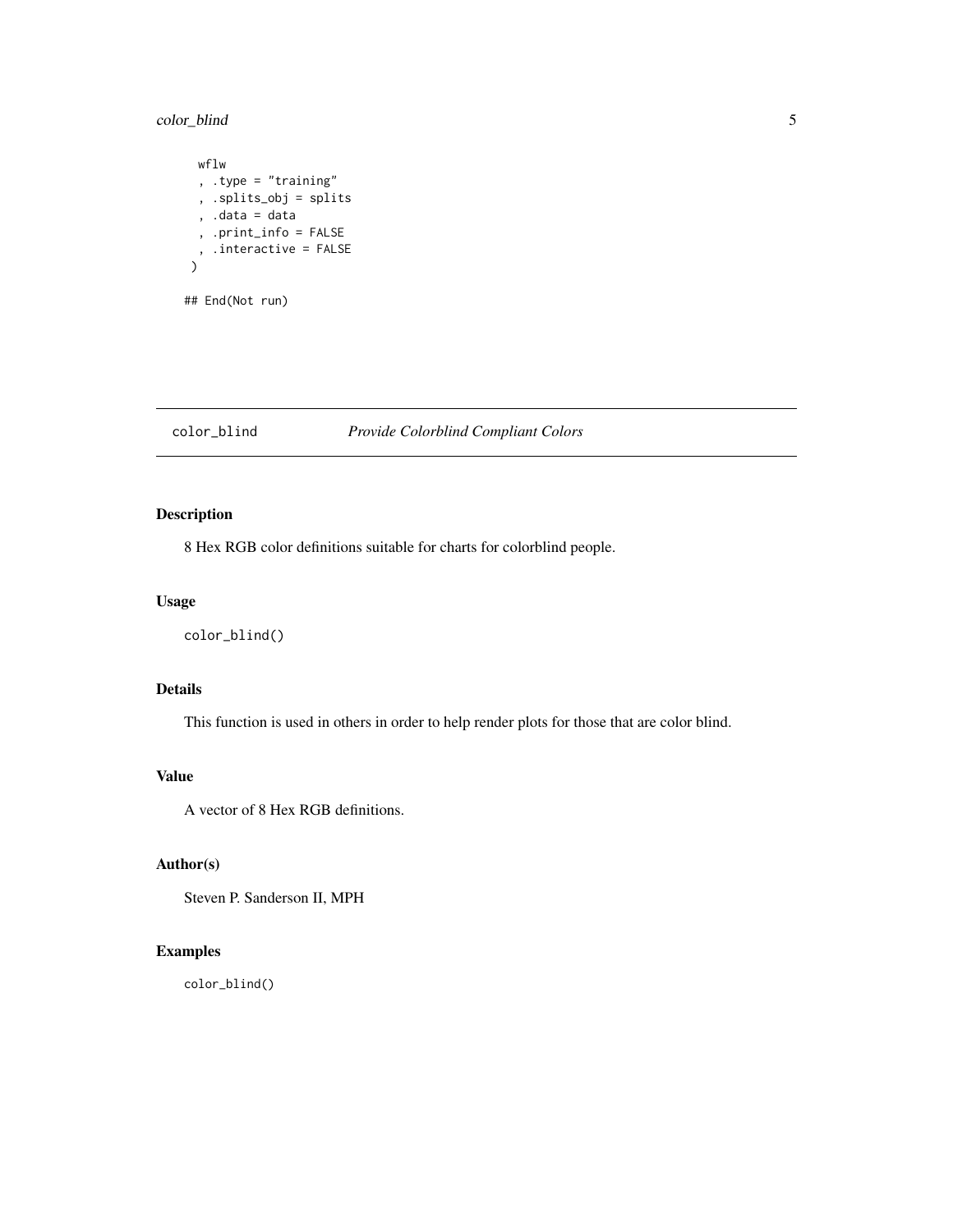# <span id="page-4-0"></span>color\_blind 5

```
wflw
 , .type = "training"
 , .splits_obj = splits
 , .data = data
 , .print_info = FALSE
 , .interactive = FALSE
\mathcal{L}
```
## End(Not run)

# color\_blind *Provide Colorblind Compliant Colors*

# Description

8 Hex RGB color definitions suitable for charts for colorblind people.

#### Usage

color\_blind()

#### Details

This function is used in others in order to help render plots for those that are color blind.

#### Value

A vector of 8 Hex RGB definitions.

# Author(s)

Steven P. Sanderson II, MPH

# Examples

color\_blind()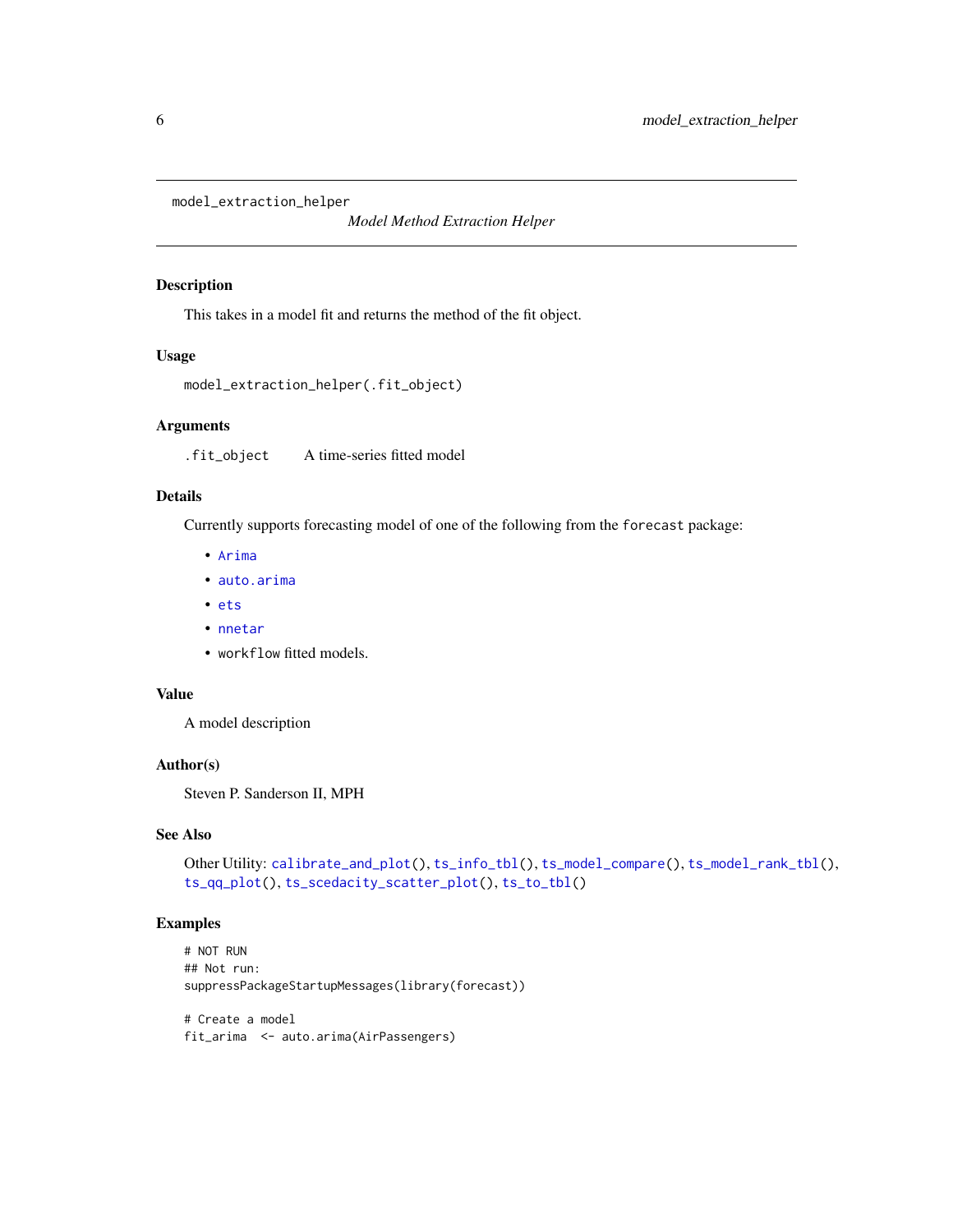<span id="page-5-1"></span><span id="page-5-0"></span>model\_extraction\_helper

*Model Method Extraction Helper*

#### Description

This takes in a model fit and returns the method of the fit object.

#### Usage

```
model_extraction_helper(.fit_object)
```
#### **Arguments**

.fit\_object A time-series fitted model

## Details

Currently supports forecasting model of one of the following from the forecast package:

- [Arima](#page-0-0)
- [auto.arima](#page-0-0)
- [ets](#page-0-0)
- [nnetar](#page-0-0)
- workflow fitted models.

#### Value

A model description

#### Author(s)

Steven P. Sanderson II, MPH

## See Also

```
Other Utility: calibrate_and_plot(), ts_info_tbl(), ts_model_compare(), ts_model_rank_tbl(),
ts_qq_plot(), ts_scedacity_scatter_plot(), ts_to_tbl()
```
# Examples

# NOT RUN ## Not run: suppressPackageStartupMessages(library(forecast))

# Create a model fit\_arima <- auto.arima(AirPassengers)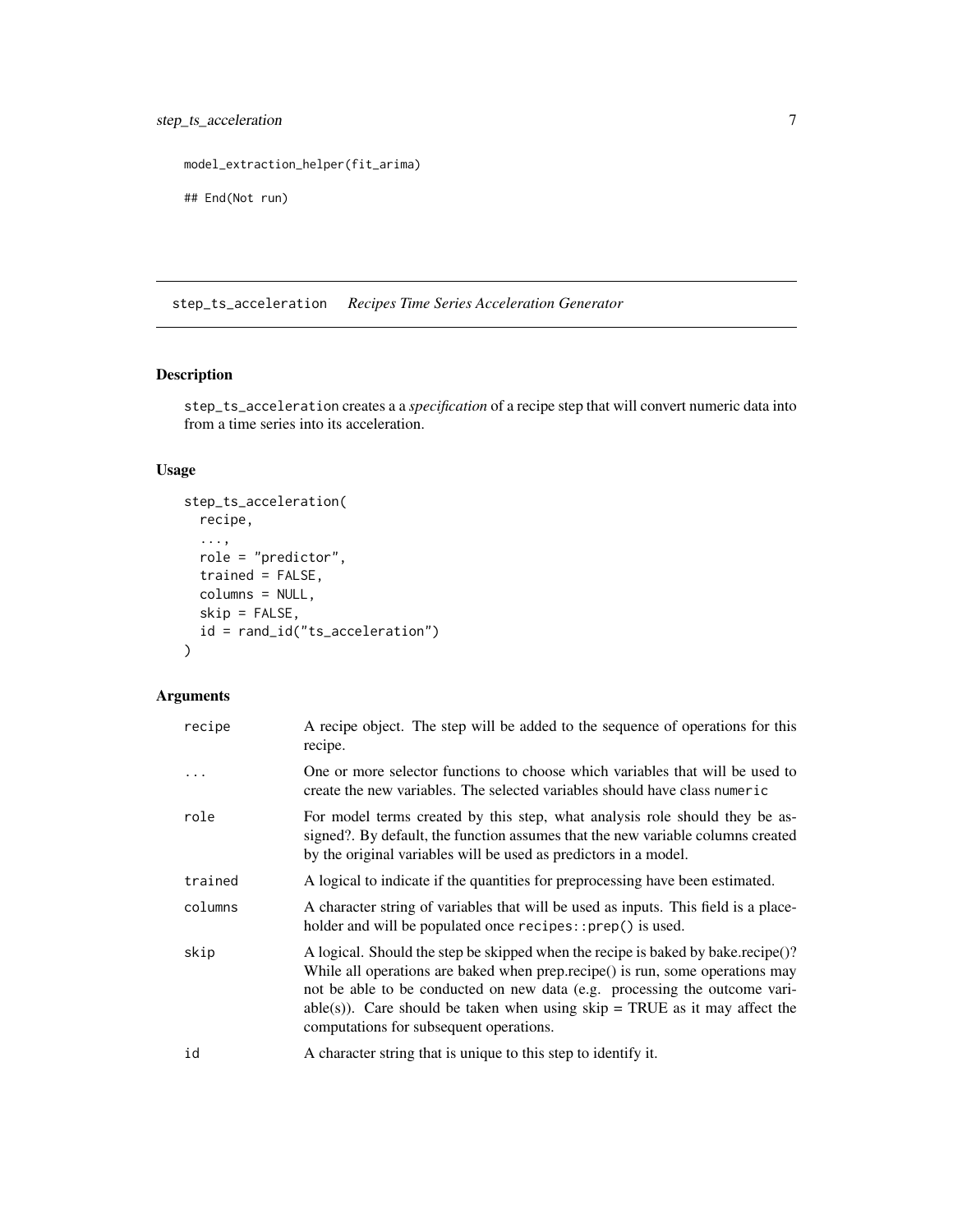```
model_extraction_helper(fit_arima)
```
## End(Not run)

<span id="page-6-1"></span>step\_ts\_acceleration *Recipes Time Series Acceleration Generator*

# Description

step\_ts\_acceleration creates a a *specification* of a recipe step that will convert numeric data into from a time series into its acceleration.

# Usage

```
step_ts_acceleration(
 recipe,
  ...,
 role = "predictor",
 trained = FALSE,
 columns = NULL,
 skip = FALSE,
  id = rand_id("ts_acceleration")
)
```
# Arguments

| recipe  | A recipe object. The step will be added to the sequence of operations for this<br>recipe.                                                                                                                                                                                                                                                                                  |
|---------|----------------------------------------------------------------------------------------------------------------------------------------------------------------------------------------------------------------------------------------------------------------------------------------------------------------------------------------------------------------------------|
|         | One or more selector functions to choose which variables that will be used to<br>create the new variables. The selected variables should have class numer ic                                                                                                                                                                                                               |
| role    | For model terms created by this step, what analysis role should they be as-<br>signed?. By default, the function assumes that the new variable columns created<br>by the original variables will be used as predictors in a model.                                                                                                                                         |
| trained | A logical to indicate if the quantities for preprocessing have been estimated.                                                                                                                                                                                                                                                                                             |
| columns | A character string of variables that will be used as inputs. This field is a place-<br>holder and will be populated once recipes::prep() is used.                                                                                                                                                                                                                          |
| skip    | A logical. Should the step be skipped when the recipe is baked by bake.recipe()?<br>While all operations are baked when prep.recipe() is run, some operations may<br>not be able to be conducted on new data (e.g. processing the outcome vari-<br>able(s)). Care should be taken when using $skip = TRUE$ as it may affect the<br>computations for subsequent operations. |
| id      | A character string that is unique to this step to identify it.                                                                                                                                                                                                                                                                                                             |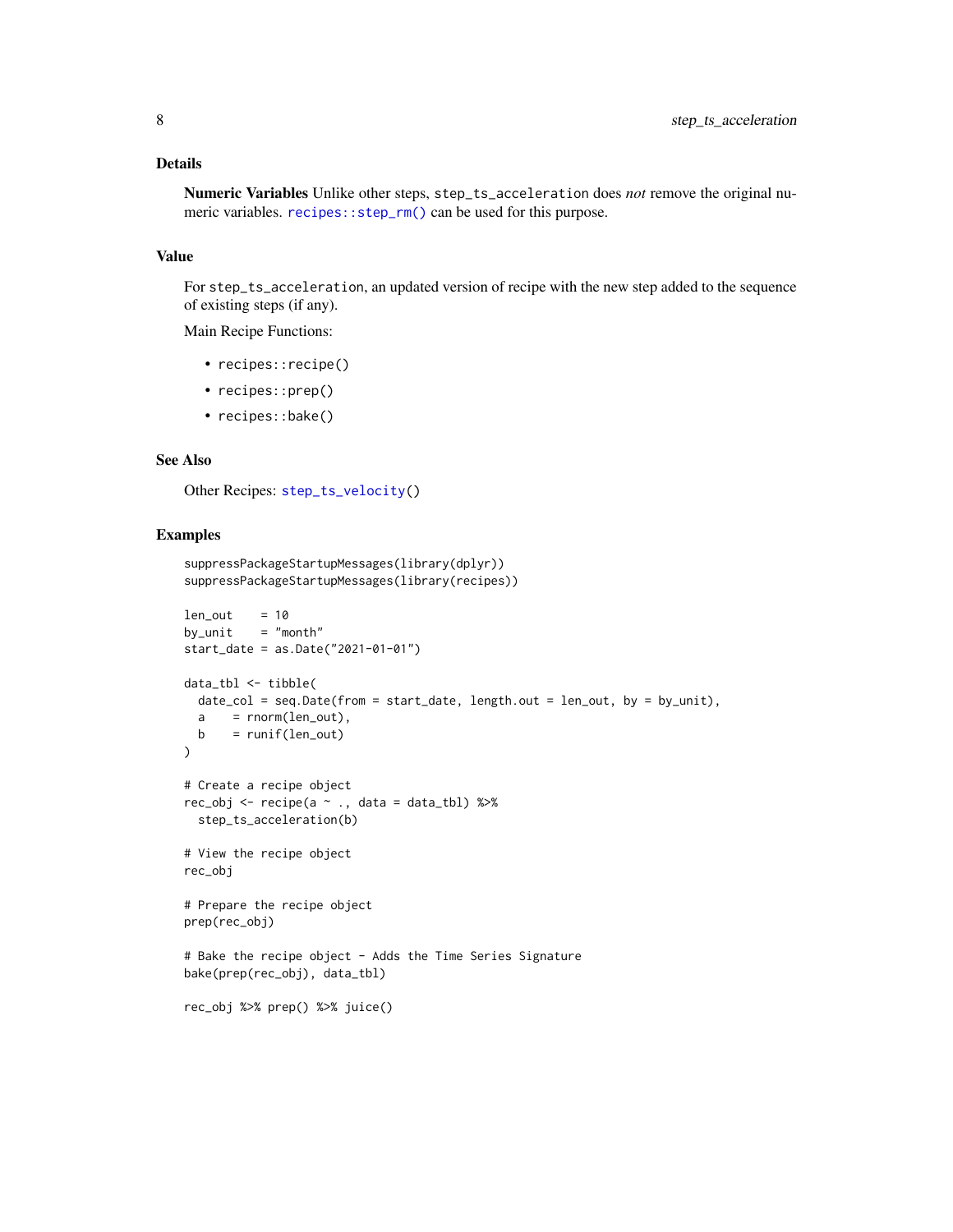#### Details

Numeric Variables Unlike other steps, step\_ts\_acceleration does not remove the original numeric variables. [recipes::step\\_rm\(\)](#page-0-0) can be used for this purpose.

#### Value

For step\_ts\_acceleration, an updated version of recipe with the new step added to the sequence of existing steps (if any).

Main Recipe Functions:

- recipes::recipe()
- recipes::prep()
- recipes::bake()

#### See Also

Other Recipes: [step\\_ts\\_velocity\(](#page-8-1))

```
suppressPackageStartupMessages(library(dplyr))
suppressPackageStartupMessages(library(recipes))
len\_out = 10
by\_unit = "month"
start_date = as.Date("2021-01-01")
data_tbl <- tibble(
 date_col = seq.Date(from = start_date, length.out = len_out, by = by_unit),
  a = rnorm(len_out),b = runif(len_out)\mathcal{L}# Create a recipe object
rec_obj <- recipe(a ~ ., data = data_tbl) %>%
  step_ts_acceleration(b)
# View the recipe object
rec_obj
# Prepare the recipe object
prep(rec_obj)
# Bake the recipe object - Adds the Time Series Signature
bake(prep(rec_obj), data_tbl)
rec_obj %>% prep() %>% juice()
```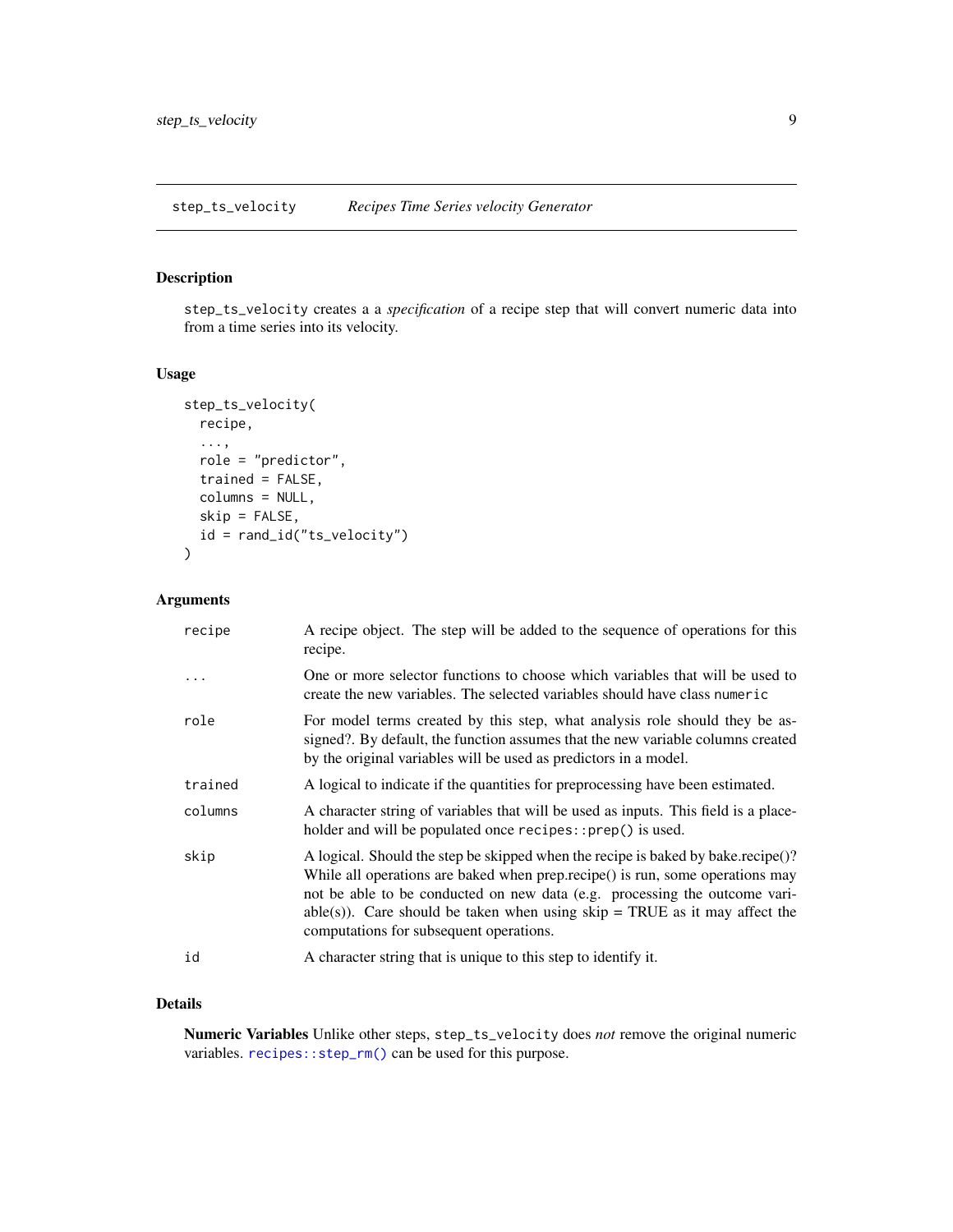<span id="page-8-1"></span><span id="page-8-0"></span>step\_ts\_velocity *Recipes Time Series velocity Generator*

# Description

step\_ts\_velocity creates a a *specification* of a recipe step that will convert numeric data into from a time series into its velocity.

#### Usage

```
step_ts_velocity(
 recipe,
  ...,
 role = "predictor",
  trained = FALSE,
 columns = NULL,
  skip = FALSE,
 id = rand_id("ts_velocity")
\mathcal{L}
```
# Arguments

| recipe  | A recipe object. The step will be added to the sequence of operations for this<br>recipe.                                                                                                                                                                                                                                                                                  |
|---------|----------------------------------------------------------------------------------------------------------------------------------------------------------------------------------------------------------------------------------------------------------------------------------------------------------------------------------------------------------------------------|
| .       | One or more selector functions to choose which variables that will be used to<br>create the new variables. The selected variables should have class numeric                                                                                                                                                                                                                |
| role    | For model terms created by this step, what analysis role should they be as-<br>signed?. By default, the function assumes that the new variable columns created<br>by the original variables will be used as predictors in a model.                                                                                                                                         |
| trained | A logical to indicate if the quantities for preprocessing have been estimated.                                                                                                                                                                                                                                                                                             |
| columns | A character string of variables that will be used as inputs. This field is a place-<br>holder and will be populated once recipes::prep() is used.                                                                                                                                                                                                                          |
| skip    | A logical. Should the step be skipped when the recipe is baked by bake.recipe()?<br>While all operations are baked when prep.recipe() is run, some operations may<br>not be able to be conducted on new data (e.g. processing the outcome vari-<br>able(s)). Care should be taken when using $skip = TRUE$ as it may affect the<br>computations for subsequent operations. |
| id      | A character string that is unique to this step to identify it.                                                                                                                                                                                                                                                                                                             |

# Details

Numeric Variables Unlike other steps, step\_ts\_velocity does *not* remove the original numeric variables. [recipes::step\\_rm\(\)](#page-0-0) can be used for this purpose.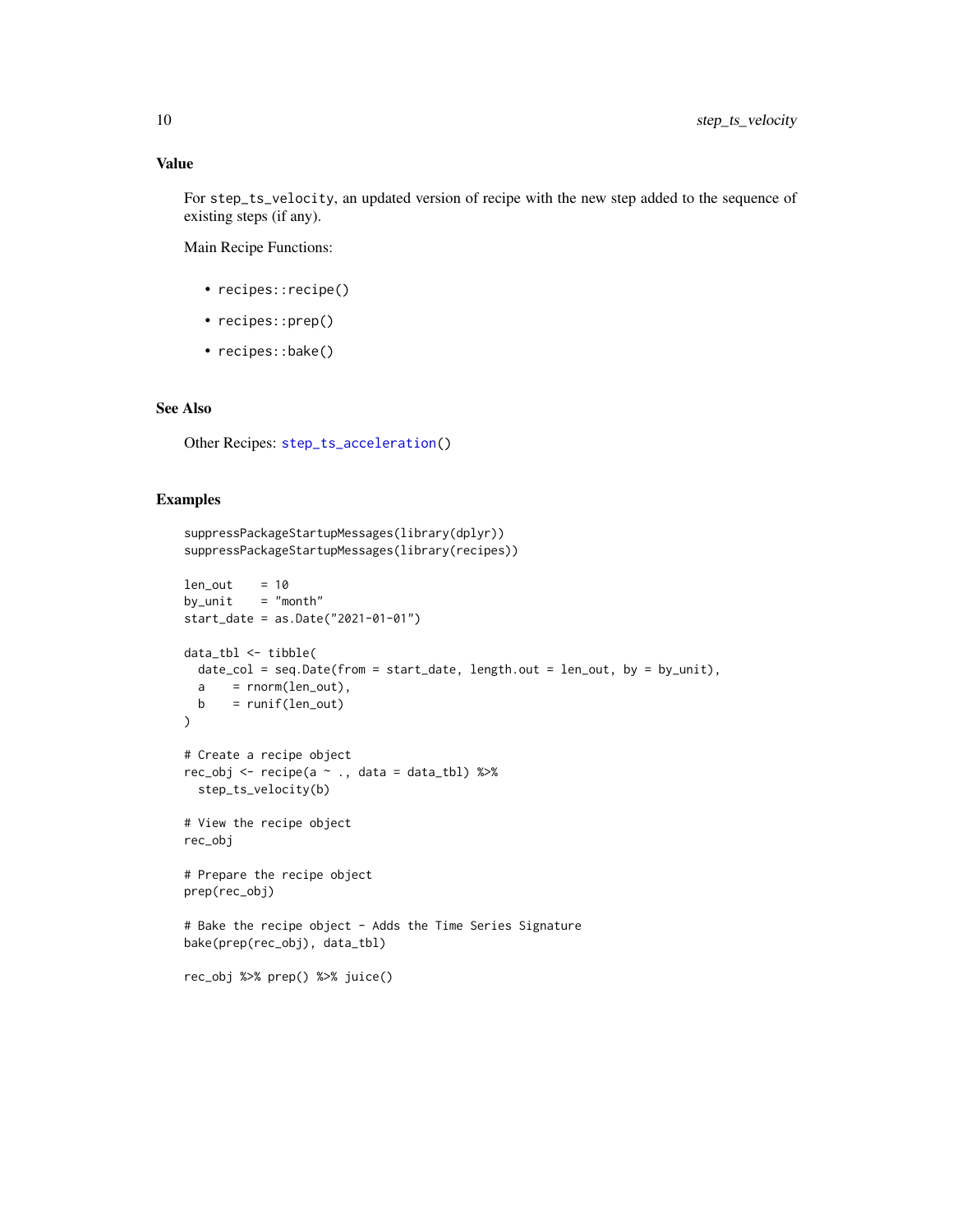#### Value

For step\_ts\_velocity, an updated version of recipe with the new step added to the sequence of existing steps (if any).

Main Recipe Functions:

- recipes::recipe()
- recipes::prep()
- recipes::bake()

# See Also

Other Recipes: [step\\_ts\\_acceleration\(](#page-6-1))

```
suppressPackageStartupMessages(library(dplyr))
suppressPackageStartupMessages(library(recipes))
len\_out = 10
by\_unit = "month"
start_date = as.Date("2021-01-01")
data_tbl <- tibble(
 date_col = seq.Date(from = start_date, length.out = len_out, by = by_unit),
 a = rnorm(len_out),b = runif(len_out)\mathcal{L}# Create a recipe object
rec_obj <- recipe(a ~ ., data = data_tbl) %>%
  step_ts_velocity(b)
# View the recipe object
rec_obj
# Prepare the recipe object
prep(rec_obj)
# Bake the recipe object - Adds the Time Series Signature
bake(prep(rec_obj), data_tbl)
rec_obj %>% prep() %>% juice()
```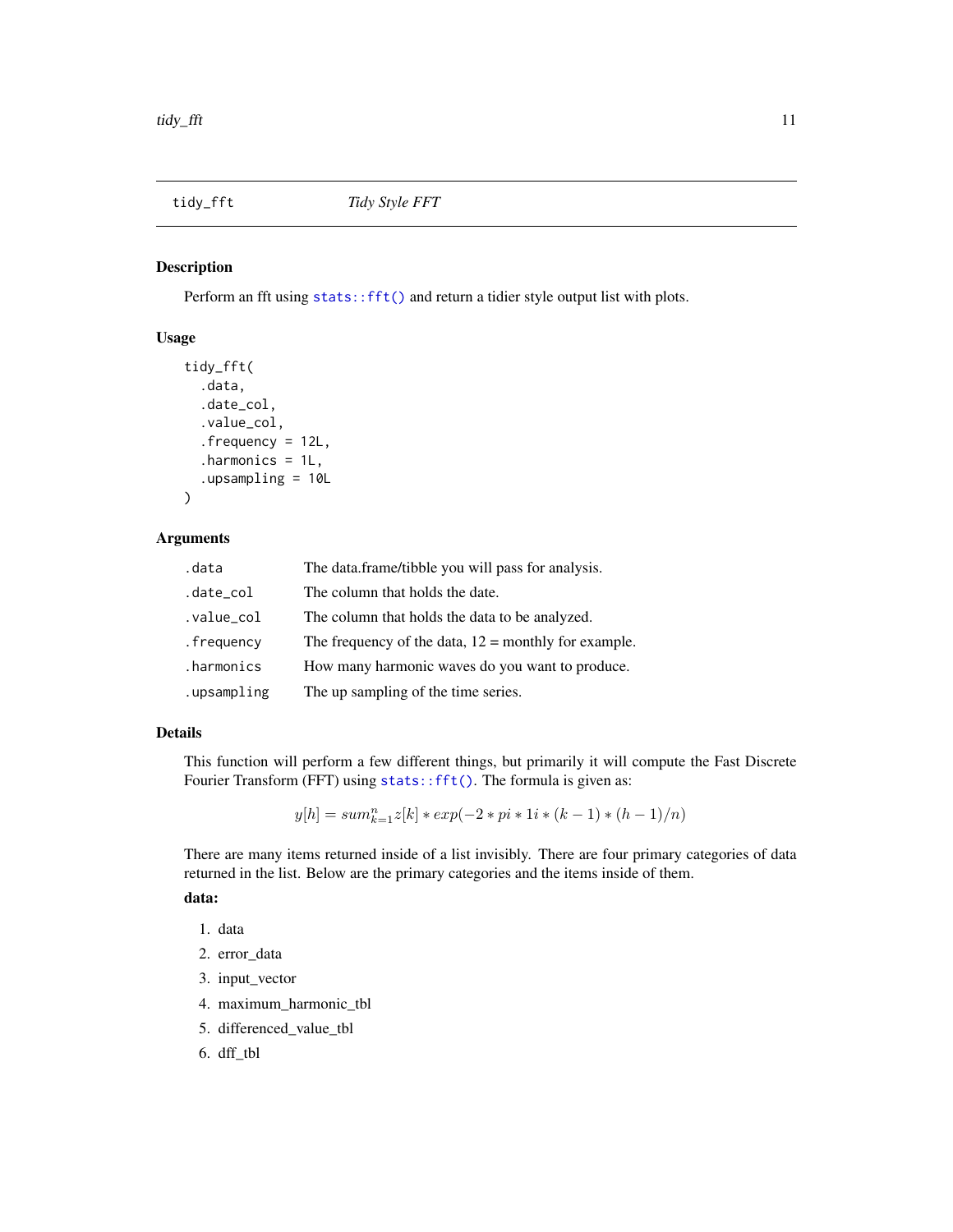<span id="page-10-0"></span>

# Description

Perform an fft using [stats::fft\(\)](#page-0-0) and return a tidier style output list with plots.

#### Usage

```
tidy_fft(
  .data,
  .date_col,
  .value_col,
  .frequency = 12L,
  .harmonics = 1L,
  .upsampling = 10L
\mathcal{L}
```
# Arguments

| .data       | The data.frame/tibble you will pass for analysis.      |
|-------------|--------------------------------------------------------|
| .date_col   | The column that holds the date.                        |
| .value_col  | The column that holds the data to be analyzed.         |
| .frequency  | The frequency of the data, $12 =$ monthly for example. |
| .harmonics  | How many harmonic waves do you want to produce.        |
| .upsampling | The up sampling of the time series.                    |

#### Details

This function will perform a few different things, but primarily it will compute the Fast Discrete Fourier Transform (FFT) using [stats::fft\(\)](#page-0-0). The formula is given as:

$$
y[h] = sum_{k=1}^n z[k] * exp(-2 * pi * 1i * (k - 1) * (h - 1)/n)
$$

There are many items returned inside of a list invisibly. There are four primary categories of data returned in the list. Below are the primary categories and the items inside of them.

# data:

- 1. data
- 2. error\_data
- 3. input\_vector
- 4. maximum\_harmonic\_tbl
- 5. differenced\_value\_tbl
- 6. dff\_tbl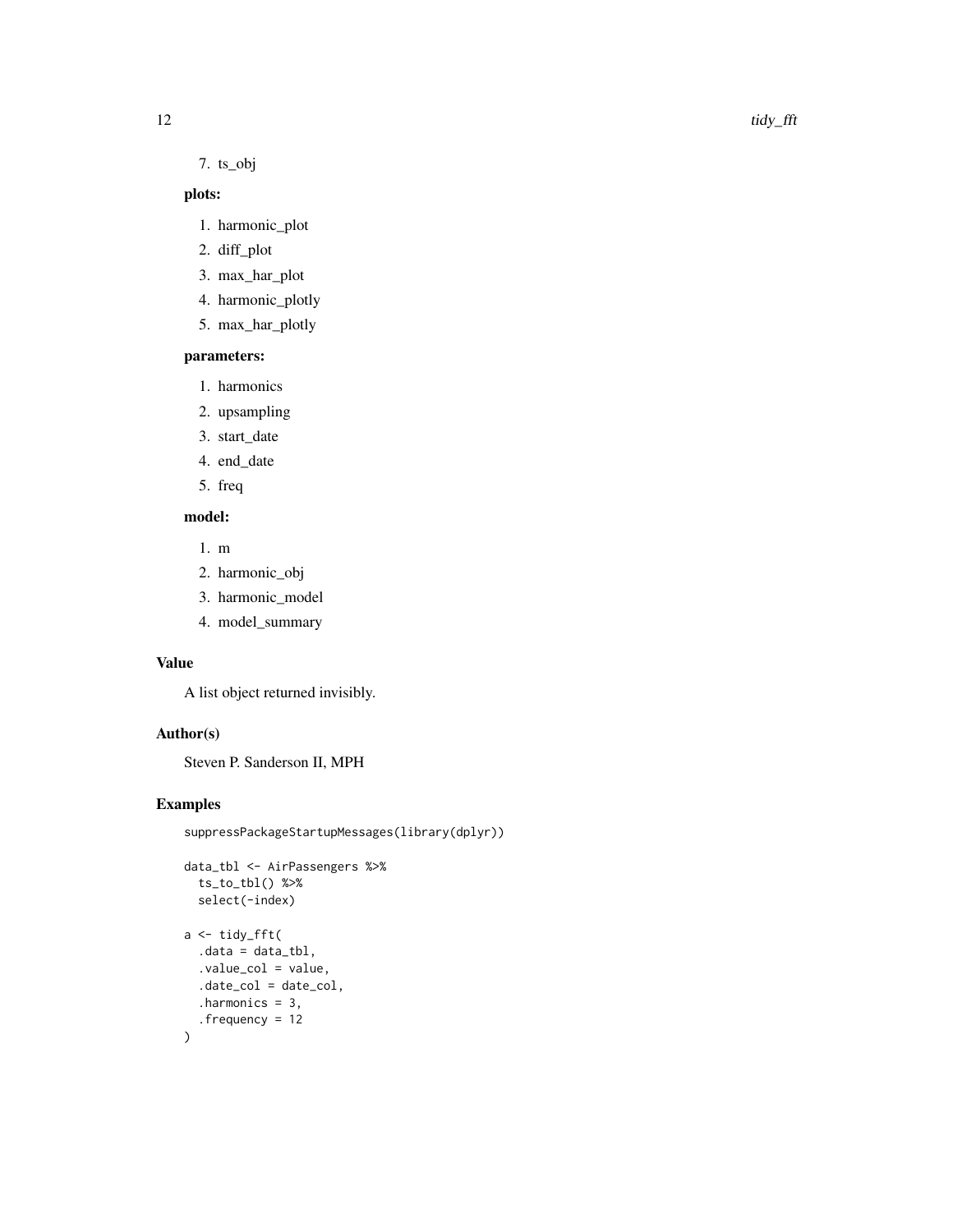7. ts\_obj

#### plots:

- 1. harmonic\_plot
- 2. diff\_plot
- 3. max\_har\_plot
- 4. harmonic\_plotly
- 5. max\_har\_plotly

# parameters:

- 1. harmonics
- 2. upsampling
- 3. start\_date
- 4. end\_date
- 5. freq

# model:

- 1. m
- 2. harmonic\_obj
- 3. harmonic\_model
- 4. model\_summary

# Value

A list object returned invisibly.

# Author(s)

Steven P. Sanderson II, MPH

```
suppressPackageStartupMessages(library(dplyr))
```

```
data_tbl <- AirPassengers %>%
  ts_to_tbl() %>%
  select(-index)
a \leftarrow \text{tidy\_fft}data = data_tbl,.value_col = value,
  .date_col = date_col,
  .harmonics = 3,
  .frequency = 12
\mathcal{L}
```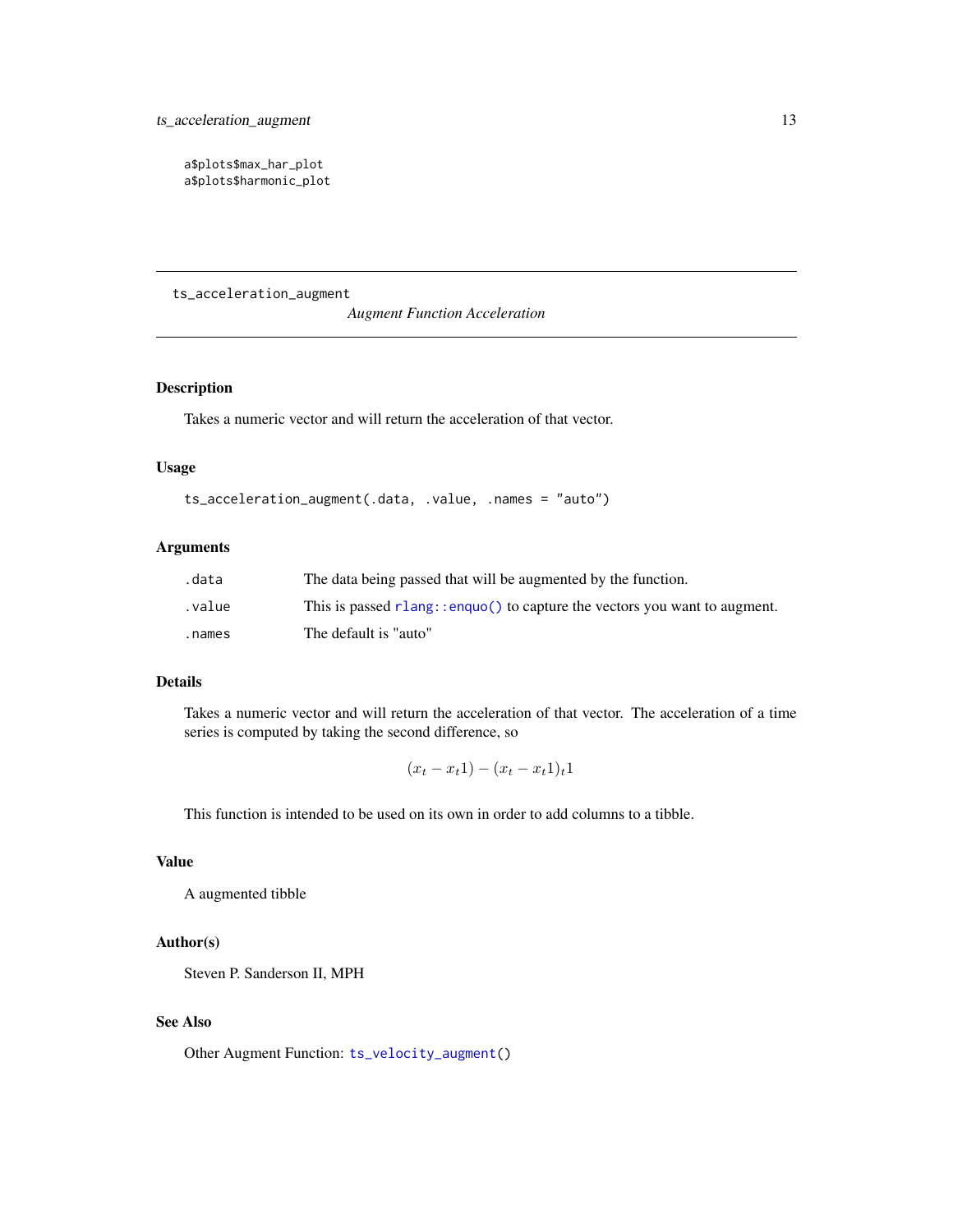<span id="page-12-0"></span>a\$plots\$max\_har\_plot a\$plots\$harmonic\_plot

<span id="page-12-1"></span>ts\_acceleration\_augment

*Augment Function Acceleration*

#### Description

Takes a numeric vector and will return the acceleration of that vector.

#### Usage

```
ts_acceleration_augment(.data, .value, .names = "auto")
```
# Arguments

| .data  | The data being passed that will be augmented by the function.                |
|--------|------------------------------------------------------------------------------|
| value. | This is passed $r$ lang::enquo() to capture the vectors you want to augment. |
| .names | The default is "auto"                                                        |

#### Details

Takes a numeric vector and will return the acceleration of that vector. The acceleration of a time series is computed by taking the second difference, so

$$
(x_t - x_t 1) - (x_t - x_t 1)_t 1
$$

This function is intended to be used on its own in order to add columns to a tibble.

#### Value

A augmented tibble

# Author(s)

Steven P. Sanderson II, MPH

#### See Also

Other Augment Function: [ts\\_velocity\\_augment\(](#page-83-1))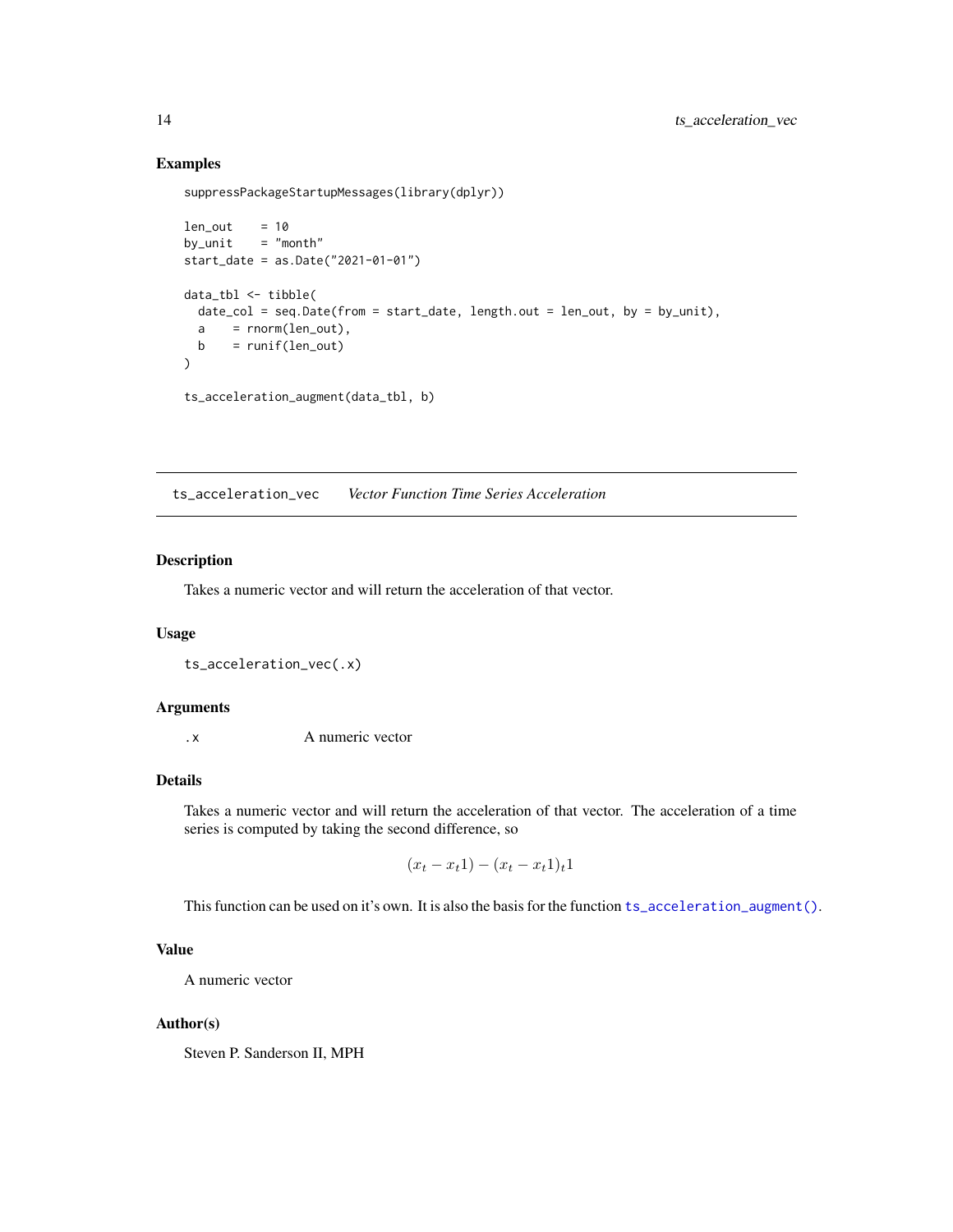#### Examples

```
suppressPackageStartupMessages(library(dplyr))
```

```
len\_out = 10
by_unit = "month"start_date = as.Date("2021-01-01")
data_tbl <- tibble(
 date_col = seq.Date(from = start_date, length.out = len_out, by = by_unit),
 a = rnorm(len_out),b = runif(len_out))
ts_acceleration_augment(data_tbl, b)
```
ts\_acceleration\_vec *Vector Function Time Series Acceleration*

#### Description

Takes a numeric vector and will return the acceleration of that vector.

#### Usage

```
ts_acceleration_vec(.x)
```
#### Arguments

.x A numeric vector

#### Details

Takes a numeric vector and will return the acceleration of that vector. The acceleration of a time series is computed by taking the second difference, so

$$
(x_t - x_t 1) - (x_t - x_t 1)_t 1
$$

This function can be used on it's own. It is also the basis for the function [ts\\_acceleration\\_augment\(\)](#page-12-1).

# Value

A numeric vector

#### Author(s)

Steven P. Sanderson II, MPH

<span id="page-13-0"></span>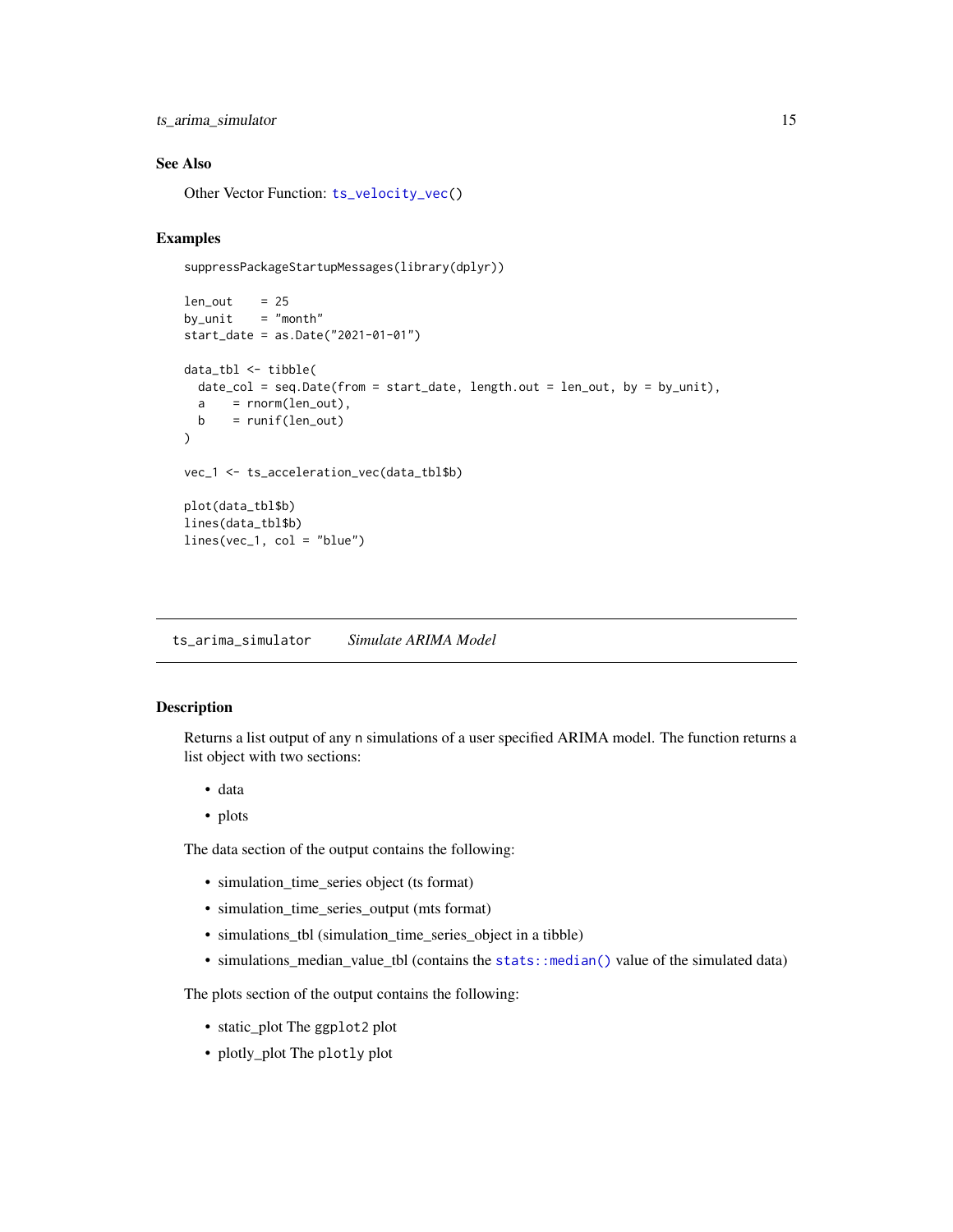<span id="page-14-0"></span>ts\_arima\_simulator 15

#### See Also

Other Vector Function: [ts\\_velocity\\_vec\(](#page-84-1))

#### Examples

```
suppressPackageStartupMessages(library(dplyr))
```

```
len\_out = 25
by\_unit = "month"
start_date = as.Date("2021-01-01")
data_tbl <- tibble(
  date\_col = seq.DataFrame(from = start_data, length.out = len_out, by = by_unit),a = rnorm(len_out),b = runif(len_out))
vec_1 <- ts_acceleration_vec(data_tbl$b)
plot(data_tbl$b)
lines(data_tbl$b)
lines(vec_1, col = "blue")
```
ts\_arima\_simulator *Simulate ARIMA Model*

#### Description

Returns a list output of any n simulations of a user specified ARIMA model. The function returns a list object with two sections:

- data
- plots

The data section of the output contains the following:

- simulation time series object (ts format)
- simulation\_time\_series\_output (mts format)
- simulations\_tbl (simulation\_time\_series\_object in a tibble)
- simulations\_median\_value\_tbl (contains the [stats::median\(\)](#page-0-0) value of the simulated data)

The plots section of the output contains the following:

- static\_plot The ggplot2 plot
- plotly\_plot The plotly plot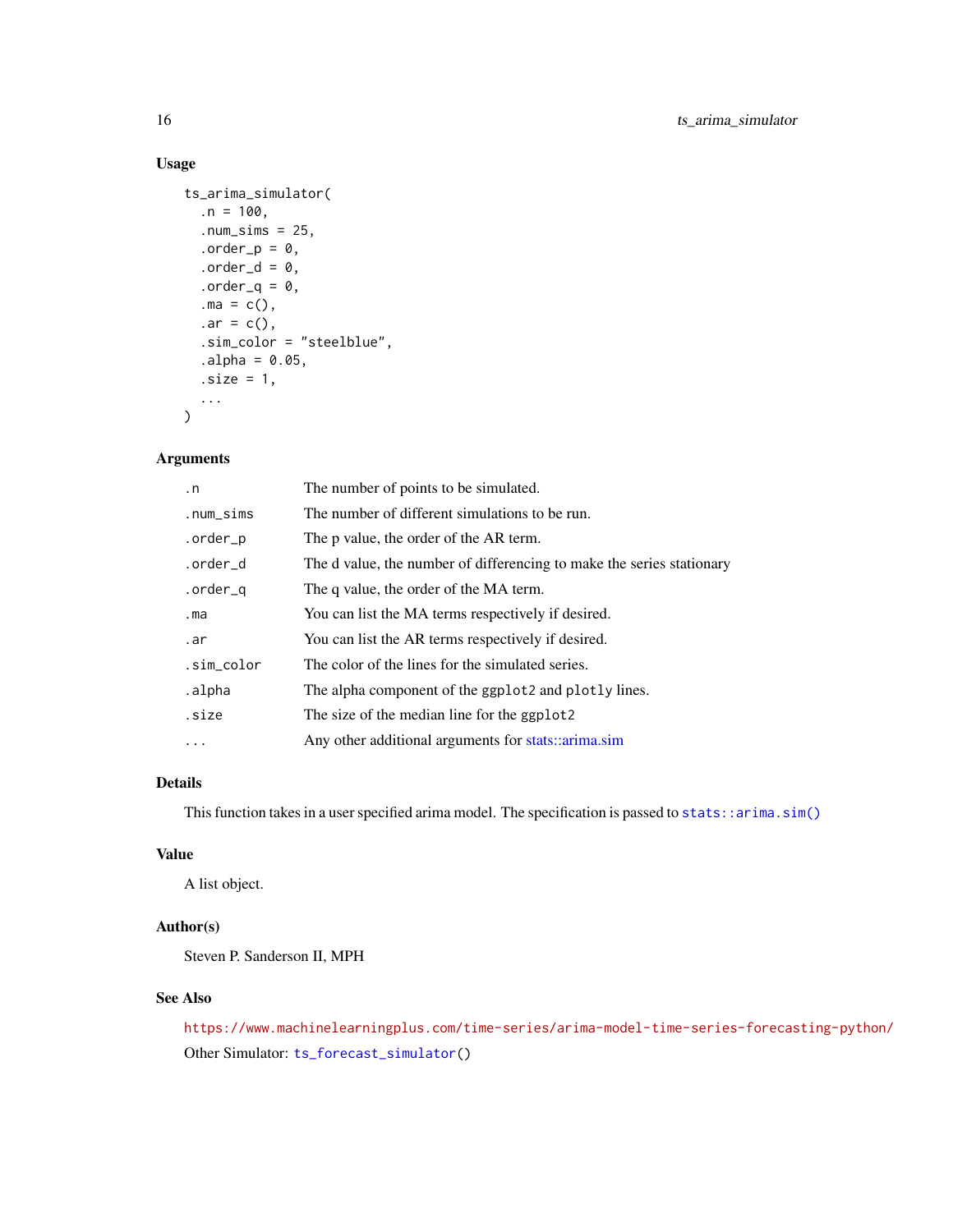# Usage

```
ts_arima_simulator(
  .n = 100,
  .num_sims = 25,
  .order_p = 0,
  .order_d = 0,.order_q = 0,
  .ma = c(),
  .ar = c(),
  .sim_color = "steelblue",
  a1pha = 0.05,
  .size = 1,...
\mathcal{L}
```
#### Arguments

| . n        | The number of points to be simulated.                                 |
|------------|-----------------------------------------------------------------------|
| .num_sims  | The number of different simulations to be run.                        |
| .order_p   | The p value, the order of the AR term.                                |
| .order_d   | The d value, the number of differencing to make the series stationary |
| .order_g   | The q value, the order of the MA term.                                |
| .ma        | You can list the MA terms respectively if desired.                    |
| .ar        | You can list the AR terms respectively if desired.                    |
| .sim_color | The color of the lines for the simulated series.                      |
| .alpha     | The alpha component of the ggplot <sub>2</sub> and plotly lines.      |
| .size      | The size of the median line for the ggplot2                           |
| $\cdots$   | Any other additional arguments for stats::arima.sim                   |

#### Details

This function takes in a user specified arima model. The specification is passed to stats:: arima.sim()

## Value

A list object.

#### Author(s)

Steven P. Sanderson II, MPH

# See Also

<https://www.machinelearningplus.com/time-series/arima-model-time-series-forecasting-python/> Other Simulator: [ts\\_forecast\\_simulator\(](#page-57-1))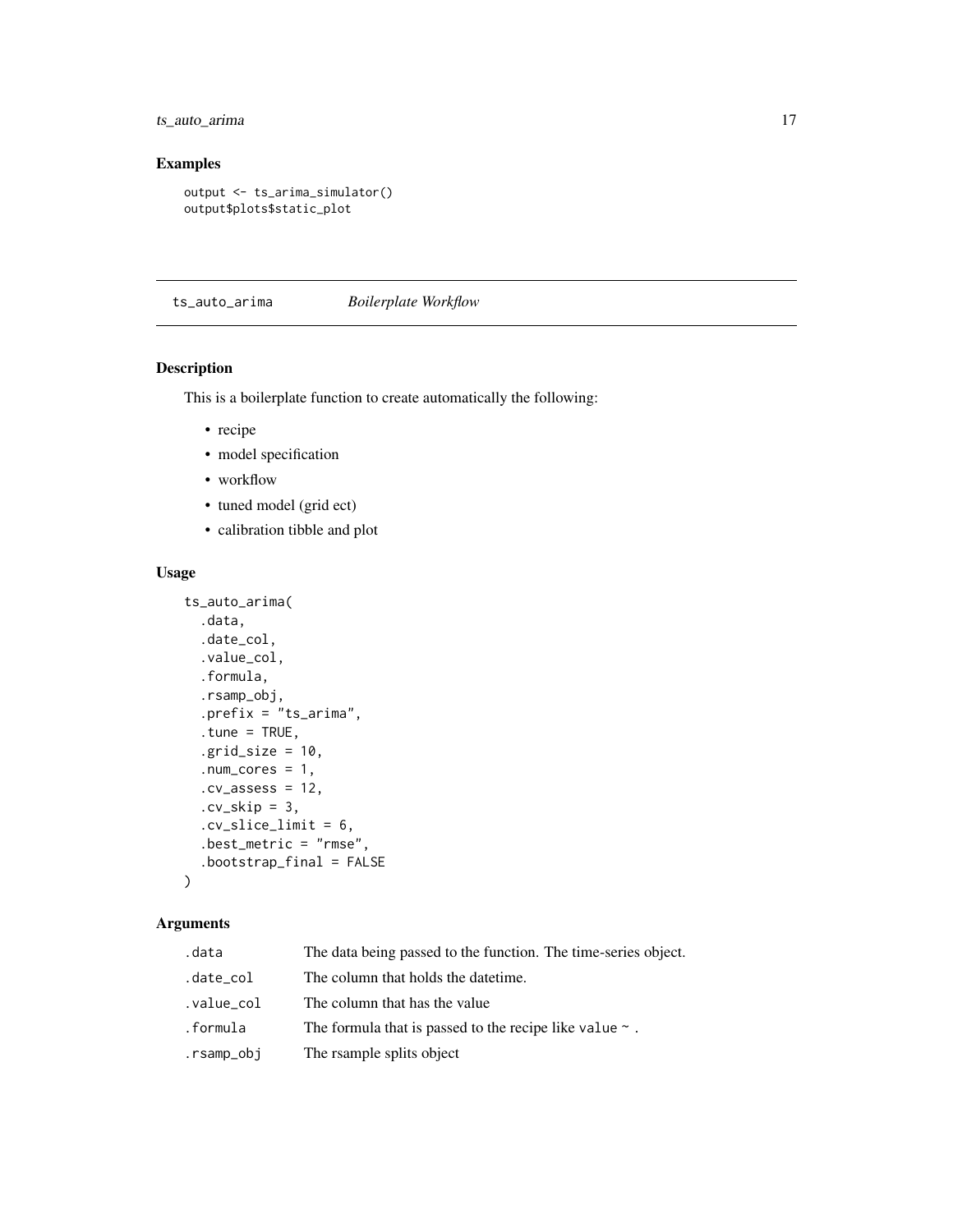<span id="page-16-0"></span>ts\_auto\_arima 17

# Examples

```
output <- ts_arima_simulator()
output$plots$static_plot
```
<span id="page-16-1"></span>ts\_auto\_arima *Boilerplate Workflow*

#### Description

This is a boilerplate function to create automatically the following:

- recipe
- model specification
- workflow
- tuned model (grid ect)
- calibration tibble and plot

# Usage

```
ts_auto_arima(
  .data,
  .date_col,
  .value_col,
  .formula,
  .rsamp_obj,
  .prefix = "ts_arima",
  .tune = TRUE,
  .grid_size = 10,
  .num_cores = 1,
  .cv_assess = 12,
  cv\_skip = 3,
  .cv_slice_limit = 6,
  .best_metric = "rmse",
  .bootstrap_final = FALSE
)
```
# Arguments

| .data      | The data being passed to the function. The time-series object. |
|------------|----------------------------------------------------------------|
| .date_col  | The column that holds the datetime.                            |
| .value_col | The column that has the value                                  |
| .formula   | The formula that is passed to the recipe like value $\sim$ .   |
| .rsamp_obj | The reample splits object                                      |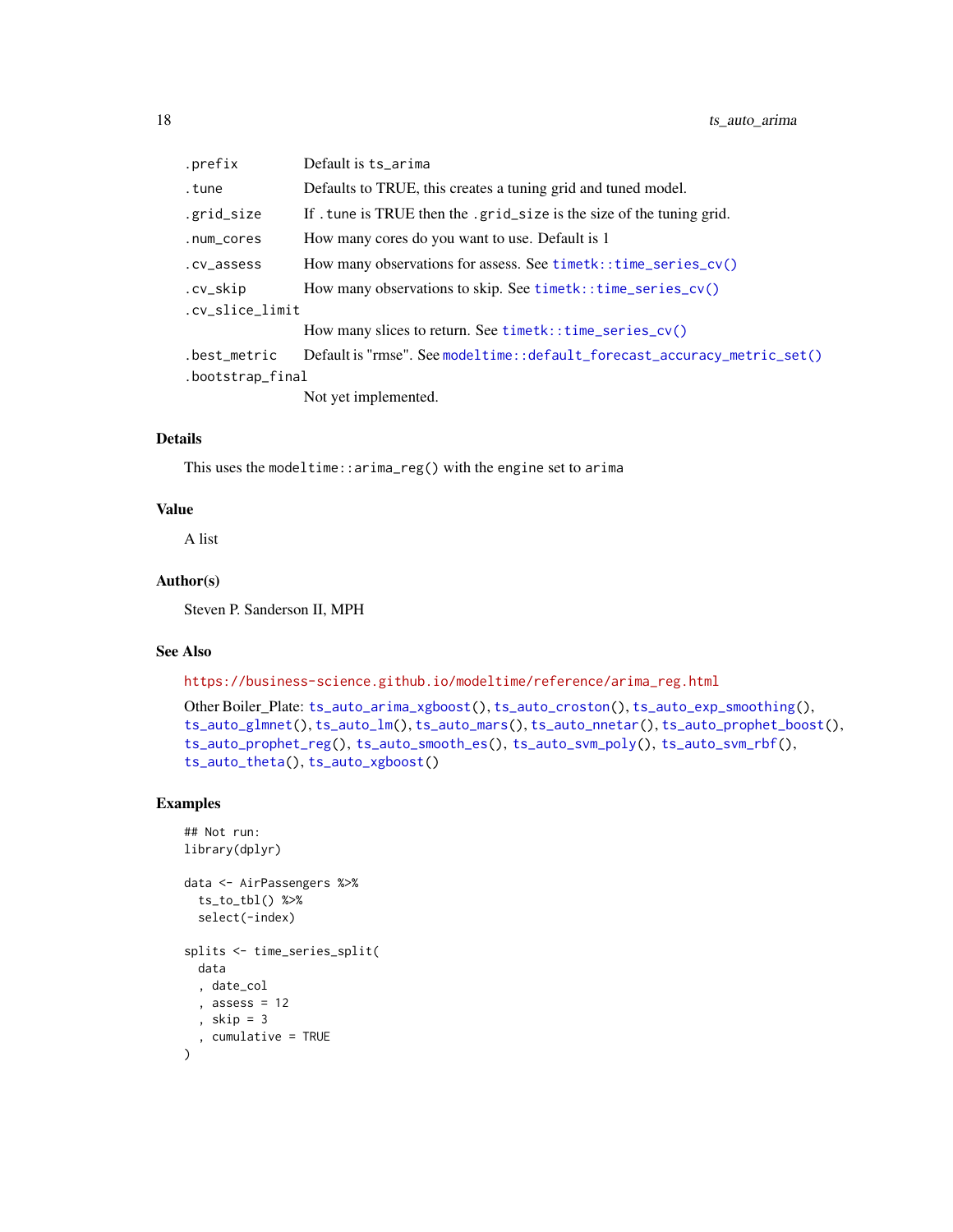| Default is ts_arima                                                      |
|--------------------------------------------------------------------------|
| Defaults to TRUE, this creates a tuning grid and tuned model.            |
| If tune is TRUE then the grid_size is the size of the tuning grid.       |
| How many cores do you want to use. Default is 1                          |
| How many observations for assess. See timethent time_series_cv()         |
| How many observations to skip. See timeth::time_series_cv()              |
| .cv_slice_limit                                                          |
| How many slices to return. See timetk:: time_series_cv()                 |
| Default is "rmse". See modeltime::default_forecast_accuracy_metric_set() |
| .bootstrap_final                                                         |
| Not yet implemented.                                                     |
|                                                                          |

# Details

This uses the modeltime::arima\_reg() with the engine set to arima

#### Value

A list

# Author(s)

Steven P. Sanderson II, MPH

# See Also

[https://business-science.github.io/modeltime/reference/arima\\_reg.html](https://business-science.github.io/modeltime/reference/arima_reg.html)

```
Other Boiler_Plate: ts_auto_arima_xgboost(), ts_auto_croston(), ts_auto_exp_smoothing(),
ts_auto_glmnet(), ts_auto_lm(), ts_auto_mars(), ts_auto_nnetar(), ts_auto_prophet_boost(),
ts_auto_prophet_reg(), ts_auto_smooth_es(), ts_auto_svm_poly(), ts_auto_svm_rbf(),
ts_auto_theta(), ts_auto_xgboost()
```

```
## Not run:
library(dplyr)
data <- AirPassengers %>%
  ts_to_tbl() %>%
  select(-index)
splits <- time_series_split(
  data
  , date_col
  , assess = 12
  , skip = 3
  , cumulative = TRUE
)
```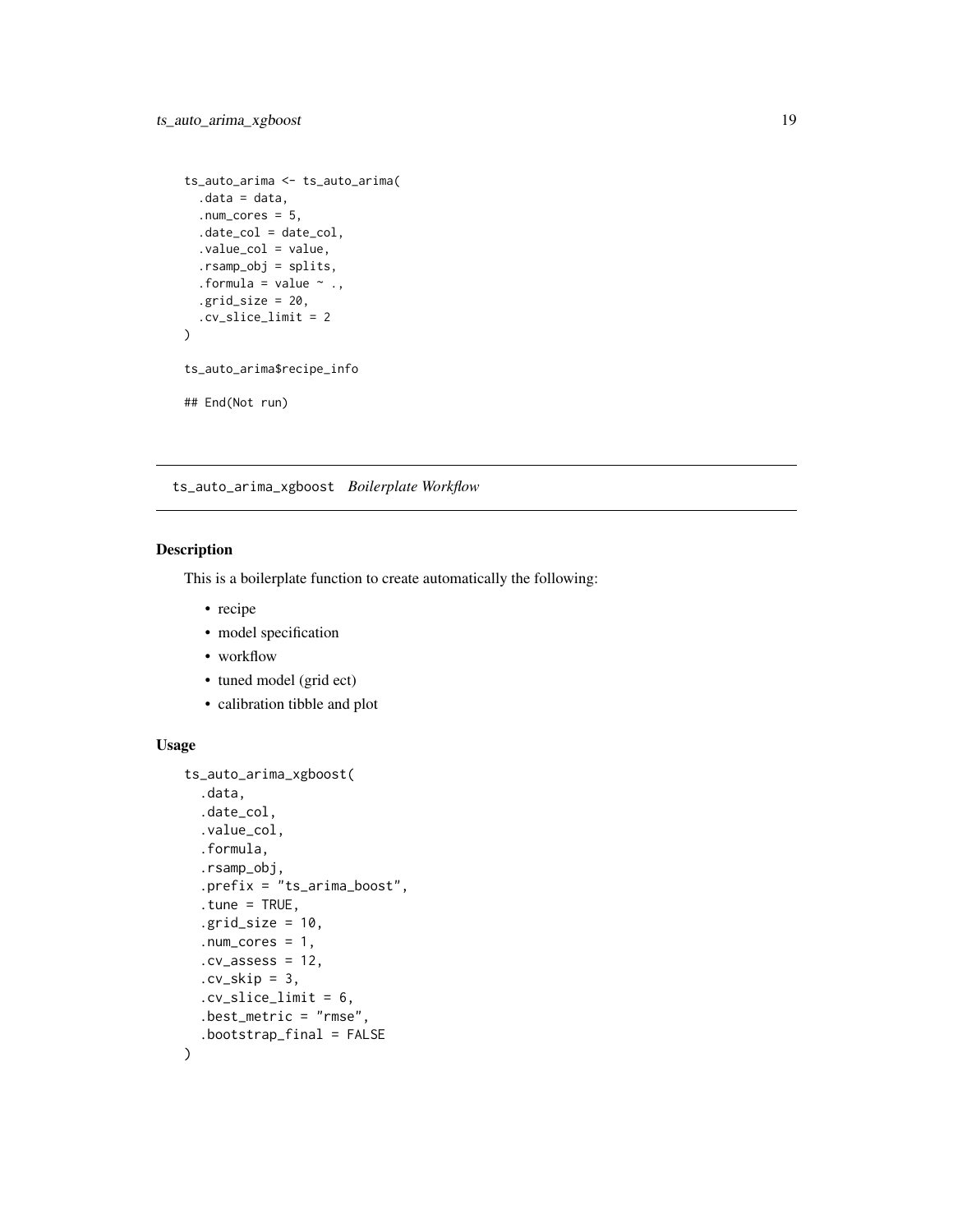```
ts_auto_arima <- ts_auto_arima(
  .data = data,
  .num_cores = 5,
  .date_col = date_col,
  .value_col = value,
  .rsamp_obj = splits,
  .formula = value \sim .,
  .grid_size = 20,
  .cv_slice_limit = 2
)
ts_auto_arima$recipe_info
## End(Not run)
```
<span id="page-18-1"></span>ts\_auto\_arima\_xgboost *Boilerplate Workflow*

# Description

This is a boilerplate function to create automatically the following:

- recipe
- model specification
- workflow
- tuned model (grid ect)
- calibration tibble and plot

# Usage

```
ts_auto_arima_xgboost(
  .data,
  .date_col,
  .value_col,
  .formula,
  .rsamp_obj,
  .prefix = "ts_arima_boost",
  .tune = TRUE,
  .grid_size = 10,
  .num_cores = 1,
  cv_assess = 12,
  cv_skip = 3,.cv_slice_limit = 6,
  .best_metric = "rmse",
  .bootstrap_final = FALSE
\mathcal{E}
```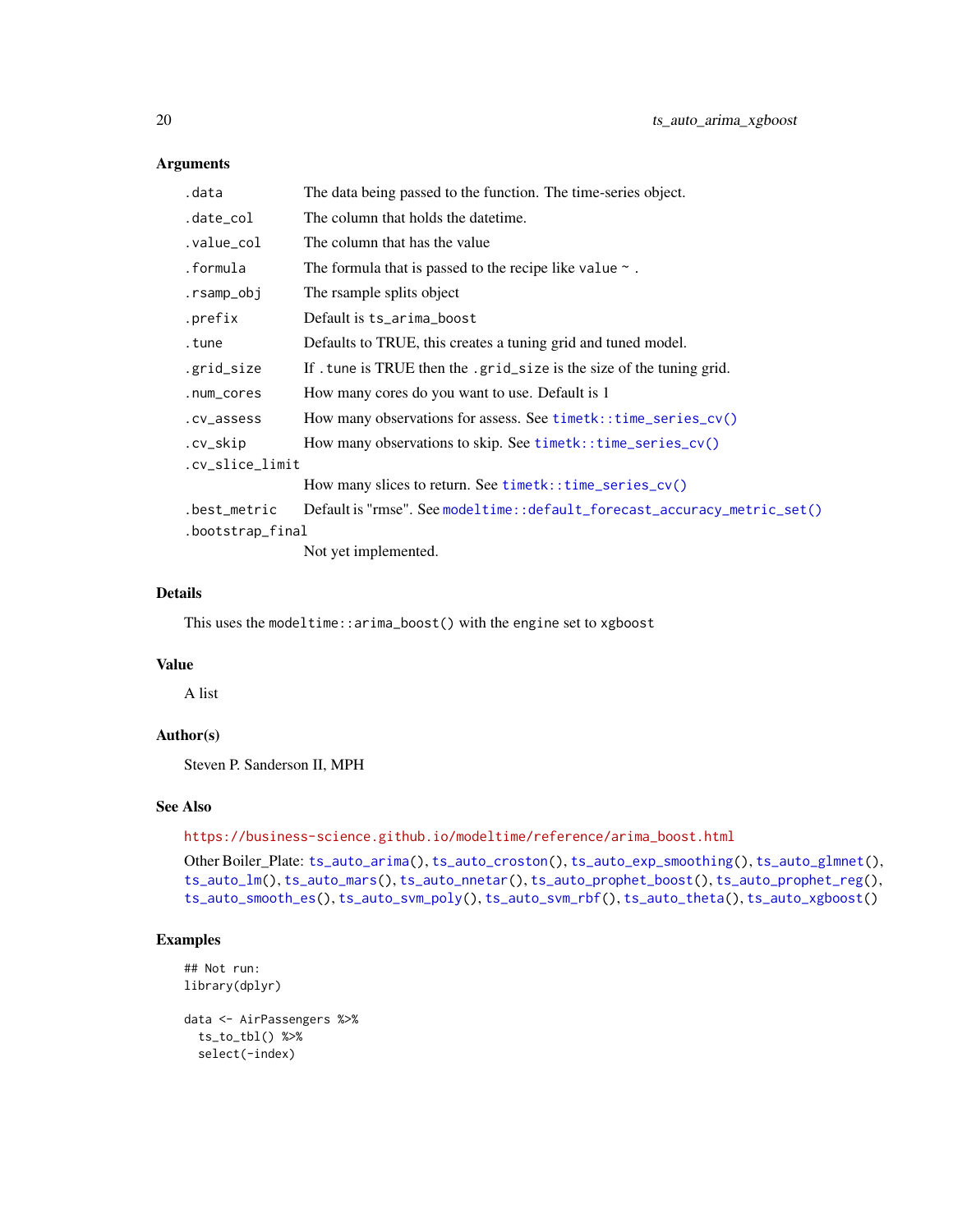# Arguments

| .data                            | The data being passed to the function. The time-series object.           |  |
|----------------------------------|--------------------------------------------------------------------------|--|
| .date_col                        | The column that holds the date time.                                     |  |
| .value_col                       | The column that has the value                                            |  |
| .formula                         | The formula that is passed to the recipe like value $\sim$ .             |  |
| .rsamp_obj                       | The rsample splits object                                                |  |
| .prefix                          | Default is ts_arima_boost                                                |  |
| .tune                            | Defaults to TRUE, this creates a tuning grid and tuned model.            |  |
| .grid_size                       | If . tune is TRUE then the .grid_size is the size of the tuning grid.    |  |
| .num_cores                       | How many cores do you want to use. Default is 1                          |  |
| .cv_assess                       | How many observations for assess. See timetk::time_series_cv()           |  |
| .cv_skip                         | How many observations to skip. See timetk::time_series_cv()              |  |
| .cv_slice_limit                  |                                                                          |  |
|                                  | How many slices to return. See timetk::time_series_cv()                  |  |
| .best_metric<br>.bootstrap_final | Default is "rmse". See modeltime::default_forecast_accuracy_metric_set() |  |
|                                  |                                                                          |  |

Not yet implemented.

#### Details

This uses the modeltime::arima\_boost() with the engine set to xgboost

#### Value

A list

# Author(s)

Steven P. Sanderson II, MPH

#### See Also

[https://business-science.github.io/modeltime/reference/arima\\_boost.html](https://business-science.github.io/modeltime/reference/arima_boost.html)

Other Boiler\_Plate: [ts\\_auto\\_arima\(](#page-16-1)), [ts\\_auto\\_croston\(](#page-20-1)), [ts\\_auto\\_exp\\_smoothing\(](#page-22-1)), [ts\\_auto\\_glmnet\(](#page-25-1)), [ts\\_auto\\_lm\(](#page-27-1)), [ts\\_auto\\_mars\(](#page-29-1)), [ts\\_auto\\_nnetar\(](#page-31-1)), [ts\\_auto\\_prophet\\_boost\(](#page-33-1)), [ts\\_auto\\_prophet\\_reg\(](#page-35-1)), [ts\\_auto\\_smooth\\_es\(](#page-39-1)), [ts\\_auto\\_svm\\_poly\(](#page-41-1)), [ts\\_auto\\_svm\\_rbf\(](#page-44-1)), [ts\\_auto\\_theta\(](#page-46-1)), [ts\\_auto\\_xgboost\(](#page-48-1))

```
## Not run:
library(dplyr)
```

```
data <- AirPassengers %>%
 ts_to_tbl() %>%
 select(-index)
```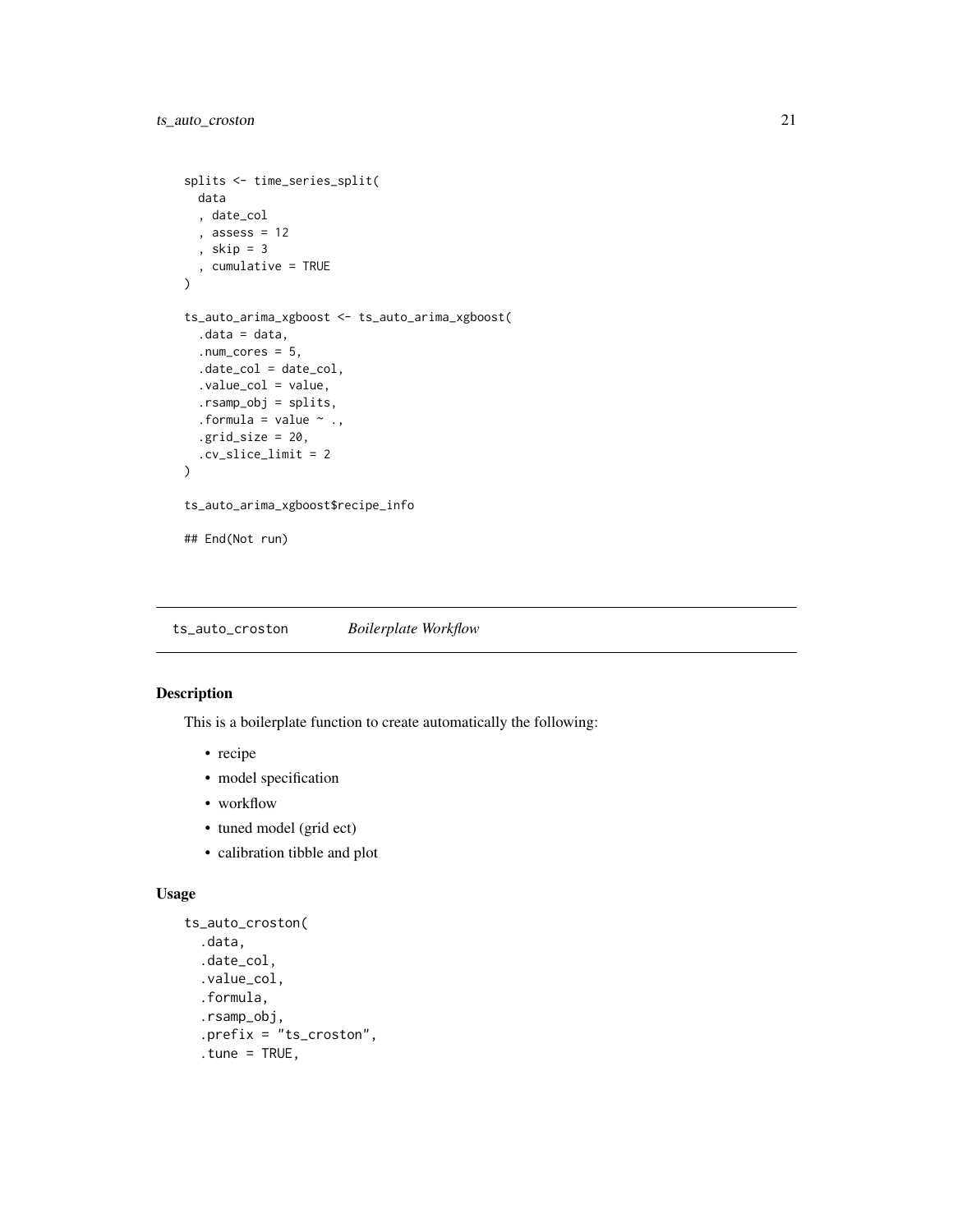```
splits <- time_series_split(
  data
  , date_col
  , assess = 12
  , skip = 3
  , cumulative = TRUE
\mathcal{L}ts_auto_arima_xgboost <- ts_auto_arima_xgboost(
  .data = data,
  .num_cores = 5,
  .data\_col = date\_col,.value_col = value,
  .rsamp_obj = splits,
  .formula = value \sim .,
  .grid_size = 20,
  .cv_slice_limit = 2
\overline{\phantom{a}}ts_auto_arima_xgboost$recipe_info
## End(Not run)
```
<span id="page-20-1"></span>ts\_auto\_croston *Boilerplate Workflow*

# Description

This is a boilerplate function to create automatically the following:

- recipe
- model specification
- workflow
- tuned model (grid ect)
- calibration tibble and plot

#### Usage

```
ts_auto_croston(
  .data,
  .date_col,
  .value_col,
  .formula,
  .rsamp_obj,
  .prefix = "ts_croston",
  . tune = TRUE,
```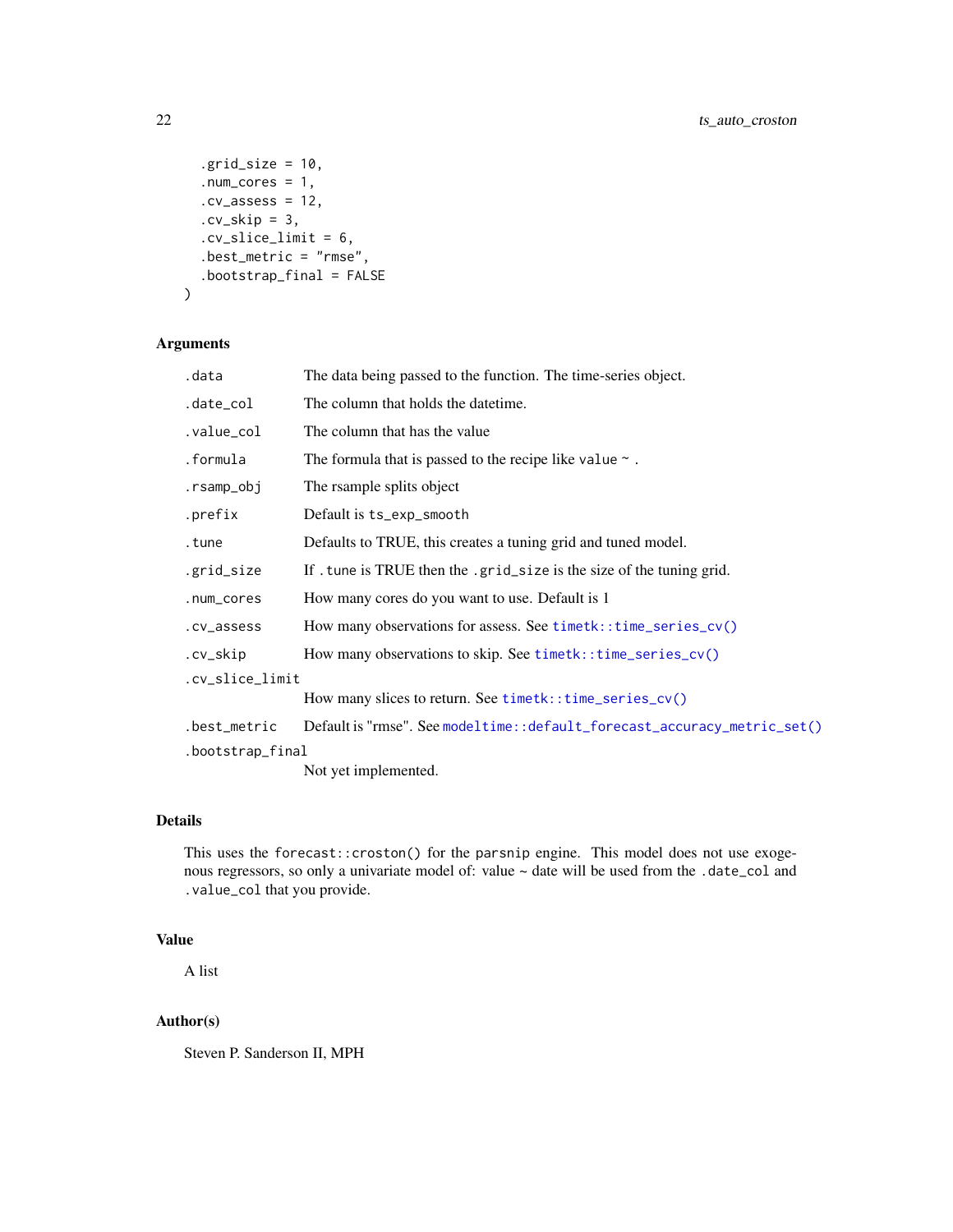```
.grid_size = 10,
  .num_cores = 1,
  cv_assess = 12,
  cv\_skip = 3,
  .cv_slice_limit = 6,
  .best_metric = "rmse",
  .bootstrap_final = FALSE
\mathcal{L}
```
#### Arguments

| .data            | The data being passed to the function. The time-series object.           |  |
|------------------|--------------------------------------------------------------------------|--|
| .date_col        | The column that holds the date time.                                     |  |
| .value_col       | The column that has the value.                                           |  |
| .formula         | The formula that is passed to the recipe like value $\sim$ .             |  |
| .rsamp_obj       | The reample splits object                                                |  |
| .prefix          | Default is ts_exp_smooth                                                 |  |
| .tune            | Defaults to TRUE, this creates a tuning grid and tuned model.            |  |
| .grid_size       | If . tune is TRUE then the .grid_size is the size of the tuning grid.    |  |
| .num_cores       | How many cores do you want to use. Default is 1                          |  |
| .cv_assess       | How many observations for assess. See timetk::time_series_cv()           |  |
| .cv_skip         | How many observations to skip. See timetk::time_series_cv()              |  |
| .cv_slice_limit  |                                                                          |  |
|                  | How many slices to return. See timetk::time_series_cv()                  |  |
| .best_metric     | Default is "rmse". See modeltime::default_forecast_accuracy_metric_set() |  |
| .bootstrap_final |                                                                          |  |
|                  | Not yet implemented.                                                     |  |
|                  |                                                                          |  |

# Details

This uses the forecast::croston() for the parsnip engine. This model does not use exogenous regressors, so only a univariate model of: value ~ date will be used from the .date\_col and .value\_col that you provide.

#### Value

A list

#### Author(s)

Steven P. Sanderson II, MPH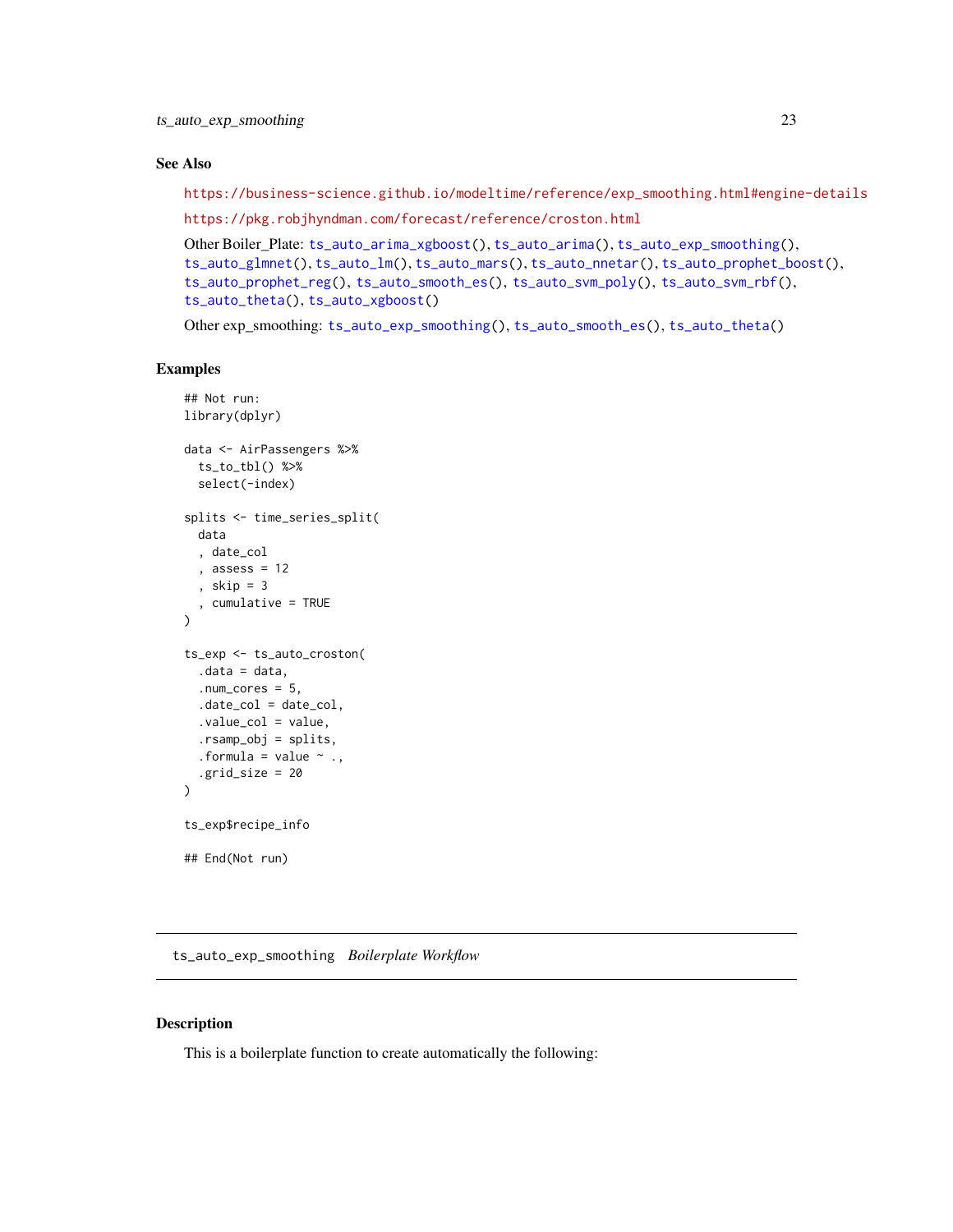#### <span id="page-22-0"></span>See Also

[https://business-science.github.io/modeltime/reference/exp\\_smoothing.html#engine-details](https://business-science.github.io/modeltime/reference/exp_smoothing.html#engine-details)

```
https://pkg.robjhyndman.com/forecast/reference/croston.html
```

```
Other Boiler_Plate: ts_auto_arima_xgboost(), ts_auto_arima(), ts_auto_exp_smoothing(),
ts_auto_glmnet(), ts_auto_lm(), ts_auto_mars(), ts_auto_nnetar(), ts_auto_prophet_boost(),
ts_auto_prophet_reg(), ts_auto_smooth_es(), ts_auto_svm_poly(), ts_auto_svm_rbf(),
ts_auto_theta(), ts_auto_xgboost()
```
Other exp\_smoothing: [ts\\_auto\\_exp\\_smoothing\(](#page-22-1)), [ts\\_auto\\_smooth\\_es\(](#page-39-1)), [ts\\_auto\\_theta\(](#page-46-1))

#### Examples

```
## Not run:
library(dplyr)
data <- AirPassengers %>%
  ts_to_tbl() %>%
  select(-index)
splits <- time_series_split(
  data
  , date_col
  , assess = 12
  , skip = 3
  , cumulative = TRUE
\lambdats_exp <- ts_auto_croston(
  .data = data,
  .num_cores = 5,
  .date_col = date_col,
  .value_col = value,
  .rsamp_obj = splits,
  .formula = value \sim .,
  .grid_size = 20
)
ts_exp$recipe_info
## End(Not run)
```
<span id="page-22-1"></span>ts\_auto\_exp\_smoothing *Boilerplate Workflow*

#### Description

This is a boilerplate function to create automatically the following: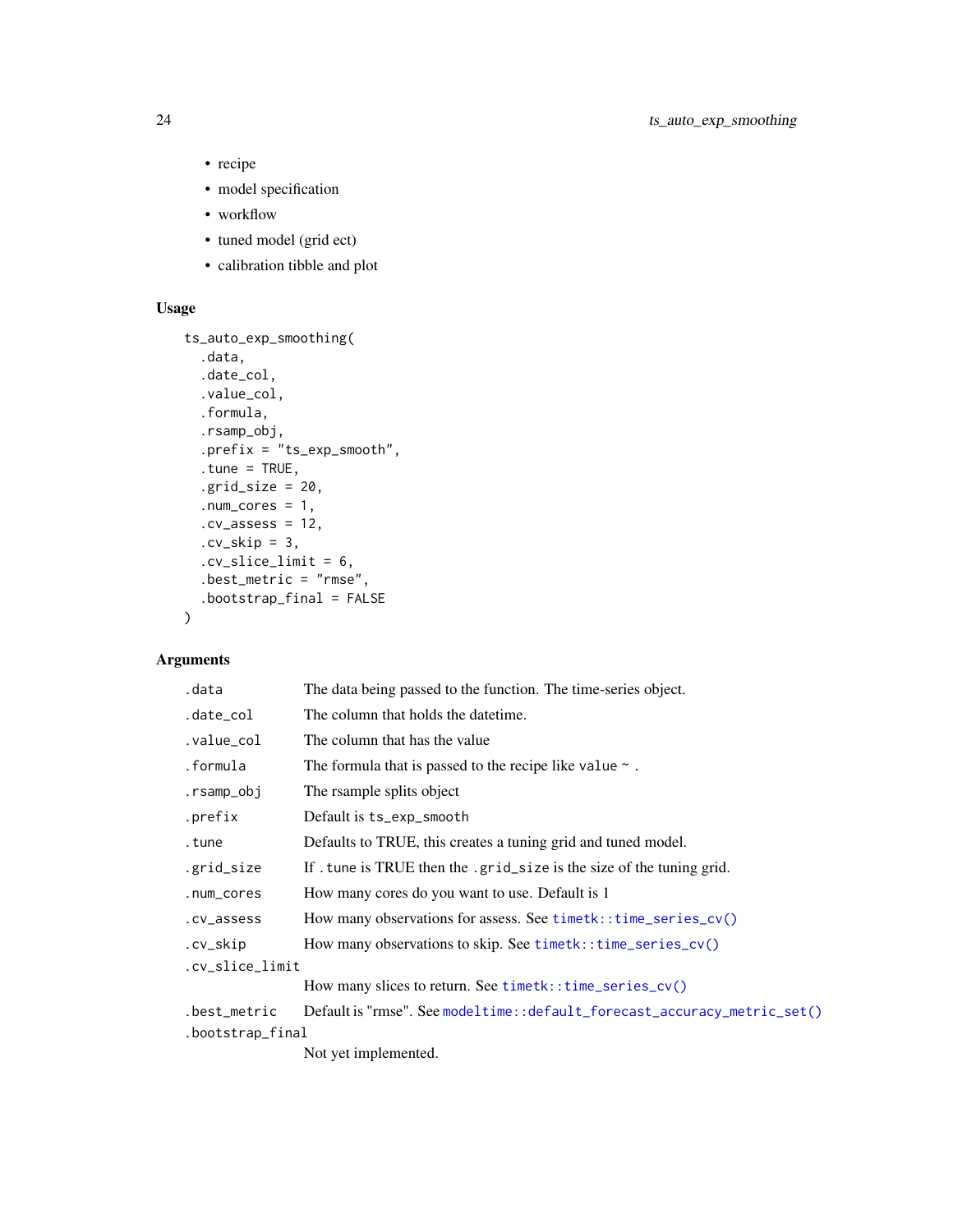- recipe
- model specification
- workflow
- tuned model (grid ect)
- calibration tibble and plot

# Usage

```
ts_auto_exp_smoothing(
  .data,
  .date_col,
  .value_col,
  .formula,
  .rsamp_obj,
  .prefix = "ts_exp_smooth",
  .tune = TRUE,
  .grid_size = 20,
  .num_cores = 1,
  cv_assess = 12,
  cv\_skip = 3,
  .cv_slice_limit = 6,
  .best_metric = "rmse",
  .bootstrap_final = FALSE
)
```
# Arguments

| .data            | The data being passed to the function. The time-series object.           |
|------------------|--------------------------------------------------------------------------|
| .date_col        | The column that holds the date time.                                     |
| .value_col       | The column that has the value                                            |
| .formula         | The formula that is passed to the recipe like value $\sim$ .             |
| .rsamp_obj       | The rsample splits object                                                |
| .prefix          | Default is ts_exp_smooth                                                 |
| .tune            | Defaults to TRUE, this creates a tuning grid and tuned model.            |
| .grid_size       | If tune is TRUE then the .grid_size is the size of the tuning grid.      |
| .num_cores       | How many cores do you want to use. Default is 1                          |
| .cv_assess       | How many observations for assess. See timethent time_series_cv()         |
| .cv_skip         | How many observations to skip. See timetk::time_series_cv()              |
| .cv_slice_limit  |                                                                          |
|                  | How many slices to return. See timetk::time_series_cv()                  |
| .best metric     | Default is "rmse". See modeltime::default_forecast_accuracy_metric_set() |
| .bootstrap_final |                                                                          |

Not yet implemented.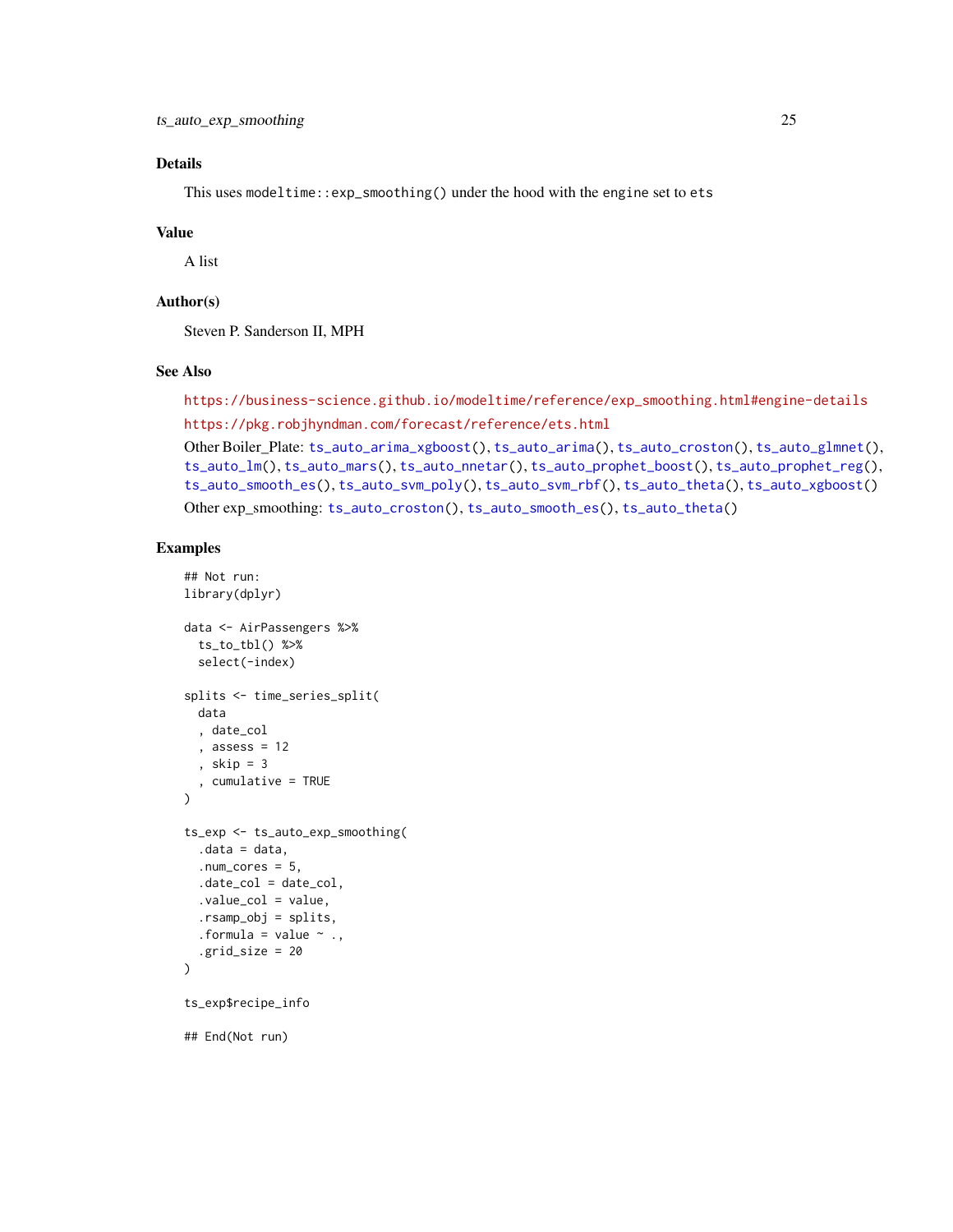# Details

This uses modeltime::exp\_smoothing() under the hood with the engine set to ets

#### Value

A list

# Author(s)

Steven P. Sanderson II, MPH

#### See Also

[https://business-science.github.io/modeltime/reference/exp\\_smoothing.html#engine-details](https://business-science.github.io/modeltime/reference/exp_smoothing.html#engine-details)

#### <https://pkg.robjhyndman.com/forecast/reference/ets.html>

Other Boiler\_Plate: [ts\\_auto\\_arima\\_xgboost\(](#page-18-1)), [ts\\_auto\\_arima\(](#page-16-1)), [ts\\_auto\\_croston\(](#page-20-1)), [ts\\_auto\\_glmnet\(](#page-25-1)), [ts\\_auto\\_lm\(](#page-27-1)), [ts\\_auto\\_mars\(](#page-29-1)), [ts\\_auto\\_nnetar\(](#page-31-1)), [ts\\_auto\\_prophet\\_boost\(](#page-33-1)), [ts\\_auto\\_prophet\\_reg\(](#page-35-1)), [ts\\_auto\\_smooth\\_es\(](#page-39-1)), [ts\\_auto\\_svm\\_poly\(](#page-41-1)), [ts\\_auto\\_svm\\_rbf\(](#page-44-1)), [ts\\_auto\\_theta\(](#page-46-1)), [ts\\_auto\\_xgboost\(](#page-48-1)) Other exp\_smoothing: [ts\\_auto\\_croston\(](#page-20-1)), [ts\\_auto\\_smooth\\_es\(](#page-39-1)), [ts\\_auto\\_theta\(](#page-46-1))

```
## Not run:
library(dplyr)
data <- AirPassengers %>%
 ts_to_tbl() %>%
  select(-index)
splits <- time_series_split(
  data
  , date_col
  , assess = 12, skip = 3
  , cumulative = TRUE
\lambdats_exp <- ts_auto_exp_smoothing(
  .data = data,
  num\_cores = 5,
  .date_col = date_col,
  .value_col = value,
  .rsamp_obj = splits,
  .formula = value \sim .,
  .grid_size = 20
)
ts_exp$recipe_info
## End(Not run)
```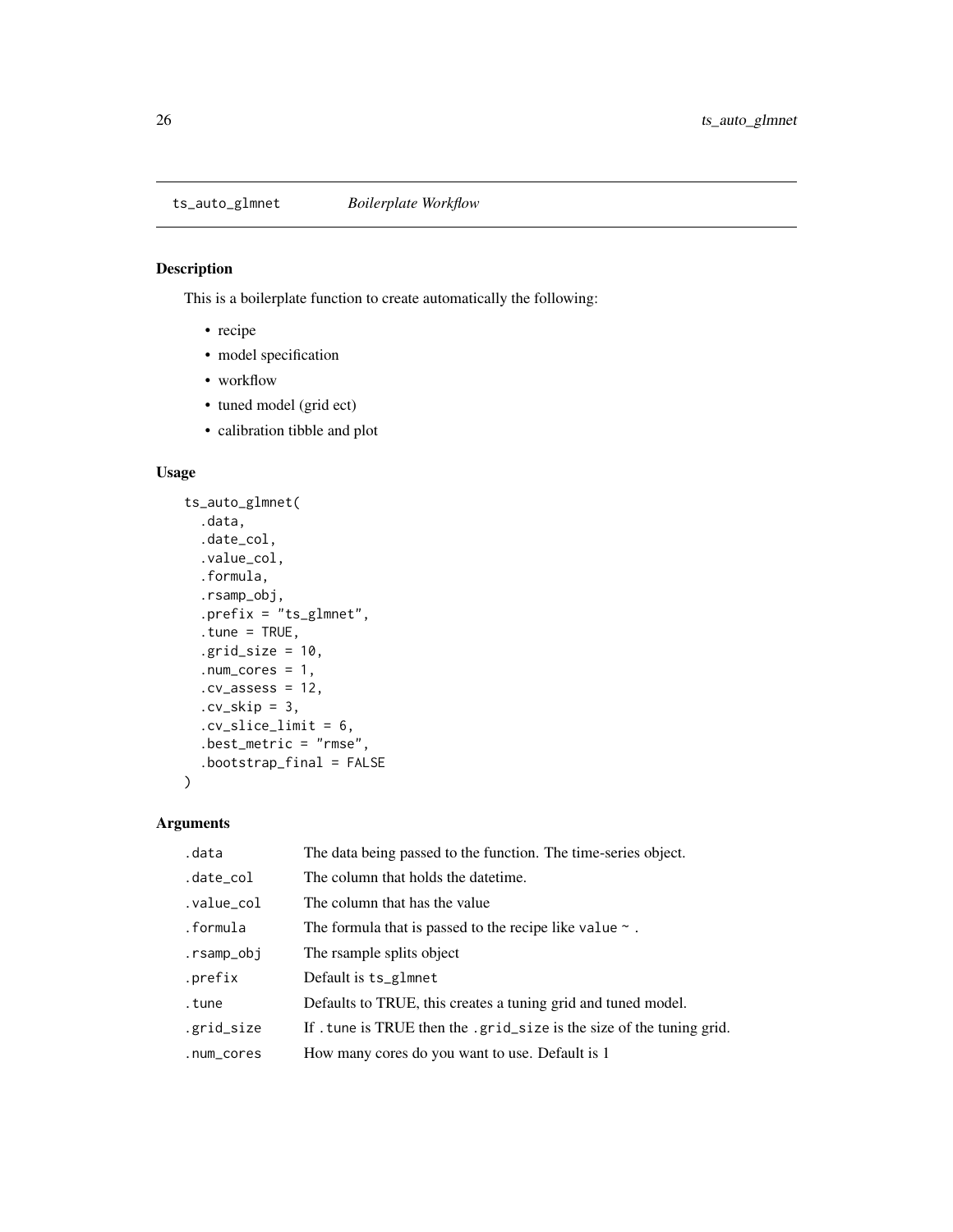<span id="page-25-1"></span><span id="page-25-0"></span>

# Description

This is a boilerplate function to create automatically the following:

- recipe
- model specification
- workflow
- tuned model (grid ect)
- calibration tibble and plot

#### Usage

```
ts_auto_glmnet(
  .data,
  .date_col,
  .value_col,
  .formula,
  .rsamp_obj,
  .prefix = "ts_glmnet",
  .tune = TRUE,
  .grid_size = 10,
  .num_cores = 1,
  cv_assess = 12,
  cv\_skip = 3,
  .cv_slice_limit = 6,
  .best_metric = "rmse",
  .bootstrap_final = FALSE
)
```
#### Arguments

| .data      | The data being passed to the function. The time-series object.     |
|------------|--------------------------------------------------------------------|
| .date_col  | The column that holds the date time.                               |
| .value_col | The column that has the value                                      |
| .formula   | The formula that is passed to the recipe like value $\sim$ .       |
| .rsamp_obj | The rsample splits object                                          |
| .prefix    | Default is ts_glmnet                                               |
| tune.      | Defaults to TRUE, this creates a tuning grid and tuned model.      |
| .grid_size | If tune is TRUE then the grid_size is the size of the tuning grid. |
| .num_cores | How many cores do you want to use. Default is 1                    |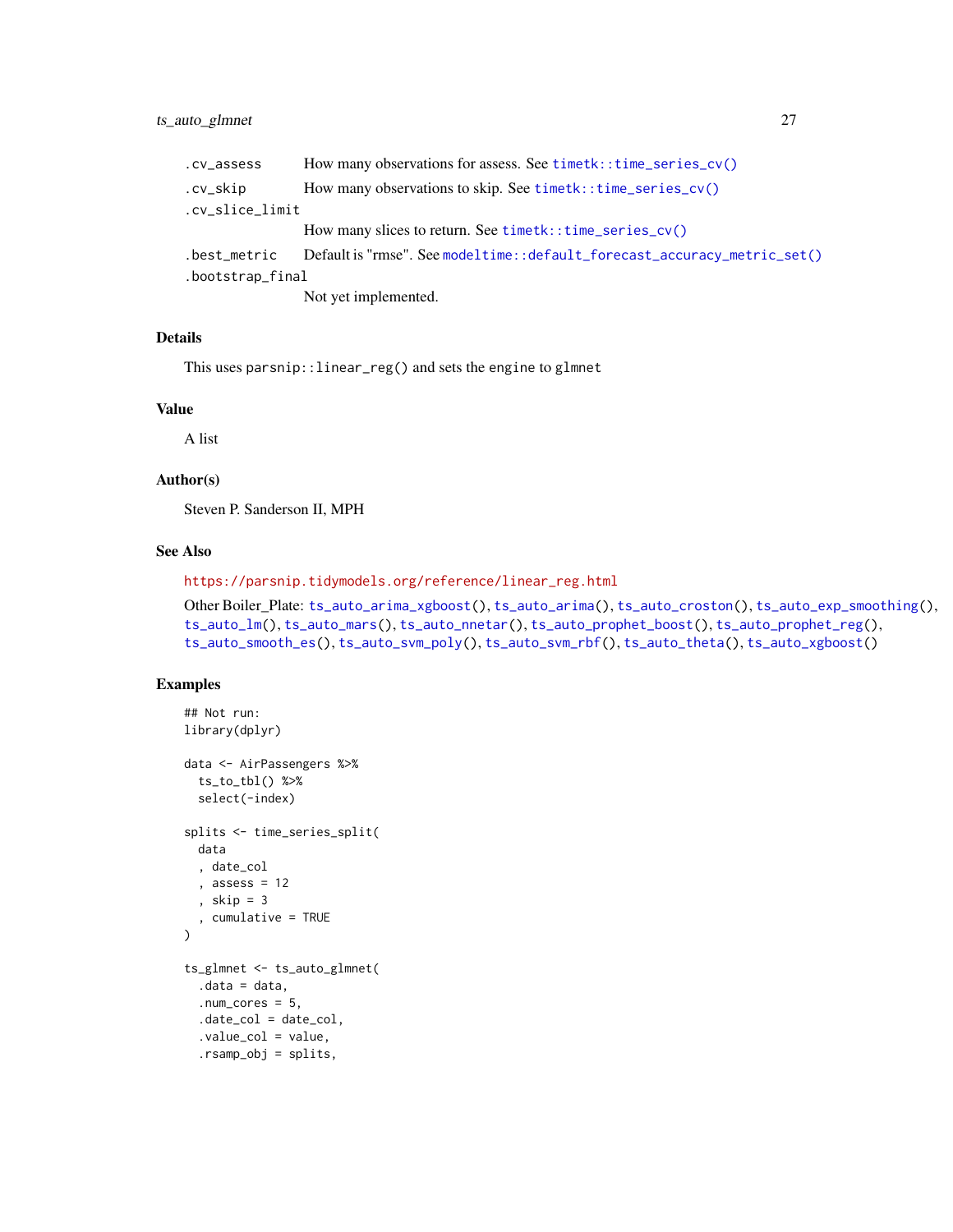# ts\_auto\_glmnet 27

| .cv_assess       | How many observations for assess. See timeth::time_series_cv()           |
|------------------|--------------------------------------------------------------------------|
| .cv_skip         | How many observations to skip. See timetk::time_series_cv()              |
| .cv_slice_limit  |                                                                          |
|                  | How many slices to return. See timeth::time_series_cv()                  |
| .best metric     | Default is "rmse". See modeltime::default_forecast_accuracy_metric_set() |
| .bootstrap_final |                                                                          |
|                  | Not yet implemented.                                                     |

#### Details

This uses parsnip::linear\_reg() and sets the engine to glmnet

# Value

A list

# Author(s)

Steven P. Sanderson II, MPH

# See Also

[https://parsnip.tidymodels.org/reference/linear\\_reg.html](https://parsnip.tidymodels.org/reference/linear_reg.html)

```
Other Boiler_Plate: ts_auto_arima_xgboost(), ts_auto_arima(), ts_auto_croston(), ts_auto_exp_smoothing(),
ts_auto_lm(), ts_auto_mars(), ts_auto_nnetar(), ts_auto_prophet_boost(), ts_auto_prophet_reg(),
ts_auto_smooth_es(), ts_auto_svm_poly(), ts_auto_svm_rbf(), ts_auto_theta(), ts_auto_xgboost()
```

```
## Not run:
library(dplyr)
data <- AirPassengers %>%
  ts_to_tbl() %>%
  select(-index)
splits <- time_series_split(
  data
  , date_col
  , assess = 12
  , skip = 3
  , cumulative = TRUE
\mathcal{L}ts_glmnet <- ts_auto_glmnet(
  .data = data,
  .num_cores = 5,
  .date_col = date_col,
  .value_col = value,
  .rsamp_obj = splits,
```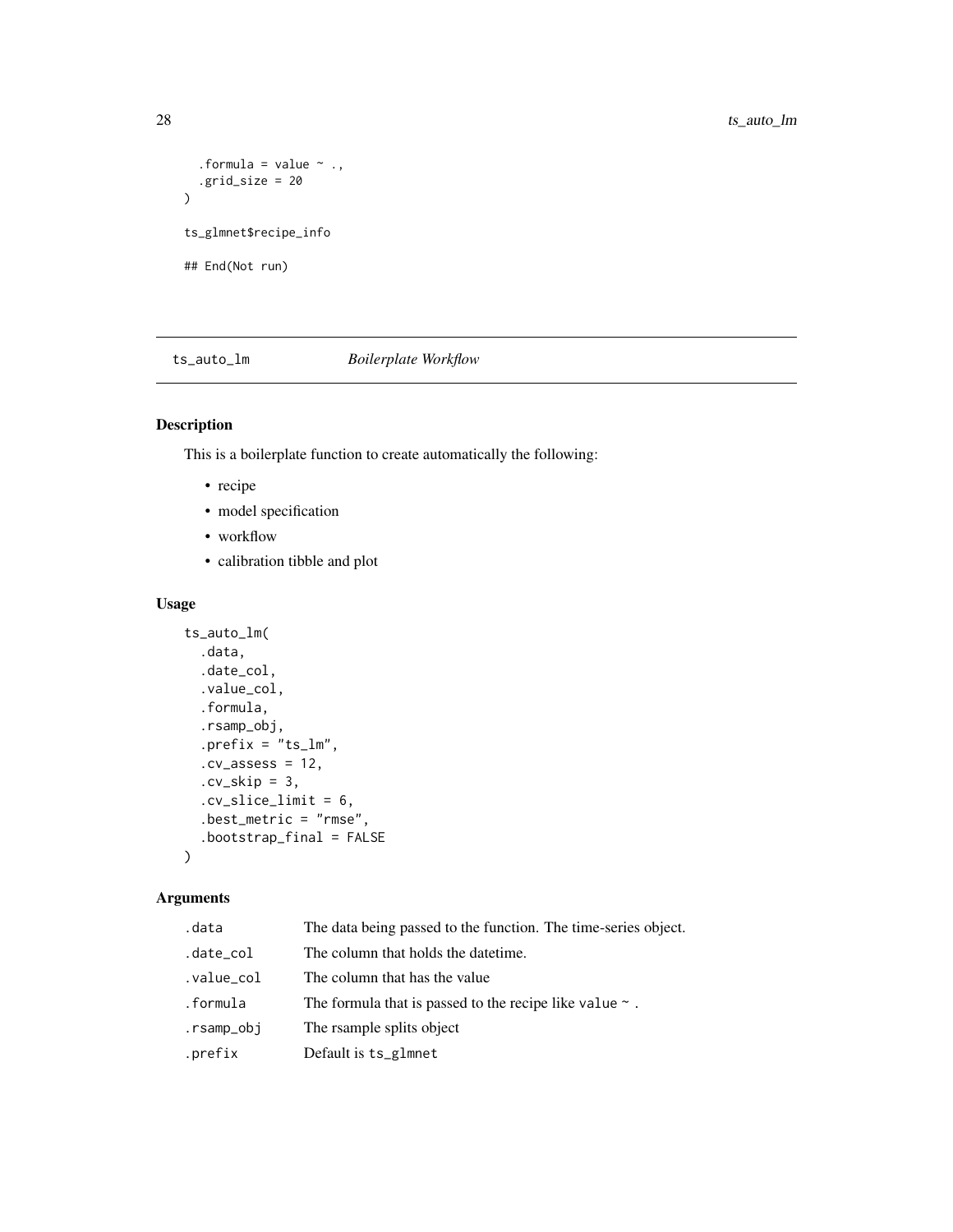```
.formula = value \sim .,
  .grid_size = 20
)
ts_glmnet$recipe_info
## End(Not run)
```
# <span id="page-27-1"></span>ts\_auto\_lm *Boilerplate Workflow*

# Description

This is a boilerplate function to create automatically the following:

- recipe
- model specification
- workflow
- calibration tibble and plot

# Usage

```
ts_auto_lm(
  .data,
  .date_col,
  .value_col,
  .formula,
  .rsamp_obj,
  .prefix = "ts_lm",
  cv_assess = 12,
  cv\_skip = 3,
  .cv_slice_limit = 6,
  .best_metric = "rmse",
  .bootstrap_final = FALSE
\mathcal{L}
```
# Arguments

| .data      | The data being passed to the function. The time-series object. |
|------------|----------------------------------------------------------------|
| .date_col  | The column that holds the date time.                           |
| .value_col | The column that has the value                                  |
| .formula   | The formula that is passed to the recipe like value $\sim$ .   |
| .rsamp_obj | The reample splits object                                      |
| .prefix    | Default is ts_glmnet                                           |

<span id="page-27-0"></span>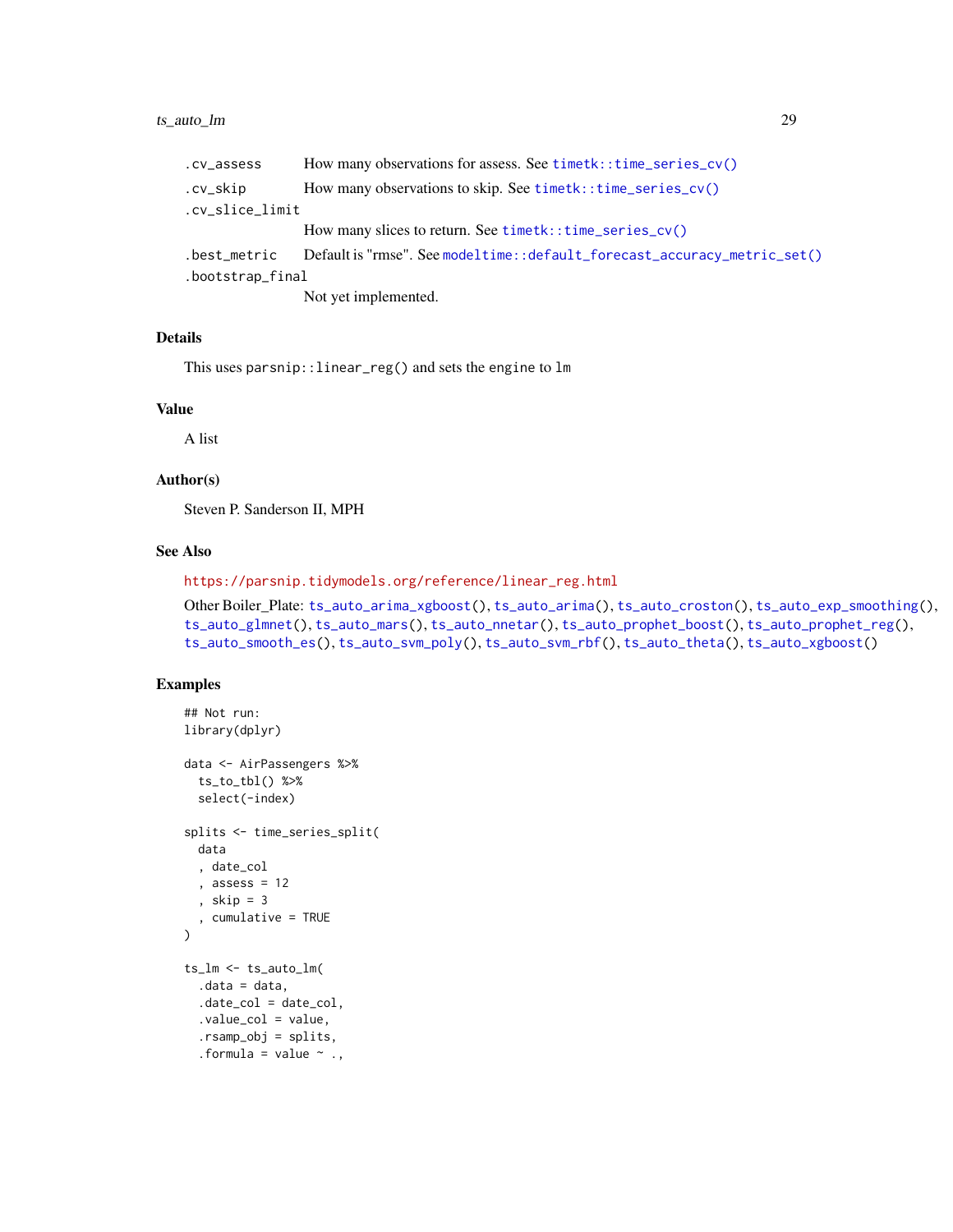# ts\_auto\_lm 29

| .cv_assess       | How many observations for assess. See timeth::time_series_cv()           |
|------------------|--------------------------------------------------------------------------|
| .cv_skip         | How many observations to skip. See timetk::time_series_cv()              |
| .cv_slice_limit  |                                                                          |
|                  | How many slices to return. See timeth::time_series_cv()                  |
| .best metric     | Default is "rmse". See modeltime::default_forecast_accuracy_metric_set() |
| .bootstrap_final |                                                                          |
|                  | Not yet implemented.                                                     |

#### Details

This uses parsnip::linear\_reg() and sets the engine to lm

# Value

A list

# Author(s)

Steven P. Sanderson II, MPH

# See Also

[https://parsnip.tidymodels.org/reference/linear\\_reg.html](https://parsnip.tidymodels.org/reference/linear_reg.html)

```
Other Boiler_Plate: ts_auto_arima_xgboost(), ts_auto_arima(), ts_auto_croston(), ts_auto_exp_smoothing(),
ts_auto_glmnet(), ts_auto_mars(), ts_auto_nnetar(), ts_auto_prophet_boost(), ts_auto_prophet_reg(),
ts_auto_smooth_es(), ts_auto_svm_poly(), ts_auto_svm_rbf(), ts_auto_theta(), ts_auto_xgboost()
```

```
## Not run:
library(dplyr)
data <- AirPassengers %>%
  ts_to_tbl() %>%
  select(-index)
splits <- time_series_split(
  data
  , date_col
  , assess = 12
  , skip = 3
  , cumulative = TRUE
\lambdats_lm <- ts_auto_lm(
  .data = data,
  data_col = date_col,.value_col = value,
  .rsamp_obj = splits,
  .formula = value \sim .,
```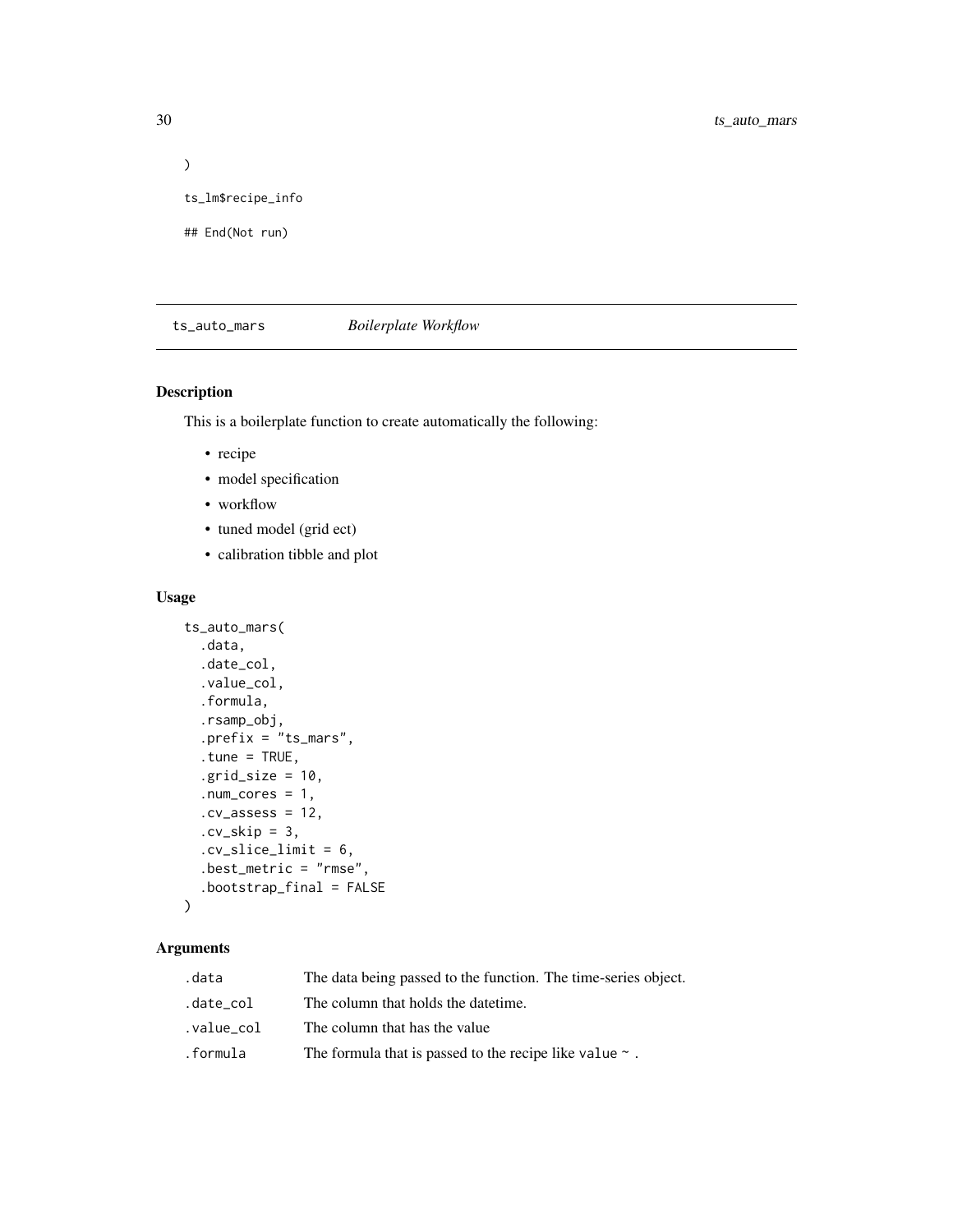```
\overline{\phantom{a}}ts_lm$recipe_info
## End(Not run)
```
# <span id="page-29-1"></span>ts\_auto\_mars *Boilerplate Workflow*

# Description

This is a boilerplate function to create automatically the following:

- recipe
- model specification
- workflow
- tuned model (grid ect)
- calibration tibble and plot

# Usage

```
ts_auto_mars(
  .data,
  .date_col,
  .value_col,
  .formula,
  .rsamp_obj,
  .prefix = "ts_mars",
  .tune = TRUE,
  .grid_size = 10,
  .num_cores = 1,
  cv_assess = 12,
  cv\_skip = 3,
  .cv_slice_limit = 6,
  .best_metric = "rmse",
  .bootstrap_final = FALSE
)
```
# Arguments

<span id="page-29-0"></span>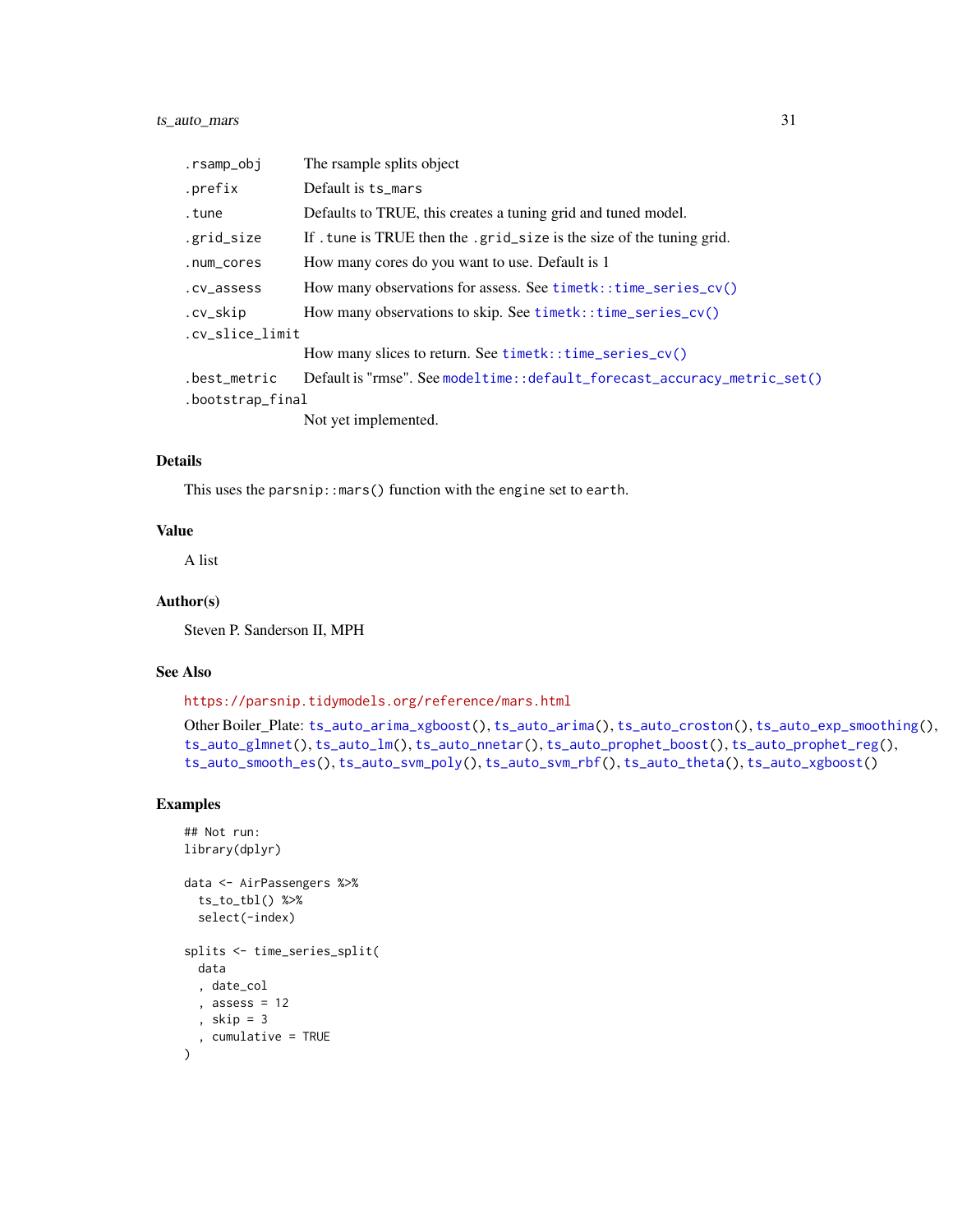| .rsamp_obj       | The reample splits object                                                |
|------------------|--------------------------------------------------------------------------|
| .prefix          | Default is ts_mars                                                       |
| tune.            | Defaults to TRUE, this creates a tuning grid and tuned model.            |
| .grid_size       | If tune is TRUE then the grid_size is the size of the tuning grid.       |
| .num_cores       | How many cores do you want to use. Default is 1                          |
| .cv_assess       | How many observations for assess. See timetk::time_series_cv()           |
| .cv_skip         | How many observations to skip. See timetk::time_series_cv()              |
| .cv_slice_limit  |                                                                          |
|                  | How many slices to return. See timetk::time_series_cv()                  |
| .best_metric     | Default is "rmse". See modeltime::default_forecast_accuracy_metric_set() |
| .bootstrap_final |                                                                          |
|                  | Not yet implemented.                                                     |

#### Details

This uses the parsnip::mars() function with the engine set to earth.

# Value

A list

#### Author(s)

Steven P. Sanderson II, MPH

#### See Also

<https://parsnip.tidymodels.org/reference/mars.html>

```
Other Boiler_Plate: ts_auto_arima_xgboost(), ts_auto_arima(), ts_auto_croston(), ts_auto_exp_smoothing(),
ts_auto_glmnet(), ts_auto_lm(), ts_auto_nnetar(), ts_auto_prophet_boost(), ts_auto_prophet_reg(),
ts_auto_smooth_es(), ts_auto_svm_poly(), ts_auto_svm_rbf(), ts_auto_theta(), ts_auto_xgboost()
```

```
## Not run:
library(dplyr)
data <- AirPassengers %>%
  ts_to_tbl() %>%
  select(-index)
splits <- time_series_split(
  data
  , date_col
  , assess = 12
  , skip = 3
  , cumulative = TRUE
)
```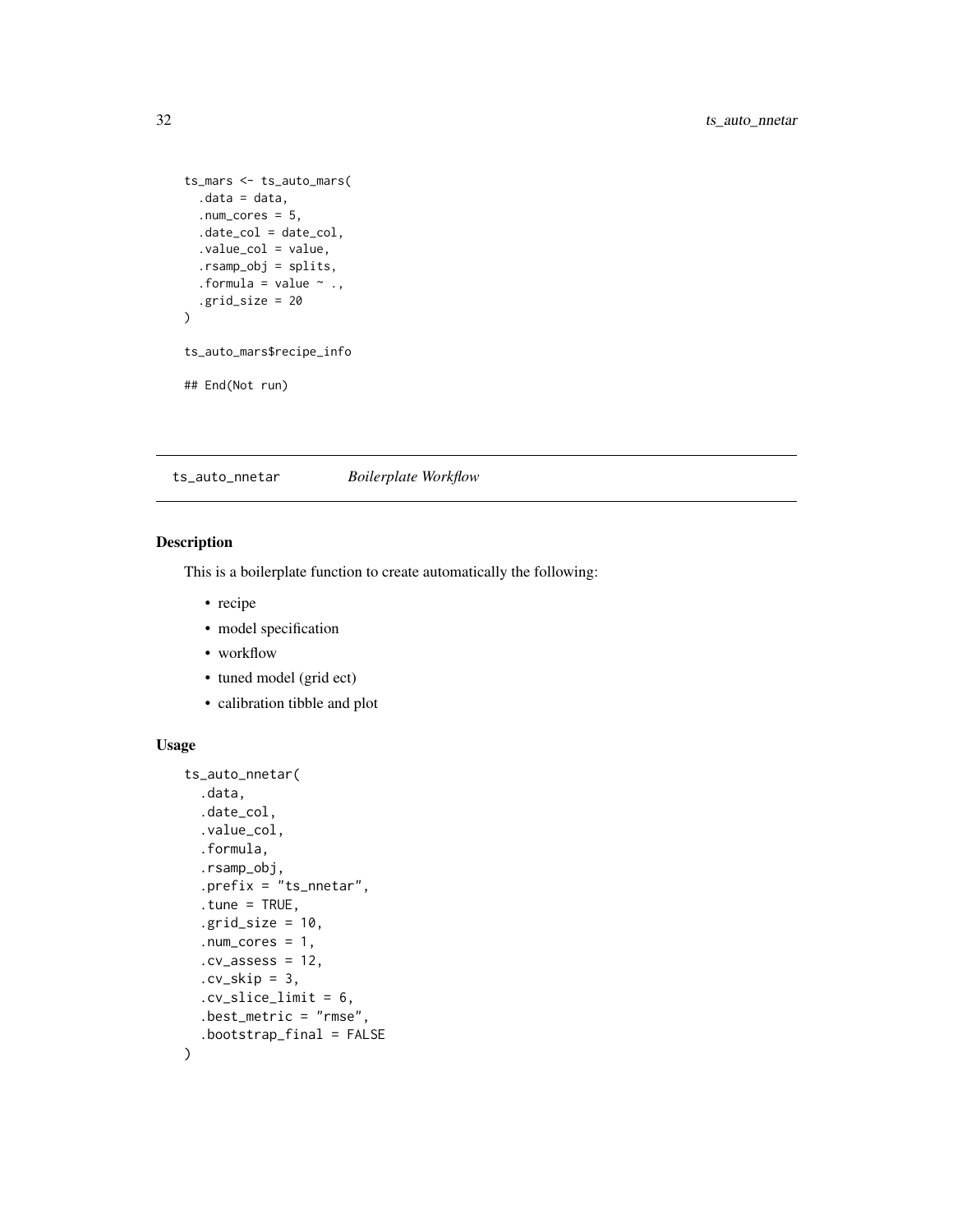```
ts_mars <- ts_auto_mars(
  .data = data,
  .num_cores = 5,
  .date_col = date_col,
  .value_col = value,
  .rsamp_obj = splits,
  .formula = value \sim .,
  .grid_size = 20
\lambdats_auto_mars$recipe_info
## End(Not run)
```
<span id="page-31-1"></span>ts\_auto\_nnetar *Boilerplate Workflow*

#### Description

This is a boilerplate function to create automatically the following:

- recipe
- model specification
- workflow
- tuned model (grid ect)
- calibration tibble and plot

# Usage

```
ts_auto_nnetar(
  .data,
  .date_col,
  .value_col,
  .formula,
  .rsamp_obj,
  .prefix = "ts_nnetar",
  .tune = TRUE,
  .grid_size = 10,
  .num_cores = 1,
  cv_assess = 12,
  cv_skip = 3,cv\_slice\_limit = 6,
  .best_metric = "rmse",
  .bootstrap_final = FALSE
)
```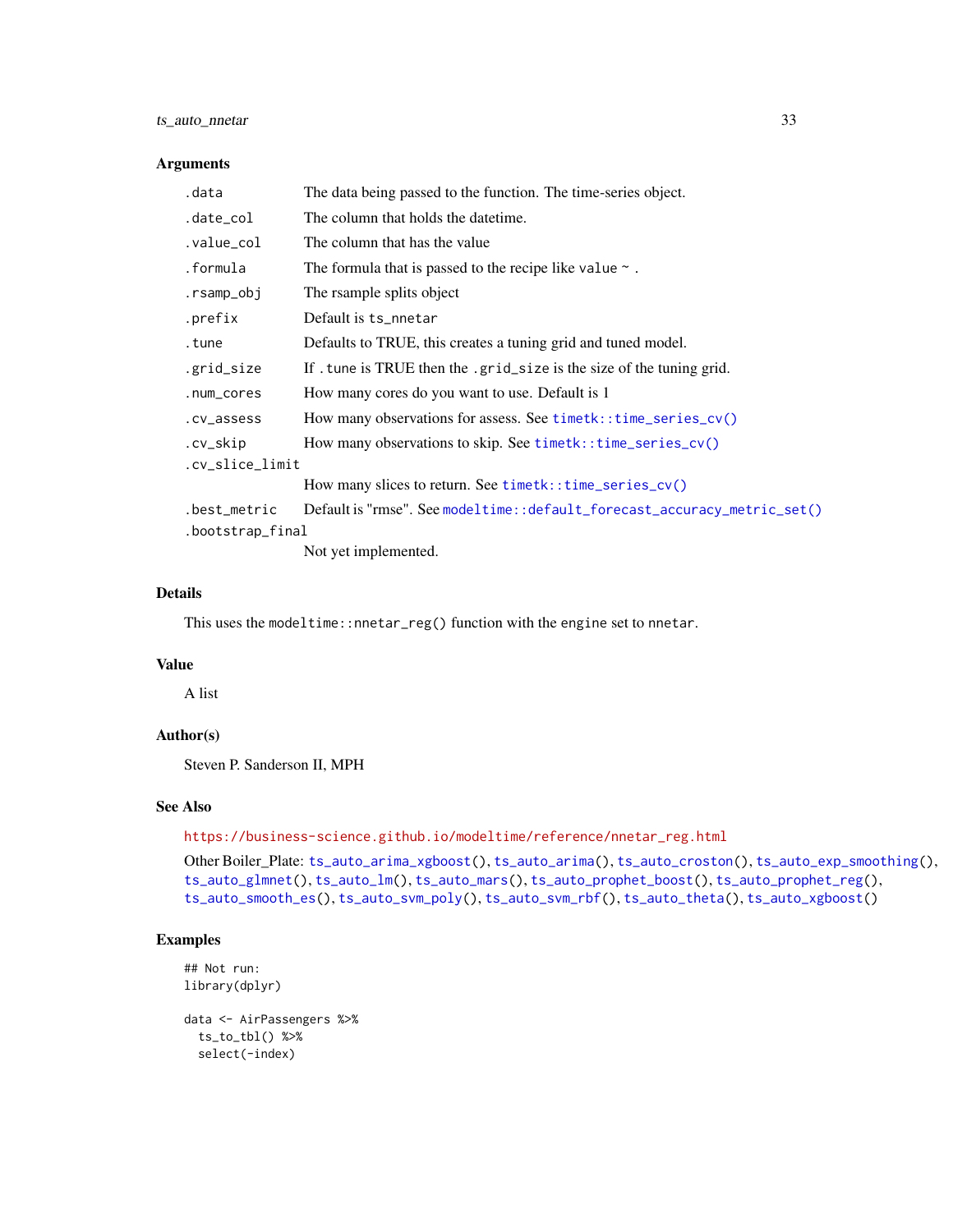# ts\_auto\_nnetar 33

#### Arguments

| .data            | The data being passed to the function. The time-series object.           |
|------------------|--------------------------------------------------------------------------|
| .date_col        | The column that holds the date time.                                     |
| .value_col       | The column that has the value                                            |
| .formula         | The formula that is passed to the recipe like value $\sim$ .             |
| .rsamp_obj       | The rsample splits object                                                |
| .prefix          | Default is ts_nnetar                                                     |
| .tune            | Defaults to TRUE, this creates a tuning grid and tuned model.            |
| .grid_size       | If tune is TRUE then the grid_size is the size of the tuning grid.       |
| .num_cores       | How many cores do you want to use. Default is 1                          |
| .cv_assess       | How many observations for assess. See $time$ : $time$ series $cv()$      |
| .cv_skip         | How many observations to skip. See timetk::time_series_cv()              |
| .cv_slice_limit  |                                                                          |
|                  | How many slices to return. See timetk::time_series_cv()                  |
| .best_metric     | Default is "rmse". See modeltime::default_forecast_accuracy_metric_set() |
| .bootstrap_final |                                                                          |
|                  |                                                                          |

Not yet implemented.

#### Details

This uses the modeltime::nnetar\_reg() function with the engine set to nnetar.

#### Value

A list

# Author(s)

Steven P. Sanderson II, MPH

#### See Also

[https://business-science.github.io/modeltime/reference/nnetar\\_reg.html](https://business-science.github.io/modeltime/reference/nnetar_reg.html)

```
Other Boiler_Plate: ts_auto_arima_xgboost(), ts_auto_arima(), ts_auto_croston(), ts_auto_exp_smoothing(),
ts_auto_glmnet(), ts_auto_lm(), ts_auto_mars(), ts_auto_prophet_boost(), ts_auto_prophet_reg(),
ts_auto_smooth_es(), ts_auto_svm_poly(), ts_auto_svm_rbf(), ts_auto_theta(), ts_auto_xgboost()
```

```
## Not run:
library(dplyr)
data <- AirPassengers %>%
```

```
ts_to_tbl() %>%
select(-index)
```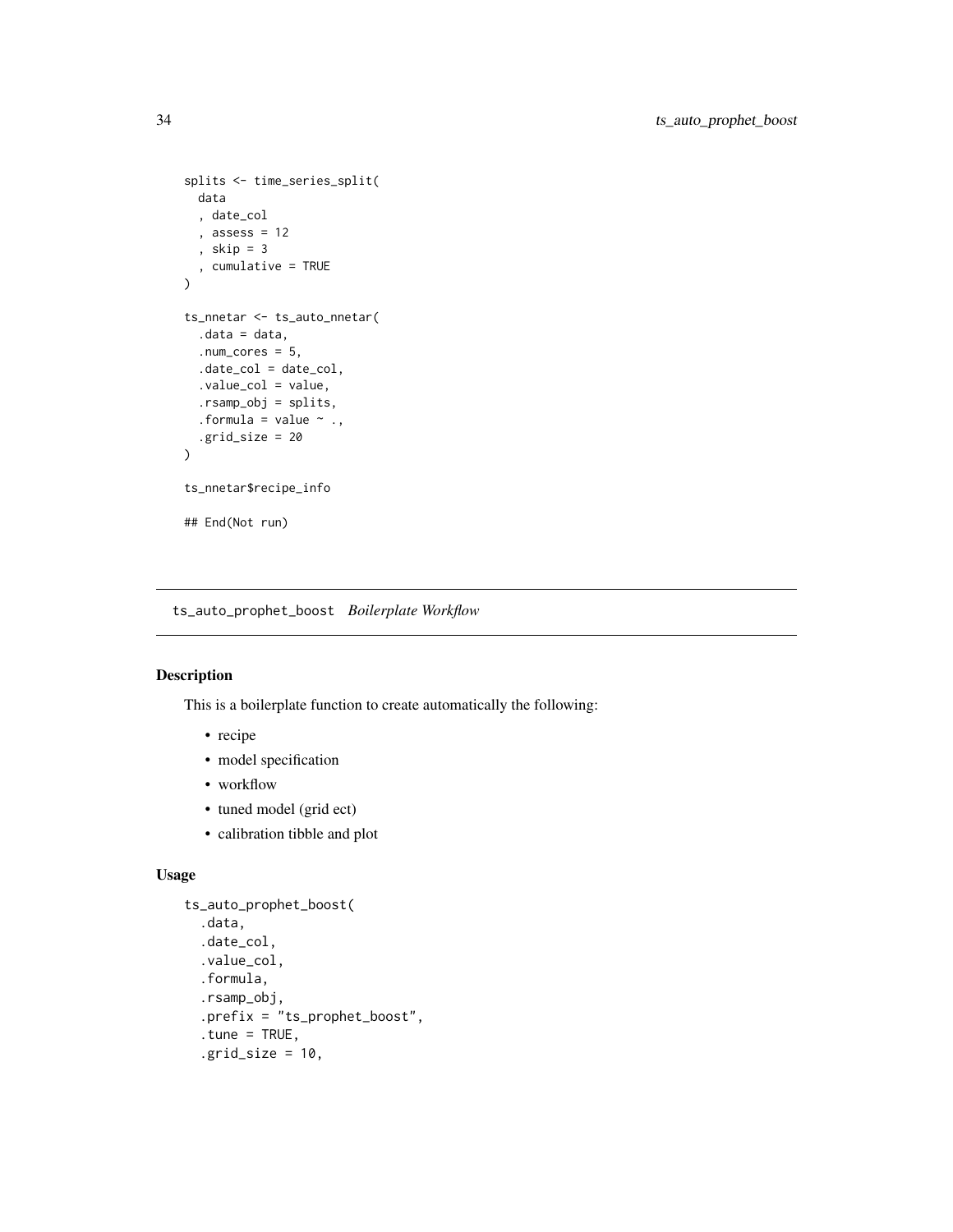```
splits <- time_series_split(
 data
  , date_col
  , assess = 12
  , skip = 3
  , cumulative = TRUE
)
ts_nnetar <- ts_auto_nnetar(
  .data = data,
  .num_cores = 5,
  .date_col = date_col,
  .value_col = value,
  .rsamp_obj = splits,
  .formula = value \sim .,
  .grid_size = 20
\mathcal{L}ts_nnetar$recipe_info
## End(Not run)
```
<span id="page-33-1"></span>ts\_auto\_prophet\_boost *Boilerplate Workflow*

# Description

This is a boilerplate function to create automatically the following:

- recipe
- model specification
- workflow
- tuned model (grid ect)
- calibration tibble and plot

# Usage

```
ts_auto_prophet_boost(
  .data,
  .date_col,
  .value_col,
  .formula,
  .rsamp_obj,
  .prefix = "ts_prophet_boost",
  .tune = TRUE,
  .grid_size = 10,
```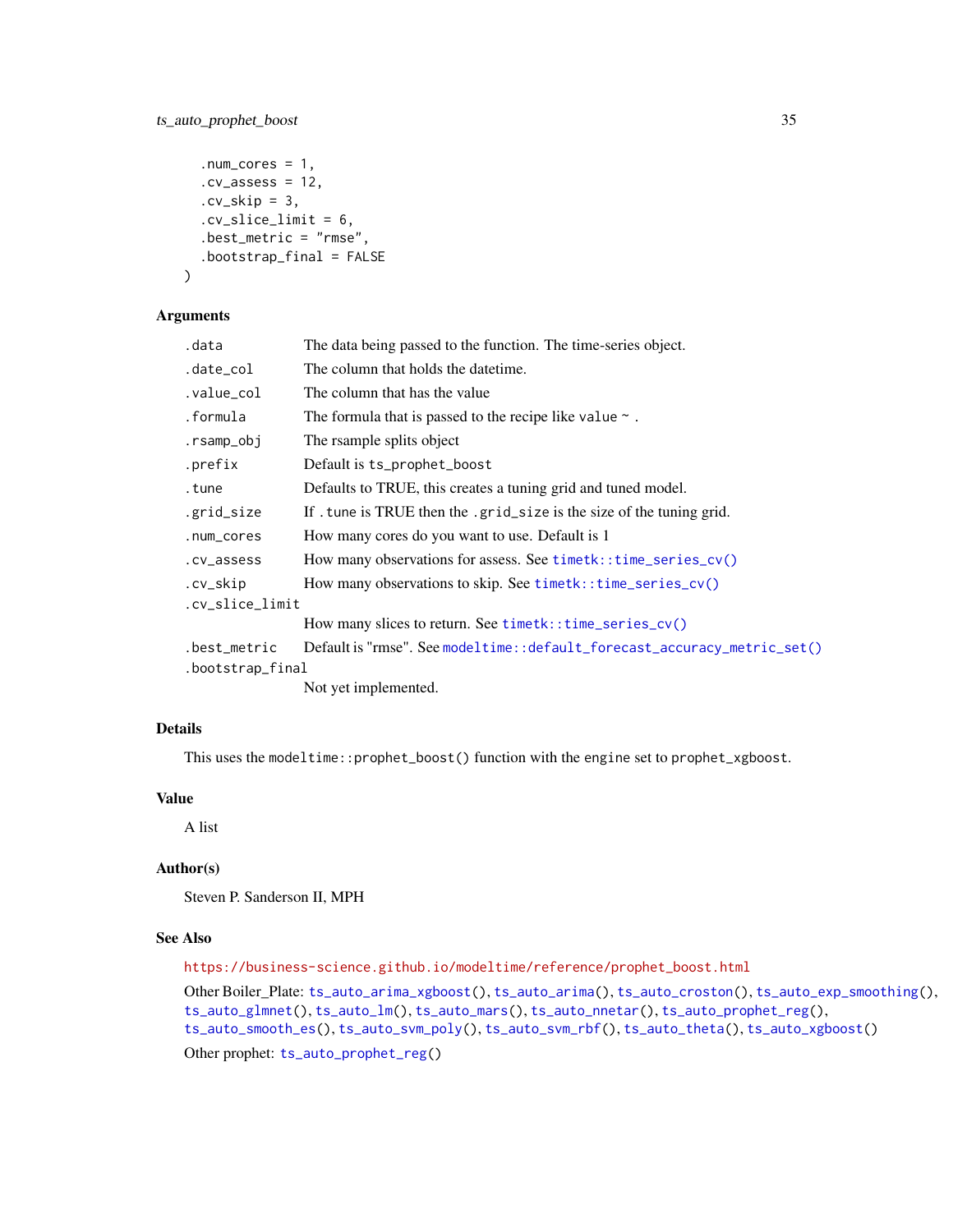# ts\_auto\_prophet\_boost 35

```
.num_cores = 1,
  cv_assess = 12,
  cv_skip = 3,
  .cv_slice_limit = 6,
  .best_metric = "rmse",
  .bootstrap_final = FALSE
\lambda
```
## Arguments

| .data            | The data being passed to the function. The time-series object.           |
|------------------|--------------------------------------------------------------------------|
| .date_col        | The column that holds the date time.                                     |
| .value_col       | The column that has the value                                            |
| .formula         | The formula that is passed to the recipe like value $\sim$ .             |
| .rsamp_obj       | The rsample splits object                                                |
| .prefix          | Default is ts_prophet_boost                                              |
| .tune            | Defaults to TRUE, this creates a tuning grid and tuned model.            |
| .grid_size       | If . tune is TRUE then the .grid_size is the size of the tuning grid.    |
| .num_cores       | How many cores do you want to use. Default is 1                          |
| .cv_assess       | How many observations for assess. See $time$ : $time$ series $cv()$      |
| .cv_skip         | How many observations to skip. See timetk::time_series_cv()              |
| .cv_slice_limit  |                                                                          |
|                  | How many slices to return. See timetk::time_series_cv()                  |
| .best metric     | Default is "rmse". See modeltime::default_forecast_accuracy_metric_set() |
| .bootstrap_final |                                                                          |
|                  |                                                                          |

Not yet implemented.

# Details

This uses the modeltime::prophet\_boost() function with the engine set to prophet\_xgboost.

#### Value

A list

#### Author(s)

Steven P. Sanderson II, MPH

#### See Also

[https://business-science.github.io/modeltime/reference/prophet\\_boost.html](https://business-science.github.io/modeltime/reference/prophet_boost.html) Other Boiler\_Plate: [ts\\_auto\\_arima\\_xgboost\(](#page-18-1)), [ts\\_auto\\_arima\(](#page-16-1)), [ts\\_auto\\_croston\(](#page-20-1)), [ts\\_auto\\_exp\\_smoothing\(](#page-22-1)), [ts\\_auto\\_glmnet\(](#page-25-1)), [ts\\_auto\\_lm\(](#page-27-1)), [ts\\_auto\\_mars\(](#page-29-1)), [ts\\_auto\\_nnetar\(](#page-31-1)), [ts\\_auto\\_prophet\\_reg\(](#page-35-1)), [ts\\_auto\\_smooth\\_es\(](#page-39-1)), [ts\\_auto\\_svm\\_poly\(](#page-41-1)), [ts\\_auto\\_svm\\_rbf\(](#page-44-1)), [ts\\_auto\\_theta\(](#page-46-1)), [ts\\_auto\\_xgboost\(](#page-48-1))

Other prophet: [ts\\_auto\\_prophet\\_reg\(](#page-35-1))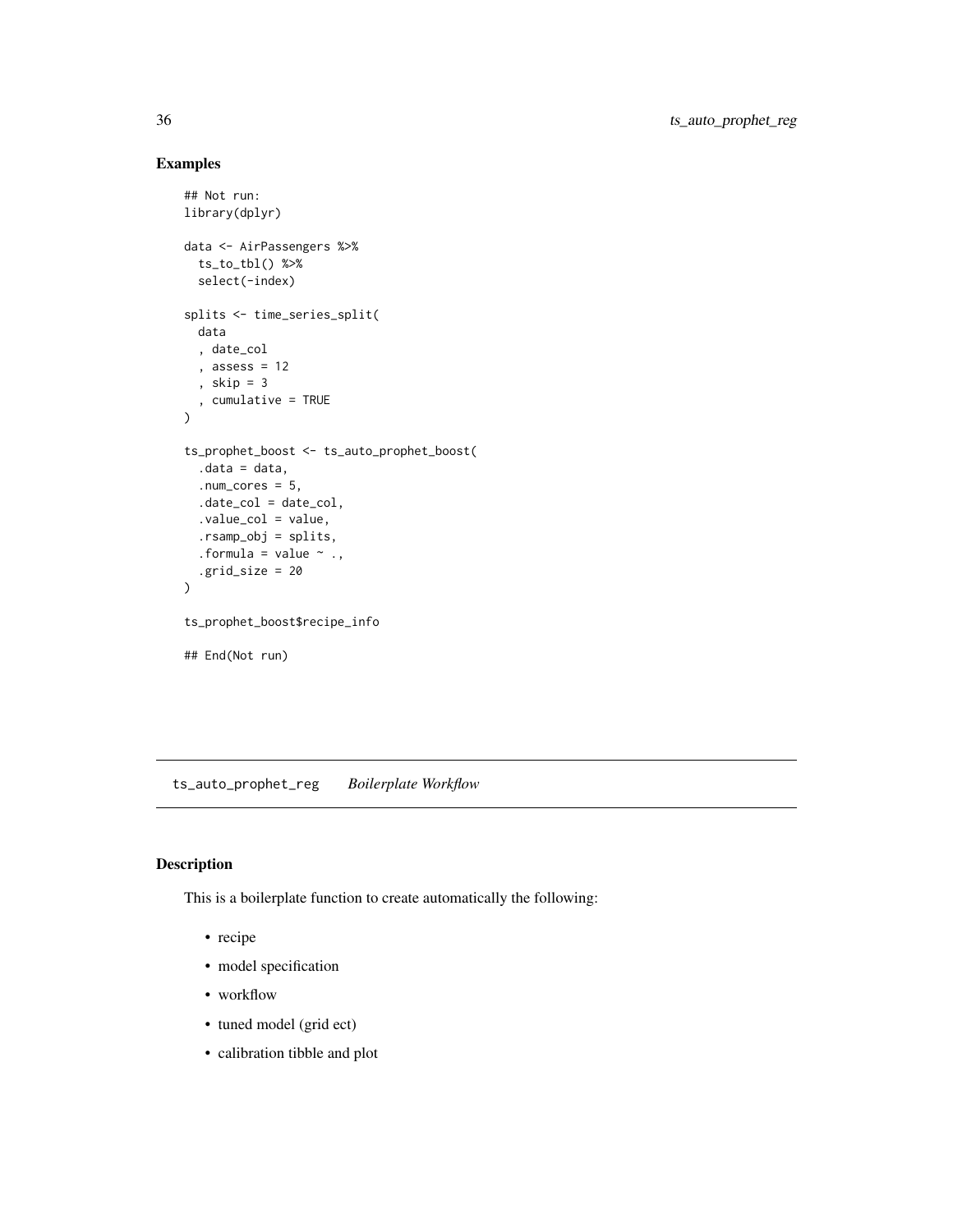# Examples

```
## Not run:
library(dplyr)
data <- AirPassengers %>%
  ts_to_tbl() %>%
  select(-index)
splits <- time_series_split(
  data
  , date_col
  , assess = 12, skip = 3
  , cumulative = TRUE
\lambdats_prophet_boost <- ts_auto_prophet_boost(
  .data = data,
  .num_cores = 5,
 .date_col = date_col,
  .value_col = value,
  .rsamp_obj = splits,
  .formula = value \sim .,
  .grid_size = 20
)
ts_prophet_boost$recipe_info
## End(Not run)
```
<span id="page-35-1"></span>ts\_auto\_prophet\_reg *Boilerplate Workflow*

# Description

This is a boilerplate function to create automatically the following:

- recipe
- model specification
- workflow
- tuned model (grid ect)
- calibration tibble and plot

<span id="page-35-0"></span>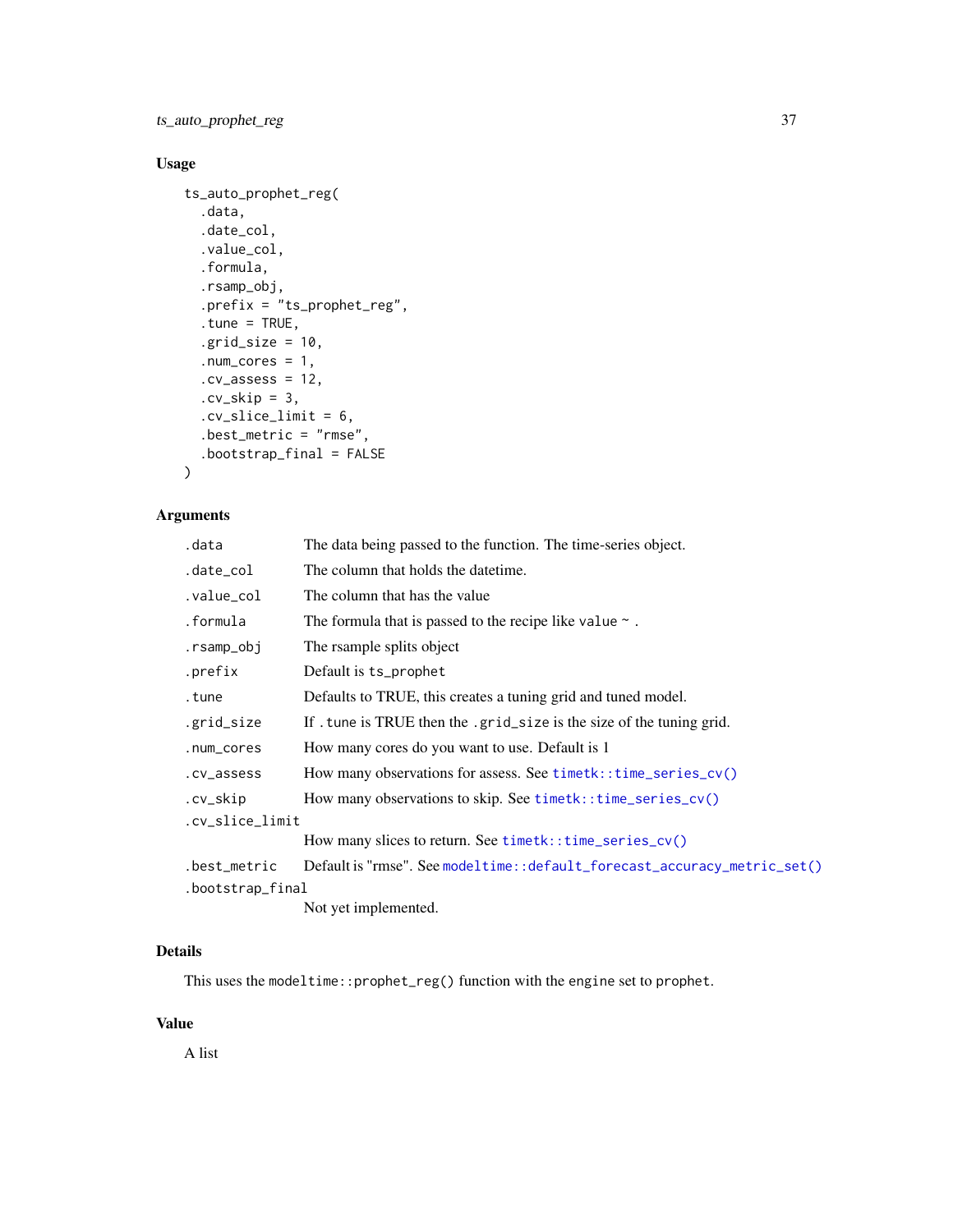ts\_auto\_prophet\_reg 37

## Usage

```
ts_auto_prophet_reg(
  .data,
  .date_col,
  .value_col,
  .formula,
  .rsamp_obj,
  .prefix = "ts_prophet_reg",
  . tune = TRUE,
  .grid_size = 10,
  .num_cores = 1,
  cv_assess = 12,
  cv\_skip = 3,
  .cv_slice_limit = 6,
  .best_metric = "rmse",
  .bootstrap_final = FALSE
)
```
## Arguments

| .data            | The data being passed to the function. The time-series object.           |
|------------------|--------------------------------------------------------------------------|
| .date_col        | The column that holds the datetime.                                      |
| .value_col       | The column that has the value                                            |
| .formula         | The formula that is passed to the recipe like value $\sim$ .             |
| .rsamp_obj       | The rsample splits object                                                |
| .prefix          | Default is ts_prophet                                                    |
| .tune            | Defaults to TRUE, this creates a tuning grid and tuned model.            |
| .grid_size       | If . tune is TRUE then the .grid_size is the size of the tuning grid.    |
| .num_cores       | How many cores do you want to use. Default is 1                          |
| .cv_assess       | How many observations for assess. See $time$ : $time$ series $cv()$      |
| .cv_skip         | How many observations to skip. See timetk::time_series_cv()              |
| .cv_slice_limit  |                                                                          |
|                  | How many slices to return. See timetk::time_series_cv()                  |
| .best_metric     | Default is "rmse". See modeltime::default_forecast_accuracy_metric_set() |
| .bootstrap_final |                                                                          |
|                  | Not yet implemented.                                                     |

#### Details

This uses the modeltime::prophet\_reg() function with the engine set to prophet.

### Value

A list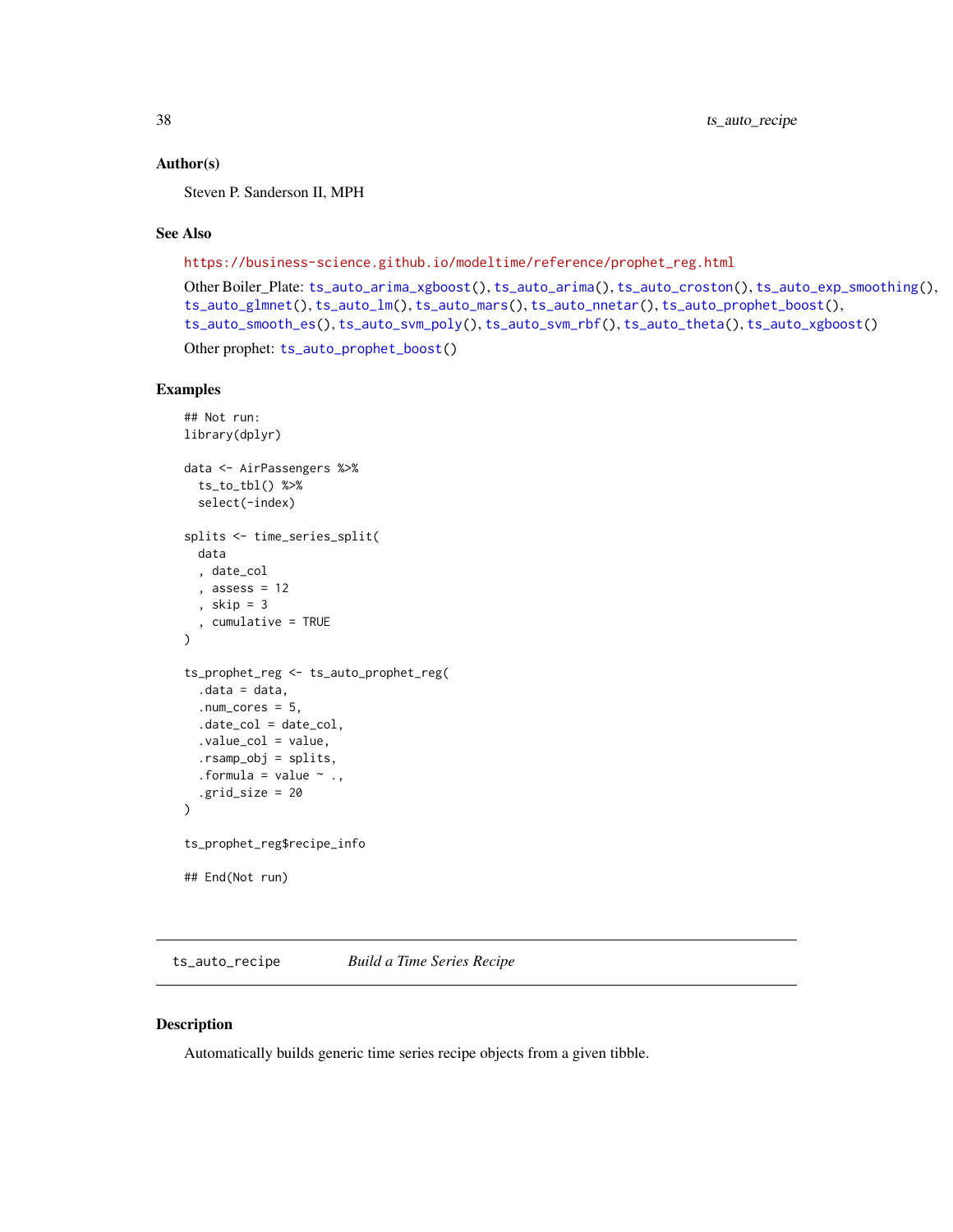#### Author(s)

Steven P. Sanderson II, MPH

#### See Also

[https://business-science.github.io/modeltime/reference/prophet\\_reg.html](https://business-science.github.io/modeltime/reference/prophet_reg.html)

```
Other Boiler_Plate: ts_auto_arima_xgboost(), ts_auto_arima(), ts_auto_croston(), ts_auto_exp_smoothing(),
ts_auto_glmnet(), ts_auto_lm(), ts_auto_mars(), ts_auto_nnetar(), ts_auto_prophet_boost(),
ts_auto_smooth_es(), ts_auto_svm_poly(), ts_auto_svm_rbf(), ts_auto_theta(), ts_auto_xgboost()
```
Other prophet: [ts\\_auto\\_prophet\\_boost\(](#page-33-0))

#### Examples

```
## Not run:
library(dplyr)
data <- AirPassengers %>%
  ts_to_tbl() %>%
  select(-index)
splits <- time_series_split(
  data
  , date_col
  , assess = 12
  , skip = 3
  , cumulative = TRUE
\lambdats_prophet_reg <- ts_auto_prophet_reg(
  .data = data,
  num\_cores = 5,
  .date_col = date_col,
  .value_col = value,
  .rsamp_obj = splits,
  .formula = value \sim .,
  .grid_size = 20
)
ts_prophet_reg$recipe_info
## End(Not run)
```
ts\_auto\_recipe *Build a Time Series Recipe*

#### Description

Automatically builds generic time series recipe objects from a given tibble.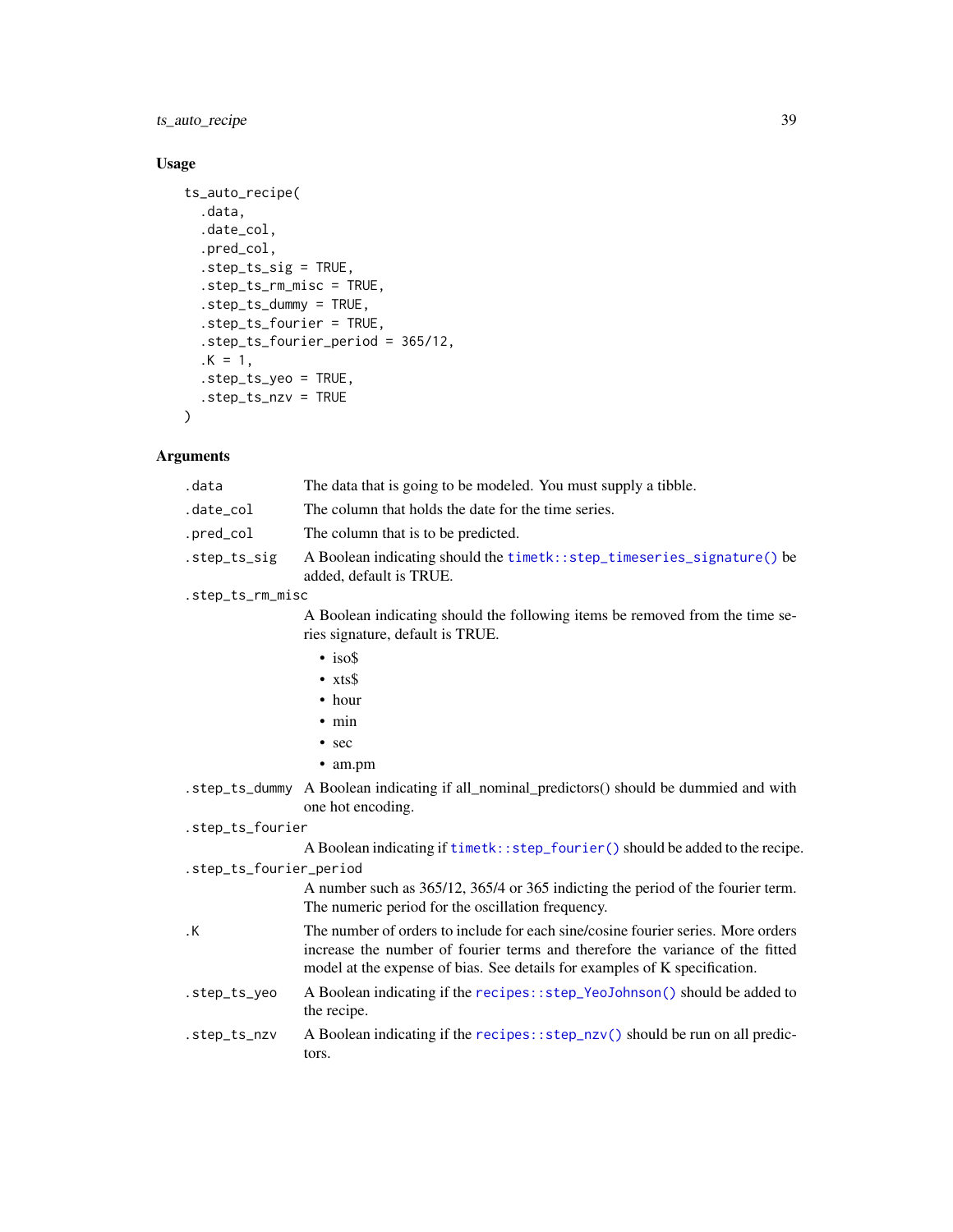ts\_auto\_recipe 39

## Usage

```
ts_auto_recipe(
 .data,
 .date_col,
 .pred_col,
 .step_ts_sig = TRUE,
  .step_ts_rm_misc = TRUE,
  .step_ts_dummy = TRUE,
  .step_ts_fourier = TRUE,
 .step_ts_fourier_period = 365/12,
  .K = 1,.step_ts_yeo = TRUE,
  .step_ts_nzv = TRUE
)
```
tors.

## Arguments

| .data                   | The data that is going to be modeled. You must supply a tibble.                                                                                                                                                                                 |  |
|-------------------------|-------------------------------------------------------------------------------------------------------------------------------------------------------------------------------------------------------------------------------------------------|--|
| .date_col               | The column that holds the date for the time series.                                                                                                                                                                                             |  |
| .pred_col               | The column that is to be predicted.                                                                                                                                                                                                             |  |
| .step_ts_sig            | A Boolean indicating should the timetk::step_timeseries_signature() be<br>added, default is TRUE.                                                                                                                                               |  |
| .step_ts_rm_misc        |                                                                                                                                                                                                                                                 |  |
|                         | A Boolean indicating should the following items be removed from the time se-<br>ries signature, default is TRUE.                                                                                                                                |  |
|                         | $\cdot$ iso\$                                                                                                                                                                                                                                   |  |
|                         | $\bullet$ xts\$                                                                                                                                                                                                                                 |  |
|                         | • hour                                                                                                                                                                                                                                          |  |
|                         | $\cdot$ min                                                                                                                                                                                                                                     |  |
|                         | $\bullet$ sec                                                                                                                                                                                                                                   |  |
|                         | • am.pm                                                                                                                                                                                                                                         |  |
| .step_ts_dummy          | A Boolean indicating if all_nominal_predictors() should be dummied and with<br>one hot encoding.                                                                                                                                                |  |
| .step_ts_fourier        |                                                                                                                                                                                                                                                 |  |
|                         | A Boolean indicating if timetk::step_fourier() should be added to the recipe.                                                                                                                                                                   |  |
| .step_ts_fourier_period |                                                                                                                                                                                                                                                 |  |
|                         | A number such as 365/12, 365/4 or 365 indicting the period of the fourier term.<br>The numeric period for the oscillation frequency.                                                                                                            |  |
| .К                      | The number of orders to include for each sine/cosine fourier series. More orders<br>increase the number of fourier terms and therefore the variance of the fitted<br>model at the expense of bias. See details for examples of K specification. |  |
| .step_ts_yeo            | A Boolean indicating if the recipes::step_YeoJohnson() should be added to<br>the recipe.                                                                                                                                                        |  |
| .step_ts_nzv            | A Boolean indicating if the recipes::step_nzv() should be run on all predic-                                                                                                                                                                    |  |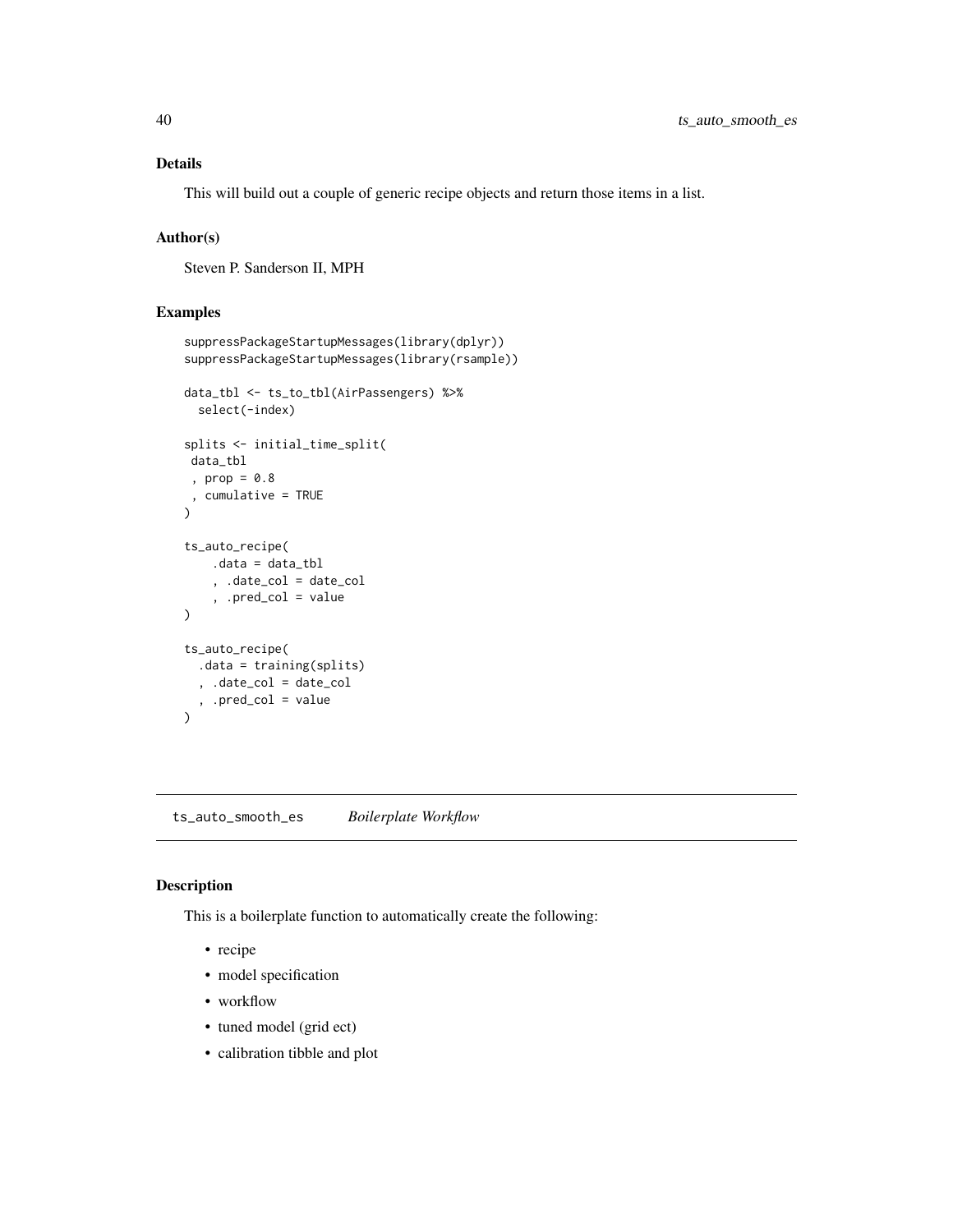#### Details

This will build out a couple of generic recipe objects and return those items in a list.

#### Author(s)

Steven P. Sanderson II, MPH

#### Examples

```
suppressPackageStartupMessages(library(dplyr))
suppressPackageStartupMessages(library(rsample))
data_tbl <- ts_to_tbl(AirPassengers) %>%
  select(-index)
splits <- initial_time_split(
 data_tbl
 , prop = 0.8
 , cumulative = TRUE
\mathcal{L}ts_auto_recipe(
    .data = data_tbl
    , .date_col = date_col
    , .pred_col = value
\mathcal{L}ts_auto_recipe(
  .data = training(splits)
  , .date_col = date_col
  , .pred_col = value
\mathcal{L}
```
<span id="page-39-0"></span>ts\_auto\_smooth\_es *Boilerplate Workflow*

#### Description

This is a boilerplate function to automatically create the following:

- recipe
- model specification
- workflow
- tuned model (grid ect)
- calibration tibble and plot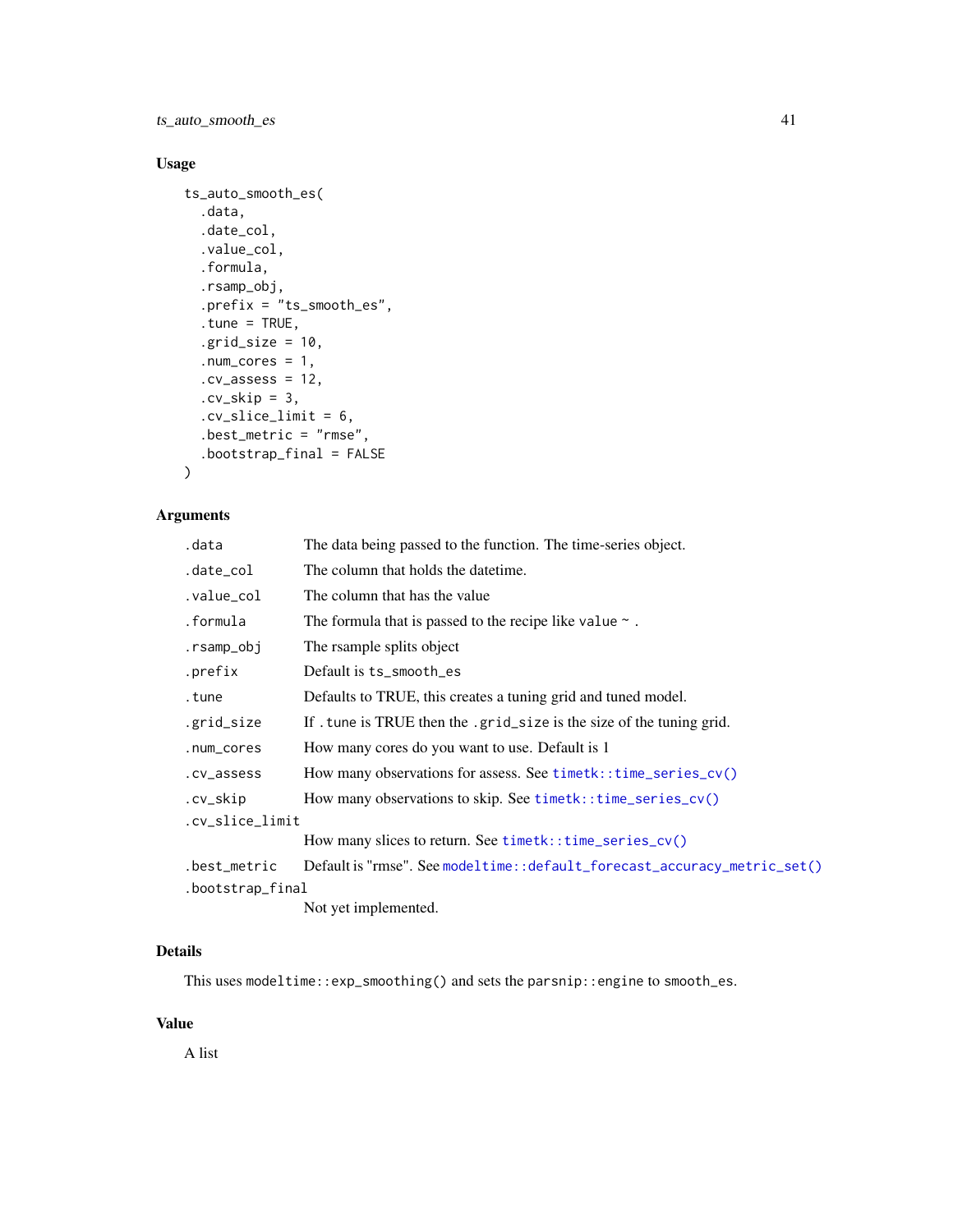ts\_auto\_smooth\_es 41

## Usage

```
ts_auto_smooth_es(
  .data,
  .date_col,
  .value_col,
  .formula,
  .rsamp_obj,
  .prefix = "ts_smooth_es",
  .tune = TRUE,
  .grid_size = 10,
  .num_cores = 1,
  cv_assess = 12,
  cv\_skip = 3,
  .cv_slice_limit = 6,
  .best_metric = "rmse",
  .bootstrap_final = FALSE
)
```
### Arguments

| .data            | The data being passed to the function. The time-series object.           |
|------------------|--------------------------------------------------------------------------|
| .date_col        | The column that holds the date time.                                     |
| .value_col       | The column that has the value.                                           |
| .formula         | The formula that is passed to the recipe like value $\sim$ .             |
| .rsamp_obj       | The rsample splits object                                                |
| .prefix          | Default is ts_smooth_es                                                  |
| .tune            | Defaults to TRUE, this creates a tuning grid and tuned model.            |
| .grid_size       | If . tune is TRUE then the .grid_size is the size of the tuning grid.    |
| .num_cores       | How many cores do you want to use. Default is 1                          |
| .cv_assess       | How many observations for assess. See timetk::time_series_cv()           |
| .cv_skip         | How many observations to skip. See timetk::time_series_cv()              |
| .cv_slice_limit  |                                                                          |
|                  | How many slices to return. See timetk::time_series_cv()                  |
| .best_metric     | Default is "rmse". See modeltime::default_forecast_accuracy_metric_set() |
| .bootstrap_final |                                                                          |
|                  | Not yet implemented.                                                     |

# Details

This uses modeltime::exp\_smoothing() and sets the parsnip::engine to smooth\_es.

### Value

A list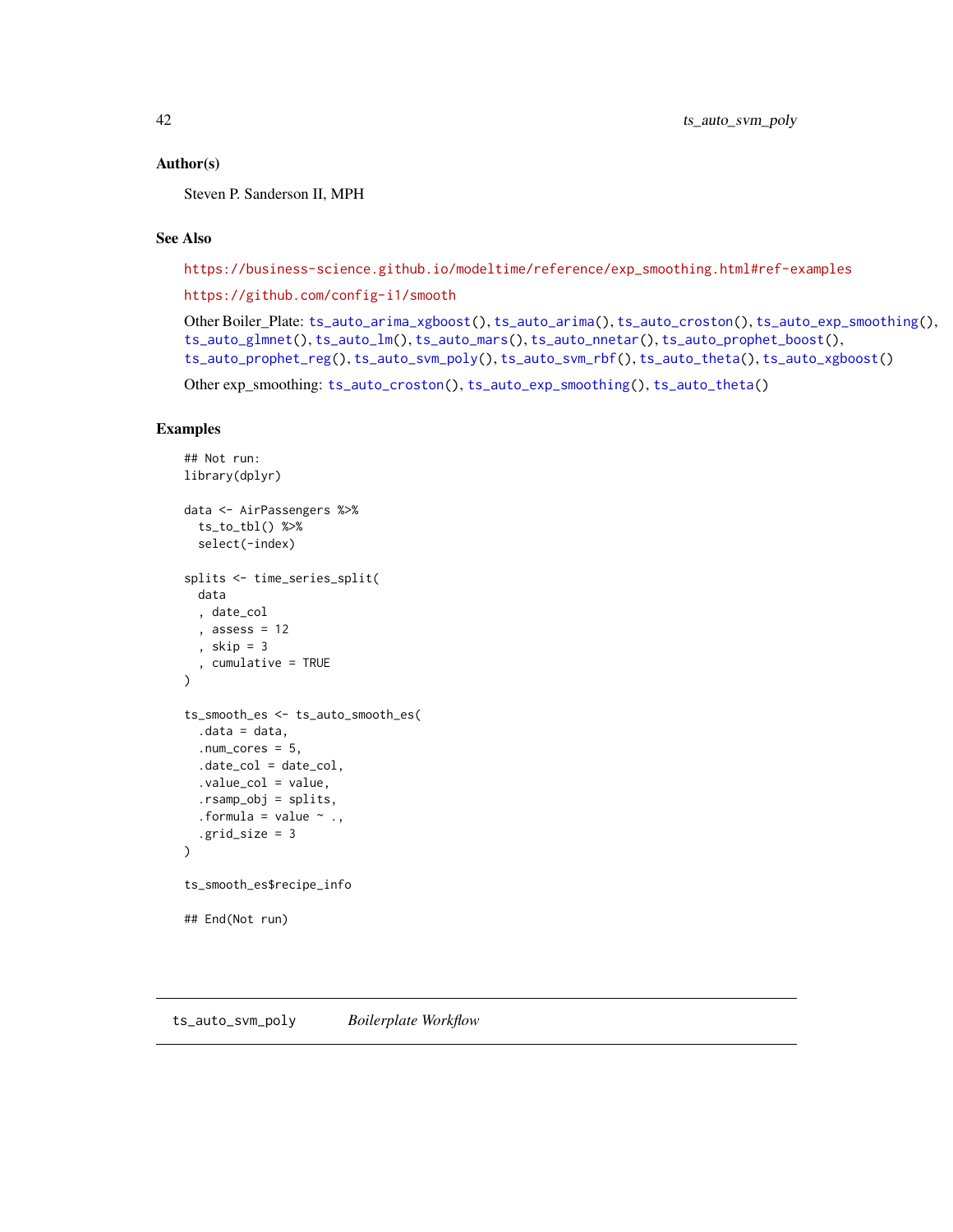#### Author(s)

Steven P. Sanderson II, MPH

## See Also

[https://business-science.github.io/modeltime/reference/exp\\_smoothing.html#ref-examples](https://business-science.github.io/modeltime/reference/exp_smoothing.html#ref-examples)

<https://github.com/config-i1/smooth>

```
Other Boiler_Plate: ts_auto_arima_xgboost(), ts_auto_arima(), ts_auto_croston(), ts_auto_exp_smoothing(),
ts_auto_glmnet(), ts_auto_lm(), ts_auto_mars(), ts_auto_nnetar(), ts_auto_prophet_boost(),
ts_auto_prophet_reg(), ts_auto_svm_poly(), ts_auto_svm_rbf(), ts_auto_theta(), ts_auto_xgboost()
```
Other exp\_smoothing: [ts\\_auto\\_croston\(](#page-20-0)), [ts\\_auto\\_exp\\_smoothing\(](#page-22-0)), [ts\\_auto\\_theta\(](#page-46-0))

#### Examples

```
## Not run:
library(dplyr)
data <- AirPassengers %>%
 ts_to_tbl() %>%
  select(-index)
splits <- time_series_split(
 data
  , date_col
  , assess = 12, skip = 3
  , cumulative = TRUE
\lambdats_smooth_es <- ts_auto_smooth_es(
  .data = data,
  num\_cores = 5,
 .date_col = date_col,
  .value_col = value,
  .rsamp_obj = splits,
  .formula = value \sim .,
  .grid_size = 3
\lambdats_smooth_es$recipe_info
## End(Not run)
```
<span id="page-41-0"></span>ts\_auto\_svm\_poly *Boilerplate Workflow*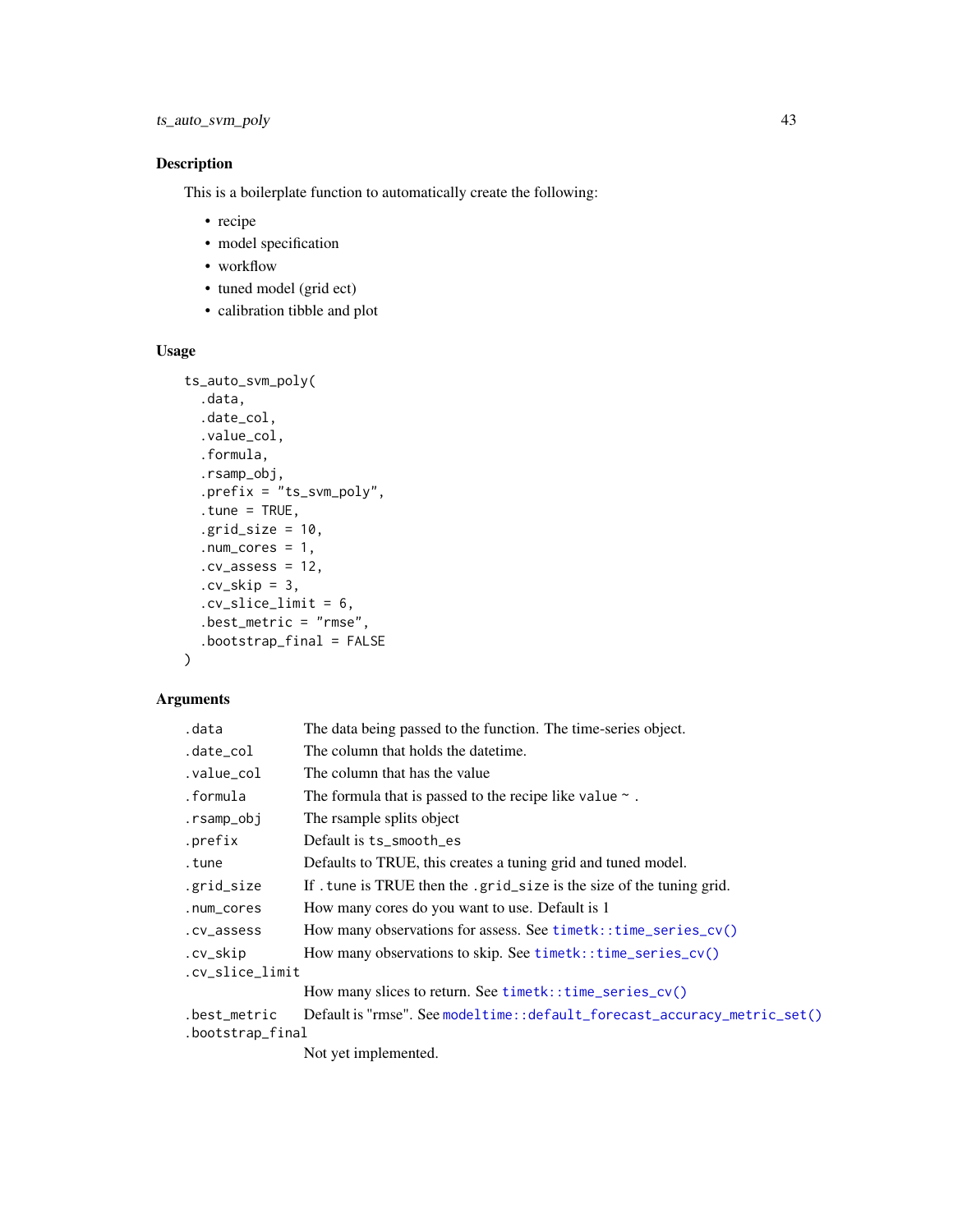### Description

This is a boilerplate function to automatically create the following:

- recipe
- model specification
- workflow
- tuned model (grid ect)
- calibration tibble and plot

### Usage

```
ts_auto_svm_poly(
  .data,
  .date_col,
  .value_col,
  .formula,
  .rsamp_obj,
  .prefix = "ts_svm_poly",
  .tune = TRUE,
  .grid_size = 10,
  .num_cores = 1,
  cv_assess = 12,
  cv\_skip = 3,
  .cv_slice_limit = 6,
  .best_metric = "rmse",
  .bootstrap_final = FALSE
\overline{\phantom{a}}
```
### Arguments

| .data                            | The data being passed to the function. The time-series object.           |
|----------------------------------|--------------------------------------------------------------------------|
| .date_col                        | The column that holds the date time.                                     |
| .value_col                       | The column that has the value                                            |
| .formula                         | The formula that is passed to the recipe like value $\sim$ .             |
| .rsamp_obj                       | The rsample splits object                                                |
| .prefix                          | Default is ts_smooth_es                                                  |
| .tune                            | Defaults to TRUE, this creates a tuning grid and tuned model.            |
| .grid_size                       | If tune is TRUE then the grid_size is the size of the tuning grid.       |
| .num_cores                       | How many cores do you want to use. Default is 1                          |
| .cv_assess                       | How many observations for assess. See timeth::time_series_cv()           |
| .cv_skip                         | How many observations to skip. See timetk::time_series_cv()              |
| .cv_slice_limit                  |                                                                          |
|                                  | How many slices to return. See timetk::time_series_cv()                  |
| .best metric<br>.bootstrap_final | Default is "rmse". See modeltime::default_forecast_accuracy_metric_set() |
|                                  | Not yet implemented.                                                     |
|                                  |                                                                          |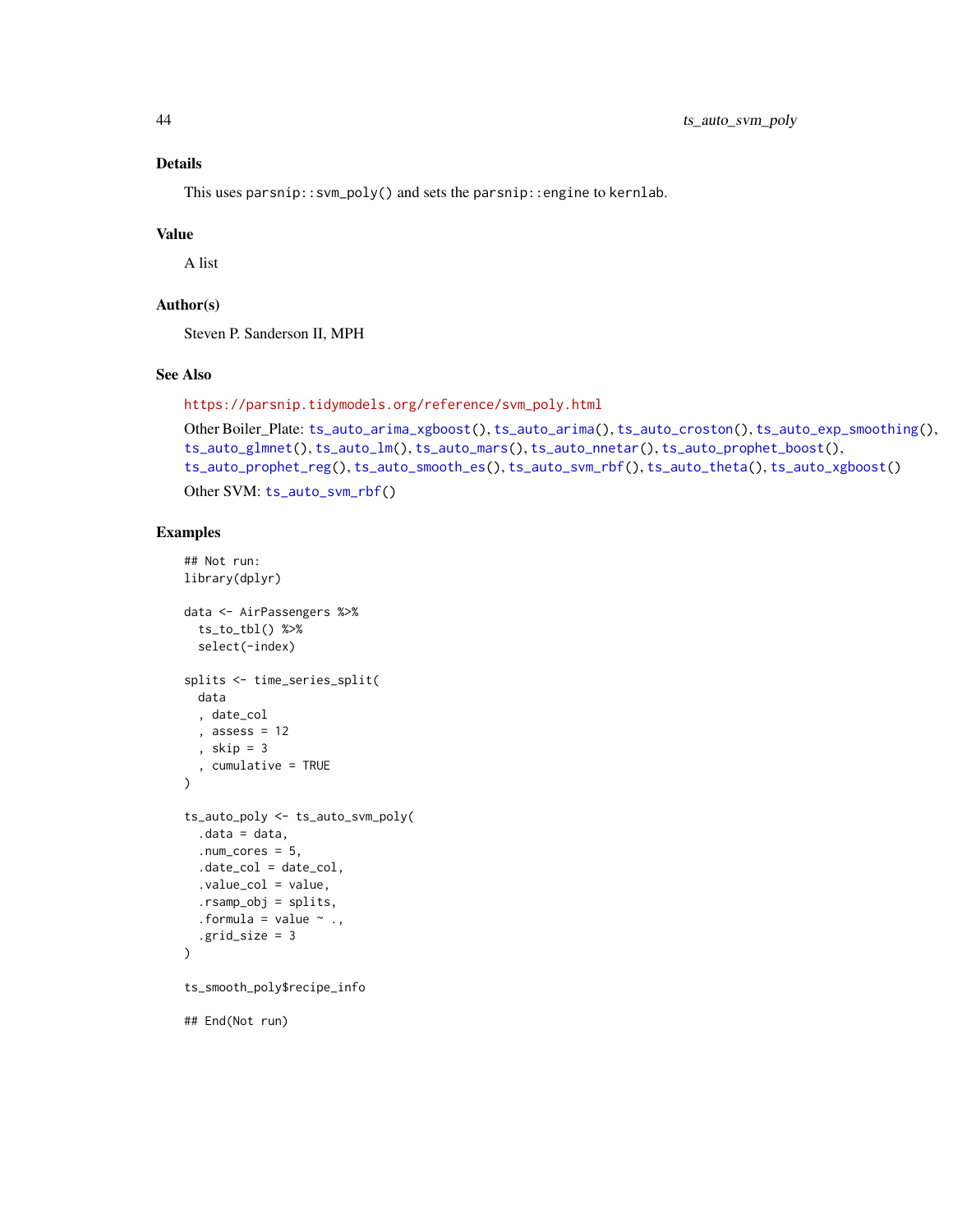### Details

This uses parsnip::svm\_poly() and sets the parsnip::engine to kernlab.

#### Value

A list

### Author(s)

Steven P. Sanderson II, MPH

### See Also

[https://parsnip.tidymodels.org/reference/svm\\_poly.html](https://parsnip.tidymodels.org/reference/svm_poly.html)

```
Other Boiler_Plate: ts_auto_arima_xgboost(), ts_auto_arima(), ts_auto_croston(), ts_auto_exp_smoothing(),
ts_auto_glmnet(), ts_auto_lm(), ts_auto_mars(), ts_auto_nnetar(), ts_auto_prophet_boost(),
ts_auto_prophet_reg(), ts_auto_smooth_es(), ts_auto_svm_rbf(), ts_auto_theta(), ts_auto_xgboost()
Other SVM: ts_auto_svm_rbf()
```

```
## Not run:
library(dplyr)
data <- AirPassengers %>%
 ts_to_tbl() %>%
  select(-index)
splits <- time_series_split(
  data
  , date_col
  , assess = 12
  , skip = 3
  , cumulative = TRUE
\mathcal{L}ts_auto_poly <- ts_auto_svm_poly(
 .data = data,
 num\_cores = 5,
  .date_col = date_col,
  .value_col = value,
  .rsamp_obj = splits,
  .formula = value \sim .,
  .grid_size = 3
)
ts_smooth_poly$recipe_info
## End(Not run)
```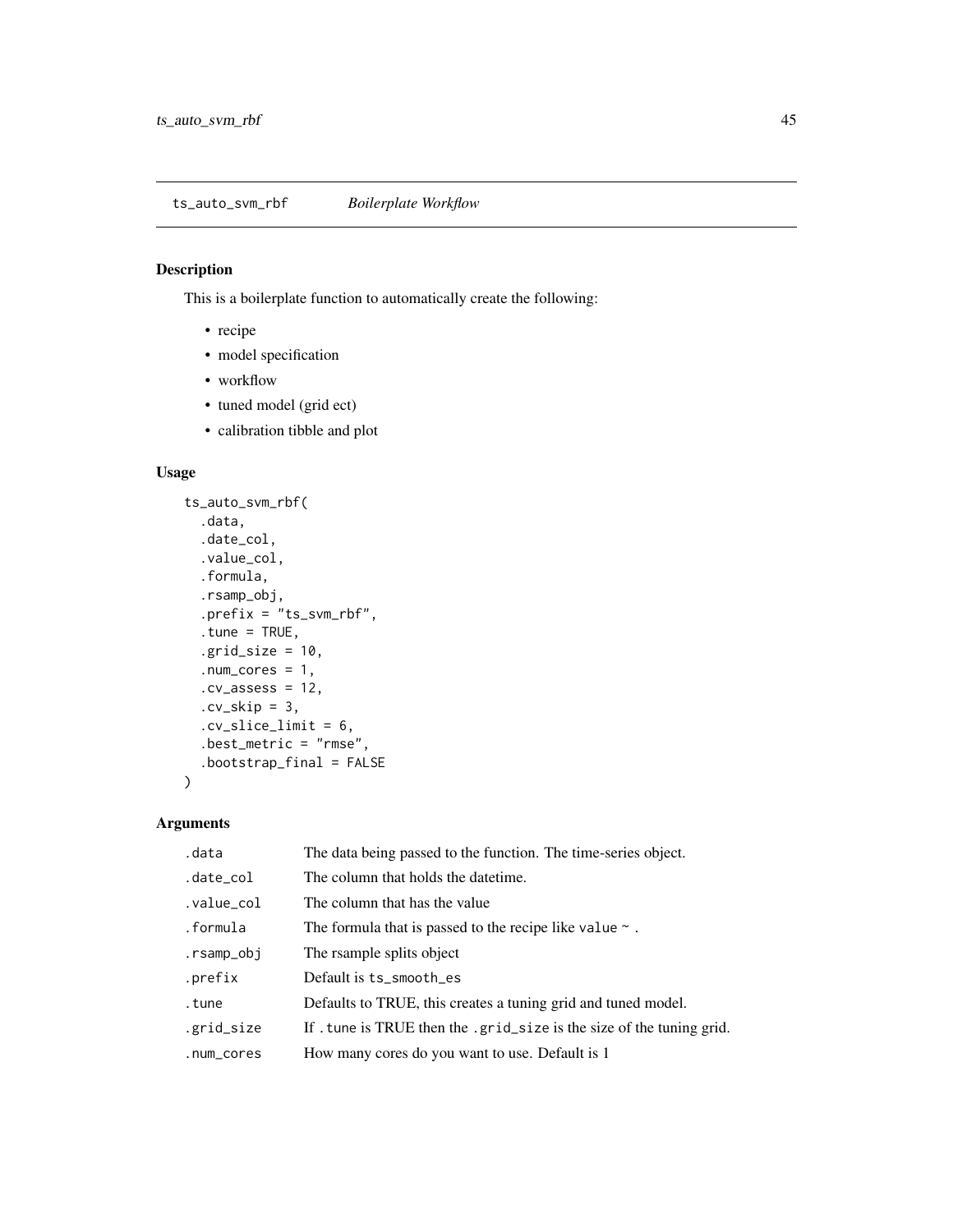<span id="page-44-0"></span>ts\_auto\_svm\_rbf *Boilerplate Workflow*

### Description

This is a boilerplate function to automatically create the following:

- recipe
- model specification
- workflow
- tuned model (grid ect)
- calibration tibble and plot

### Usage

```
ts_auto_svm_rbf(
  .data,
  .date_col,
  .value_col,
  .formula,
  .rsamp_obj,
  .prefix = "ts_svm_rbf",
  .tune = TRUE,
  .grid_size = 10,
  .num_cores = 1,
  cv_assess = 12,
  cv\_skip = 3,
  .cv_slice_limit = 6,
  .best_metric = "rmse",
  .bootstrap_final = FALSE
)
```
### Arguments

| .data      | The data being passed to the function. The time-series object.     |
|------------|--------------------------------------------------------------------|
| .date_col  | The column that holds the date time.                               |
| .value_col | The column that has the value                                      |
| .formula   | The formula that is passed to the recipe like value $\sim$ .       |
| .rsamp_obj | The rsample splits object                                          |
| .prefix    | Default is ts_smooth_es                                            |
| tune.      | Defaults to TRUE, this creates a tuning grid and tuned model.      |
| .grid_size | If tune is TRUE then the grid_size is the size of the tuning grid. |
| .num_cores | How many cores do you want to use. Default is 1                    |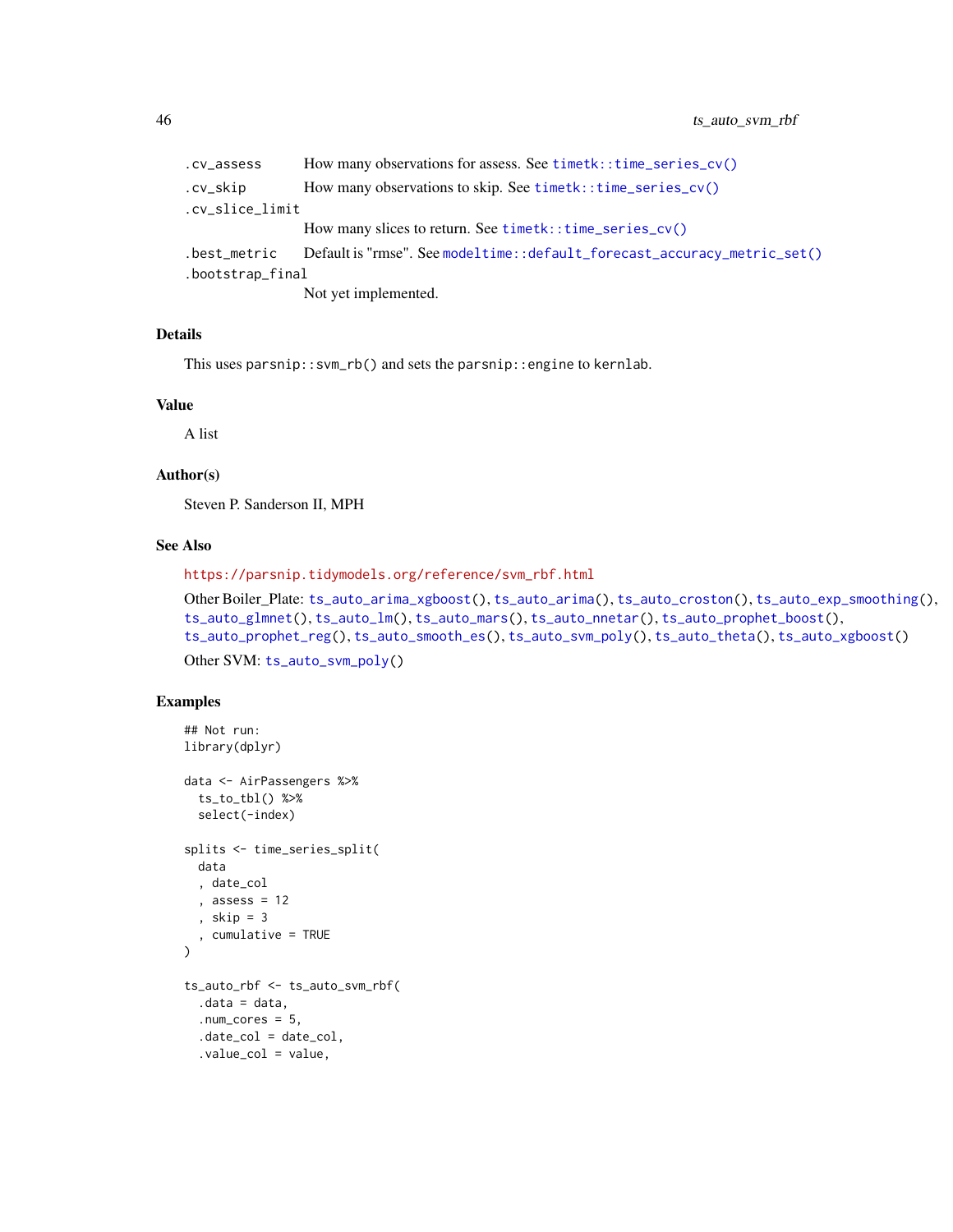| .cv_assess       | How many observations for assess. See timeth::time_series_cv()           |
|------------------|--------------------------------------------------------------------------|
| .cv_skip         | How many observations to skip. See timetk::time_series_cv()              |
| .cv_slice_limit  |                                                                          |
|                  | How many slices to return. See $time$ :: time_series_cv()                |
| .best_metric     | Default is "rmse". See modeltime::default_forecast_accuracy_metric_set() |
| .bootstrap_final |                                                                          |
|                  | Not yet implemented.                                                     |
|                  |                                                                          |

#### Details

This uses parsnip::svm\_rb() and sets the parsnip::engine to kernlab.

#### Value

A list

### Author(s)

Steven P. Sanderson II, MPH

### See Also

[https://parsnip.tidymodels.org/reference/svm\\_rbf.html](https://parsnip.tidymodels.org/reference/svm_rbf.html)

```
Other Boiler_Plate: ts_auto_arima_xgboost(), ts_auto_arima(), ts_auto_croston(), ts_auto_exp_smoothing(),
ts_auto_glmnet(), ts_auto_lm(), ts_auto_mars(), ts_auto_nnetar(), ts_auto_prophet_boost(),
ts_auto_prophet_reg(), ts_auto_smooth_es(), ts_auto_svm_poly(), ts_auto_theta(), ts_auto_xgboost()
Other SVM: ts_auto_svm_poly()
```

```
## Not run:
library(dplyr)
data <- AirPassengers %>%
  ts_to_tbl() %>%
  select(-index)
splits <- time_series_split(
  data
  , date_col
  , assess = 12
  , skip = 3
  , cumulative = TRUE
\overline{)}ts_auto_rbf <- ts_auto_svm_rbf(
  .data = data,
  .num_cores = 5,
  data_col = date_col,.value_col = value,
```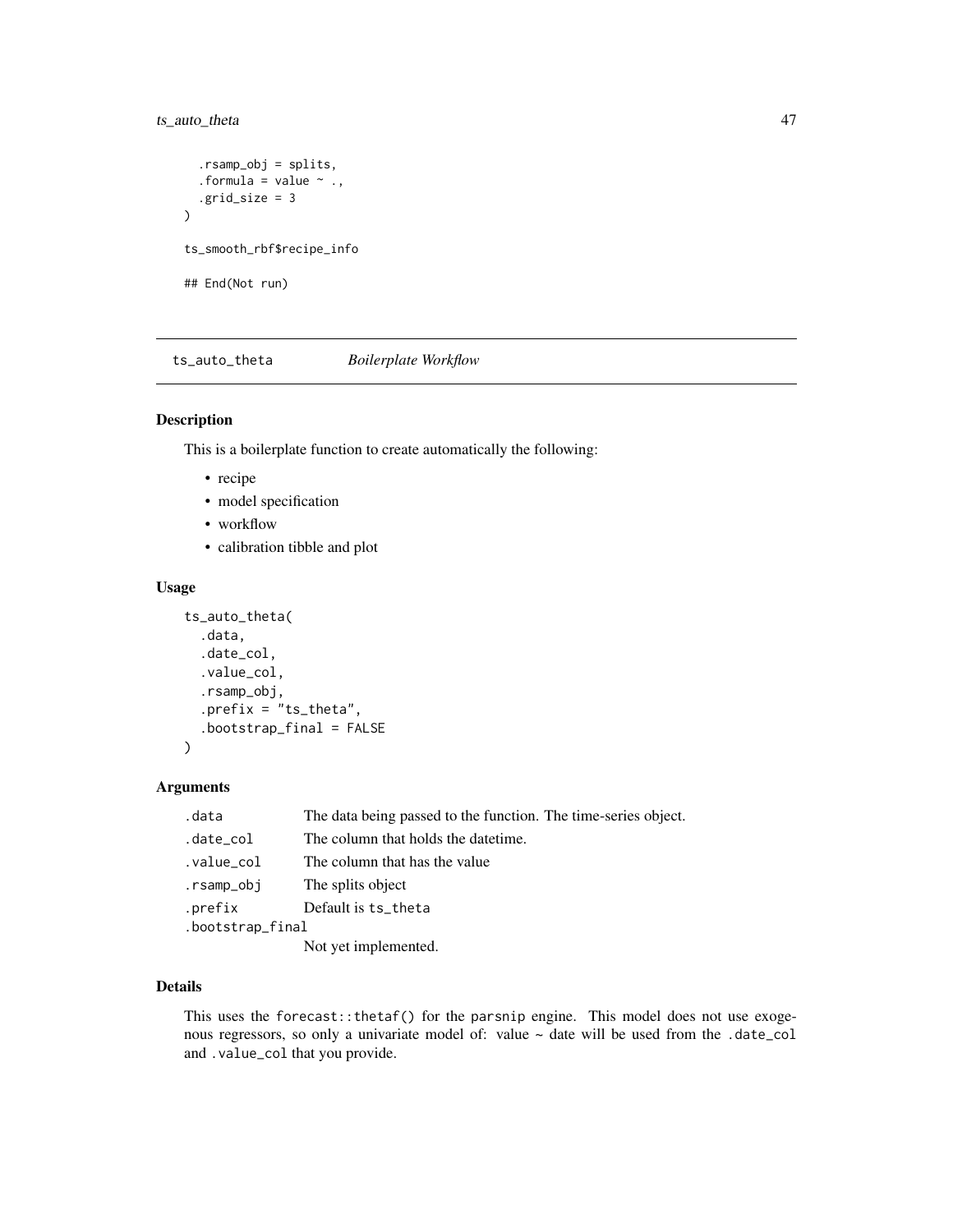### ts\_auto\_theta 47

```
.rsamp_obj = splits,
  .formula = value \sim .,
  .grid_size = 3
\overline{)}ts_smooth_rbf$recipe_info
## End(Not run)
```
<span id="page-46-0"></span>ts\_auto\_theta *Boilerplate Workflow*

## Description

This is a boilerplate function to create automatically the following:

- recipe
- model specification
- workflow
- calibration tibble and plot

#### Usage

```
ts_auto_theta(
  .data,
  .date_col,
  .value_col,
  .rsamp_obj,
  .prefix = "ts_theta",
  .bootstrap_final = FALSE
\mathcal{L}
```
### Arguments

| The data being passed to the function. The time-series object. |  |  |
|----------------------------------------------------------------|--|--|
| The column that holds the datetime.                            |  |  |
| The column that has the value.                                 |  |  |
| The splits object                                              |  |  |
| Default is ts_theta                                            |  |  |
| .bootstrap_final                                               |  |  |
| Not yet implemented.                                           |  |  |
|                                                                |  |  |

### Details

This uses the forecast::thetaf() for the parsnip engine. This model does not use exogenous regressors, so only a univariate model of: value ~ date will be used from the .date\_col and .value\_col that you provide.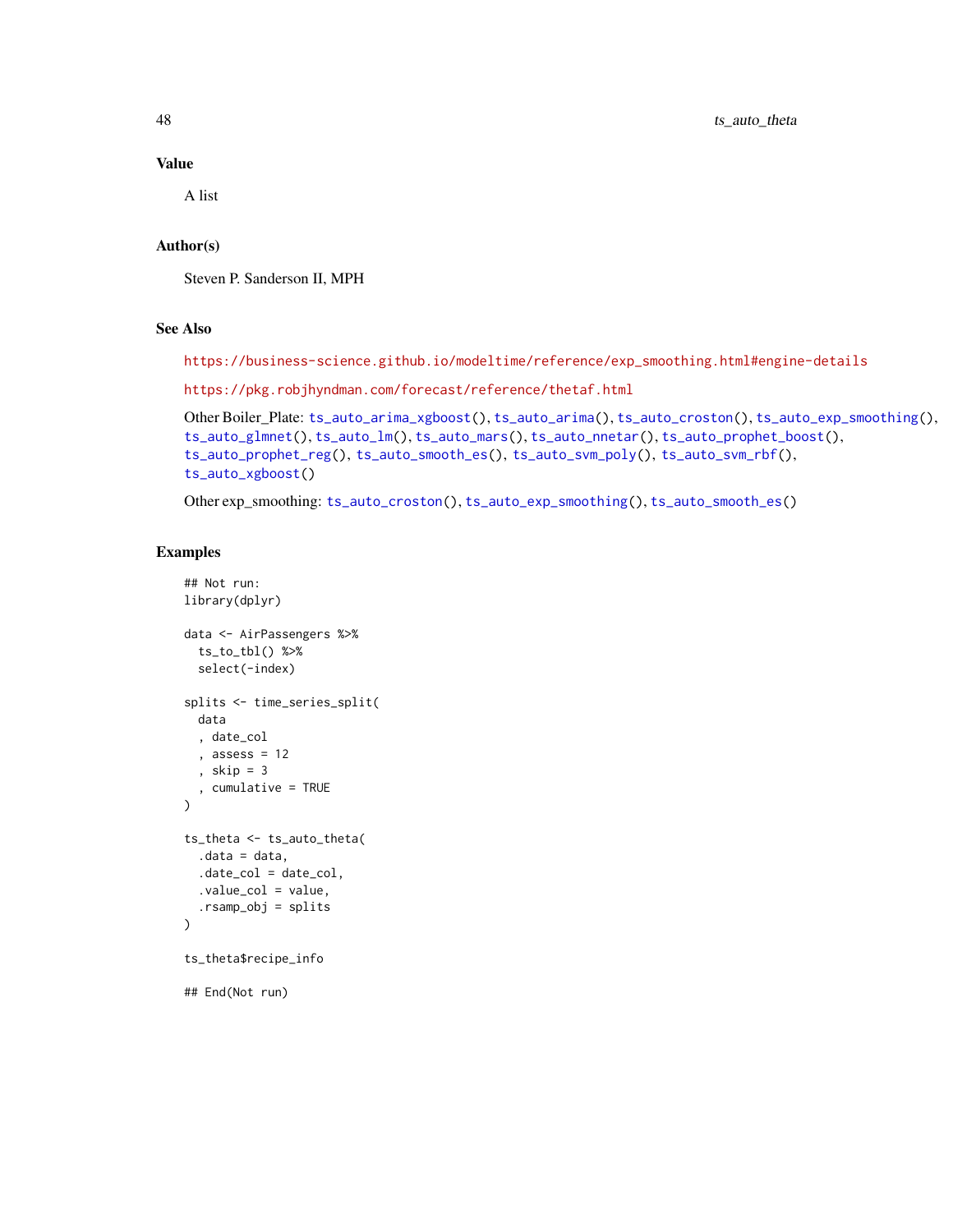48 ts\_auto\_theta

#### Value

A list

#### Author(s)

Steven P. Sanderson II, MPH

#### See Also

[https://business-science.github.io/modeltime/reference/exp\\_smoothing.html#engine-details](https://business-science.github.io/modeltime/reference/exp_smoothing.html#engine-details)

<https://pkg.robjhyndman.com/forecast/reference/thetaf.html>

```
Other Boiler_Plate: ts_auto_arima_xgboost(), ts_auto_arima(), ts_auto_croston(), ts_auto_exp_smoothing(),
ts_auto_glmnet(), ts_auto_lm(), ts_auto_mars(), ts_auto_nnetar(), ts_auto_prophet_boost(),
ts_auto_prophet_reg(), ts_auto_smooth_es(), ts_auto_svm_poly(), ts_auto_svm_rbf(),
ts_auto_xgboost()
```
Other exp\_smoothing: [ts\\_auto\\_croston\(](#page-20-0)), [ts\\_auto\\_exp\\_smoothing\(](#page-22-0)), [ts\\_auto\\_smooth\\_es\(](#page-39-0))

```
## Not run:
library(dplyr)
data <- AirPassengers %>%
 ts_to_tbl() %>%
  select(-index)
splits <- time_series_split(
 data
  , date_col
  , assess = 12
  , skip = 3
  , cumulative = TRUE
\mathcal{L}ts_theta <- ts_auto_theta(
  .data = data,
  .date_col = date_col,
  .value_col = value,
  .rsamp_obj = splits
\mathcal{L}ts_theta$recipe_info
## End(Not run)
```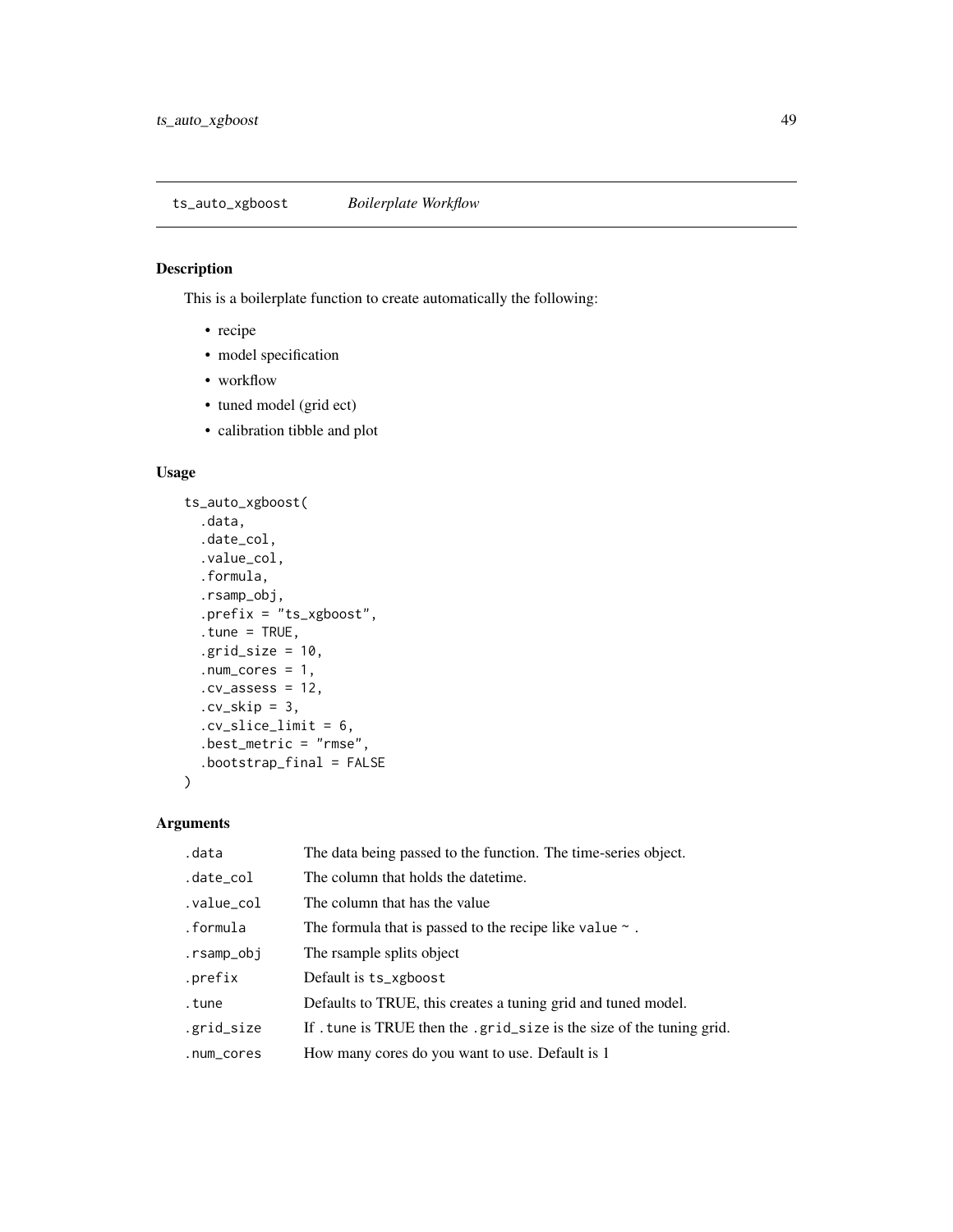<span id="page-48-0"></span>ts\_auto\_xgboost *Boilerplate Workflow*

### Description

This is a boilerplate function to create automatically the following:

- recipe
- model specification
- workflow
- tuned model (grid ect)
- calibration tibble and plot

### Usage

```
ts_auto_xgboost(
  .data,
  .date_col,
  .value_col,
  .formula,
  .rsamp_obj,
  .prefix = "ts_xgboost",
  .tune = TRUE,
  .grid_size = 10,
  .num_cores = 1,
  cv_assess = 12,
  cv\_skip = 3,
  .cv_slice_limit = 6,
  .best_metric = "rmse",
  .bootstrap_final = FALSE
)
```
### Arguments

| .data      | The data being passed to the function. The time-series object.     |
|------------|--------------------------------------------------------------------|
| .date_col  | The column that holds the date time.                               |
| .value_col | The column that has the value                                      |
| .formula   | The formula that is passed to the recipe like value $\sim$ .       |
| .rsamp_obj | The rsample splits object                                          |
| .prefix    | Default is ts_xgboost                                              |
| tune.      | Defaults to TRUE, this creates a tuning grid and tuned model.      |
| .grid_size | If tune is TRUE then the grid_size is the size of the tuning grid. |
| .num_cores | How many cores do you want to use. Default is 1                    |
|            |                                                                    |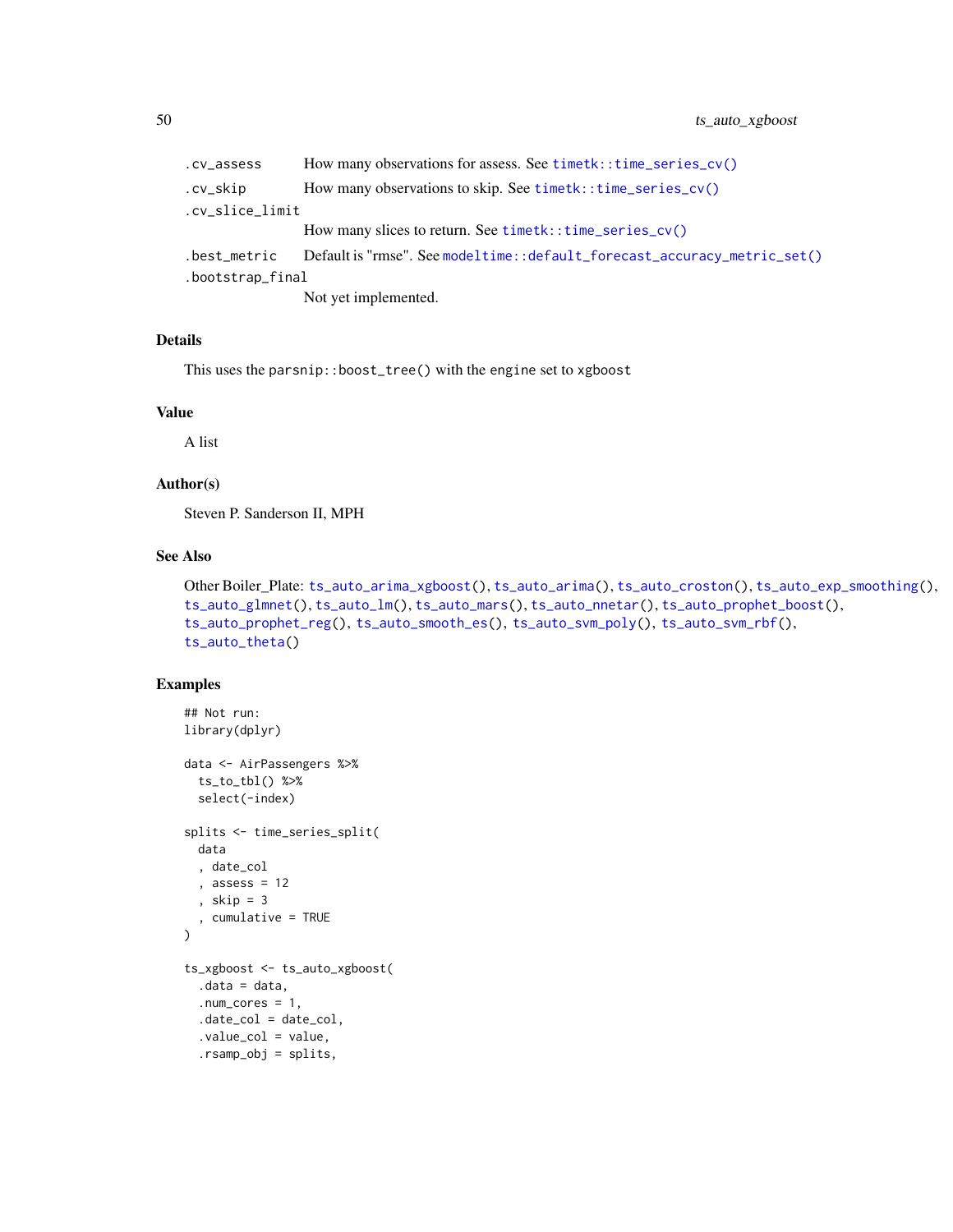| .cv_assess       | How many observations for assess. See timeth::time_series_cv()           |
|------------------|--------------------------------------------------------------------------|
| .cv_skip         | How many observations to skip. See timetk::time_series_cv()              |
| .cv_slice_limit  |                                                                          |
|                  | How many slices to return. See timeth::time_series_cv()                  |
| .best metric     | Default is "rmse". See modeltime::default_forecast_accuracy_metric_set() |
| .bootstrap_final |                                                                          |
|                  | Not yet implemented.                                                     |
|                  |                                                                          |

#### Details

This uses the parsnip::boost\_tree() with the engine set to xgboost

## Value

A list

#### Author(s)

Steven P. Sanderson II, MPH

## See Also

```
Other Boiler_Plate: ts_auto_arima_xgboost(), ts_auto_arima(), ts_auto_croston(), ts_auto_exp_smoothing(),
ts_auto_glmnet(), ts_auto_lm(), ts_auto_mars(), ts_auto_nnetar(), ts_auto_prophet_boost(),
ts_auto_prophet_reg(), ts_auto_smooth_es(), ts_auto_svm_poly(), ts_auto_svm_rbf(),
ts_auto_theta()
```

```
## Not run:
library(dplyr)
data <- AirPassengers %>%
  ts_to_tbl() %>%
  select(-index)
splits <- time_series_split(
  data
  , date_col
  , assess = 12
  , skip = 3
  , cumulative = TRUE
\lambdats_xgboost <- ts_auto_xgboost(
 .data = data,
  .num_cores = 1,
  .data\_col = date\_col,.value_col = value,
  .rsamp_obj = splits,
```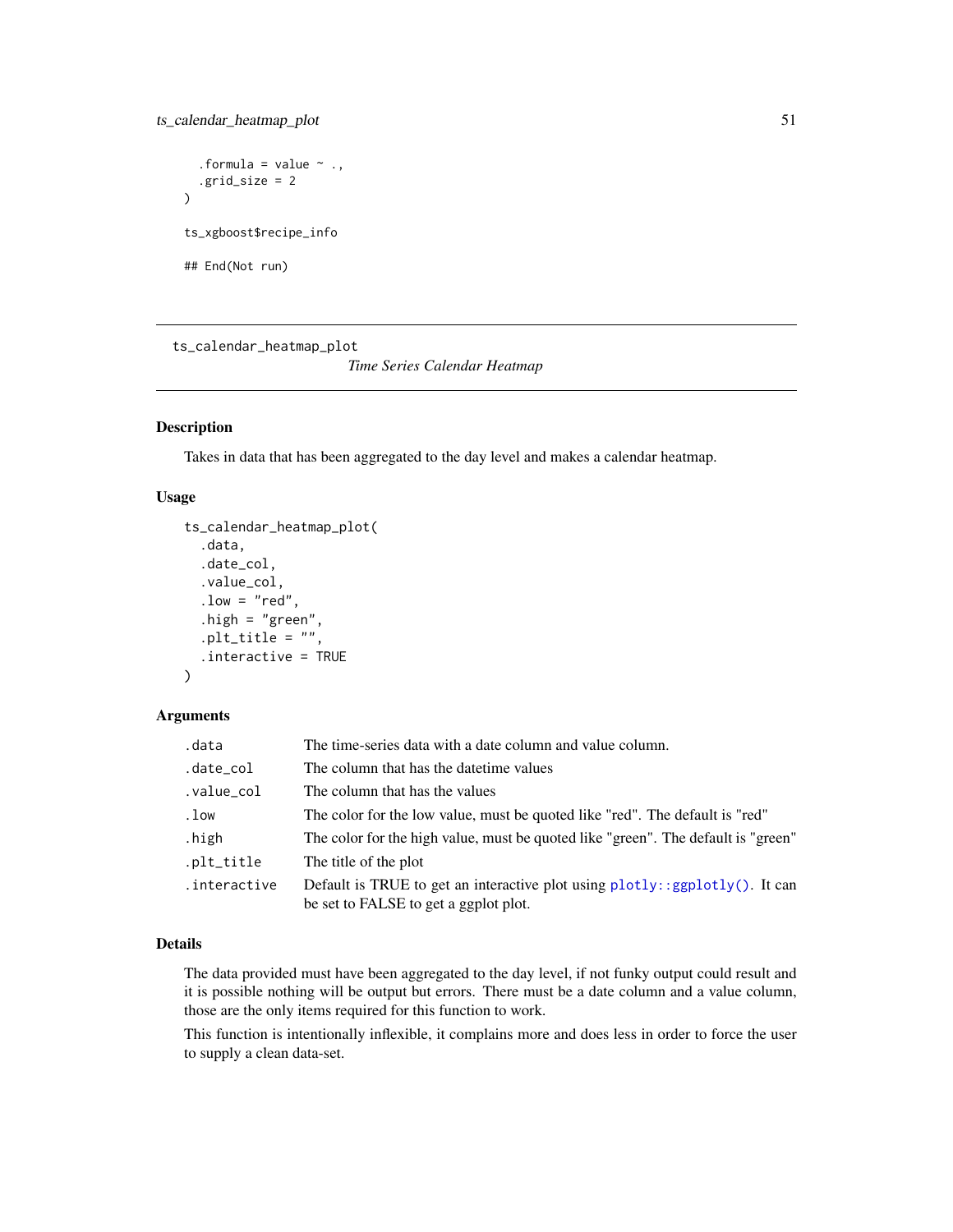```
.formula = value \sim .,
 .grid_size = 2
)
ts_xgboost$recipe_info
## End(Not run)
```
ts\_calendar\_heatmap\_plot

*Time Series Calendar Heatmap*

### Description

Takes in data that has been aggregated to the day level and makes a calendar heatmap.

### Usage

```
ts_calendar_heatmap_plot(
  .data,
  .date_col,
  .value_col,
  low = "red",.high = "green",
  .plt_title = ",
  .interactive = TRUE
)
```
#### Arguments

| .data        | The time-series data with a date column and value column.                                                            |
|--------------|----------------------------------------------------------------------------------------------------------------------|
| .date_col    | The column that has the date time values                                                                             |
| .value_col   | The column that has the values                                                                                       |
| .low         | The color for the low value, must be quoted like "red". The default is "red"                                         |
| .high        | The color for the high value, must be quoted like "green". The default is "green"                                    |
| .plt_title   | The title of the plot                                                                                                |
| .interactive | Default is TRUE to get an interactive plot using plotly::ggplotly(). It can<br>be set to FALSE to get a ggplot plot. |

#### Details

The data provided must have been aggregated to the day level, if not funky output could result and it is possible nothing will be output but errors. There must be a date column and a value column, those are the only items required for this function to work.

This function is intentionally inflexible, it complains more and does less in order to force the user to supply a clean data-set.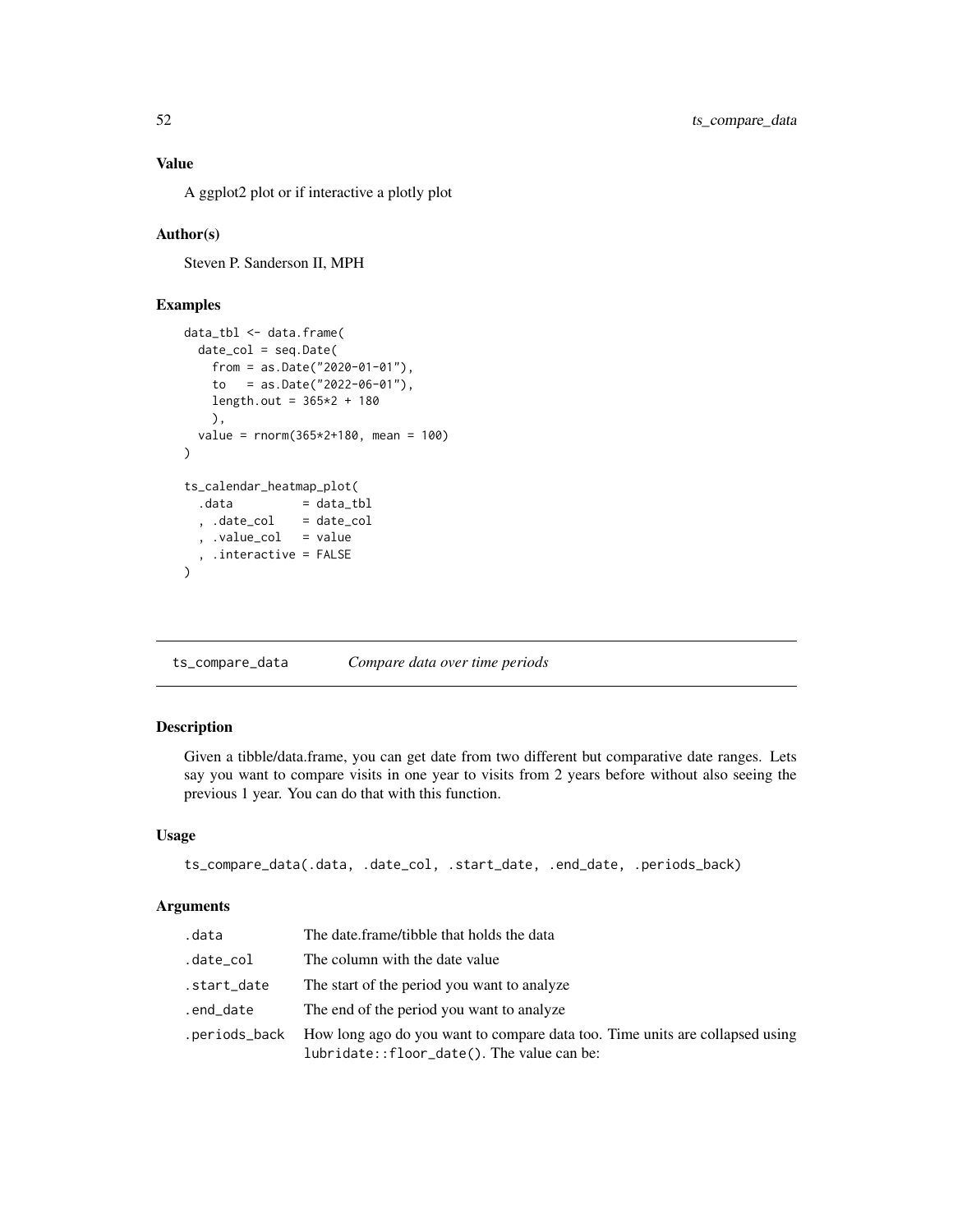## Value

A ggplot2 plot or if interactive a plotly plot

### Author(s)

Steven P. Sanderson II, MPH

### Examples

```
data_tbl <- data.frame(
  date_col = seq.Date(
   from = as.Date("2020-01-01"),
   to = as.Date("2022-06-01"),
   length.out = 365*2 + 180
   ),
  value = rnorm(365*2+180, mean = 100)
)
ts_calendar_heatmap_plot(
  data = data_tbl
  , .date\_col = date\_col, .value_col = value
  , .interactive = FALSE
\mathcal{L}
```
ts\_compare\_data *Compare data over time periods*

### Description

Given a tibble/data.frame, you can get date from two different but comparative date ranges. Lets say you want to compare visits in one year to visits from 2 years before without also seeing the previous 1 year. You can do that with this function.

#### Usage

```
ts_compare_data(.data, .date_col, .start_date, .end_date, .periods_back)
```
#### Arguments

| .data       | The date frame/tibble that holds the data                                                                                               |
|-------------|-----------------------------------------------------------------------------------------------------------------------------------------|
| .date_col   | The column with the date value                                                                                                          |
| .start_date | The start of the period you want to analyze                                                                                             |
| .end_date   | The end of the period you want to analyze                                                                                               |
|             | periods_back How long ago do you want to compare data too. Time units are collapsed using<br>lubridate::floor_date(). The value can be: |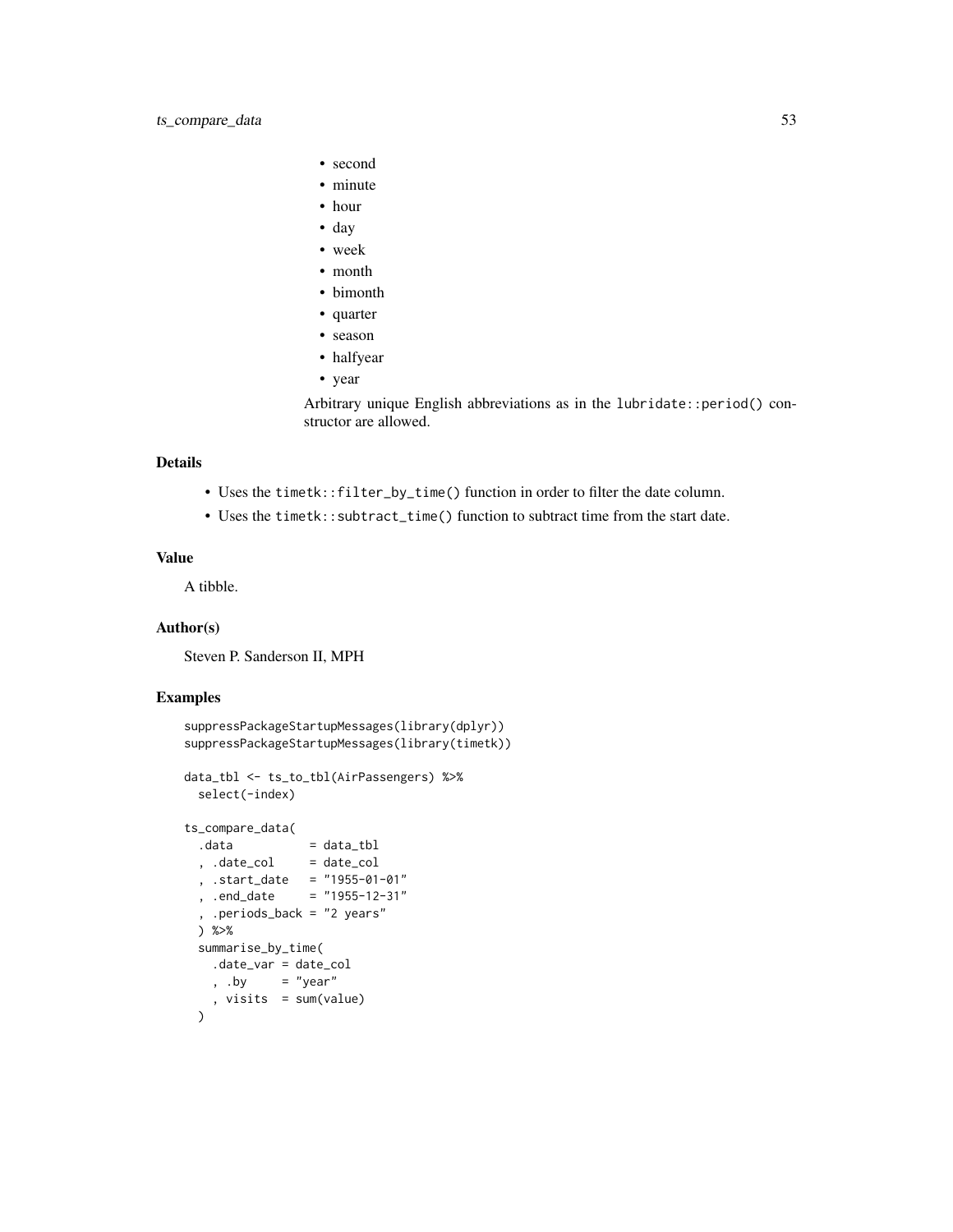- second
- minute
- hour
- day
- week
- month
- bimonth
- quarter
- season
- halfyear
- year

Arbitrary unique English abbreviations as in the lubridate::period() constructor are allowed.

### Details

- Uses the timetk::filter\_by\_time() function in order to filter the date column.
- Uses the timetk::subtract\_time() function to subtract time from the start date.

#### Value

A tibble.

#### Author(s)

Steven P. Sanderson II, MPH

```
suppressPackageStartupMessages(library(dplyr))
suppressPackageStartupMessages(library(timetk))
```

```
data_tbl <- ts_to_tbl(AirPassengers) %>%
 select(-index)
```

```
ts_compare_data(
 .data = data_tbl
 , .date\_col = date_col = date_col
  , .start_date = "1955-01-01"
  , .end_date = "1955-12-31"
  , .periods_back = "2 years"
 ) %>%
 summarise_by_time(
   .date_var = date_col
           = "year", visits = sum(value)
 )
```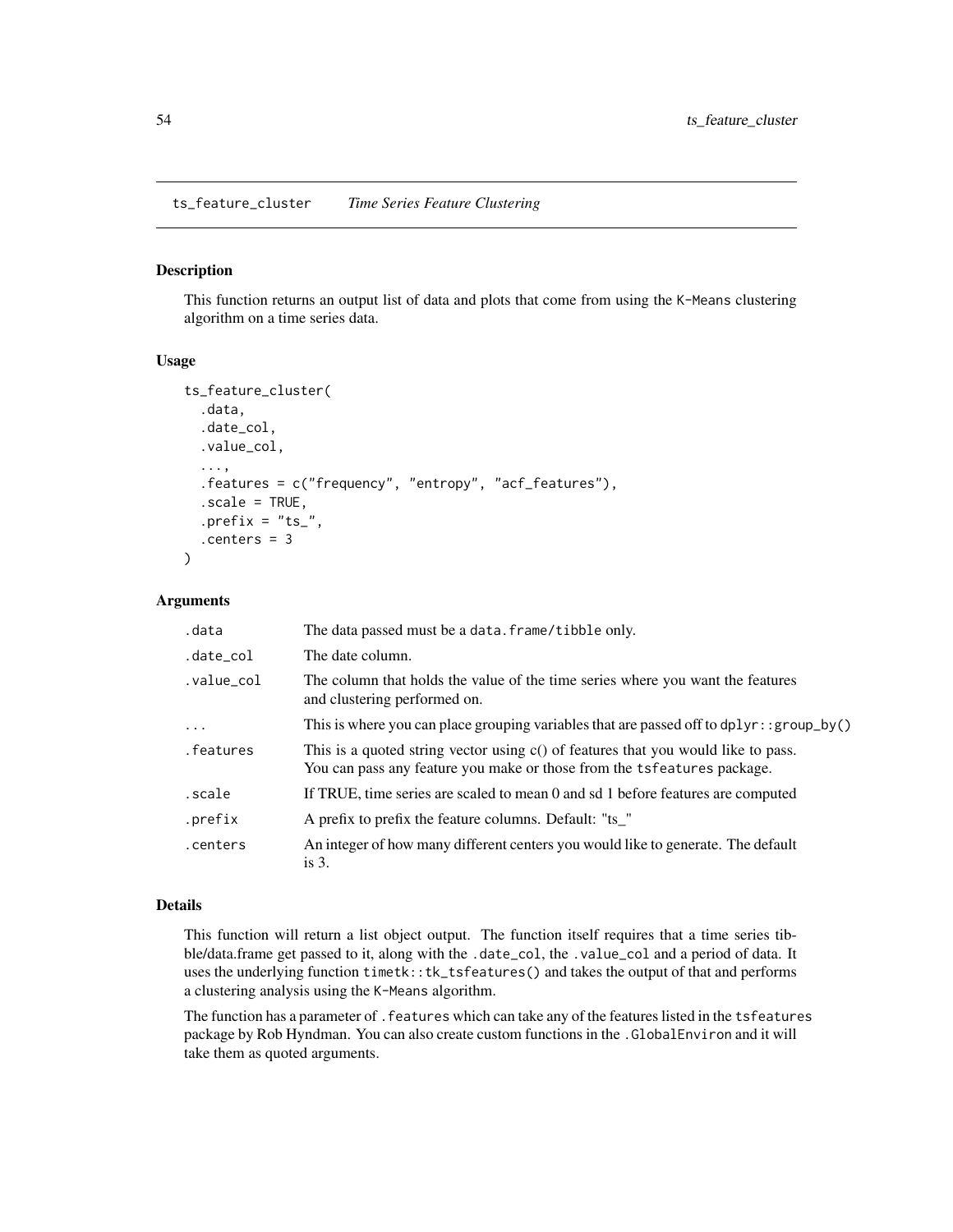<span id="page-53-0"></span>ts\_feature\_cluster *Time Series Feature Clustering*

#### Description

This function returns an output list of data and plots that come from using the K-Means clustering algorithm on a time series data.

#### Usage

```
ts_feature_cluster(
  .data,
  .date_col,
  .value_col,
  ...,
  .features = c("frequency", "entropy", "acf_features"),
  .scale = TRUE,
  .prefix = "ts_",.centers = 3
)
```
#### Arguments

| .data      | The data passed must be a data. frame/tibble only.                                                                                                             |
|------------|----------------------------------------------------------------------------------------------------------------------------------------------------------------|
| .date_col  | The date column.                                                                                                                                               |
| .value_col | The column that holds the value of the time series where you want the features<br>and clustering performed on.                                                 |
| $\ddots$   | This is where you can place grouping variables that are passed off to dplyr: : group_by()                                                                      |
| .features  | This is a quoted string vector using $c()$ of features that you would like to pass.<br>You can pass any feature you make or those from the tsfeatures package. |
| .scale     | If TRUE, time series are scaled to mean 0 and sd 1 before features are computed                                                                                |
| .prefix    | A prefix to prefix the feature columns. Default: "ts_"                                                                                                         |
| .centers   | An integer of how many different centers you would like to generate. The default<br>is $3$ .                                                                   |

#### Details

This function will return a list object output. The function itself requires that a time series tibble/data.frame get passed to it, along with the .date\_col, the .value\_col and a period of data. It uses the underlying function timetk::tk\_tsfeatures() and takes the output of that and performs a clustering analysis using the K-Means algorithm.

The function has a parameter of .features which can take any of the features listed in the tsfeatures package by Rob Hyndman. You can also create custom functions in the .GlobalEnviron and it will take them as quoted arguments.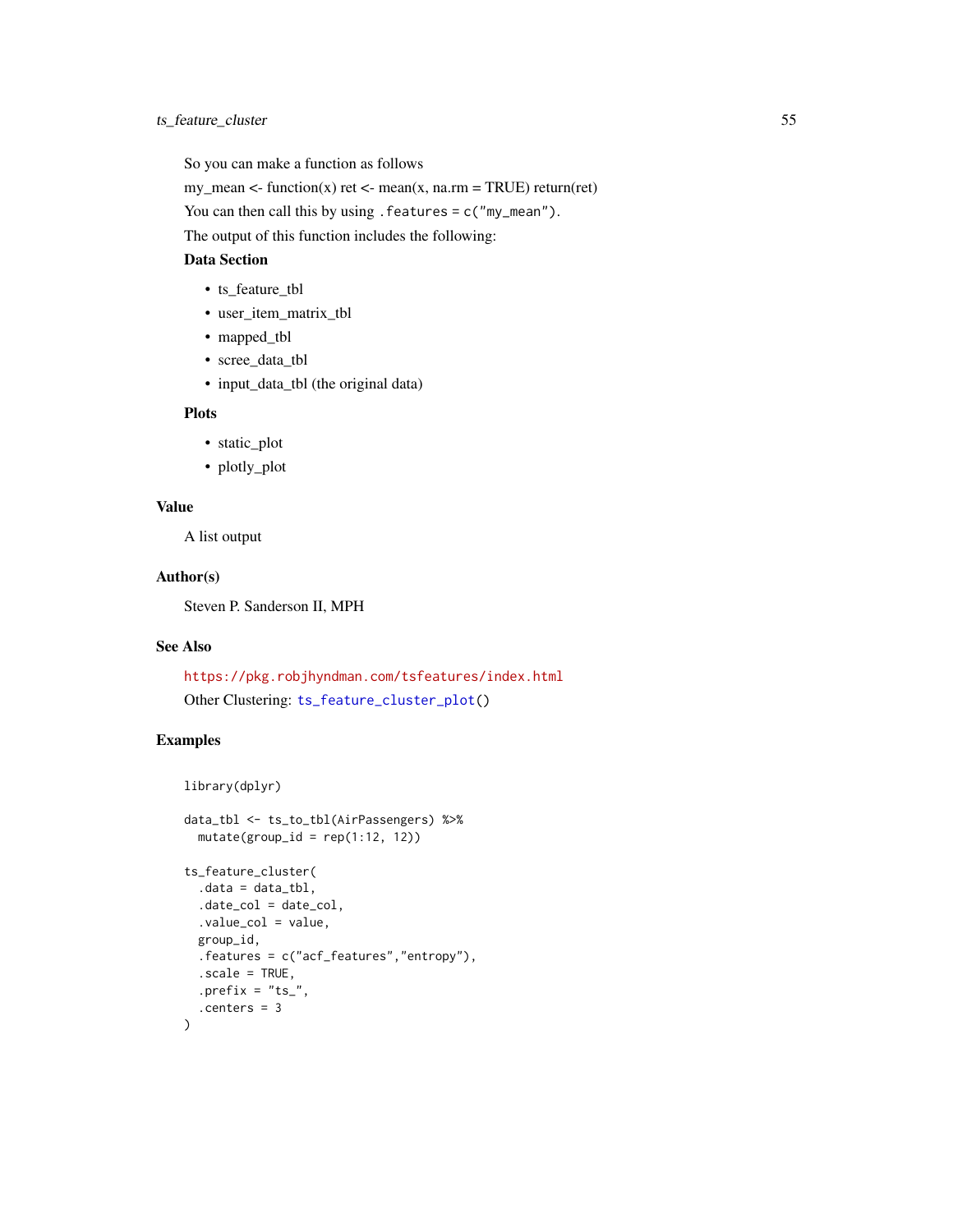### ts\_feature\_cluster 55

So you can make a function as follows

my\_mean <- function(x) ret <- mean(x,  $narm = TRUE$ ) return(ret)

You can then call this by using . features =  $c("my_mean")$ .

The output of this function includes the following:

## Data Section

- ts\_feature\_tbl
- user\_item\_matrix\_tbl
- mapped\_tbl
- scree\_data\_tbl
- input\_data\_tbl (the original data)

### Plots

- static\_plot
- plotly\_plot

## Value

A list output

### Author(s)

Steven P. Sanderson II, MPH

### See Also

<https://pkg.robjhyndman.com/tsfeatures/index.html> Other Clustering: [ts\\_feature\\_cluster\\_plot\(](#page-55-0))

## Examples

library(dplyr)

```
data_tbl <- ts_to_tbl(AirPassengers) %>%
  mutate(group_id = rep(1:12, 12))ts_feature_cluster(
  .data = data_tbl,.date_col = date_col,
  .value_col = value,
 group_id,
  .features = c("acf_features","entropy"),
  .scale = TRUE,
  .prefix = "ts_,".centers = 3
\mathcal{L}
```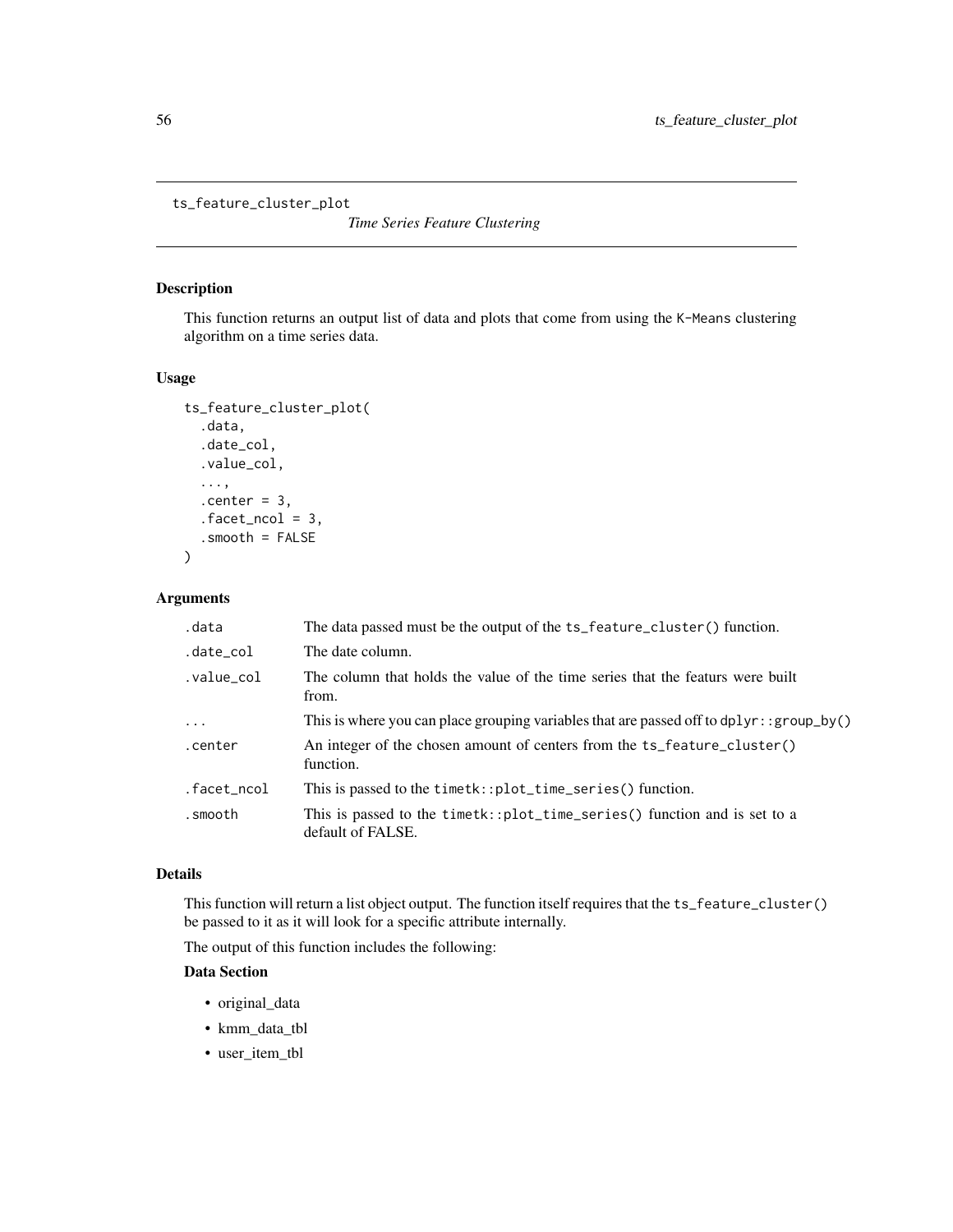```
ts_feature_cluster_plot
```
*Time Series Feature Clustering*

### Description

This function returns an output list of data and plots that come from using the K-Means clustering algorithm on a time series data.

### Usage

```
ts_feature_cluster_plot(
  .data,
  .date_col,
  .value_col,
  ...,
  .center = 3,facet\_ncol = 3,
  .smooth = FALSE
)
```
#### Arguments

| .data       | The data passed must be the output of the ts_feature_cluster() function.                       |
|-------------|------------------------------------------------------------------------------------------------|
| .date_col   | The date column.                                                                               |
| .value_col  | The column that holds the value of the time series that the featurs were built<br>from.        |
| $\ddots$    | This is where you can place grouping variables that are passed off to $dplyr$ : : $group_by()$ |
| .center     | An integer of the chosen amount of centers from the ts_feature_cluster()<br>function.          |
| .facet_ncol | This is passed to the timetk::plot_time_series() function.                                     |
| .smooth     | This is passed to the timetherectime series () function and is set to a<br>default of FALSE.   |

#### Details

This function will return a list object output. The function itself requires that the ts\_feature\_cluster() be passed to it as it will look for a specific attribute internally.

The output of this function includes the following:

### Data Section

- original\_data
- kmm\_data\_tbl
- user\_item\_tbl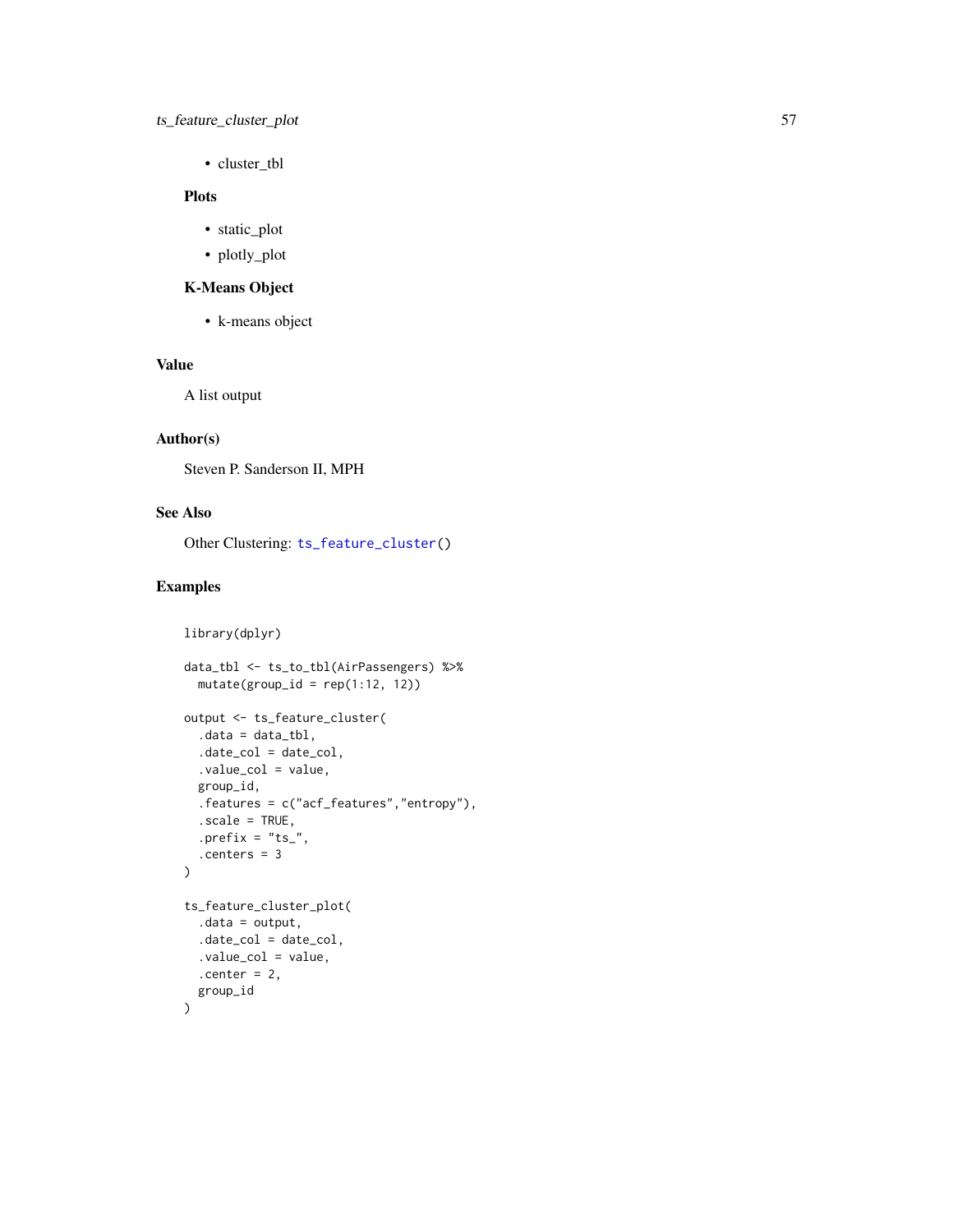• cluster\_tbl

### Plots

- static\_plot
- plotly\_plot

#### K-Means Object

• k-means object

#### Value

A list output

#### Author(s)

Steven P. Sanderson II, MPH

### See Also

Other Clustering: [ts\\_feature\\_cluster\(](#page-53-0))

#### Examples

```
library(dplyr)
data_tbl <- ts_to_tbl(AirPassengers) %>%
  mutate(group_id = rep(1:12, 12))output <- ts_feature_cluster(
  data = data_tbl,.date_col = date_col,
 .value_col = value,
  group_id,
  .features = c("acf_features","entropy"),
  .scale = TRUE,
  .prefix = "ts_,".centers = 3
\lambdats_feature_cluster_plot(
  .data = output,
  data_col = date_col,.value_col = value,
  .center = 2,group_id
```
 $\mathcal{L}$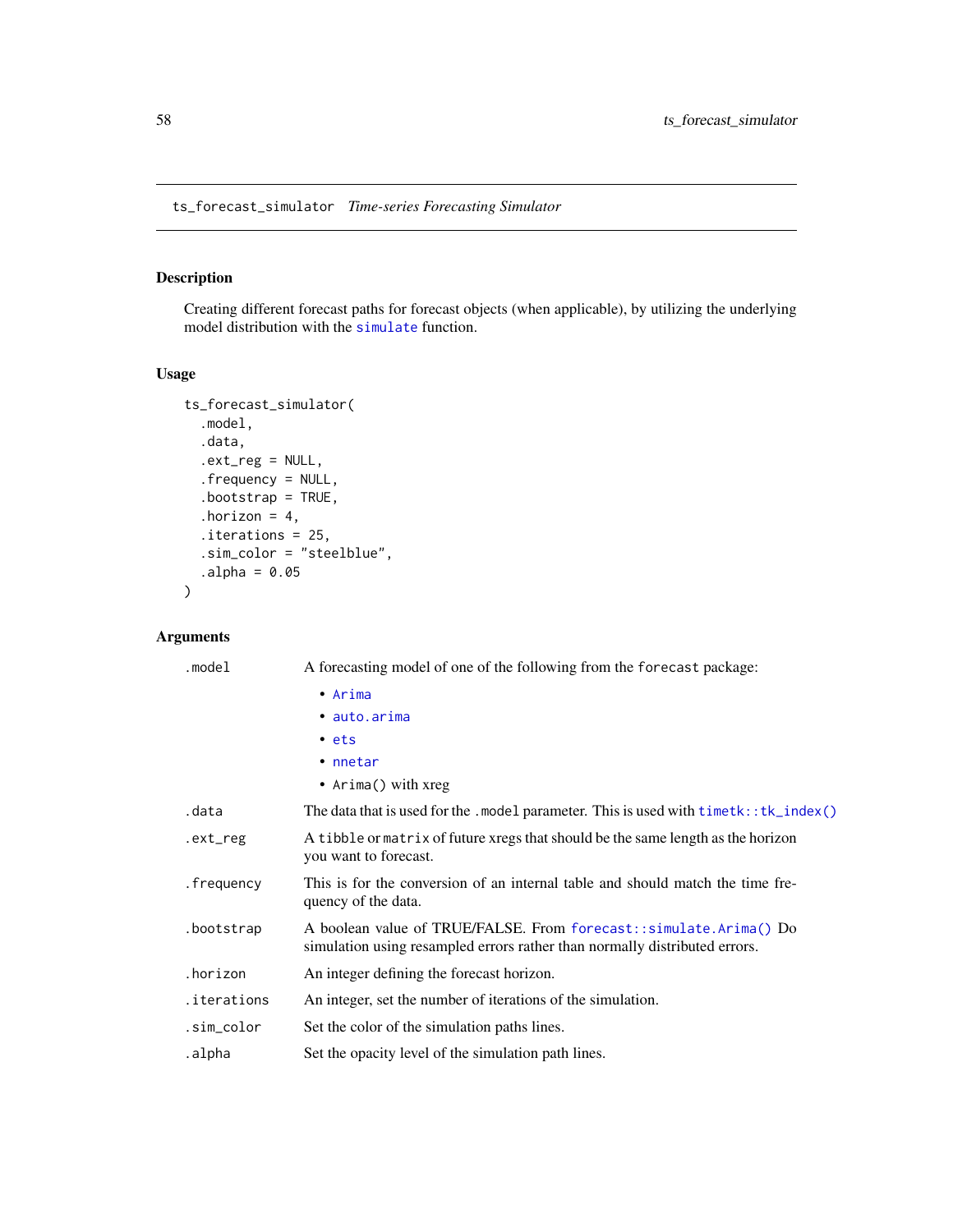ts\_forecast\_simulator *Time-series Forecasting Simulator*

### Description

Creating different forecast paths for forecast objects (when applicable), by utilizing the underlying model distribution with the [simulate](#page-0-0) function.

### Usage

```
ts_forecast_simulator(
  .model,
  .data,
  .ext_reg = NULL,
  .frequency = NULL,
  .bootstrap = TRUE,
  .horizon = 4,
  .iterations = 25,
  .sim_color = "steelblue",
  a1pha = 0.05\overline{\phantom{0}}
```
## Arguments

| .model      | A forecasting model of one of the following from the forecast package:                                                                          |
|-------------|-------------------------------------------------------------------------------------------------------------------------------------------------|
|             | • Arima                                                                                                                                         |
|             | $\bullet$ auto.arima                                                                                                                            |
|             | • ets                                                                                                                                           |
|             | • nnetar                                                                                                                                        |
|             | • Arima() with xreg                                                                                                                             |
| .data       | The data that is used for the . model parameter. This is used with $t$ imethered $(t)$ .                                                        |
| .ext_reg    | A tibble or matrix of future xregs that should be the same length as the horizon<br>you want to forecast.                                       |
| .frequency  | This is for the conversion of an internal table and should match the time fre-<br>quency of the data.                                           |
| .bootstrap  | A boolean value of TRUE/FALSE. From forecast::simulate.Arima() Do<br>simulation using resampled errors rather than normally distributed errors. |
| .horizon    | An integer defining the forecast horizon.                                                                                                       |
| .iterations | An integer, set the number of iterations of the simulation.                                                                                     |
| .sim_color  | Set the color of the simulation paths lines.                                                                                                    |
| .alpha      | Set the opacity level of the simulation path lines.                                                                                             |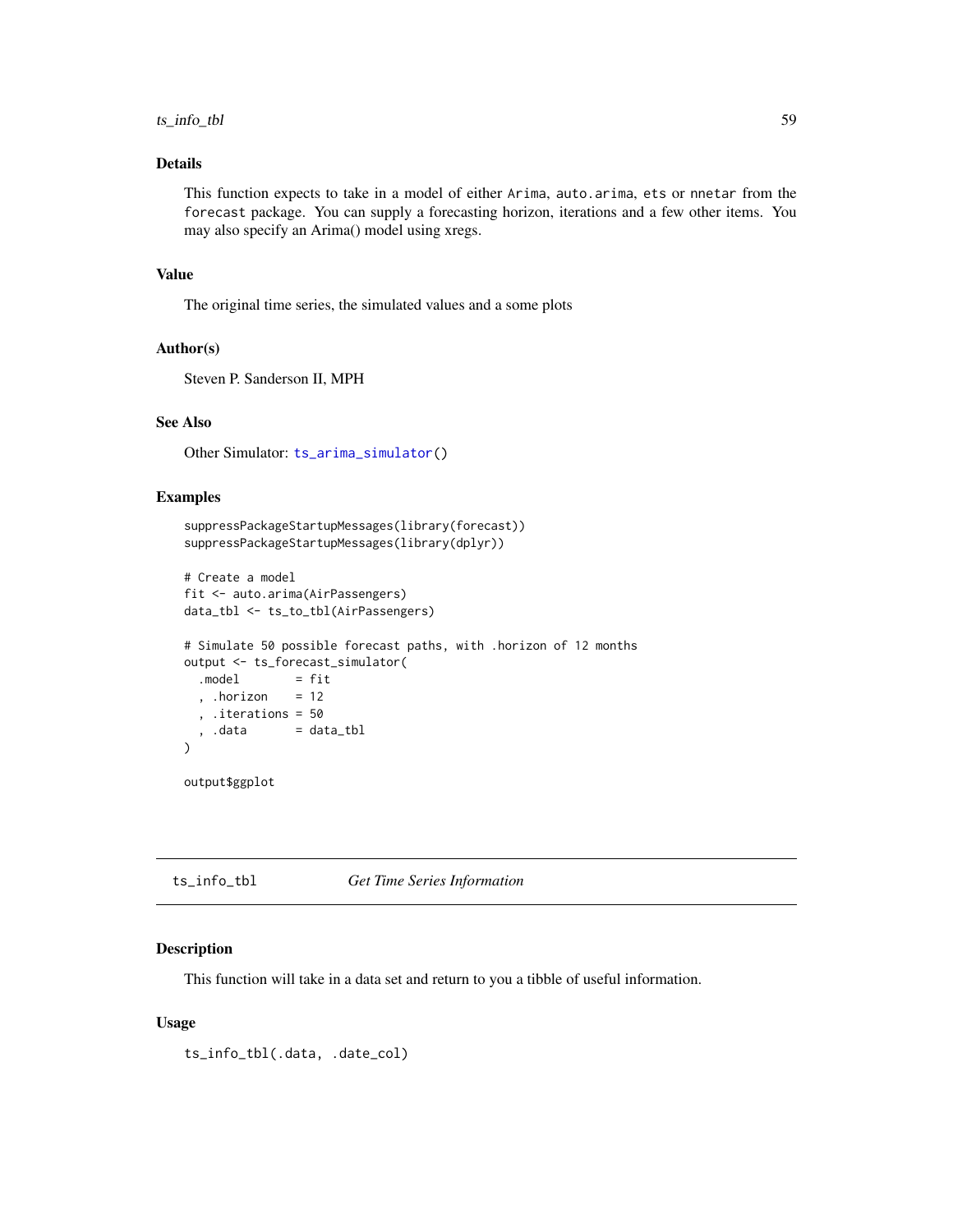### ts\_info\_tbl 59

### Details

This function expects to take in a model of either Arima, auto.arima, ets or nnetar from the forecast package. You can supply a forecasting horizon, iterations and a few other items. You may also specify an Arima() model using xregs.

### Value

The original time series, the simulated values and a some plots

#### Author(s)

Steven P. Sanderson II, MPH

#### See Also

Other Simulator: [ts\\_arima\\_simulator\(](#page-14-0))

#### Examples

```
suppressPackageStartupMessages(library(forecast))
suppressPackageStartupMessages(library(dplyr))
# Create a model
fit <- auto.arima(AirPassengers)
data_tbl <- ts_to_tbl(AirPassengers)
# Simulate 50 possible forecast paths, with .horizon of 12 months
output <- ts_forecast_simulator(
 model = fit
  , .horizon = 12, .iterations = 50
  , data = data_tbl)
```
output\$ggplot

<span id="page-58-0"></span>ts\_info\_tbl *Get Time Series Information*

### Description

This function will take in a data set and return to you a tibble of useful information.

### Usage

ts\_info\_tbl(.data, .date\_col)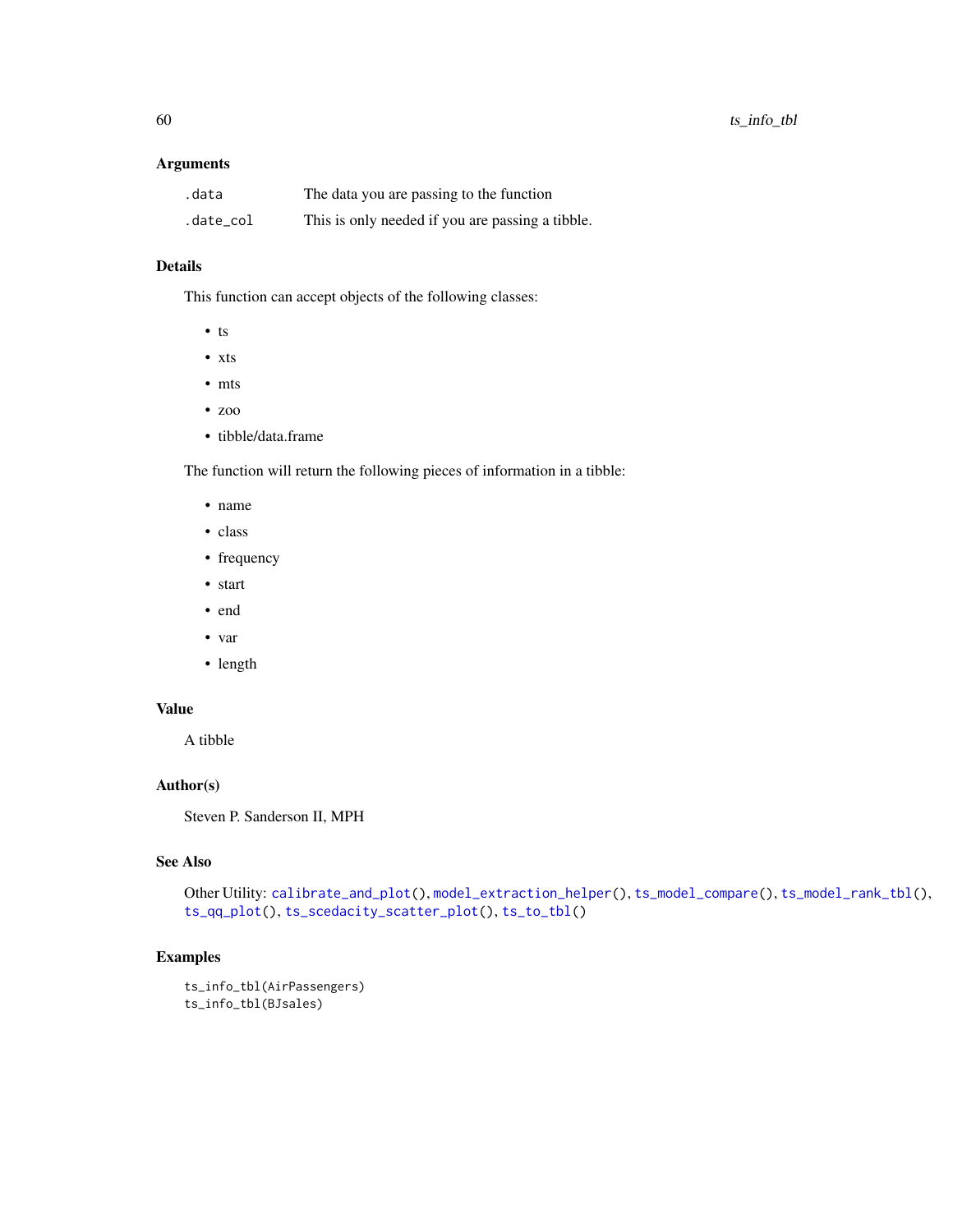### Arguments

| .data     | The data you are passing to the function         |
|-----------|--------------------------------------------------|
| .date_col | This is only needed if you are passing a tibble. |

### Details

This function can accept objects of the following classes:

- ts
- xts
- mts
- zoo
- tibble/data.frame

The function will return the following pieces of information in a tibble:

- name
- class
- frequency
- start
- end
- var
- length

### Value

A tibble

### Author(s)

Steven P. Sanderson II, MPH

### See Also

```
Other Utility: calibrate_and_plot(), model_extraction_helper(), ts_model_compare(), ts_model_rank_tbl(),
ts_qq_plot(), ts_scedacity_scatter_plot(), ts_to_tbl()
```

```
ts_info_tbl(AirPassengers)
ts_info_tbl(BJsales)
```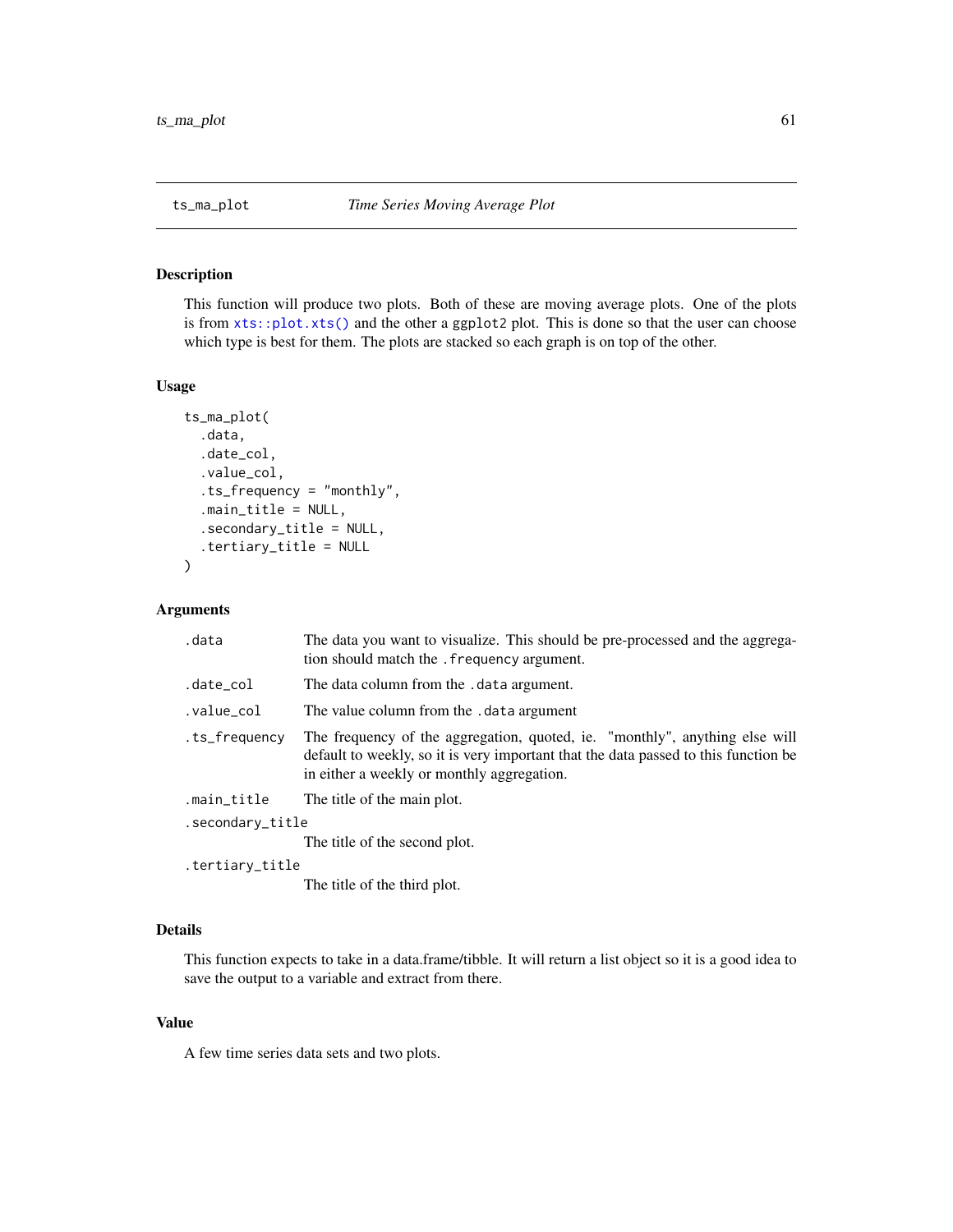### Description

This function will produce two plots. Both of these are moving average plots. One of the plots is from  $xts:plot.xts()$  and the other a ggplot2 plot. This is done so that the user can choose which type is best for them. The plots are stacked so each graph is on top of the other.

#### Usage

```
ts_ma_plot(
  .data,
  .date_col,
  .value_col,
  .ts_frequency = "monthly",
  .main_title = NULL,
  .secondary_title = NULL,
  .tertiary_title = NULL
\mathcal{E}
```
### Arguments

| .data            | The data you want to visualize. This should be pre-processed and the aggrega-<br>tion should match the . frequency argument.                                                                                     |
|------------------|------------------------------------------------------------------------------------------------------------------------------------------------------------------------------------------------------------------|
| .date_col        | The data column from the . data argument.                                                                                                                                                                        |
| .value_col       | The value column from the .data argument                                                                                                                                                                         |
| .ts_frequency    | The frequency of the aggregation, quoted, ie. "monthly", anything else will<br>default to weekly, so it is very important that the data passed to this function be<br>in either a weekly or monthly aggregation. |
| .main_title      | The title of the main plot.                                                                                                                                                                                      |
| .secondary_title |                                                                                                                                                                                                                  |
|                  | The title of the second plot.                                                                                                                                                                                    |
| .tertiary_title  |                                                                                                                                                                                                                  |

The title of the third plot.

### Details

This function expects to take in a data.frame/tibble. It will return a list object so it is a good idea to save the output to a variable and extract from there.

#### Value

A few time series data sets and two plots.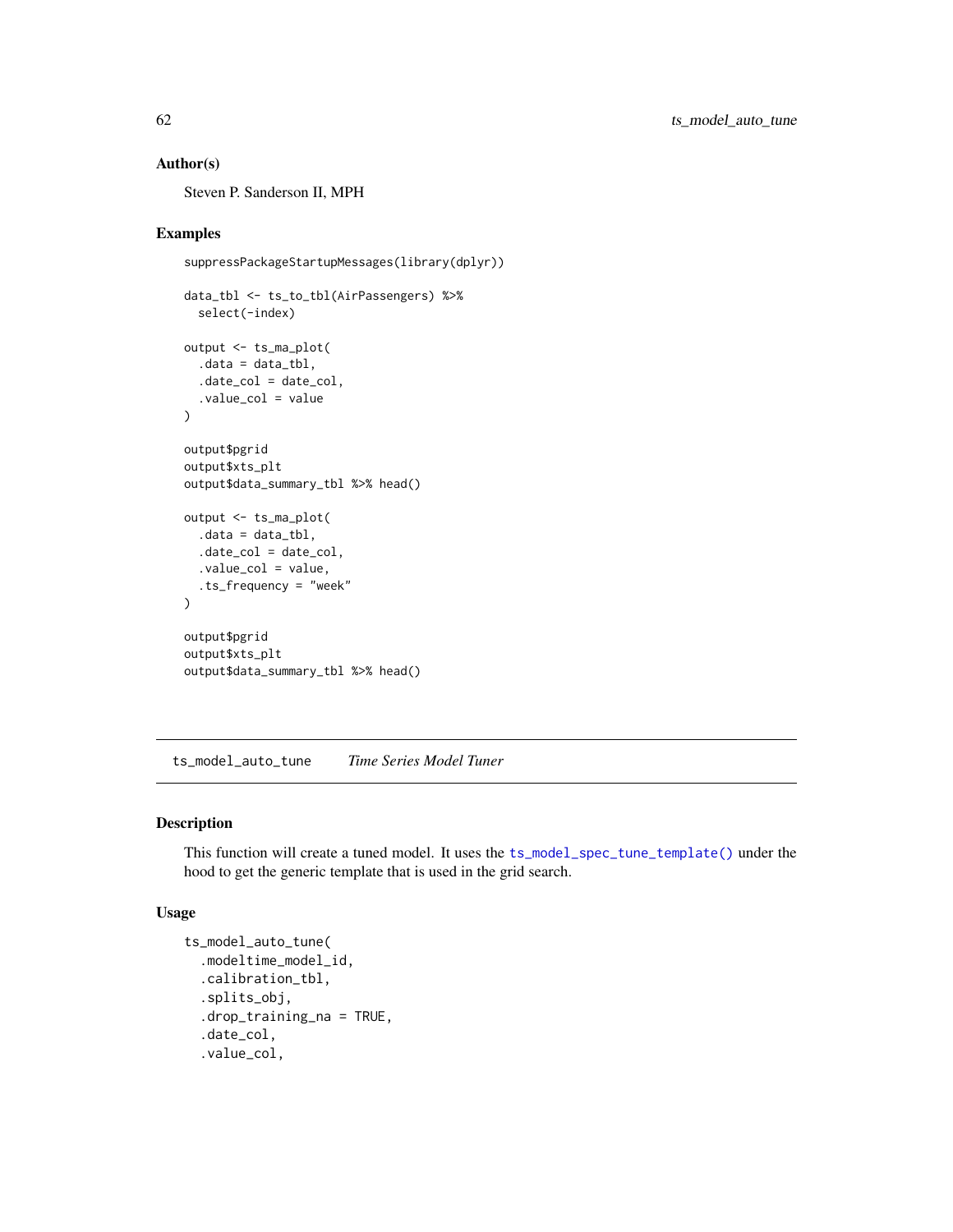#### Author(s)

Steven P. Sanderson II, MPH

#### Examples

```
suppressPackageStartupMessages(library(dplyr))
```

```
data_tbl <- ts_to_tbl(AirPassengers) %>%
  select(-index)
output <- ts_ma_plot(
  data = data_tbl,data_col = date_col,.value_col = value
\lambdaoutput$pgrid
output$xts_plt
output$data_summary_tbl %>% head()
output <- ts_ma_plot(
  data = data_tbl,
  .date_col = date_col,
  .value_col = value,
  .ts_frequency = "week"
)
output$pgrid
output$xts_plt
output$data_summary_tbl %>% head()
```
<span id="page-61-0"></span>ts\_model\_auto\_tune *Time Series Model Tuner*

### Description

This function will create a tuned model. It uses the [ts\\_model\\_spec\\_tune\\_template\(\)](#page-69-0) under the hood to get the generic template that is used in the grid search.

#### Usage

```
ts_model_auto_tune(
  .modeltime_model_id,
  .calibration_tbl,
  .splits_obj,
  .drop_training_na = TRUE,
  .date_col,
  .value_col,
```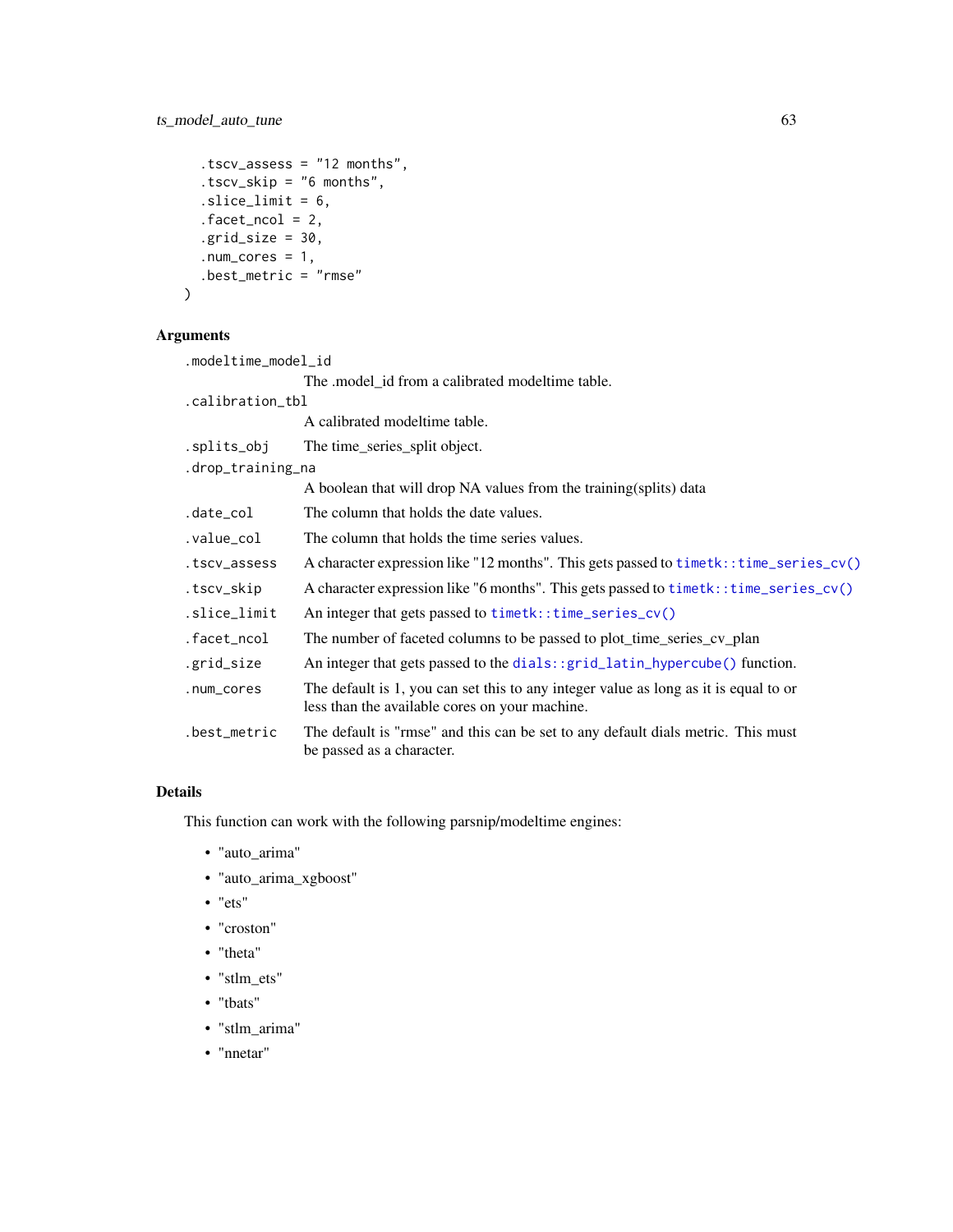## ts\_model\_auto\_tune 63

```
.tscv_assess = "12 months",
  .tscv_skip = "6 months",
  .slice_limit = 6,
  facet\_ncol = 2,
  .grid_size = 30,
  .num_cores = 1,.best_metric = "rmse"
\mathcal{L}
```
### Arguments

| .modeltime_model_id |                                                                                                                                        |  |
|---------------------|----------------------------------------------------------------------------------------------------------------------------------------|--|
|                     | The .model_id from a calibrated modeltime table.                                                                                       |  |
| .calibration_tbl    |                                                                                                                                        |  |
|                     | A calibrated modeltime table.                                                                                                          |  |
| .splits_obj         | The time_series_split object.                                                                                                          |  |
| .drop_training_na   |                                                                                                                                        |  |
|                     | A boolean that will drop NA values from the training (splits) data                                                                     |  |
| .date_col           | The column that holds the date values.                                                                                                 |  |
| .value_col          | The column that holds the time series values.                                                                                          |  |
| .tscv_assess        | A character expression like "12 months". This gets passed to timetk::time_series_cv()                                                  |  |
| .tscv_skip          | A character expression like "6 months". This gets passed to timetk::time_series_cv()                                                   |  |
| .slice_limit        | An integer that gets passed to timetk::time_series_cv()                                                                                |  |
| .facet ncol         | The number of faceted columns to be passed to plot_time_series_cv_plan                                                                 |  |
| .grid_size          | An integer that gets passed to the dials::grid_latin_hypercube() function.                                                             |  |
| .num_cores          | The default is 1, you can set this to any integer value as long as it is equal to or<br>less than the available cores on your machine. |  |
| .best_metric        | The default is "rmse" and this can be set to any default dials metric. This must<br>be passed as a character.                          |  |
|                     |                                                                                                                                        |  |

## Details

This function can work with the following parsnip/modeltime engines:

- "auto\_arima"
- "auto\_arima\_xgboost"
- "ets"
- "croston"
- "theta"
- "stlm\_ets"
- "tbats"
- "stlm\_arima"
- "nnetar"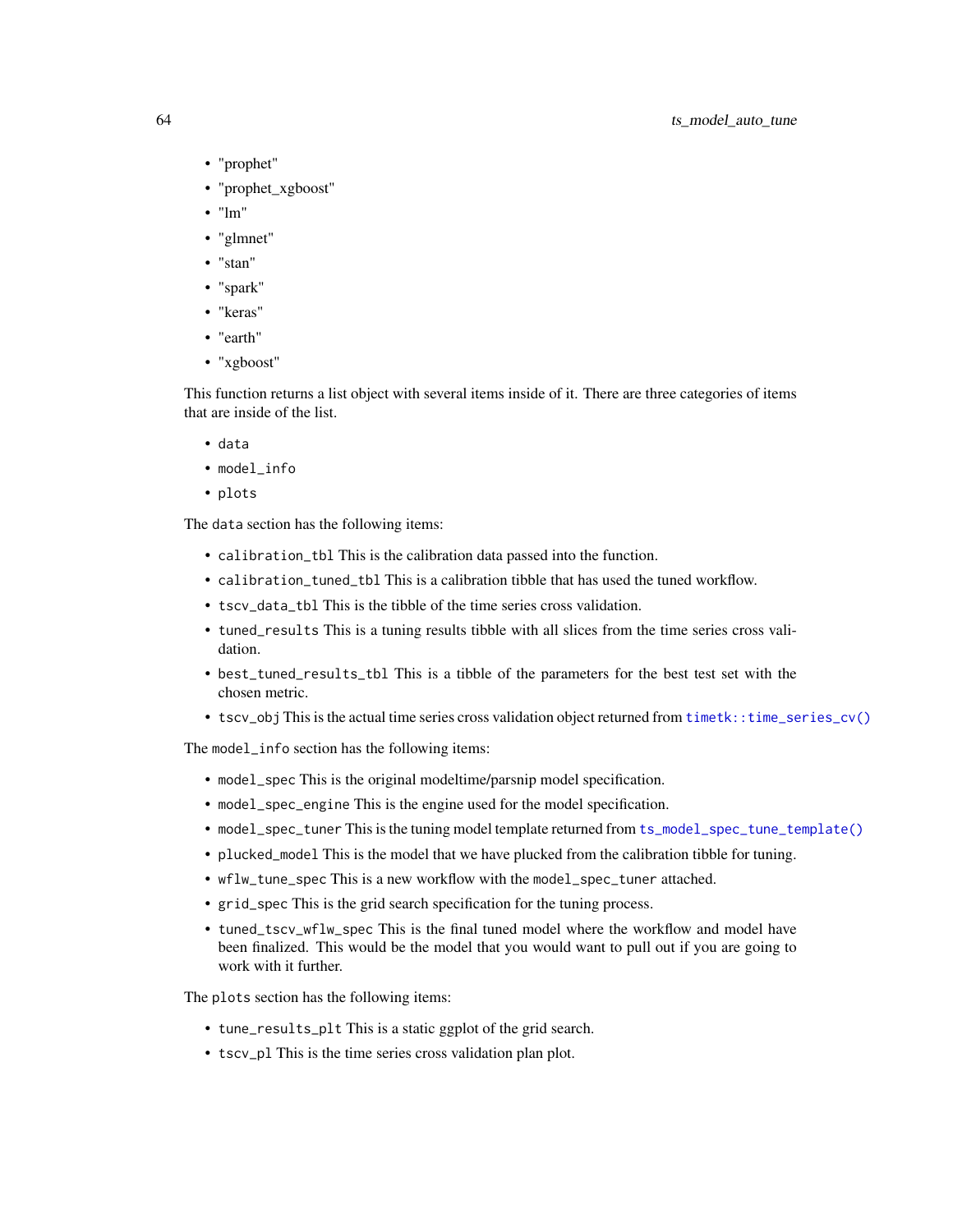- "prophet"
- "prophet\_xgboost"
- "lm"
- "glmnet"
- "stan"
- "spark"
- "keras"
- "earth"
- "xgboost"

This function returns a list object with several items inside of it. There are three categories of items that are inside of the list.

- data
- model\_info
- plots

The data section has the following items:

- calibration\_tbl This is the calibration data passed into the function.
- calibration\_tuned\_tbl This is a calibration tibble that has used the tuned workflow.
- tscv\_data\_tbl This is the tibble of the time series cross validation.
- tuned\_results This is a tuning results tibble with all slices from the time series cross validation.
- best\_tuned\_results\_tbl This is a tibble of the parameters for the best test set with the chosen metric.
- tscv\_obj This is the actual time series cross validation object returned from [timetk::time\\_series\\_cv\(\)](#page-0-0)

The model\_info section has the following items:

- model\_spec This is the original modeltime/parsnip model specification.
- model\_spec\_engine This is the engine used for the model specification.
- model\_spec\_tuner This is the tuning model template returned from [ts\\_model\\_spec\\_tune\\_template\(\)](#page-69-0)
- plucked\_model This is the model that we have plucked from the calibration tibble for tuning.
- wflw\_tune\_spec This is a new workflow with the model\_spec\_tuner attached.
- grid\_spec This is the grid search specification for the tuning process.
- tuned\_tscv\_wflw\_spec This is the final tuned model where the workflow and model have been finalized. This would be the model that you would want to pull out if you are going to work with it further.

The plots section has the following items:

- tune\_results\_plt This is a static ggplot of the grid search.
- tscv\_pl This is the time series cross validation plan plot.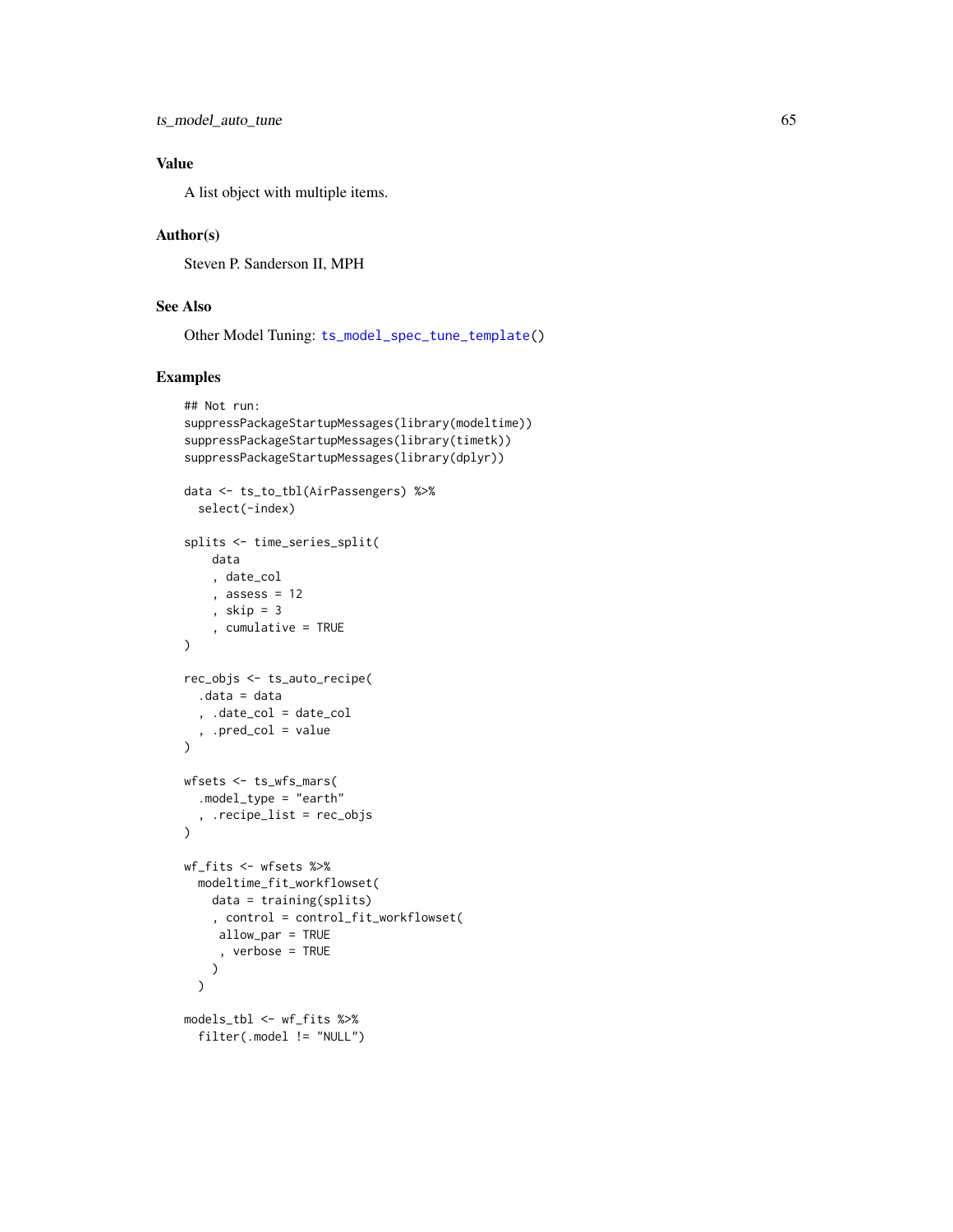ts\_model\_auto\_tune 65

### Value

A list object with multiple items.

#### Author(s)

Steven P. Sanderson II, MPH

### See Also

Other Model Tuning: [ts\\_model\\_spec\\_tune\\_template\(](#page-69-0))

```
## Not run:
suppressPackageStartupMessages(library(modeltime))
suppressPackageStartupMessages(library(timetk))
suppressPackageStartupMessages(library(dplyr))
data <- ts_to_tbl(AirPassengers) %>%
  select(-index)
splits <- time_series_split(
   data
    , date_col
    , assess = 12
    , skip = 3
    , cumulative = TRUE
\lambdarec_objs <- ts_auto_recipe(
  .data = data
  , .date_col = date_col
  , .pred_col = value
\lambdawfsets <- ts_wfs_mars(
  .model_type = "earth"
  , .recipe_list = rec_objs
\lambdawf_fits <- wfsets %>%
 modeltime_fit_workflowset(
    data = training(splits)
    , control = control_fit_workflowset(
    allow_par = TRUE
     , verbose = TRUE
    )
  \mathcal{L}models_tbl <- wf_fits %>%
  filter(.model != "NULL")
```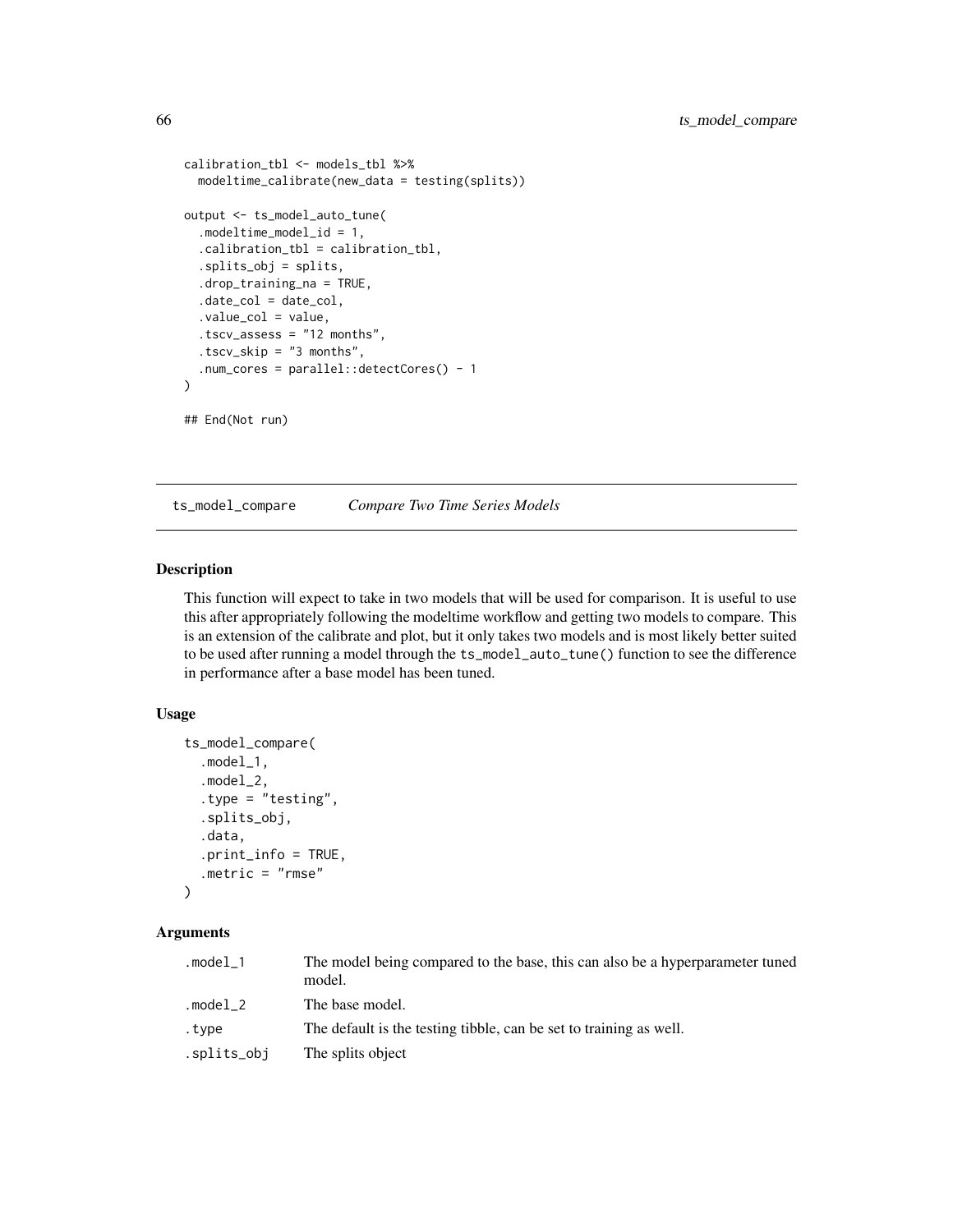```
calibration_tbl <- models_tbl %>%
 modeltime_calibrate(new_data = testing(splits))
output <- ts_model_auto_tune(
  .modeltime_model_id = 1,
 .calibration_tbl = calibration_tbl,
 .splits_obj = splits,
 .drop_training_na = TRUE,
 data_col = date_col,.value_col = value,
  .tscv_assess = "12 months",
  .tscv_skip = "3 months",
  .num_cores = parallel::detectCores() - 1
\mathcal{L}## End(Not run)
```
<span id="page-65-0"></span>ts\_model\_compare *Compare Two Time Series Models*

### Description

This function will expect to take in two models that will be used for comparison. It is useful to use this after appropriately following the modeltime workflow and getting two models to compare. This is an extension of the calibrate and plot, but it only takes two models and is most likely better suited to be used after running a model through the ts\_model\_auto\_tune() function to see the difference in performance after a base model has been tuned.

#### Usage

```
ts_model_compare(
  .model_1,
  .model_2,
  .type = "testing",
  .splits_obj,
  .data,
  .print_info = TRUE,
  .metric = "rmse"
```
## )

## Arguments

| . $model_1$ | The model being compared to the base, this can also be a hyperparameter tuned<br>model. |
|-------------|-----------------------------------------------------------------------------------------|
| .model_2    | The base model.                                                                         |
| .type.      | The default is the testing tibble, can be set to training as well.                      |
| .splits_obj | The splits object                                                                       |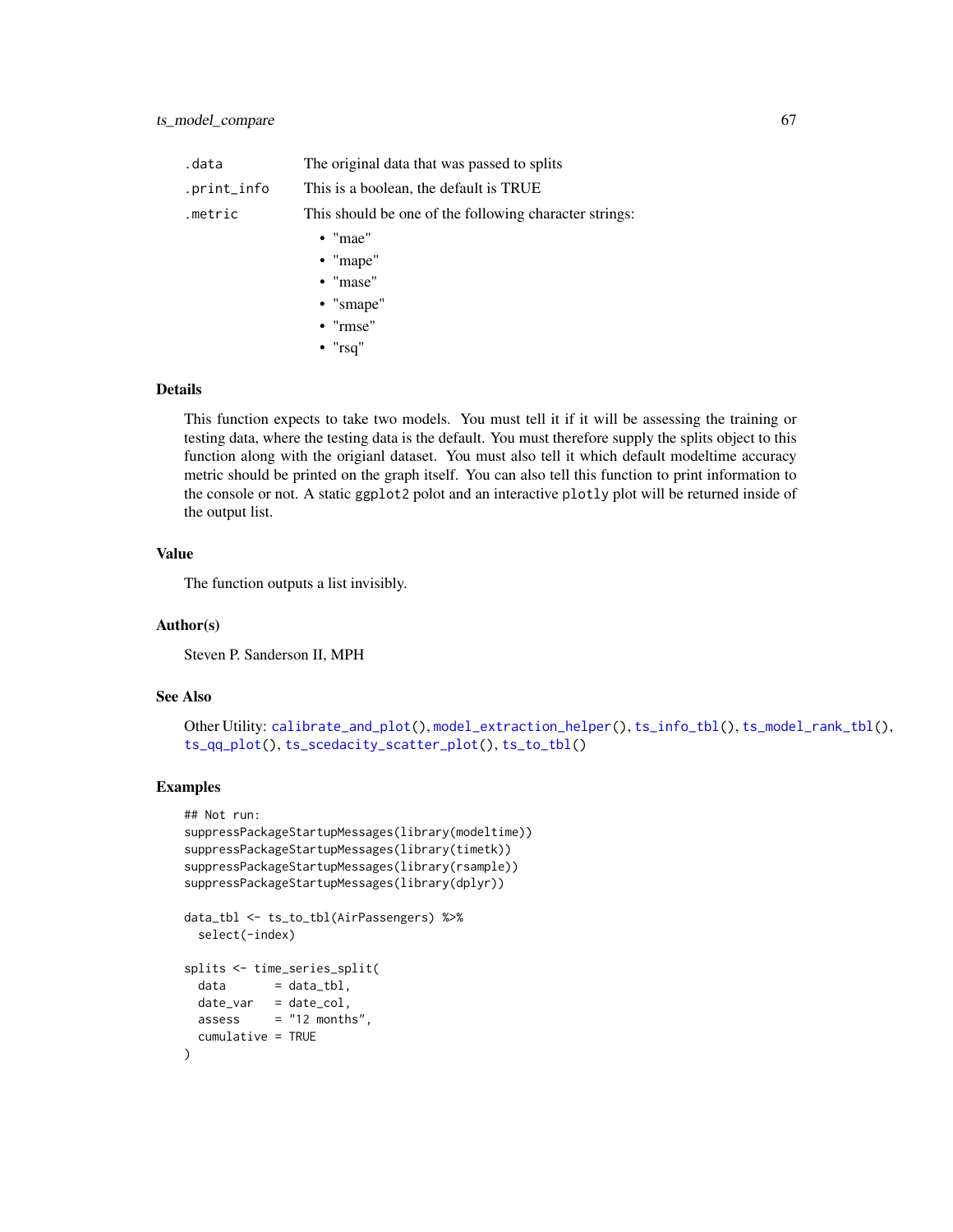| .data       | The original data that was passed to splits            |
|-------------|--------------------------------------------------------|
| .print_info | This is a boolean, the default is TRUE                 |
| .metric     | This should be one of the following character strings: |
|             | $\bullet$ "mae"                                        |
|             | $\bullet$ "mape"                                       |
|             | $\bullet$ "mase"                                       |
|             | $\bullet$ "smape"                                      |
|             | $\bullet$ "rmse"                                       |
|             | $\cdot$ "rsq"                                          |

#### Details

This function expects to take two models. You must tell it if it will be assessing the training or testing data, where the testing data is the default. You must therefore supply the splits object to this function along with the origianl dataset. You must also tell it which default modeltime accuracy metric should be printed on the graph itself. You can also tell this function to print information to the console or not. A static ggplot2 polot and an interactive plotly plot will be returned inside of the output list.

#### Value

The function outputs a list invisibly.

### Author(s)

Steven P. Sanderson II, MPH

#### See Also

```
Other Utility: calibrate_and_plot(), model_extraction_helper(), ts_info_tbl(), ts_model_rank_tbl(),
ts_qq_plot(), ts_scedacity_scatter_plot(), ts_to_tbl()
```

```
## Not run:
suppressPackageStartupMessages(library(modeltime))
suppressPackageStartupMessages(library(timetk))
suppressPackageStartupMessages(library(rsample))
suppressPackageStartupMessages(library(dplyr))
```

```
data_tbl <- ts_to_tbl(AirPassengers) %>%
 select(-index)
splits <- time_series_split(
 data = data_tbl,
 date_var = date_col,
 assess = "12 months",
 cumulative = TRUE
)
```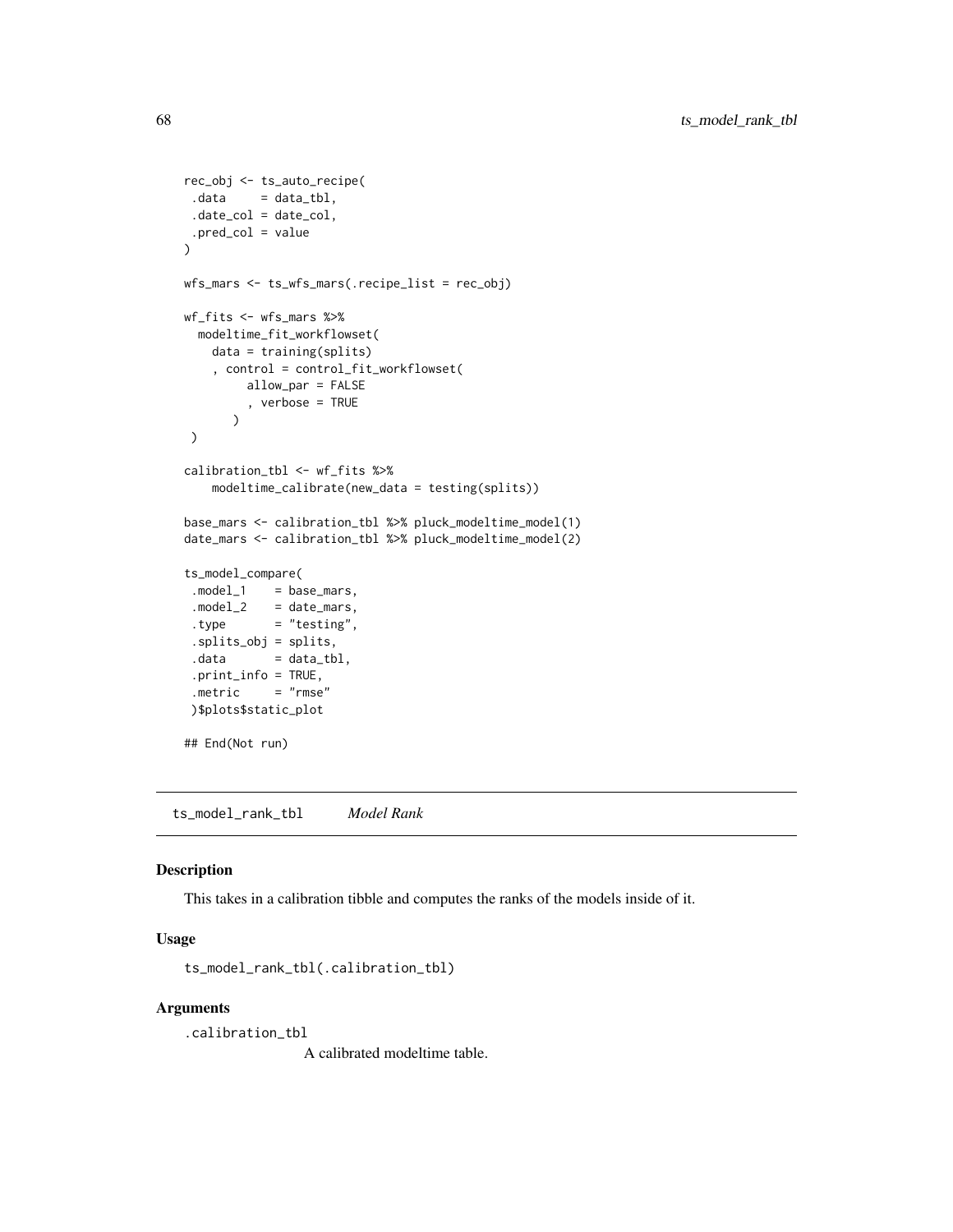```
rec_obj <- ts_auto_recipe(
 data = data_tbl,.data\_col = date\_col,.pred_col = value
\lambdawfs_mars <- ts_wfs_mars(.recipe_list = rec_obj)
wf_fits <- wfs_mars %>%
  modeltime_fit_workflowset(
   data = training(splits)
    , control = control_fit_workflowset(
         allow_par = FALSE
         , verbose = TRUE
       \lambda\mathcal{L}calibration_tbl <- wf_fits %>%
    modeltime_calibrate(new_data = testing(splits))
base_mars <- calibration_tbl %>% pluck_modeltime_model(1)
date_mars <- calibration_tbl %>% pluck_modeltime_model(2)
ts_model_compare(
 model_1 = base_mars,
 .model_2 = date_mars,
 .type = "testing",
 .splits_obj = splits,
 data = data_tbl,
 .print_info = TRUE,
 . metric = "rmse"
 )$plots$static_plot
## End(Not run)
```
<span id="page-67-0"></span>ts\_model\_rank\_tbl *Model Rank*

#### Description

This takes in a calibration tibble and computes the ranks of the models inside of it.

#### Usage

```
ts_model_rank_tbl(.calibration_tbl)
```
#### Arguments

.calibration\_tbl

A calibrated modeltime table.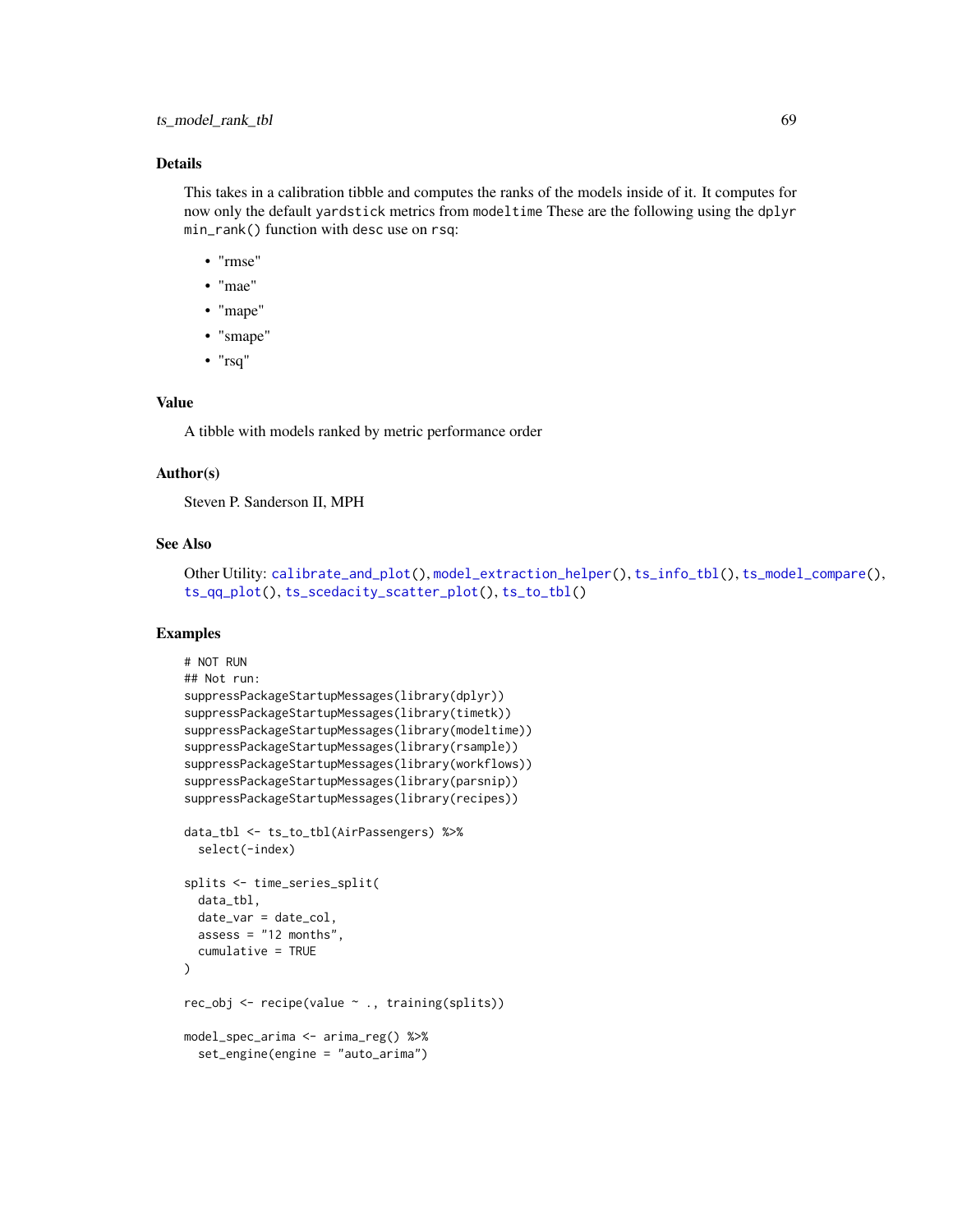#### Details

This takes in a calibration tibble and computes the ranks of the models inside of it. It computes for now only the default yardstick metrics from modeltime These are the following using the dplyr min\_rank() function with desc use on rsq:

- "rmse"
- "mae"
- "mape"
- "smape"
- "rsq"

#### Value

A tibble with models ranked by metric performance order

### Author(s)

Steven P. Sanderson II, MPH

#### See Also

```
Other Utility: calibrate_and_plot(), model_extraction_helper(), ts_info_tbl(), ts_model_compare(),
ts_qq_plot(), ts_scedacity_scatter_plot(), ts_to_tbl()
```

```
# NOT RUN
## Not run:
suppressPackageStartupMessages(library(dplyr))
suppressPackageStartupMessages(library(timetk))
suppressPackageStartupMessages(library(modeltime))
suppressPackageStartupMessages(library(rsample))
suppressPackageStartupMessages(library(workflows))
suppressPackageStartupMessages(library(parsnip))
suppressPackageStartupMessages(library(recipes))
data_tbl <- ts_to_tbl(AirPassengers) %>%
  select(-index)
splits <- time_series_split(
  data_tbl,
  date_var = date_col,
  assess = "12 months",
  cumulative = TRUE
)
rec_obj <- recipe(value ~ ., training(splits))
model_spec_arima <- arima_reg() %>%
  set_engine(engine = "auto_arima")
```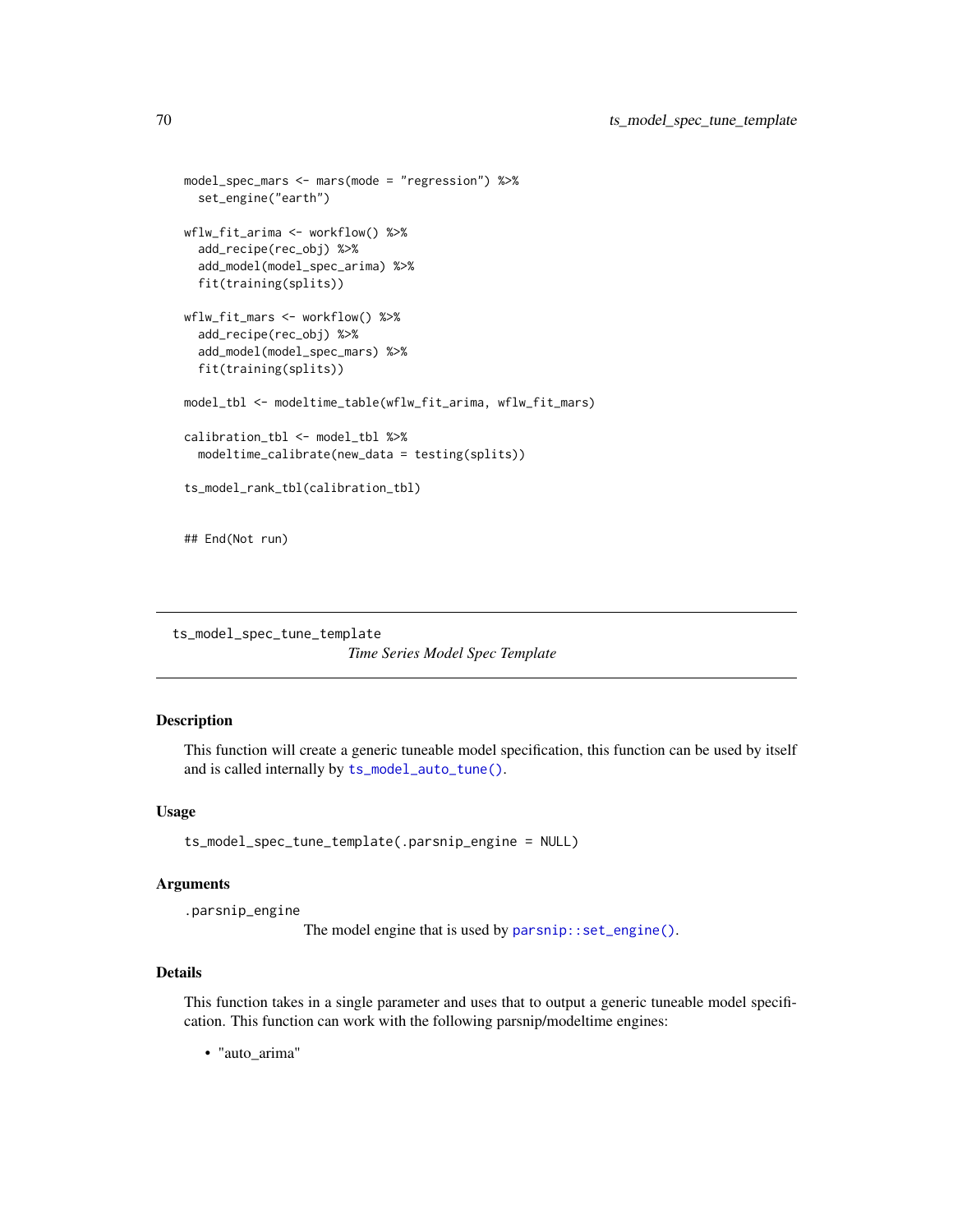```
model_spec_mars <- mars(mode = "regression") %>%
  set_engine("earth")
wflw_fit_arima <- workflow() %>%
  add_recipe(rec_obj) %>%
  add_model(model_spec_arima) %>%
  fit(training(splits))
wflw_fit_mars <- workflow() %>%
  add_recipe(rec_obj) %>%
  add_model(model_spec_mars) %>%
  fit(training(splits))
model_tbl <- modeltime_table(wflw_fit_arima, wflw_fit_mars)
calibration_tbl <- model_tbl %>%
  modeltime_calibrate(new_data = testing(splits))
ts_model_rank_tbl(calibration_tbl)
## End(Not run)
```
<span id="page-69-0"></span>ts\_model\_spec\_tune\_template

*Time Series Model Spec Template*

#### Description

This function will create a generic tuneable model specification, this function can be used by itself and is called internally by [ts\\_model\\_auto\\_tune\(\)](#page-61-0).

#### Usage

```
ts_model_spec_tune_template(.parsnip_engine = NULL)
```
#### Arguments

.parsnip\_engine

The model engine that is used by [parsnip::set\\_engine\(\)](#page-0-0).

#### Details

This function takes in a single parameter and uses that to output a generic tuneable model specification. This function can work with the following parsnip/modeltime engines:

• "auto\_arima"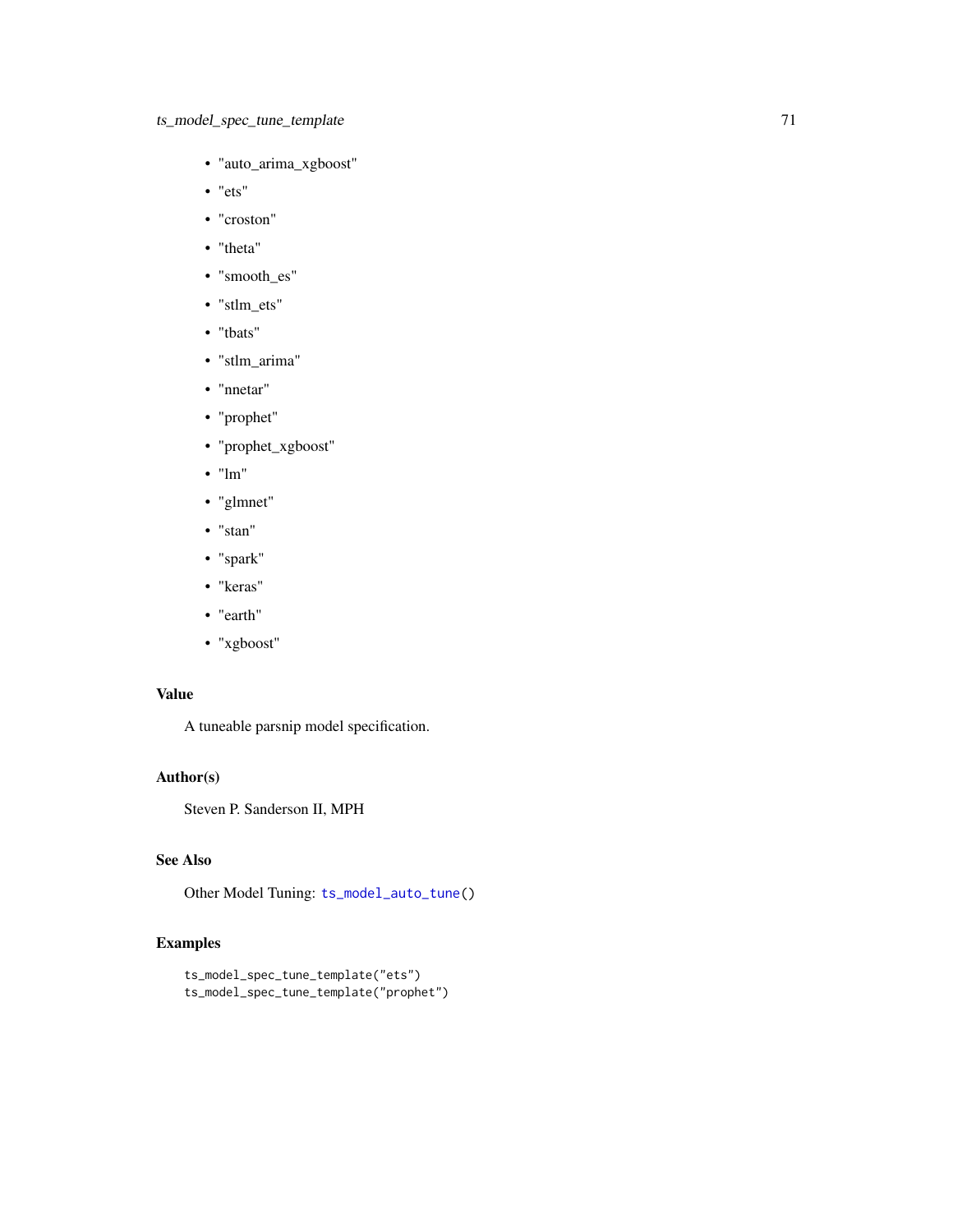- "auto\_arima\_xgboost"
- "ets"
- "croston"
- "theta"
- "smooth\_es"
- "stlm\_ets"
- "tbats"
- "stlm\_arima"
- "nnetar"
- "prophet"
- "prophet\_xgboost"
- $\cdot$  "lm"
- "glmnet"
- "stan"
- "spark"
- "keras"
- "earth"
- "xgboost"

### Value

A tuneable parsnip model specification.

### Author(s)

Steven P. Sanderson II, MPH

## See Also

Other Model Tuning: [ts\\_model\\_auto\\_tune\(](#page-61-0))

```
ts_model_spec_tune_template("ets")
ts_model_spec_tune_template("prophet")
```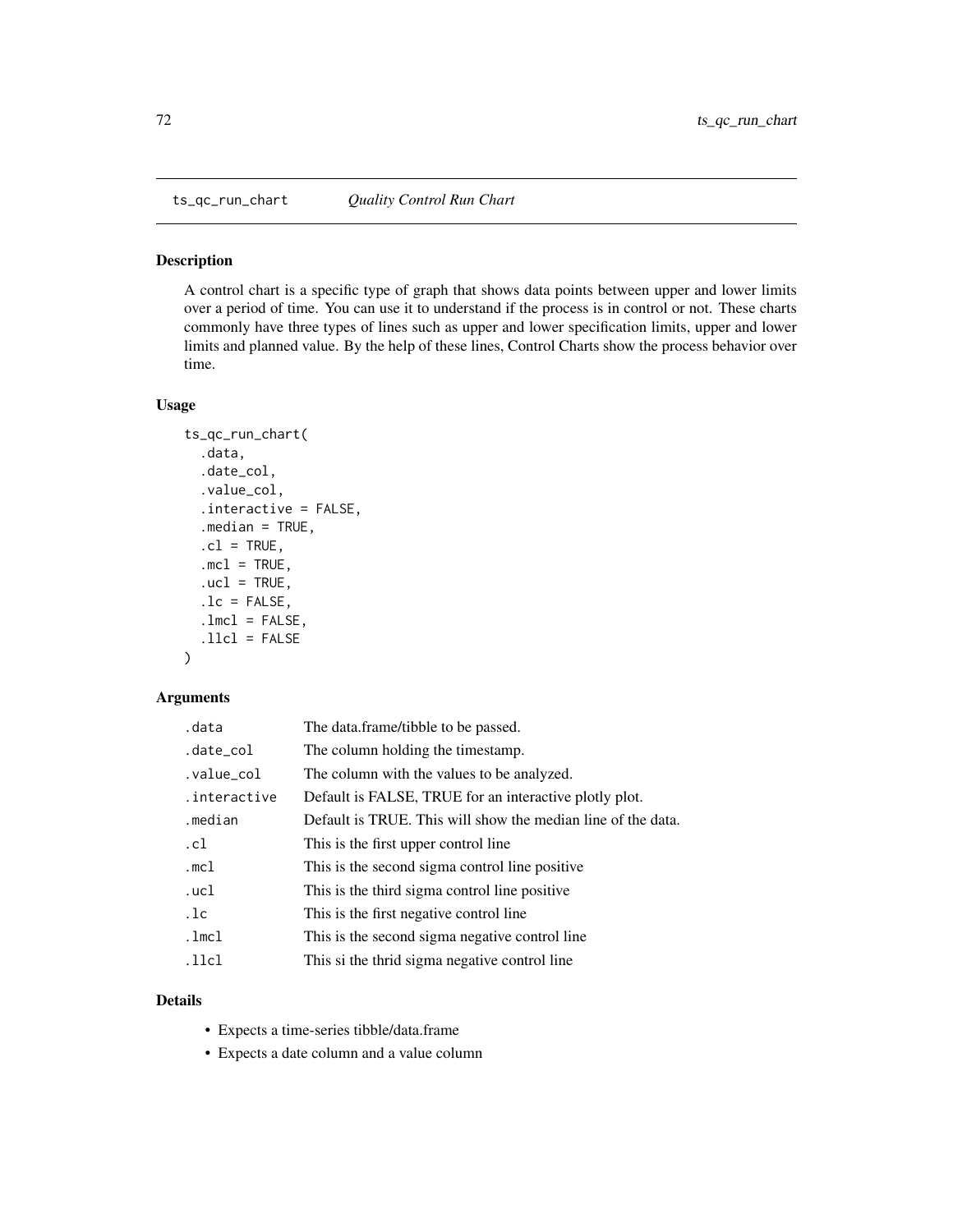#### Description

A control chart is a specific type of graph that shows data points between upper and lower limits over a period of time. You can use it to understand if the process is in control or not. These charts commonly have three types of lines such as upper and lower specification limits, upper and lower limits and planned value. By the help of these lines, Control Charts show the process behavior over time.

#### Usage

```
ts_qc_run_chart(
  .data,
  .date_col,
  .value_col,
  .interactive = FALSE,
  .median = TRUE,
  cl = TRUE,.mcl = TRUE,ucl = TRUE,\text{.}1c = \text{FALSE},
  .lmc1 = FALSE,.llcl = FALSE
)
```
#### Arguments

| .data        | The data.frame/tibble to be passed.                          |
|--------------|--------------------------------------------------------------|
| .date_col    | The column holding the timestamp.                            |
| .value_col   | The column with the values to be analyzed.                   |
| .interactive | Default is FALSE, TRUE for an interactive plotly plot.       |
| .median      | Default is TRUE. This will show the median line of the data. |
| .cl          | This is the first upper control line                         |
| . $mc1$      | This is the second sigma control line positive               |
| .ucl         | This is the third sigma control line positive                |
| .1c          | This is the first negative control line                      |
| . $lmcl$     | This is the second sigma negative control line               |
| .11c1        | This si the thrid sigma negative control line                |

## Details

- Expects a time-series tibble/data.frame
- Expects a date column and a value column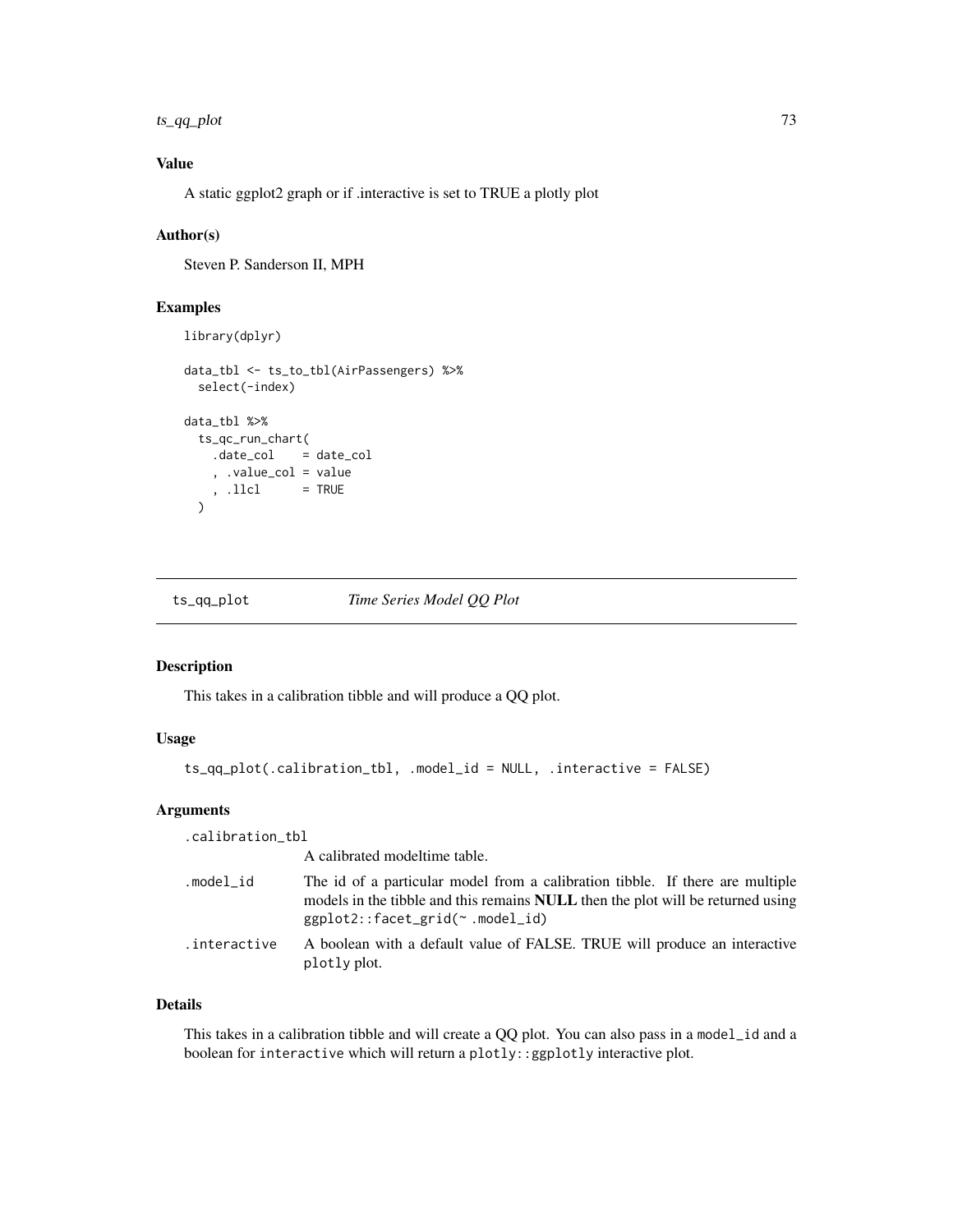<span id="page-72-1"></span>ts\_qq\_plot 73

# Value

A static ggplot2 graph or if .interactive is set to TRUE a plotly plot

# Author(s)

Steven P. Sanderson II, MPH

# Examples

```
library(dplyr)
data_tbl <- ts_to_tbl(AirPassengers) %>%
  select(-index)
data_tbl %>%
  ts_qc_run_chart(
    .data\_col = date_col
    , .value_col = value
    , .llcl = TRUE
  \lambda
```
# <span id="page-72-0"></span>ts\_qq\_plot *Time Series Model QQ Plot*

# Description

This takes in a calibration tibble and will produce a QQ plot.

# Usage

```
ts_qq_plot(.calibration_tbl, .model_id = NULL, .interactive = FALSE)
```
#### Arguments

| .calibration_tbl |                                                                                                                                                                                                                  |
|------------------|------------------------------------------------------------------------------------------------------------------------------------------------------------------------------------------------------------------|
|                  | A calibrated model time table.                                                                                                                                                                                   |
| .model_id        | The id of a particular model from a calibration tibble. If there are multiple<br>models in the tibble and this remains <b>NULL</b> then the plot will be returned using<br>$ggplot2::facet\_grid(\sim model_id)$ |
| .interactive     | A boolean with a default value of FALSE. TRUE will produce an interactive<br>plotly plot.                                                                                                                        |

#### Details

This takes in a calibration tibble and will create a QQ plot. You can also pass in a model\_id and a boolean for interactive which will return a plotly::ggplotly interactive plot.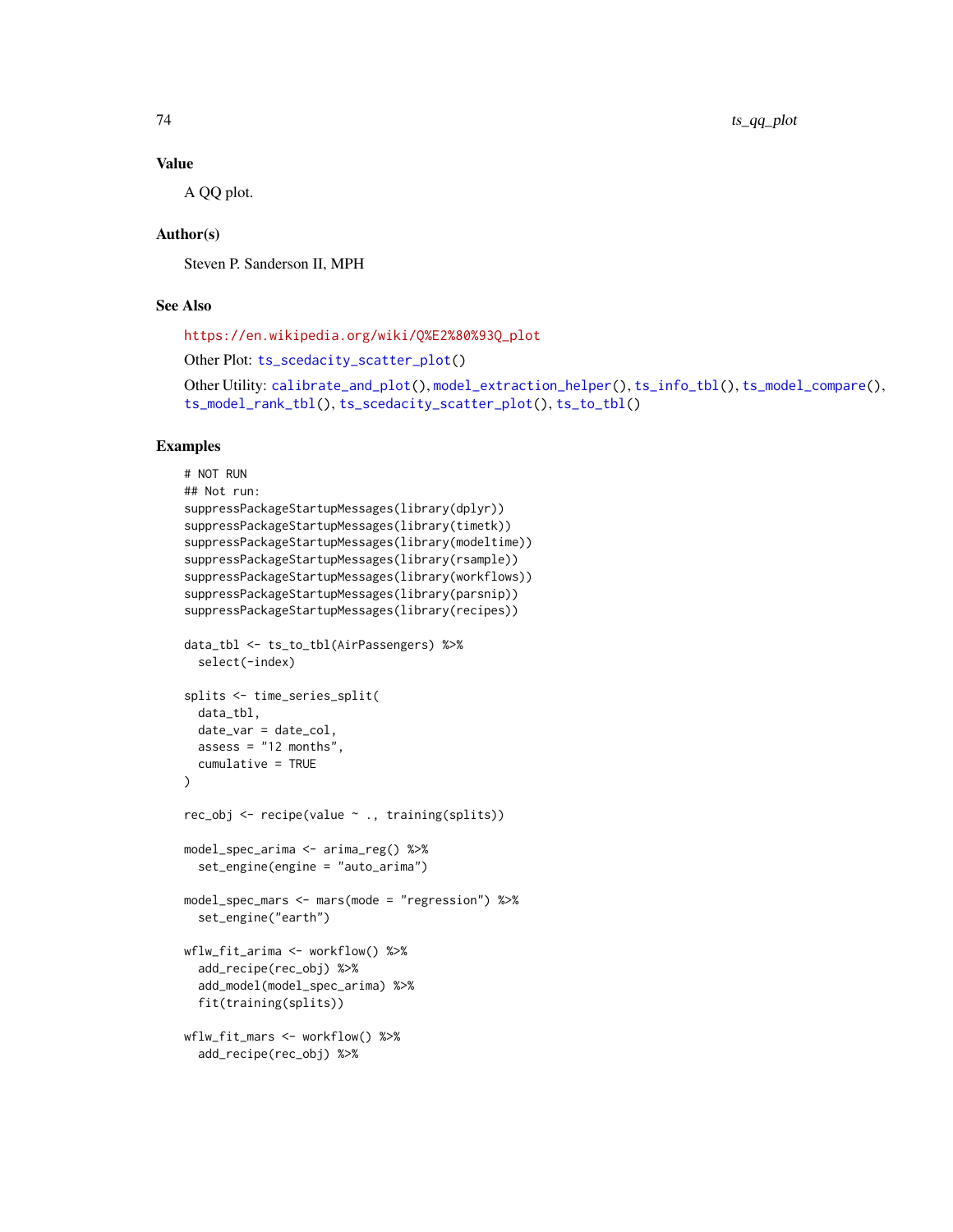# <span id="page-73-0"></span>Value

A QQ plot.

## Author(s)

Steven P. Sanderson II, MPH

# See Also

[https://en.wikipedia.org/wiki/Q%E2%80%93Q\\_plot](https://en.wikipedia.org/wiki/Q%E2%80%93Q_plot)

Other Plot: [ts\\_scedacity\\_scatter\\_plot\(](#page-77-0))

```
Other Utility: calibrate_and_plot(), model_extraction_helper(), ts_info_tbl(), ts_model_compare(),
ts_model_rank_tbl(), ts_scedacity_scatter_plot(), ts_to_tbl()
```

```
# NOT RUN
## Not run:
suppressPackageStartupMessages(library(dplyr))
suppressPackageStartupMessages(library(timetk))
suppressPackageStartupMessages(library(modeltime))
suppressPackageStartupMessages(library(rsample))
suppressPackageStartupMessages(library(workflows))
suppressPackageStartupMessages(library(parsnip))
suppressPackageStartupMessages(library(recipes))
data_tbl <- ts_to_tbl(AirPassengers) %>%
  select(-index)
splits <- time_series_split(
  data_tbl,
  date_var = date_col,
  assess = "12 months",
  cumulative = TRUE
)
rec_obj <- recipe(value ~ ., training(splits))
model_spec_arima <- arima_reg() %>%
  set_engine(engine = "auto_arima")
model_spec_mars <- mars(mode = "regression") %>%
  set_engine("earth")
wflw_fit_arima <- workflow() %>%
  add_recipe(rec_obj) %>%
  add_model(model_spec_arima) %>%
  fit(training(splits))
wflw_fit_mars <- workflow() %>%
  add_recipe(rec_obj) %>%
```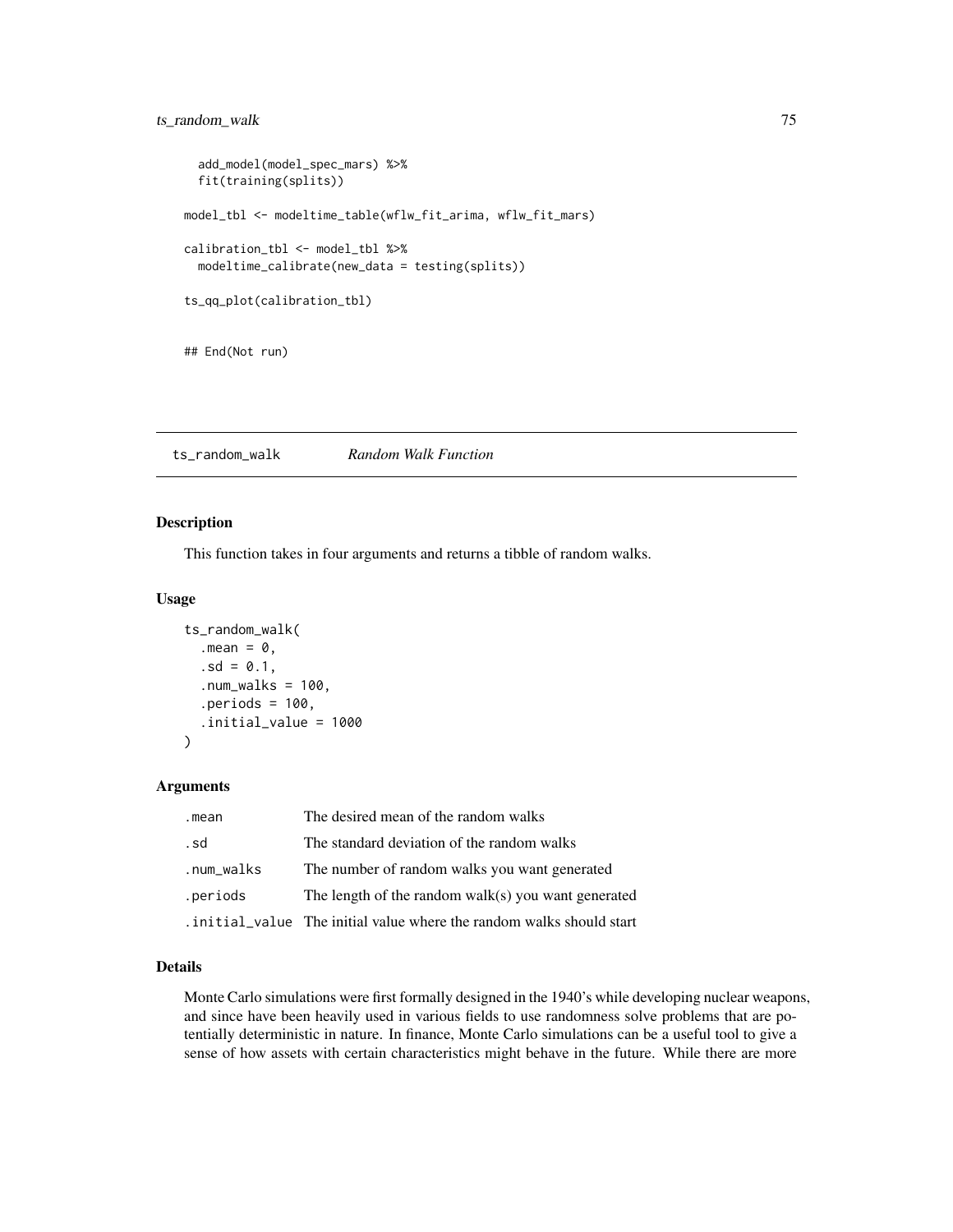# <span id="page-74-1"></span>ts\_random\_walk 75

```
add_model(model_spec_mars) %>%
 fit(training(splits))
model_tbl <- modeltime_table(wflw_fit_arima, wflw_fit_mars)
calibration_tbl <- model_tbl %>%
 modeltime_calibrate(new_data = testing(splits))
ts_qq_plot(calibration_tbl)
## End(Not run)
```
<span id="page-74-0"></span>ts\_random\_walk *Random Walk Function*

#### Description

This function takes in four arguments and returns a tibble of random walks.

#### Usage

```
ts_random_walk(
  .mean = \theta,
  . sd = 0.1,num\_walks = 100,
  .periods = 100,
  .initial_value = 1000
)
```
# Arguments

| .mean      | The desired mean of the random walks                                  |
|------------|-----------------------------------------------------------------------|
| .sd        | The standard deviation of the random walks                            |
| .num_walks | The number of random walks you want generated                         |
| .periods   | The length of the random walk(s) you want generated                   |
|            | . initial_value The initial value where the random walks should start |

# Details

Monte Carlo simulations were first formally designed in the 1940's while developing nuclear weapons, and since have been heavily used in various fields to use randomness solve problems that are potentially deterministic in nature. In finance, Monte Carlo simulations can be a useful tool to give a sense of how assets with certain characteristics might behave in the future. While there are more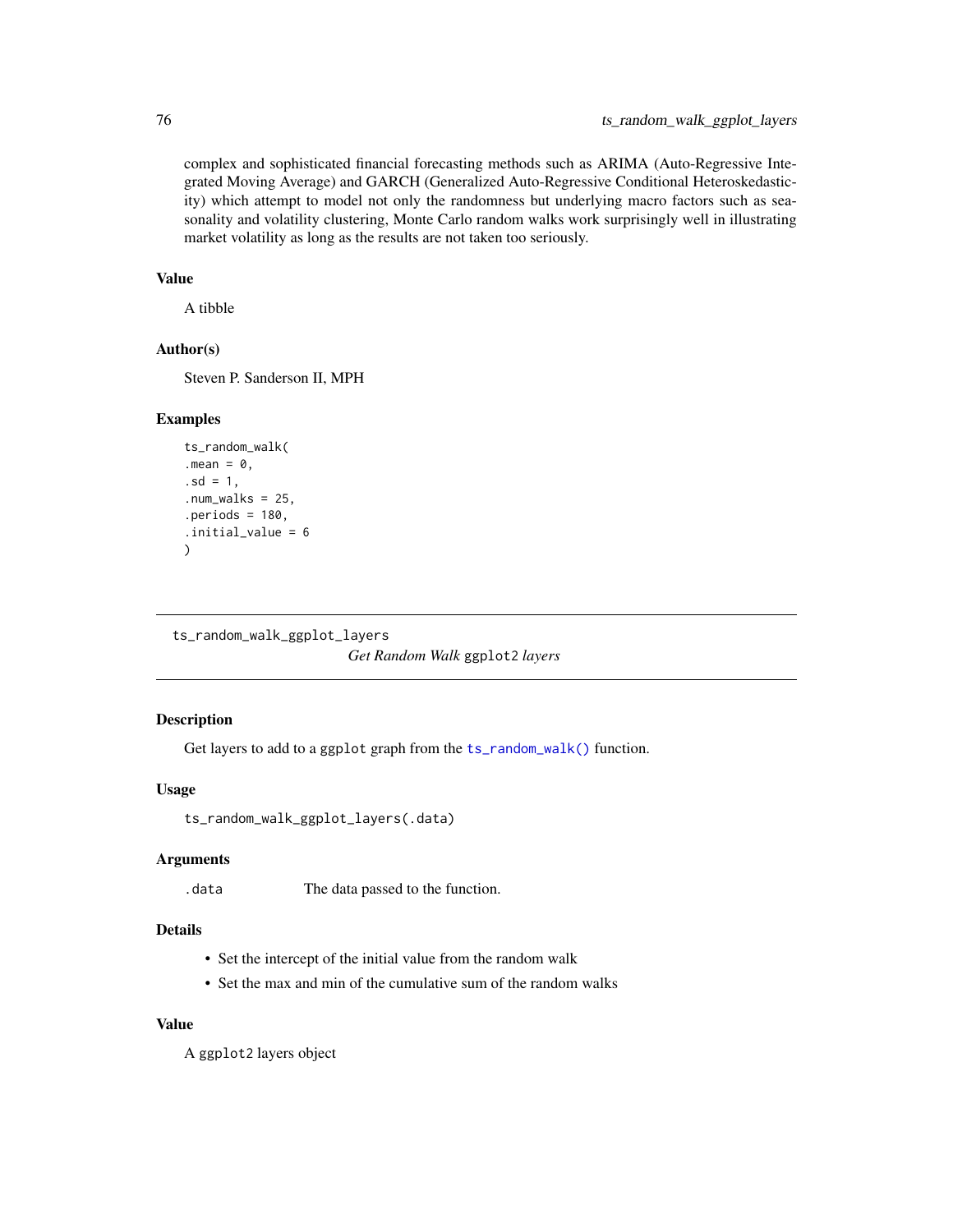complex and sophisticated financial forecasting methods such as ARIMA (Auto-Regressive Integrated Moving Average) and GARCH (Generalized Auto-Regressive Conditional Heteroskedasticity) which attempt to model not only the randomness but underlying macro factors such as seasonality and volatility clustering, Monte Carlo random walks work surprisingly well in illustrating market volatility as long as the results are not taken too seriously.

#### Value

A tibble

# Author(s)

Steven P. Sanderson II, MPH

# Examples

```
ts_random_walk(
.mean = \theta,
. sd = 1,.num_walks = 25,
.periods = 180,
.initial_value = 6
)
```
ts\_random\_walk\_ggplot\_layers *Get Random Walk* ggplot2 *layers*

# Description

Get layers to add to a ggplot graph from the [ts\\_random\\_walk\(\)](#page-74-0) function.

#### Usage

```
ts_random_walk_ggplot_layers(.data)
```
#### Arguments

.data The data passed to the function.

# Details

- Set the intercept of the initial value from the random walk
- Set the max and min of the cumulative sum of the random walks

# Value

A ggplot2 layers object

<span id="page-75-0"></span>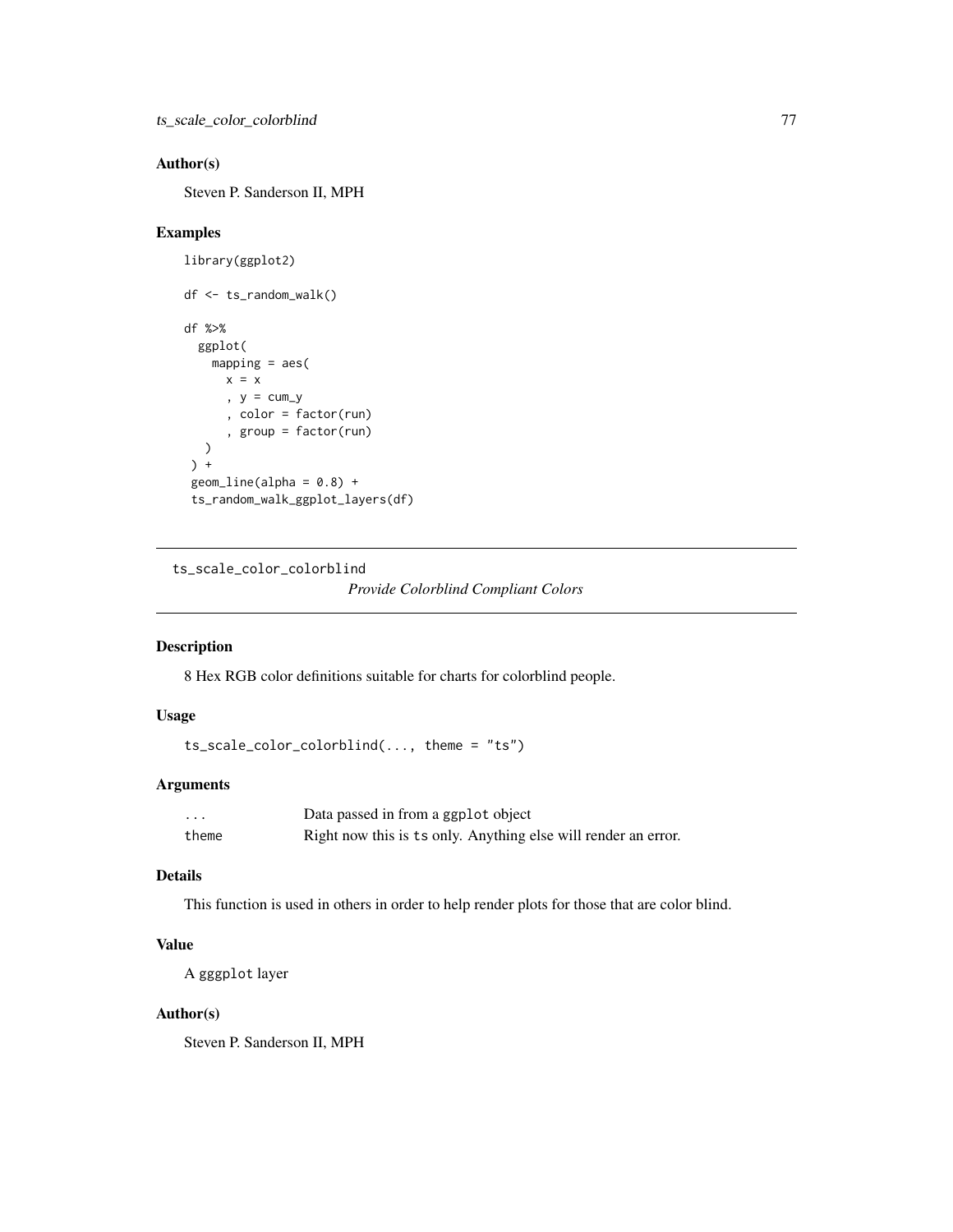# <span id="page-76-0"></span>Author(s)

Steven P. Sanderson II, MPH

# Examples

```
library(ggplot2)
df <- ts_random_walk()
df %>%
  ggplot(
   mapping = aes(
     x = x, y = \text{cum}_y, color = factor(run)
      , group = factor(run)
  )
 ) +
 geom\_line(alpha = 0.8) +
 ts_random_walk_ggplot_layers(df)
```
ts\_scale\_color\_colorblind *Provide Colorblind Compliant Colors*

# Description

8 Hex RGB color definitions suitable for charts for colorblind people.

# Usage

```
ts\_scale\_color\_colorblind(..., thene = "ts")
```
#### Arguments

| .     | Data passed in from a ggplot object                            |
|-------|----------------------------------------------------------------|
| theme | Right now this is ts only. Anything else will render an error. |

# Details

This function is used in others in order to help render plots for those that are color blind.

#### Value

A gggplot layer

#### Author(s)

Steven P. Sanderson II, MPH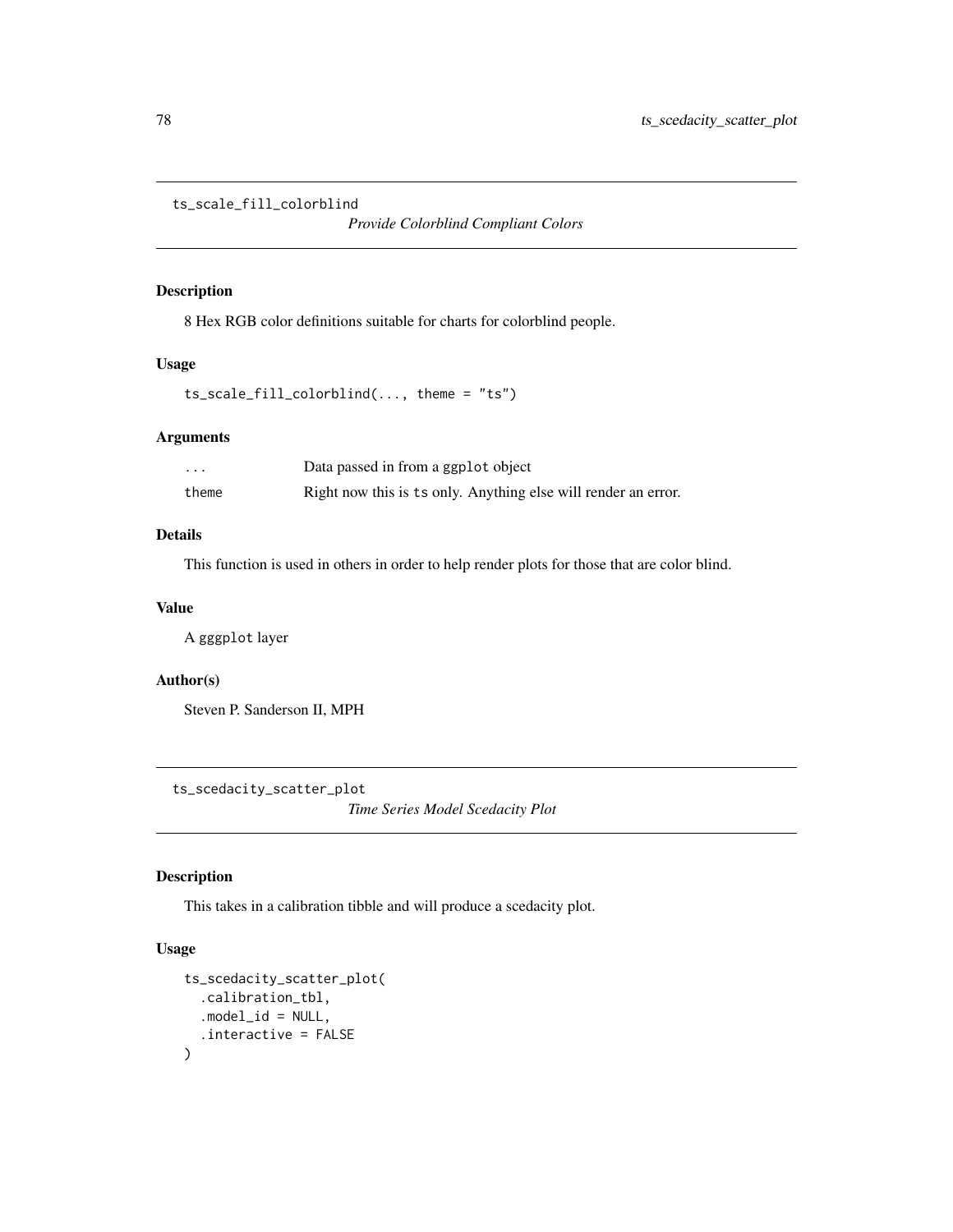```
ts_scale_fill_colorblind
```
*Provide Colorblind Compliant Colors*

# Description

8 Hex RGB color definitions suitable for charts for colorblind people.

#### Usage

```
ts_scale_fill_colorblind(..., theme = "ts")
```
# Arguments

| $\cdots$ | Data passed in from a ggplot object                            |
|----------|----------------------------------------------------------------|
| theme    | Right now this is ts only. Anything else will render an error. |

# Details

This function is used in others in order to help render plots for those that are color blind.

#### Value

A gggplot layer

#### Author(s)

Steven P. Sanderson II, MPH

<span id="page-77-0"></span>ts\_scedacity\_scatter\_plot

*Time Series Model Scedacity Plot*

# Description

This takes in a calibration tibble and will produce a scedacity plot.

# Usage

```
ts_scedacity_scatter_plot(
  .calibration_tbl,
  model_id = NULL,.interactive = FALSE
\mathcal{E}
```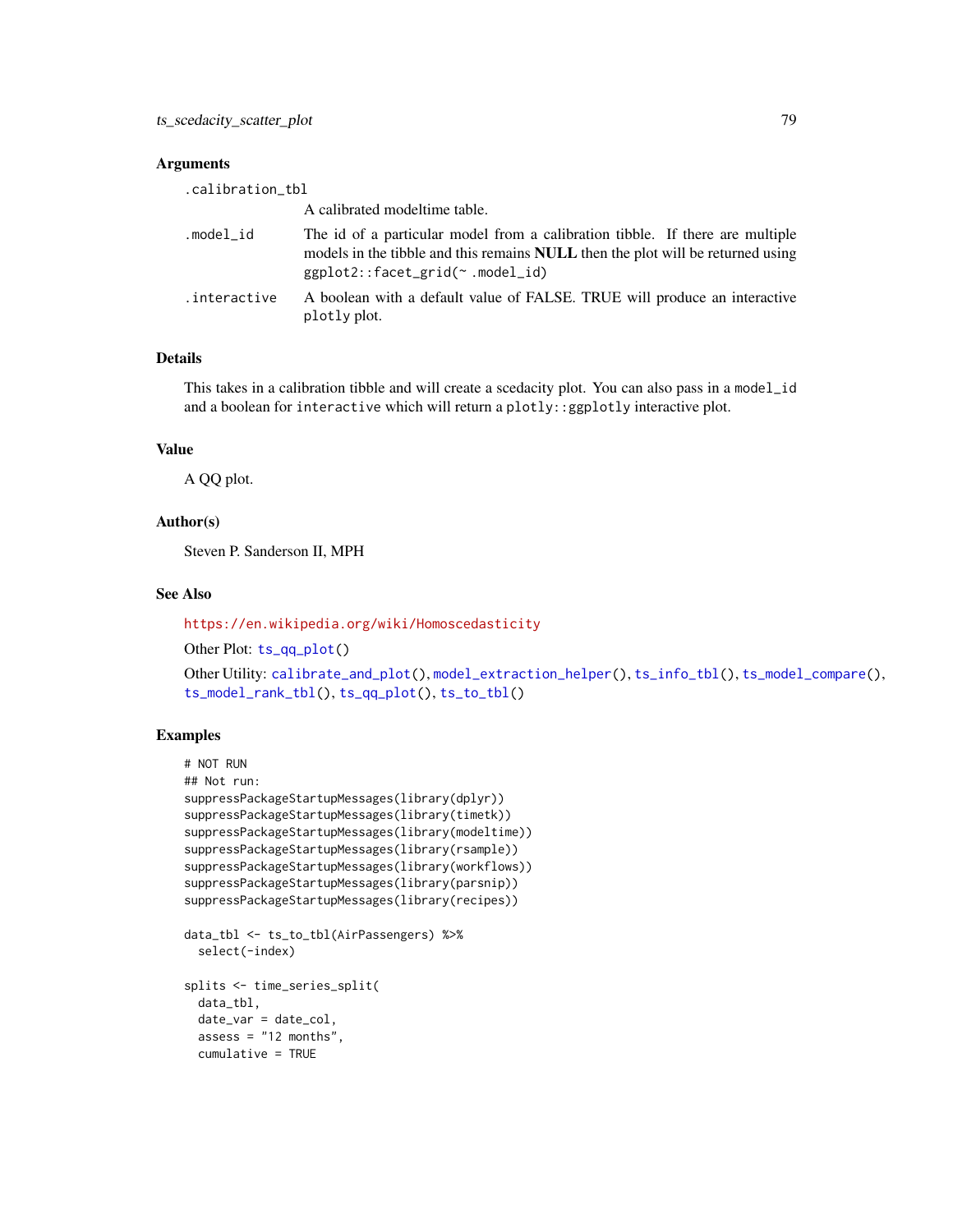#### <span id="page-78-0"></span>**Arguments**

| .calibration_tbl |                                                                                                                                                                                                            |
|------------------|------------------------------------------------------------------------------------------------------------------------------------------------------------------------------------------------------------|
|                  | A calibrated model time table.                                                                                                                                                                             |
| .model_id        | The id of a particular model from a calibration tibble. If there are multiple<br>models in the tibble and this remains <b>NULL</b> then the plot will be returned using<br>ggplot2::facet_grid(~.model_id) |
| .interactive     | A boolean with a default value of FALSE. TRUE will produce an interactive<br>plotly plot.                                                                                                                  |

# Details

This takes in a calibration tibble and will create a scedacity plot. You can also pass in a model\_id and a boolean for interactive which will return a plotly::ggplotly interactive plot.

# Value

A QQ plot.

# Author(s)

Steven P. Sanderson II, MPH

# See Also

<https://en.wikipedia.org/wiki/Homoscedasticity>

Other Plot: [ts\\_qq\\_plot\(](#page-72-0))

```
Other Utility: calibrate_and_plot(), model_extraction_helper(), ts_info_tbl(), ts_model_compare(),
ts_model_rank_tbl(), ts_qq_plot(), ts_to_tbl()
```

```
# NOT RUN
## Not run:
suppressPackageStartupMessages(library(dplyr))
suppressPackageStartupMessages(library(timetk))
suppressPackageStartupMessages(library(modeltime))
suppressPackageStartupMessages(library(rsample))
suppressPackageStartupMessages(library(workflows))
suppressPackageStartupMessages(library(parsnip))
suppressPackageStartupMessages(library(recipes))
data_tbl <- ts_to_tbl(AirPassengers) %>%
 select(-index)
```

```
splits <- time_series_split(
 data_tbl,
 date_var = date_col,
 assess = "12 months",
 cumulative = TRUE
```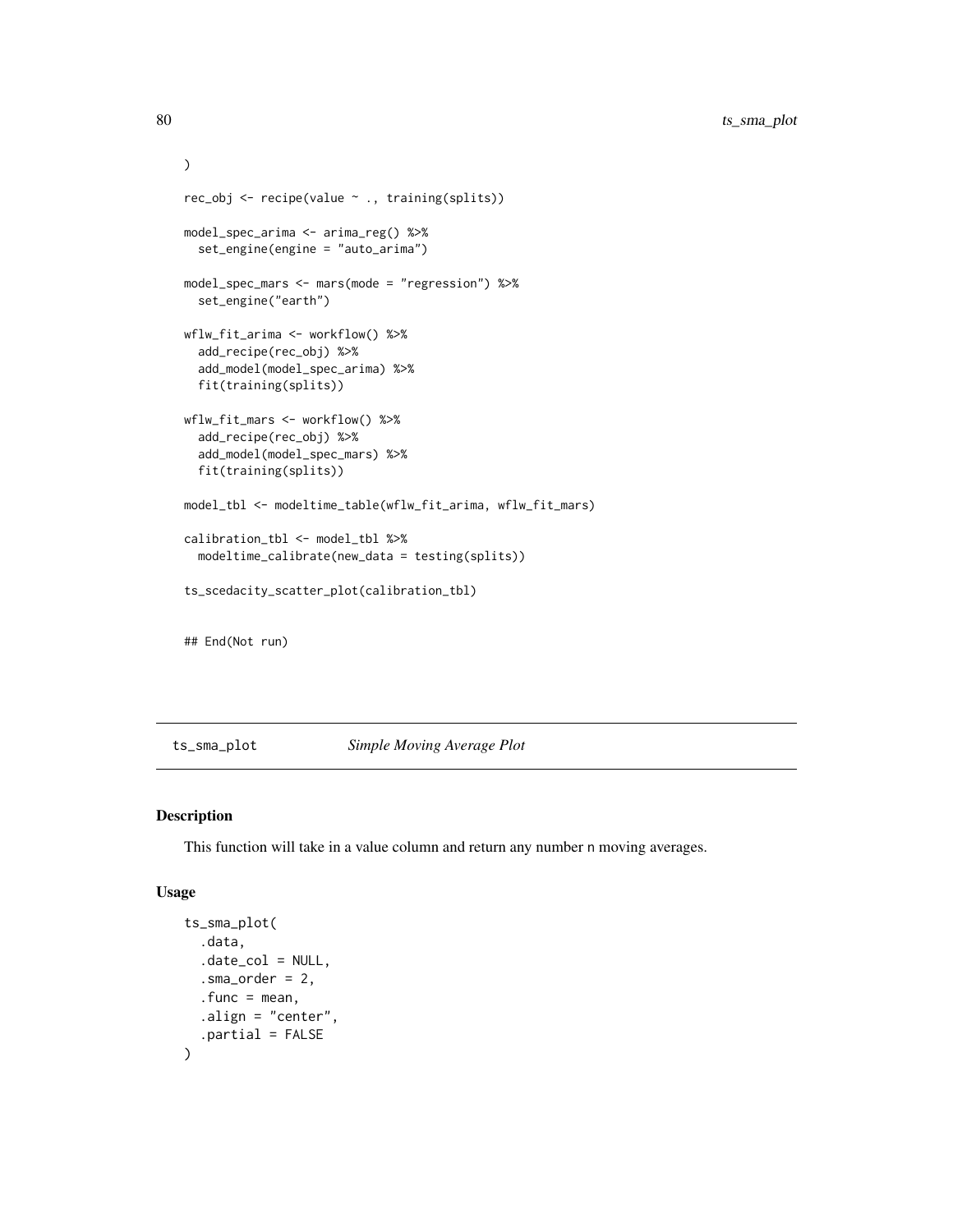```
\mathcal{L}rec_obj <- recipe(value ~ ., training(splits))
model_spec_arima <- arima_reg() %>%
  set_engine(engine = "auto_arima")
model_spec_mars <- mars(mode = "regression") %>%
  set_engine("earth")
wflw_fit_arima <- workflow() %>%
  add_recipe(rec_obj) %>%
  add_model(model_spec_arima) %>%
  fit(training(splits))
wflw_fit_mars <- workflow() %>%
  add_recipe(rec_obj) %>%
  add_model(model_spec_mars) %>%
  fit(training(splits))
model_tbl <- modeltime_table(wflw_fit_arima, wflw_fit_mars)
calibration_tbl <- model_tbl %>%
  modeltime_calibrate(new_data = testing(splits))
ts_scedacity_scatter_plot(calibration_tbl)
## End(Not run)
```
ts\_sma\_plot *Simple Moving Average Plot*

#### Description

This function will take in a value column and return any number n moving averages.

# Usage

```
ts_sma_plot(
  .data,
  data_{col} = NULL.sma_order = 2,
  .func = mean,
  .align = "center",
  .partial = FALSE
)
```
<span id="page-79-0"></span>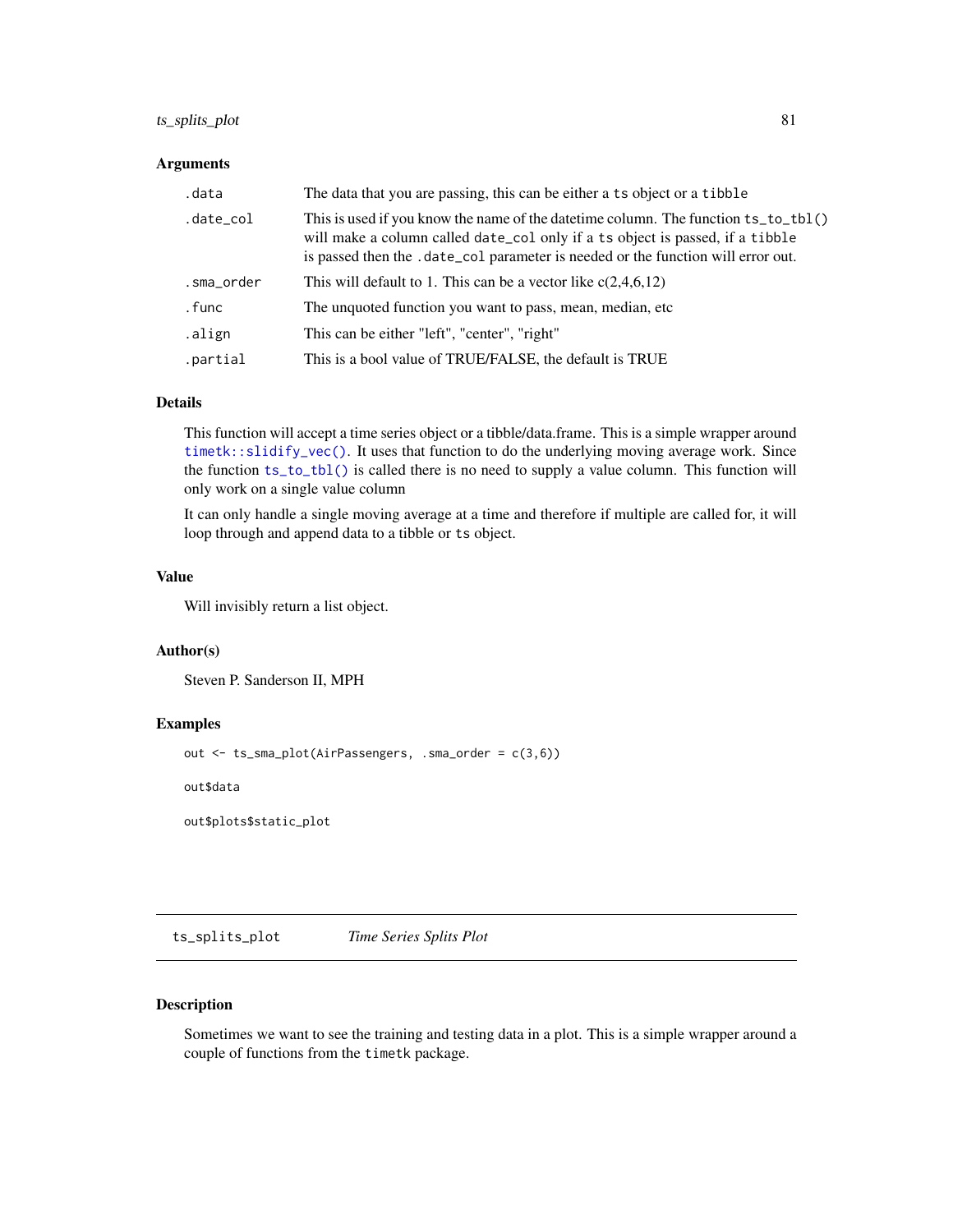# <span id="page-80-0"></span>ts\_splits\_plot 81

#### **Arguments**

| .data      | The data that you are passing, this can be either a ts object or a tibble                                                                                                                                                                                |
|------------|----------------------------------------------------------------------------------------------------------------------------------------------------------------------------------------------------------------------------------------------------------|
| .date_col  | This is used if you know the name of the date time column. The function ts_to_tb1()<br>will make a column called date_col only if a ts object is passed, if a tibble<br>is passed then the .date_col parameter is needed or the function will error out. |
| .sma_order | This will default to 1. This can be a vector like $c(2,4,6,12)$                                                                                                                                                                                          |
| . func     | The unquoted function you want to pass, mean, median, etc.                                                                                                                                                                                               |
| .align     | This can be either "left", "center", "right"                                                                                                                                                                                                             |
| .partial   | This is a bool value of TRUE/FALSE, the default is TRUE                                                                                                                                                                                                  |

# Details

This function will accept a time series object or a tibble/data.frame. This is a simple wrapper around [timetk::slidify\\_vec\(\)](#page-0-0). It uses that function to do the underlying moving average work. Since the function [ts\\_to\\_tbl\(\)](#page-82-0) is called there is no need to supply a value column. This function will only work on a single value column

It can only handle a single moving average at a time and therefore if multiple are called for, it will loop through and append data to a tibble or ts object.

#### Value

Will invisibly return a list object.

# Author(s)

Steven P. Sanderson II, MPH

#### Examples

```
out <- ts_sma_plot(AirPassengers, .sma_order = c(3,6))
```
out\$data

out\$plots\$static\_plot

ts\_splits\_plot *Time Series Splits Plot*

#### Description

Sometimes we want to see the training and testing data in a plot. This is a simple wrapper around a couple of functions from the timetk package.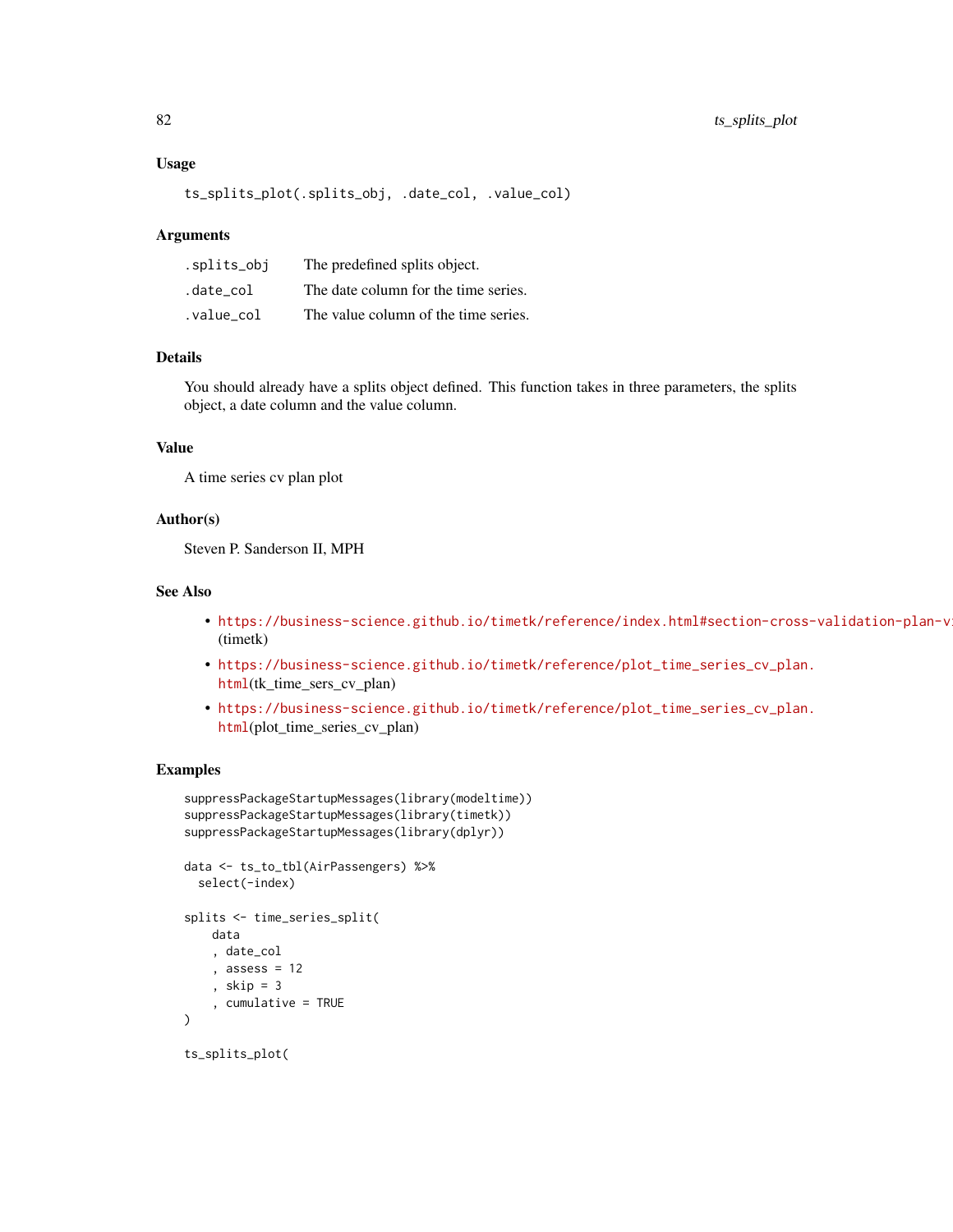#### Usage

ts\_splits\_plot(.splits\_obj, .date\_col, .value\_col)

#### Arguments

| .splits_obj | The predefined splits object.        |
|-------------|--------------------------------------|
| .date col   | The date column for the time series. |
| value col.  | The value column of the time series. |

# Details

You should already have a splits object defined. This function takes in three parameters, the splits object, a date column and the value column.

#### Value

A time series cv plan plot

#### Author(s)

Steven P. Sanderson II, MPH

# See Also

- https://business-science.github.io/timetk/reference/index.html#section-cross-validation-plan-v (timetk)
- [https://business-science.github.io/timetk/reference/plot\\_time\\_series\\_cv\\_pla](https://business-science.github.io/timetk/reference/plot_time_series_cv_plan.html)n. [html](https://business-science.github.io/timetk/reference/plot_time_series_cv_plan.html)(tk\_time\_sers\_cv\_plan)
- [https://business-science.github.io/timetk/reference/plot\\_time\\_series\\_cv\\_pla](https://business-science.github.io/timetk/reference/plot_time_series_cv_plan.html)n. [html](https://business-science.github.io/timetk/reference/plot_time_series_cv_plan.html)(plot\_time\_series\_cv\_plan)

```
suppressPackageStartupMessages(library(modeltime))
suppressPackageStartupMessages(library(timetk))
suppressPackageStartupMessages(library(dplyr))
data <- ts_to_tbl(AirPassengers) %>%
 select(-index)
splits <- time_series_split(
   data
    , date_col
    , assess = 12, skip = 3
    , cumulative = TRUE
)
ts_splits_plot(
```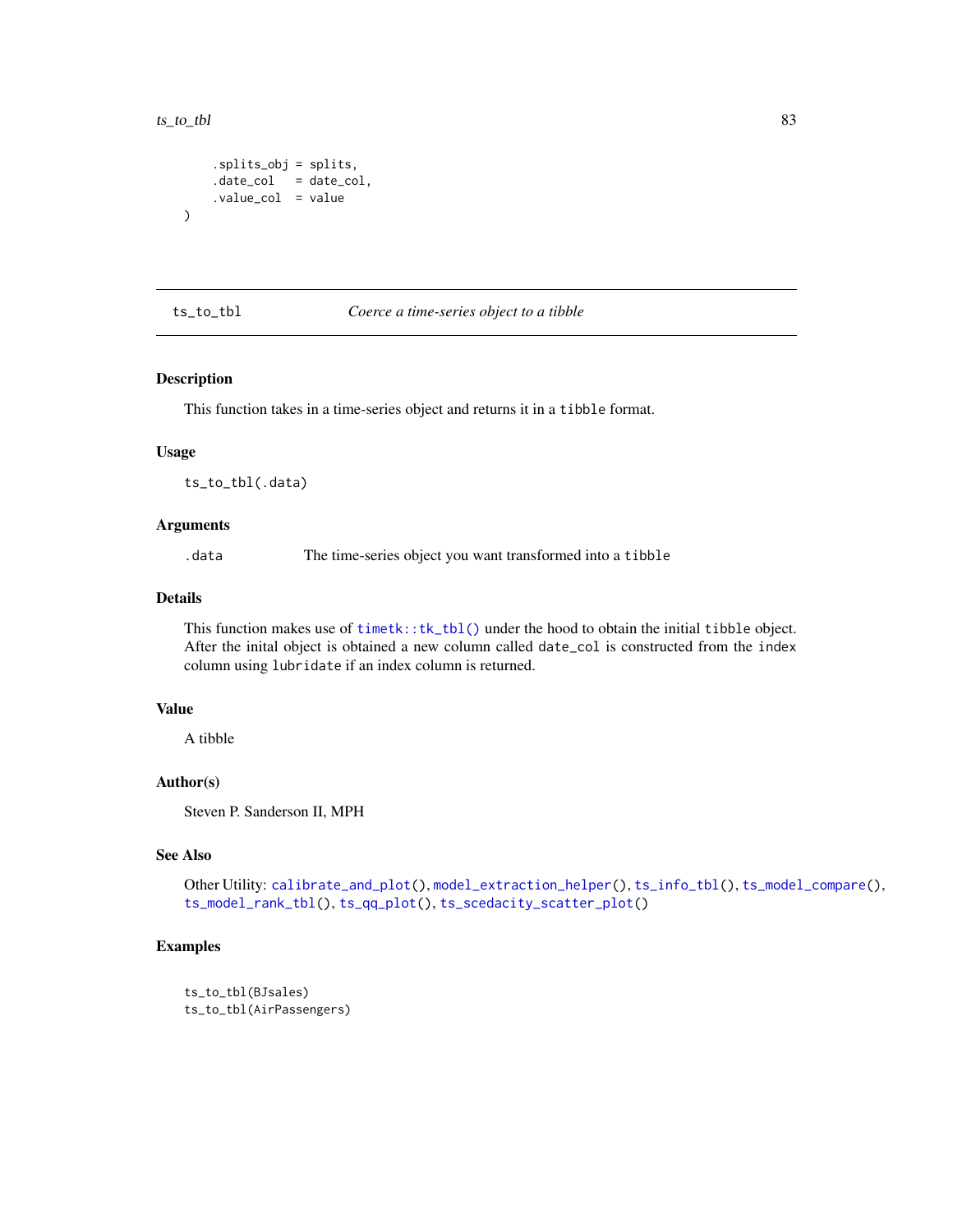```
.splits_obj = splits,
    .data\_col = date_col,
    .value_col = value
)
```
# <span id="page-82-0"></span>ts\_to\_tbl *Coerce a time-series object to a tibble*

#### Description

This function takes in a time-series object and returns it in a tibble format.

#### Usage

ts\_to\_tbl(.data)

#### Arguments

.data The time-series object you want transformed into a tibble

# Details

This function makes use of [timetk::tk\\_tbl\(\)](#page-0-0) under the hood to obtain the initial tibble object. After the inital object is obtained a new column called date\_col is constructed from the index column using lubridate if an index column is returned.

# Value

A tibble

# Author(s)

Steven P. Sanderson II, MPH

# See Also

Other Utility: [calibrate\\_and\\_plot\(](#page-2-0)), [model\\_extraction\\_helper\(](#page-5-0)), [ts\\_info\\_tbl\(](#page-58-0)), [ts\\_model\\_compare\(](#page-65-0)), [ts\\_model\\_rank\\_tbl\(](#page-67-0)), [ts\\_qq\\_plot\(](#page-72-0)), [ts\\_scedacity\\_scatter\\_plot\(](#page-77-0))

```
ts_to_tbl(BJsales)
ts_to_tbl(AirPassengers)
```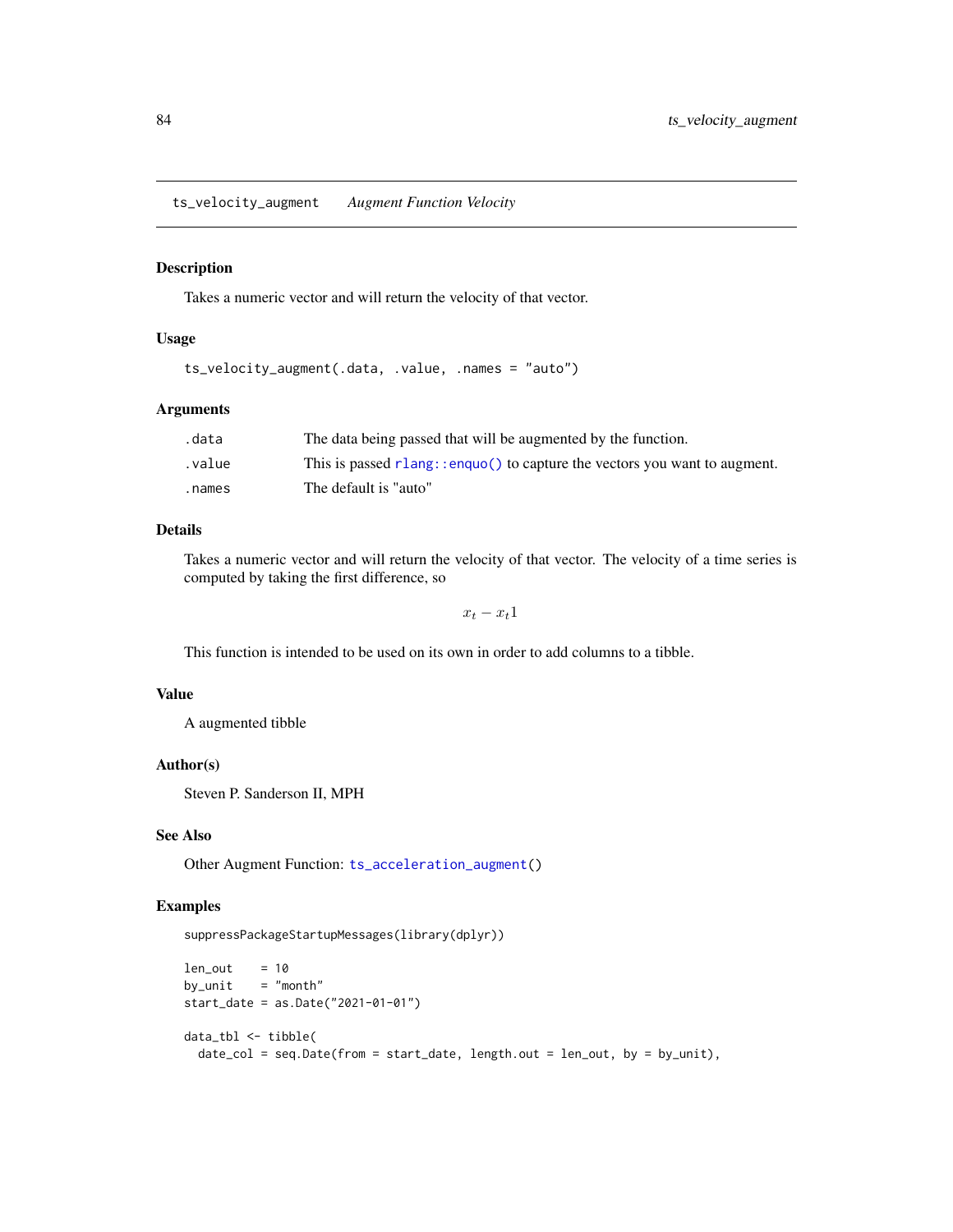<span id="page-83-1"></span><span id="page-83-0"></span>ts\_velocity\_augment *Augment Function Velocity*

#### Description

Takes a numeric vector and will return the velocity of that vector.

#### Usage

```
ts_velocity_augment(.data, .value, .names = "auto")
```
# Arguments

| .data  | The data being passed that will be augmented by the function.                |
|--------|------------------------------------------------------------------------------|
| .value | This is passed $r$ lang::enquo() to capture the vectors you want to augment. |
| .names | The default is "auto"                                                        |

# Details

Takes a numeric vector and will return the velocity of that vector. The velocity of a time series is computed by taking the first difference, so

 $x_t - x_t1$ 

This function is intended to be used on its own in order to add columns to a tibble.

# Value

A augmented tibble

# Author(s)

Steven P. Sanderson II, MPH

# See Also

Other Augment Function: [ts\\_acceleration\\_augment\(](#page-12-0))

```
suppressPackageStartupMessages(library(dplyr))
```

```
len\_out = 10
by\_unit = "month"
start_date = as.Date("2021-01-01")
data_tbl <- tibble(
  date\_col = seq.DataFrame(from = start_data, length.out = len_out, by = by_unit),
```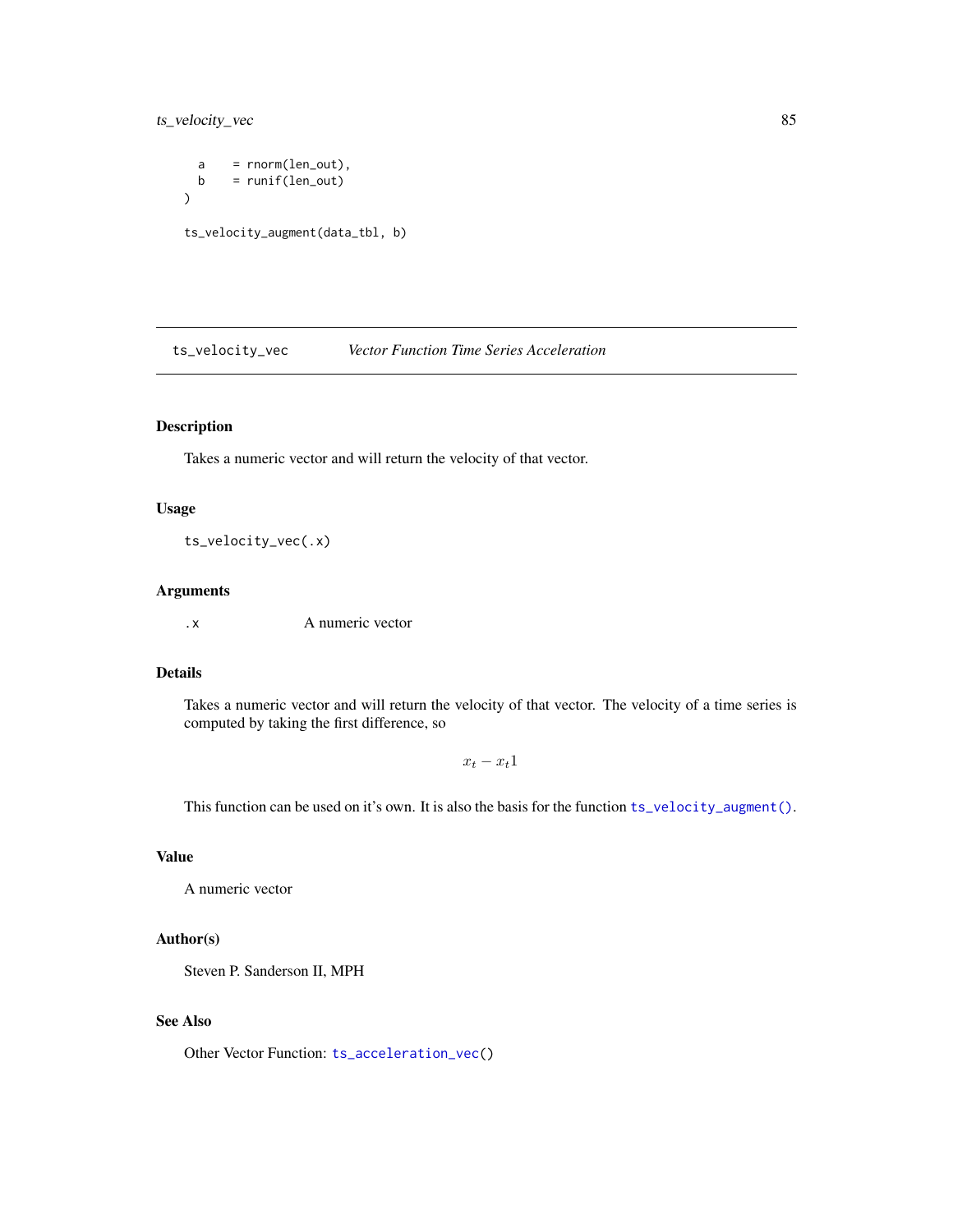<span id="page-84-0"></span>ts\_velocity\_vec 85

```
a = rnorm(len_out),b = runif(len_out))
ts_velocity_augment(data_tbl, b)
```
ts\_velocity\_vec *Vector Function Time Series Acceleration*

# Description

Takes a numeric vector and will return the velocity of that vector.

# Usage

ts\_velocity\_vec(.x)

# Arguments

.x A numeric vector

# Details

Takes a numeric vector and will return the velocity of that vector. The velocity of a time series is computed by taking the first difference, so

 $x_t - x_t1$ 

This function can be used on it's own. It is also the basis for the function [ts\\_velocity\\_augment\(\)](#page-83-0).

# Value

A numeric vector

#### Author(s)

Steven P. Sanderson II, MPH

# See Also

Other Vector Function: [ts\\_acceleration\\_vec\(](#page-13-0))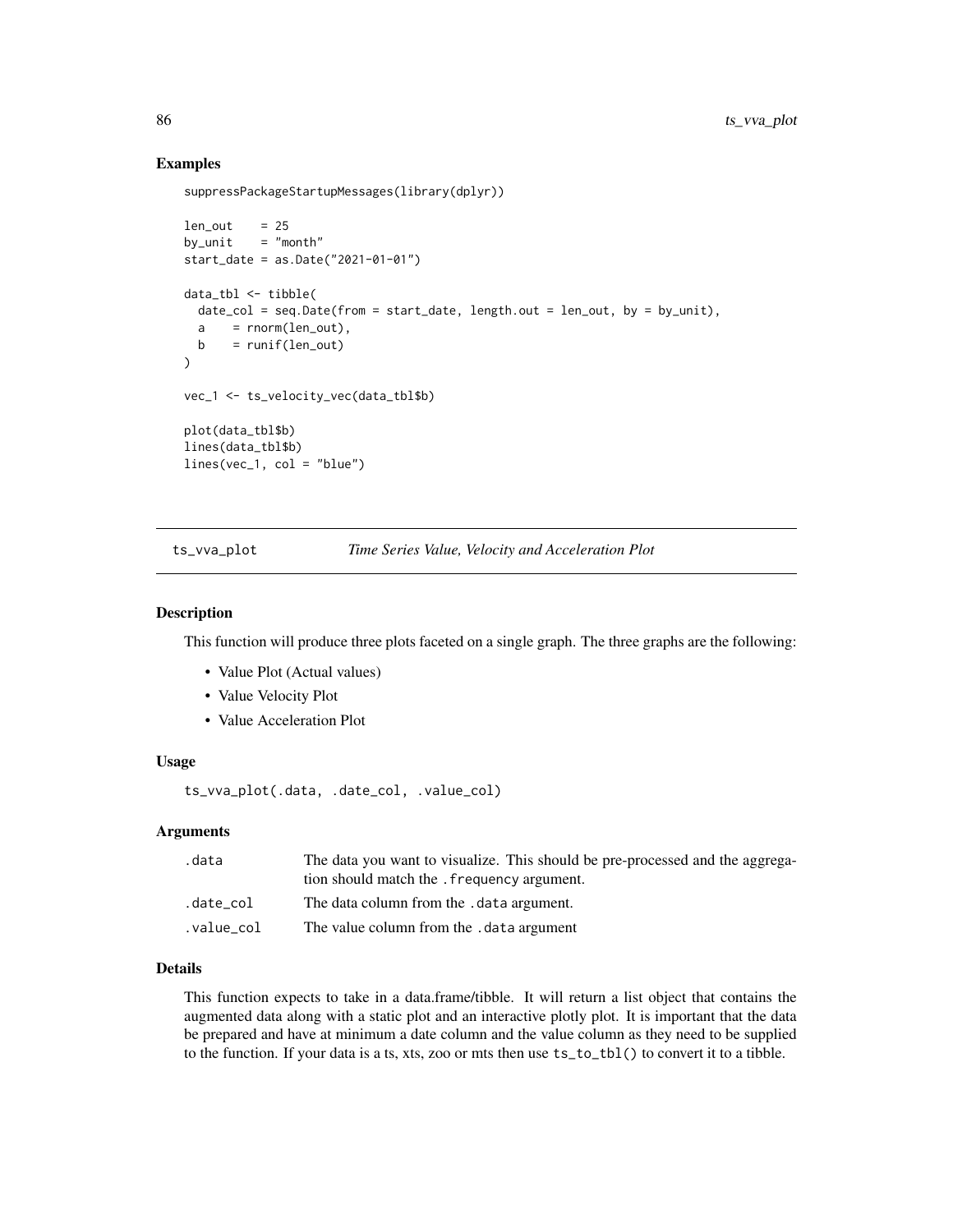# Examples

```
suppressPackageStartupMessages(library(dplyr))
```

```
len\_out = 25
by unit = "month"start_date = as.Date("2021-01-01")
data_tbl <- tibble(
 date\_col = seq.DataFrame(from = start_data, length.out = len_out, by = by_unit),a = rnorm(len_out),b = runif(len_out))
vec_1 <- ts_velocity_vec(data_tbl$b)
plot(data_tbl$b)
lines(data_tbl$b)
lines(vec_1, col = "blue")
```
ts\_vva\_plot *Time Series Value, Velocity and Acceleration Plot*

#### Description

This function will produce three plots faceted on a single graph. The three graphs are the following:

- Value Plot (Actual values)
- Value Velocity Plot
- Value Acceleration Plot

#### Usage

```
ts_vva_plot(.data, .date_col, .value_col)
```
#### Arguments

| .data      | The data you want to visualize. This should be pre-processed and the aggrega- |
|------------|-------------------------------------------------------------------------------|
|            | tion should match the frequency argument.                                     |
| .date_col  | The data column from the . data argument.                                     |
| .value_col | The value column from the .data argument                                      |

# Details

This function expects to take in a data.frame/tibble. It will return a list object that contains the augmented data along with a static plot and an interactive plotly plot. It is important that the data be prepared and have at minimum a date column and the value column as they need to be supplied to the function. If your data is a ts, xts, zoo or mts then use ts\_to\_tbl() to convert it to a tibble.

<span id="page-85-0"></span>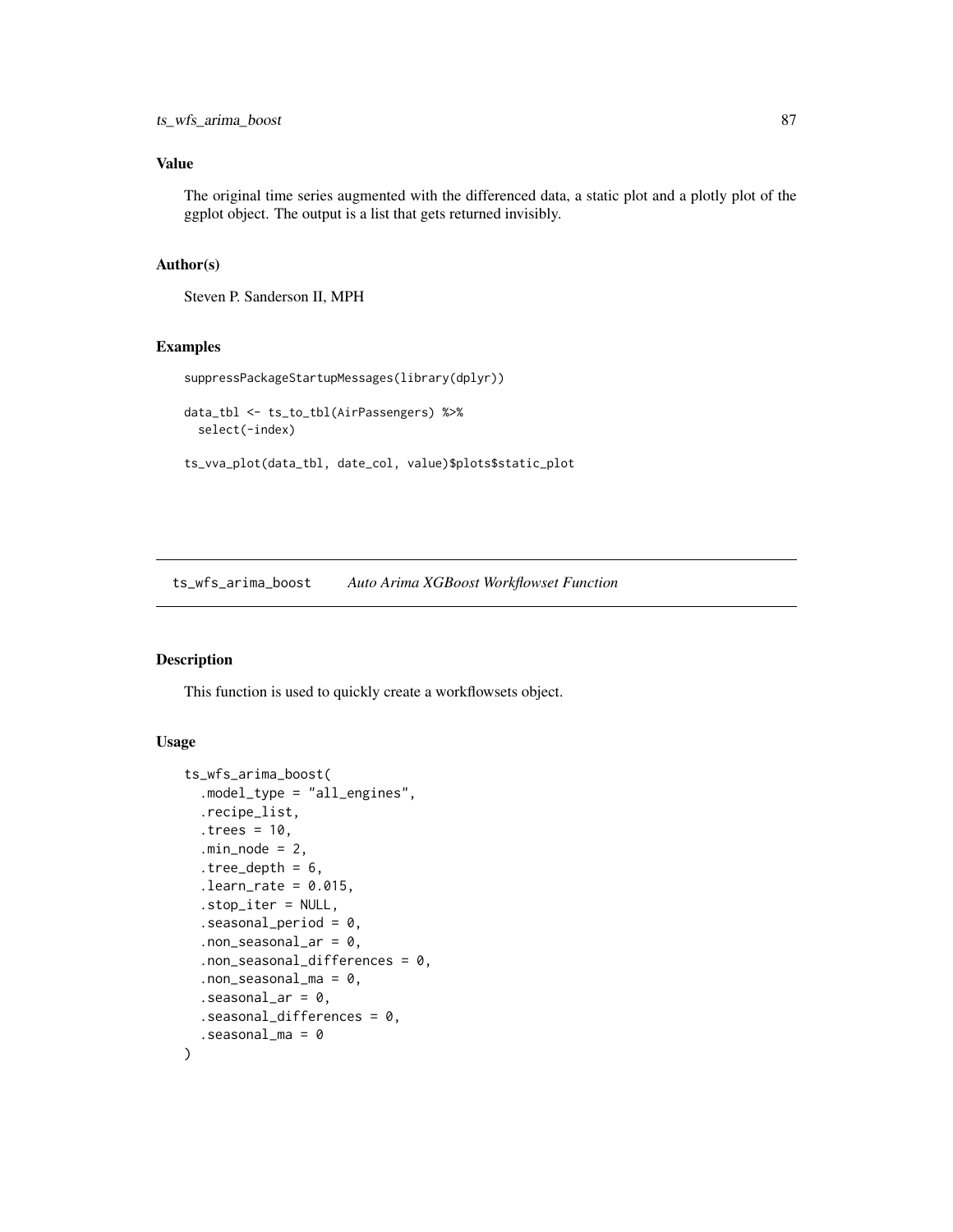# <span id="page-86-1"></span>Value

The original time series augmented with the differenced data, a static plot and a plotly plot of the ggplot object. The output is a list that gets returned invisibly.

# Author(s)

Steven P. Sanderson II, MPH

#### Examples

```
suppressPackageStartupMessages(library(dplyr))
data_tbl <- ts_to_tbl(AirPassengers) %>%
 select(-index)
ts_vva_plot(data_tbl, date_col, value)$plots$static_plot
```
<span id="page-86-0"></span>ts\_wfs\_arima\_boost *Auto Arima XGBoost Workflowset Function*

# Description

This function is used to quickly create a workflowsets object.

#### Usage

```
ts_wfs_arima_boost(
  .model_type = "all_engines",
  .recipe_list,
  .trees = 10,
  .min_node = 2,
  tree_{depth} = 6,
  .1earn_rate = 0.015,
  .stop_iter = NULL,
  .seasonal_period = 0,
  .non_seasonal_ar = 0,
  .non_seasonal_differences = 0,
  .non_seasonal_ma = 0,
  .seasonal_ar = 0,
  .seasonal_differences = 0,
  .seasonal_ma = 0
)
```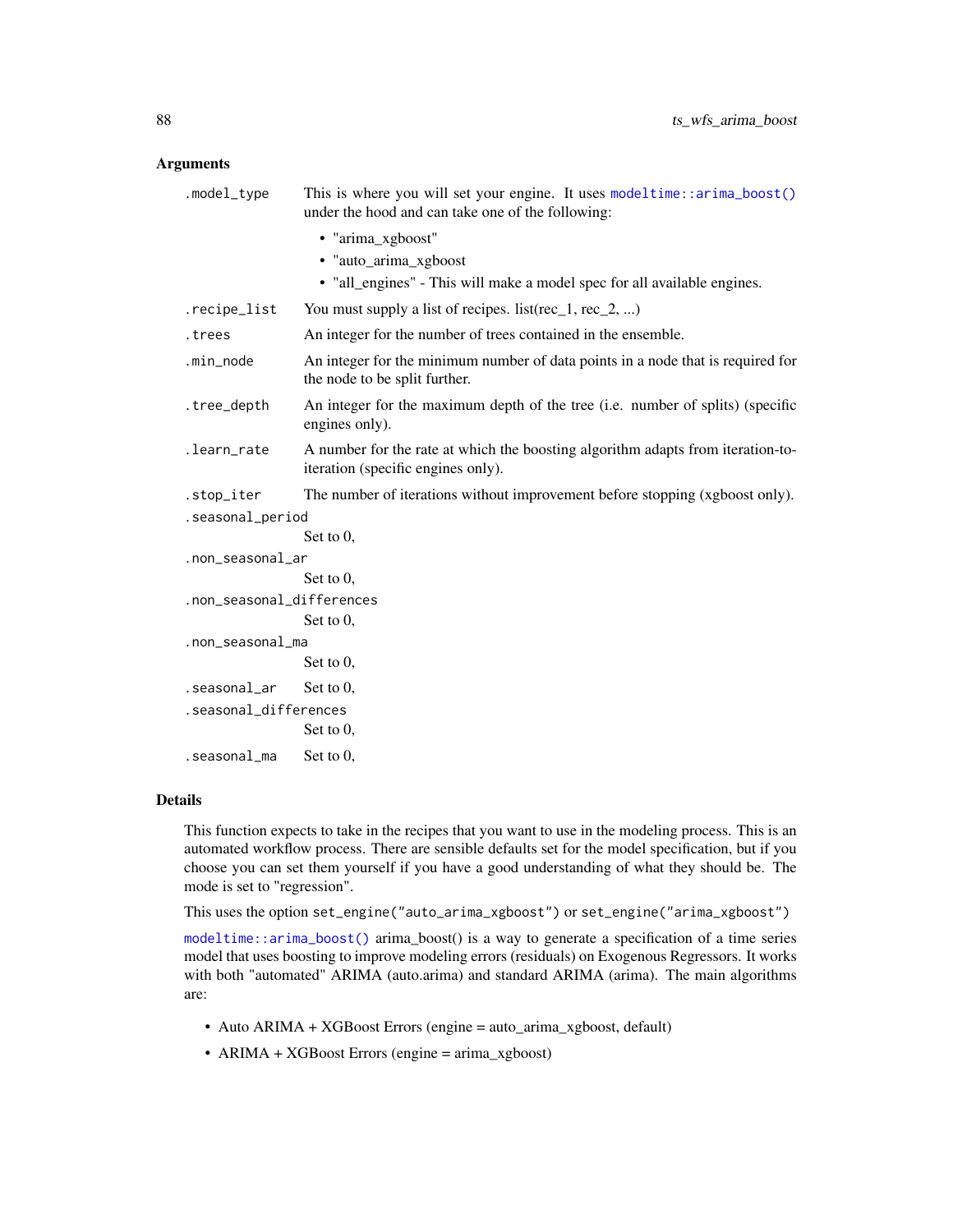#### <span id="page-87-0"></span>Arguments

| .model_type               | This is where you will set your engine. It uses modeltime:: arima_boost()<br>under the hood and can take one of the following: |
|---------------------------|--------------------------------------------------------------------------------------------------------------------------------|
|                           | • "arima_xgboost"                                                                                                              |
|                           | · "auto arima xgboost                                                                                                          |
|                           | • "all_engines" - This will make a model spec for all available engines.                                                       |
| .recipe_list              | You must supply a list of recipes. list $(\text{rec}_1, \text{rec}_2, )$                                                       |
| .trees                    | An integer for the number of trees contained in the ensemble.                                                                  |
| .min_node                 | An integer for the minimum number of data points in a node that is required for<br>the node to be split further.               |
| .tree_depth               | An integer for the maximum depth of the tree (i.e. number of splits) (specific<br>engines only).                               |
| .learn_rate               | A number for the rate at which the boosting algorithm adapts from iteration-to-<br>iteration (specific engines only).          |
| .stop_iter                | The number of iterations without improvement before stopping (xgboost only).                                                   |
| .seasonal_period          |                                                                                                                                |
|                           | Set to $0$ ,                                                                                                                   |
| .non_seasonal_ar          |                                                                                                                                |
|                           | Set to $0$ ,                                                                                                                   |
| .non_seasonal_differences |                                                                                                                                |
|                           | Set to $0$ ,                                                                                                                   |
| .non_seasonal_ma          |                                                                                                                                |
|                           | Set to $0$ ,                                                                                                                   |
| .seasonal_ar              | Set to $0$ ,                                                                                                                   |
| .seasonal_differences     |                                                                                                                                |
|                           | Set to $0$ ,                                                                                                                   |
| .seasonal_ma              | Set to $0$ ,                                                                                                                   |

# Details

This function expects to take in the recipes that you want to use in the modeling process. This is an automated workflow process. There are sensible defaults set for the model specification, but if you choose you can set them yourself if you have a good understanding of what they should be. The mode is set to "regression".

This uses the option set\_engine("auto\_arima\_xgboost") or set\_engine("arima\_xgboost")

[modeltime::arima\\_boost\(\)](#page-0-0) arima\_boost() is a way to generate a specification of a time series model that uses boosting to improve modeling errors (residuals) on Exogenous Regressors. It works with both "automated" ARIMA (auto.arima) and standard ARIMA (arima). The main algorithms are:

- Auto ARIMA + XGBoost Errors (engine = auto\_arima\_xgboost, default)
- ARIMA + XGBoost Errors (engine = arima\_xgboost)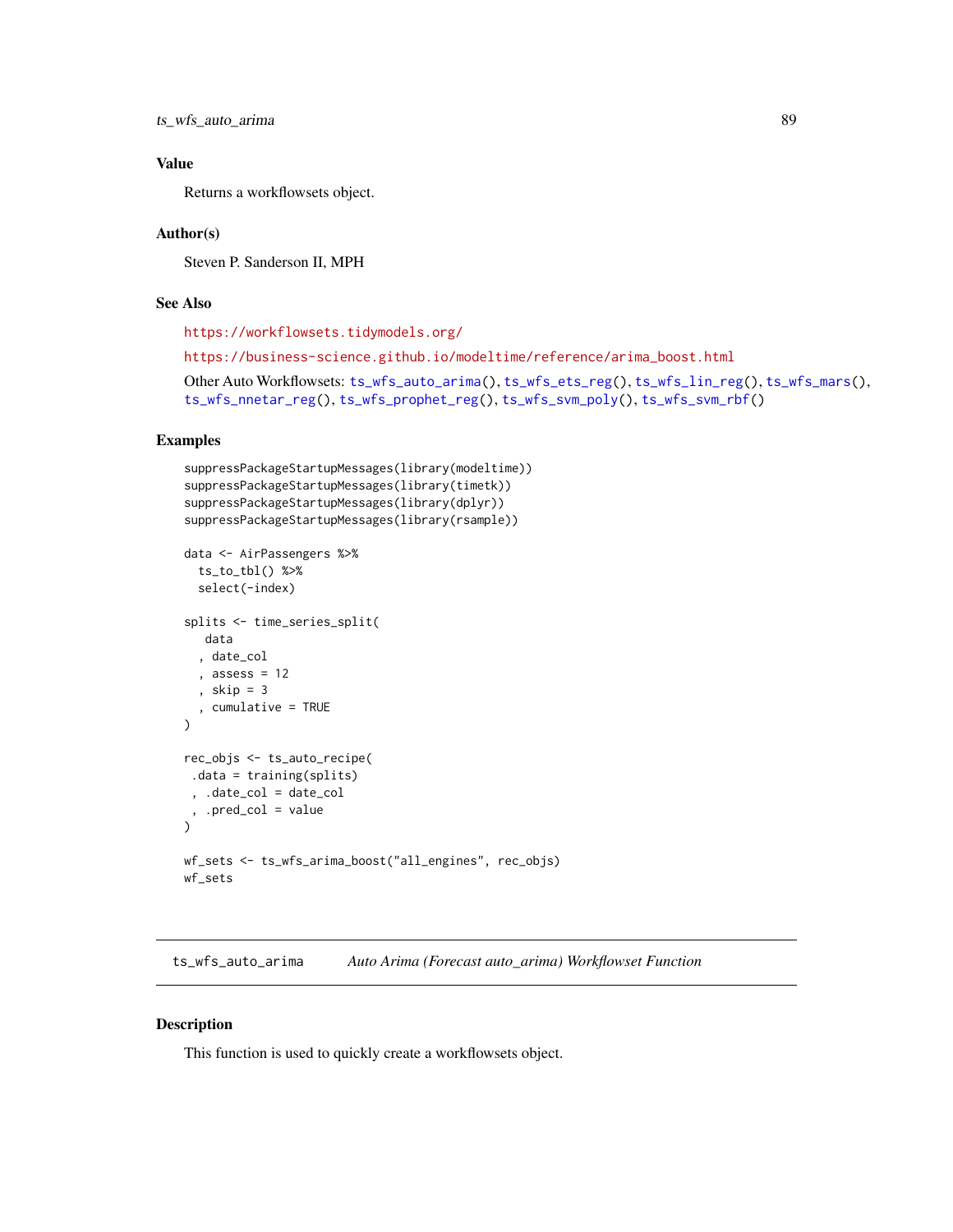<span id="page-88-1"></span>ts\_wfs\_auto\_arima 89

# Value

Returns a workflowsets object.

#### Author(s)

Steven P. Sanderson II, MPH

# See Also

<https://workflowsets.tidymodels.org/>

[https://business-science.github.io/modeltime/reference/arima\\_boost.html](https://business-science.github.io/modeltime/reference/arima_boost.html)

Other Auto Workflowsets: [ts\\_wfs\\_auto\\_arima\(](#page-88-0)), [ts\\_wfs\\_ets\\_reg\(](#page-90-0)), [ts\\_wfs\\_lin\\_reg\(](#page-92-0)), [ts\\_wfs\\_mars\(](#page-94-0)), [ts\\_wfs\\_nnetar\\_reg\(](#page-96-0)), [ts\\_wfs\\_prophet\\_reg\(](#page-98-0)), [ts\\_wfs\\_svm\\_poly\(](#page-101-0)), [ts\\_wfs\\_svm\\_rbf\(](#page-102-0))

#### Examples

```
suppressPackageStartupMessages(library(modeltime))
suppressPackageStartupMessages(library(timetk))
suppressPackageStartupMessages(library(dplyr))
suppressPackageStartupMessages(library(rsample))
data <- AirPassengers %>%
  ts_to_tbl() %>%
  select(-index)
splits <- time_series_split(
  data
  , date_col
  , assess = 12, skip = 3
  , cumulative = TRUE
)
rec_objs <- ts_auto_recipe(
.data = training(splits)
 , .date_col = date_col
  , .pred_col = value
\lambdawf_sets <- ts_wfs_arima_boost("all_engines", rec_objs)
wf_sets
```
<span id="page-88-0"></span>ts\_wfs\_auto\_arima *Auto Arima (Forecast auto\_arima) Workflowset Function*

# Description

This function is used to quickly create a workflowsets object.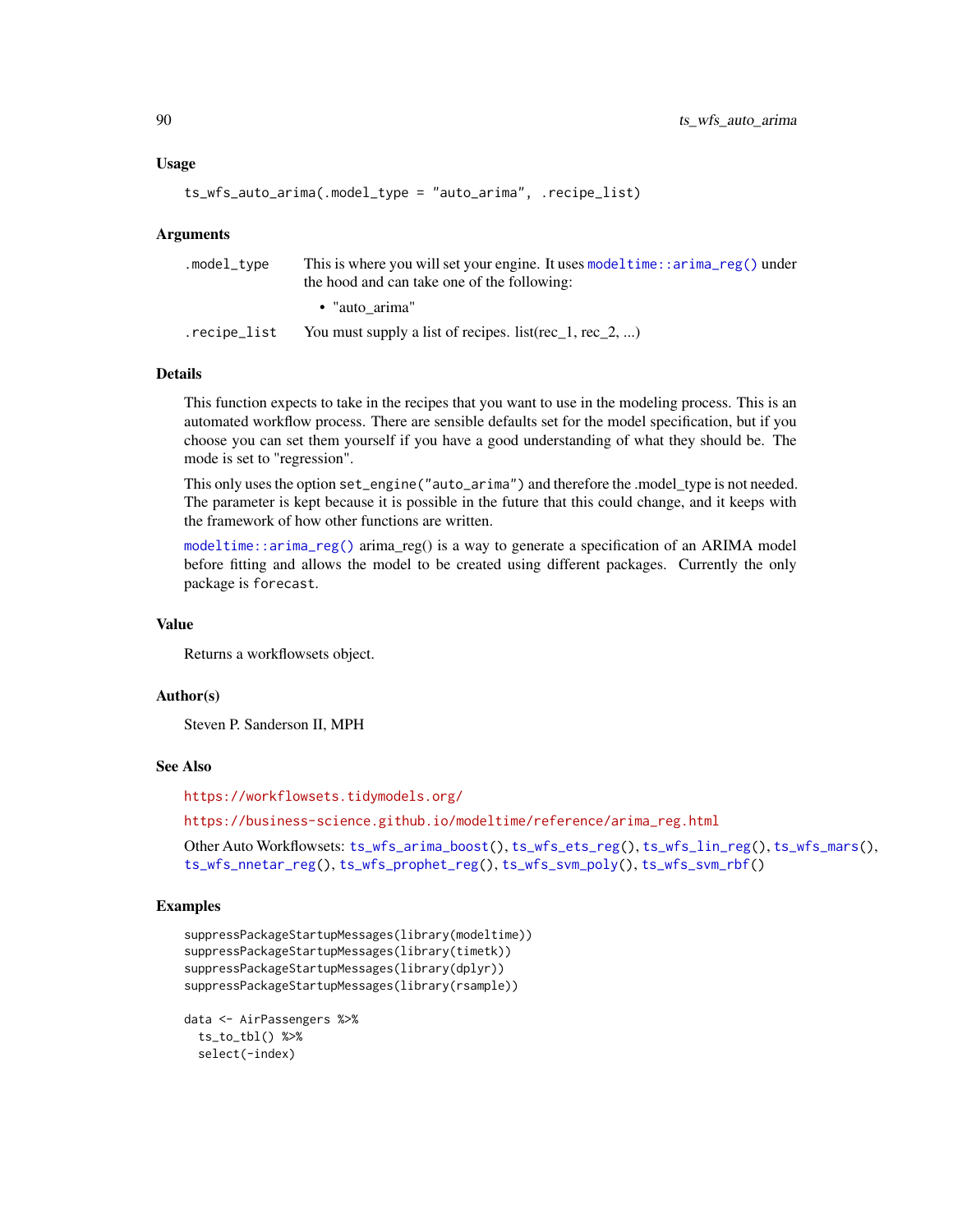#### Usage

```
ts_wfs_auto_arima(.model_type = "auto_arima", .recipe_list)
```
#### Arguments

| .model_type  | This is where you will set your engine. It uses modeltime::arima_reg() under<br>the hood and can take one of the following: |
|--------------|-----------------------------------------------------------------------------------------------------------------------------|
|              | • "auto arima"                                                                                                              |
| .recipe_list | You must supply a list of recipes. list (rec_1, rec_2, )                                                                    |

#### Details

This function expects to take in the recipes that you want to use in the modeling process. This is an automated workflow process. There are sensible defaults set for the model specification, but if you choose you can set them yourself if you have a good understanding of what they should be. The mode is set to "regression".

This only uses the option set\_engine("auto\_arima") and therefore the .model\_type is not needed. The parameter is kept because it is possible in the future that this could change, and it keeps with the framework of how other functions are written.

[modeltime::arima\\_reg\(\)](#page-0-0) arima\_reg() is a way to generate a specification of an ARIMA model before fitting and allows the model to be created using different packages. Currently the only package is forecast.

# Value

Returns a workflowsets object.

#### Author(s)

Steven P. Sanderson II, MPH

#### See Also

<https://workflowsets.tidymodels.org/>

[https://business-science.github.io/modeltime/reference/arima\\_reg.html](https://business-science.github.io/modeltime/reference/arima_reg.html)

Other Auto Workflowsets: [ts\\_wfs\\_arima\\_boost\(](#page-86-0)), [ts\\_wfs\\_ets\\_reg\(](#page-90-0)), [ts\\_wfs\\_lin\\_reg\(](#page-92-0)), [ts\\_wfs\\_mars\(](#page-94-0)), [ts\\_wfs\\_nnetar\\_reg\(](#page-96-0)), [ts\\_wfs\\_prophet\\_reg\(](#page-98-0)), [ts\\_wfs\\_svm\\_poly\(](#page-101-0)), [ts\\_wfs\\_svm\\_rbf\(](#page-102-0))

```
suppressPackageStartupMessages(library(modeltime))
suppressPackageStartupMessages(library(timetk))
suppressPackageStartupMessages(library(dplyr))
suppressPackageStartupMessages(library(rsample))
```

```
data <- AirPassengers %>%
 ts_to_tbl() %>%
 select(-index)
```
<span id="page-89-0"></span>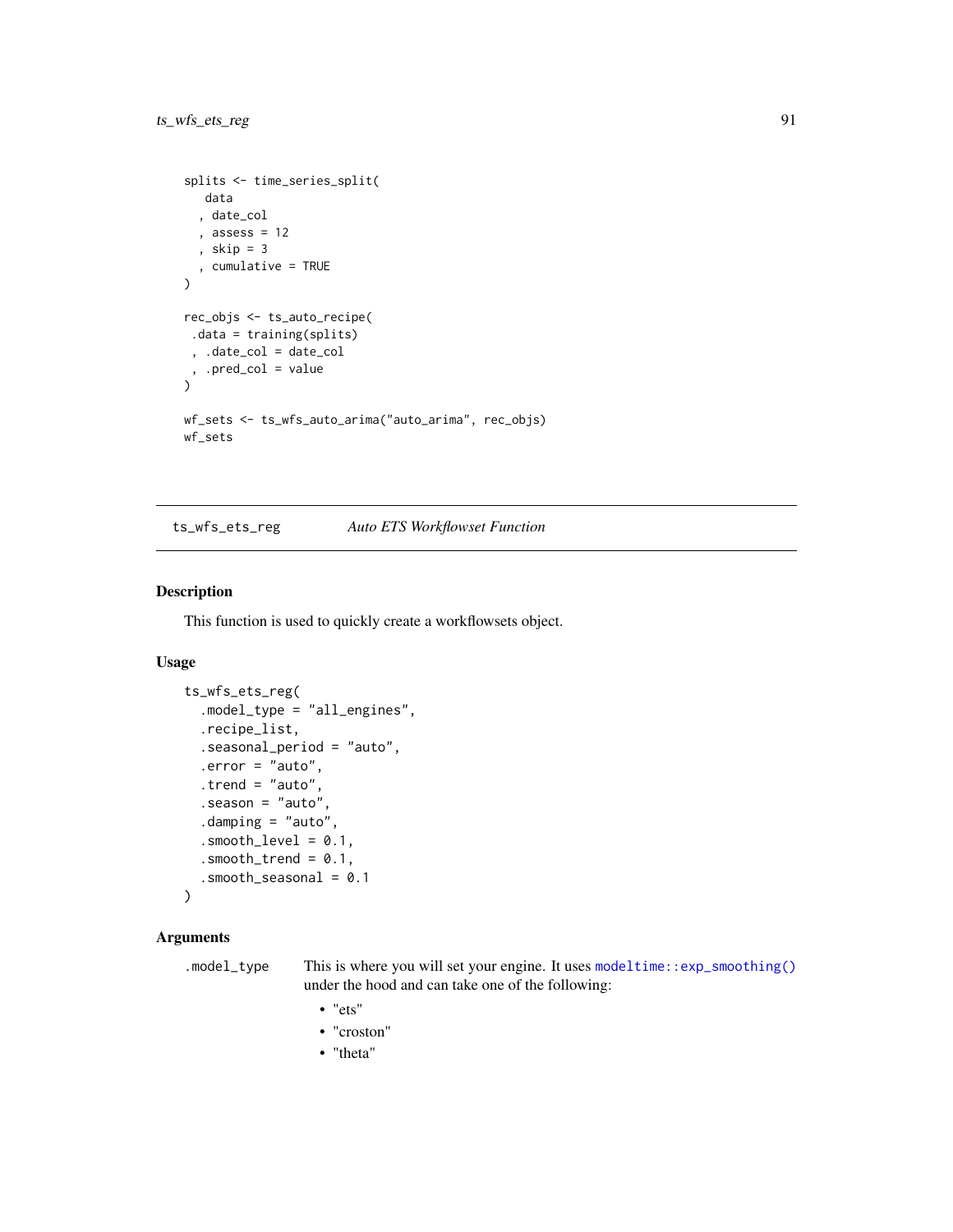```
splits <- time_series_split(
   data
  , date_col
  , assess = 12
  , skip = 3
  , cumulative = TRUE
\mathcal{L}rec_objs <- ts_auto_recipe(
 .data = training(splits)
 , .date_col = date_col
 , .pred_col = value
\overline{)}wf_sets <- ts_wfs_auto_arima("auto_arima", rec_objs)
wf_sets
```
<span id="page-90-0"></span>ts\_wfs\_ets\_reg *Auto ETS Workflowset Function*

# Description

This function is used to quickly create a workflowsets object.

# Usage

```
ts_wfs_ets_reg(
  .model_type = "all_engines",
  .recipe_list,
  .seasonal_period = "auto",
  error = "auto",. trend = "auto",.season = "auto",
  .damping = "auto",
  smooth\_level = 0.1,
  smooth\_trend = 0.1,
  .smooth_s easonal = <math>0.1</math>\lambda
```
#### Arguments

.model\_type This is where you will set your engine. It uses [modeltime::exp\\_smoothing\(\)](#page-0-0) under the hood and can take one of the following:

- "ets"
- "croston"
- "theta"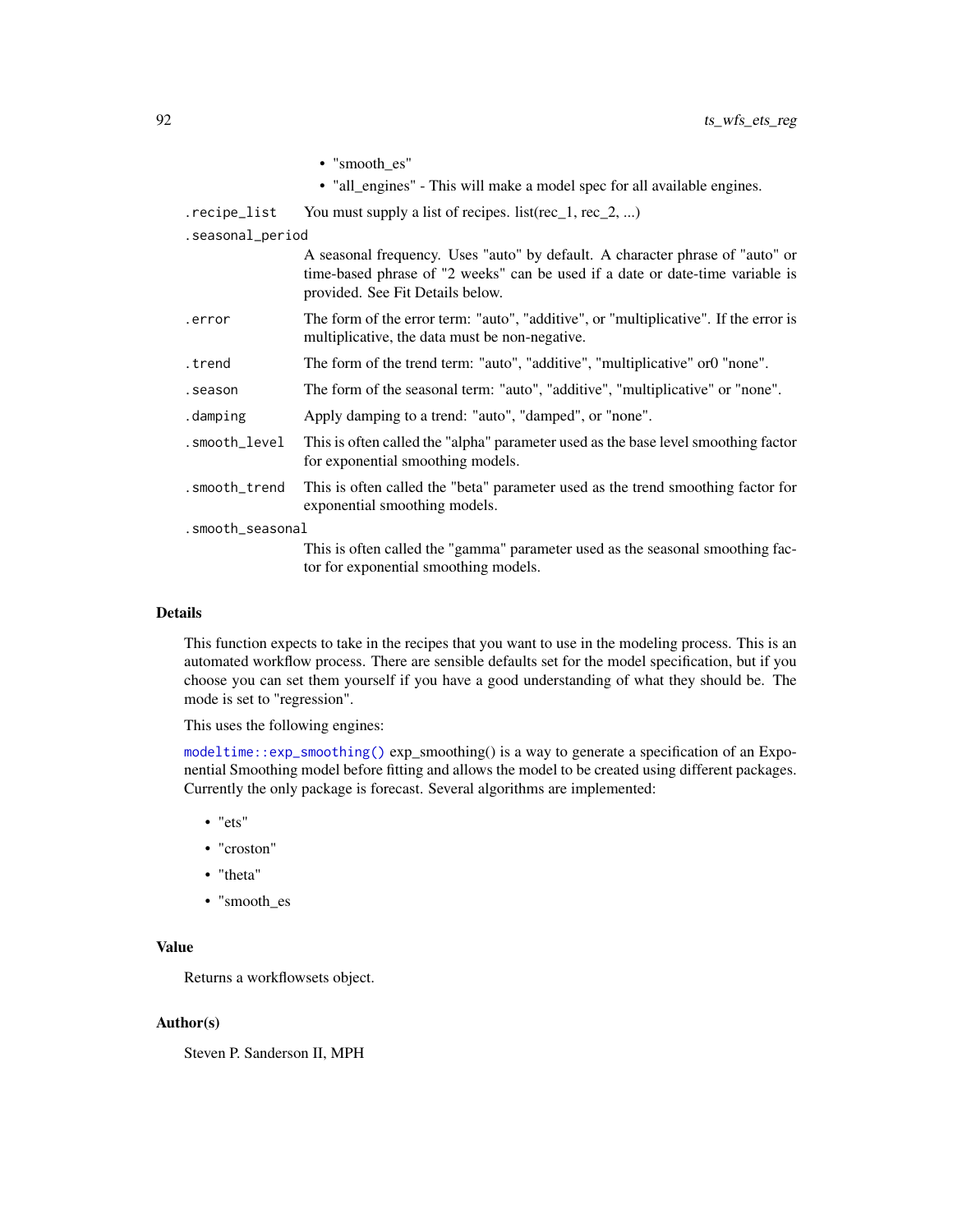- "smooth\_es"
	- "all\_engines" This will make a model spec for all available engines.

<span id="page-91-0"></span>.recipe\_list You must supply a list of recipes. list(rec\_1, rec\_2, ...)

tor for exponential smoothing models.

.seasonal\_period

|                  | A seasonal frequency. Uses "auto" by default. A character phrase of "auto" or<br>time-based phrase of "2 weeks" can be used if a date or date-time variable is<br>provided. See Fit Details below. |  |
|------------------|----------------------------------------------------------------------------------------------------------------------------------------------------------------------------------------------------|--|
| .error           | The form of the error term: "auto", "additive", or "multiplicative". If the error is<br>multiplicative, the data must be non-negative.                                                             |  |
| .trend           | The form of the trend term: "auto", "additive", "multiplicative" or0 "none".                                                                                                                       |  |
| .season          | The form of the seasonal term: "auto", "additive", "multiplicative" or "none".                                                                                                                     |  |
| .damping         | Apply damping to a trend: "auto", "damped", or "none".                                                                                                                                             |  |
| .smooth_level    | This is often called the "alpha" parameter used as the base level smoothing factor<br>for exponential smoothing models.                                                                            |  |
| .smooth_trend    | This is often called the "beta" parameter used as the trend smoothing factor for<br>exponential smoothing models.                                                                                  |  |
| .smooth_seasonal |                                                                                                                                                                                                    |  |
|                  | This is often called the "gamma" parameter used as the seasonal smoothing fac-                                                                                                                     |  |

# Details

This function expects to take in the recipes that you want to use in the modeling process. This is an automated workflow process. There are sensible defaults set for the model specification, but if you choose you can set them yourself if you have a good understanding of what they should be. The mode is set to "regression".

This uses the following engines:

[modeltime::exp\\_smoothing\(\)](#page-0-0) exp\_smoothing() is a way to generate a specification of an Exponential Smoothing model before fitting and allows the model to be created using different packages. Currently the only package is forecast. Several algorithms are implemented:

- "ets"
- "croston"
- "theta"
- "smooth\_es

#### Value

Returns a workflowsets object.

### Author(s)

Steven P. Sanderson II, MPH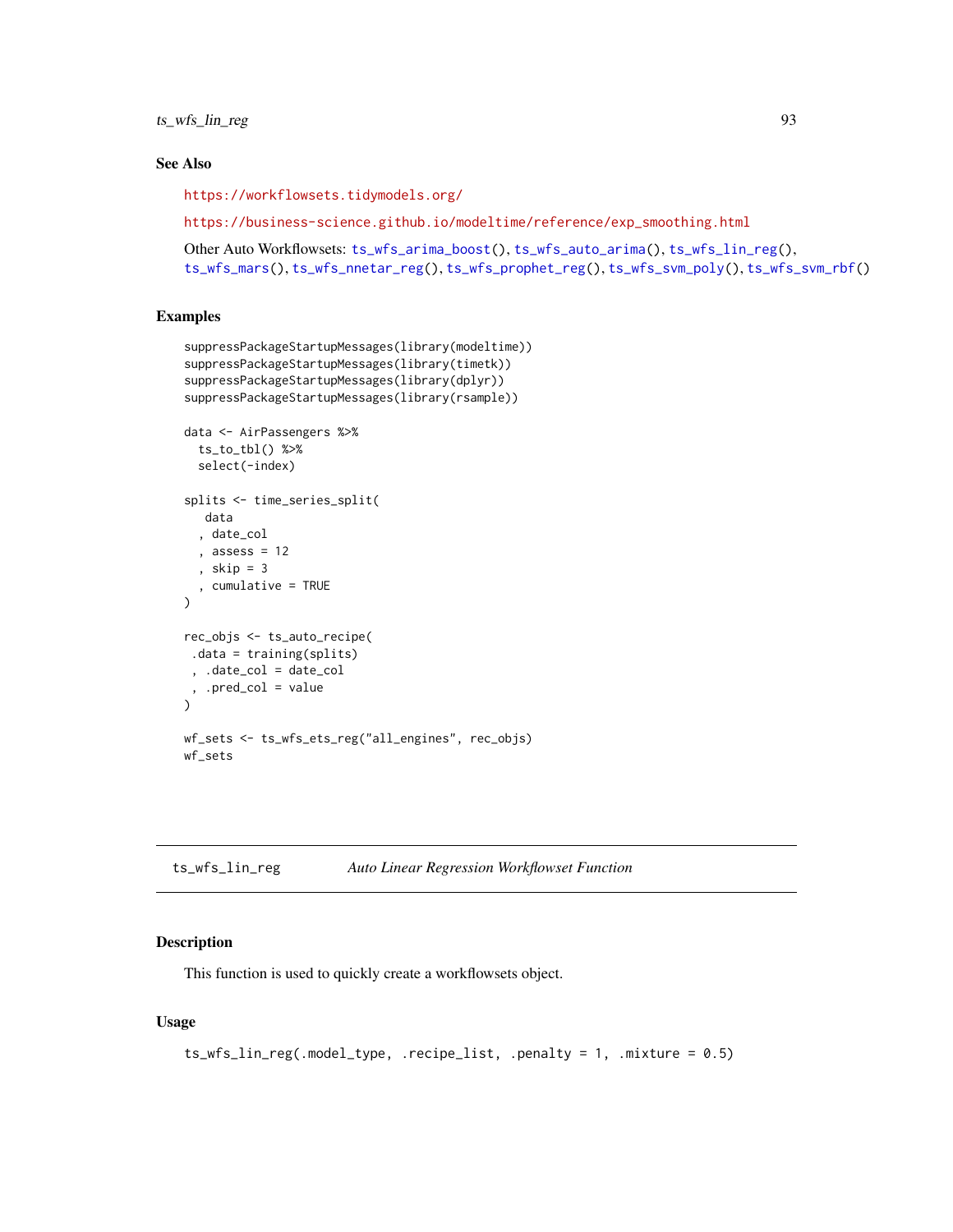# <span id="page-92-1"></span>ts\_wfs\_lin\_reg 93

#### See Also

<https://workflowsets.tidymodels.org/>

[https://business-science.github.io/modeltime/reference/exp\\_smoothing.html](https://business-science.github.io/modeltime/reference/exp_smoothing.html)

```
Other Auto Workflowsets: ts_wfs_arima_boost(), ts_wfs_auto_arima(), ts_wfs_lin_reg(),
ts_wfs_mars(), ts_wfs_nnetar_reg(), ts_wfs_prophet_reg(), ts_wfs_svm_poly(), ts_wfs_svm_rbf()
```
# Examples

```
suppressPackageStartupMessages(library(modeltime))
suppressPackageStartupMessages(library(timetk))
suppressPackageStartupMessages(library(dplyr))
suppressPackageStartupMessages(library(rsample))
data <- AirPassengers %>%
  ts_to_tbl() %>%
  select(-index)
splits <- time_series_split(
   data
  , date_col
  , assess = 12, skip = 3
  , cumulative = TRUE
\mathcal{L}rec_objs <- ts_auto_recipe(
 .data = training(splits)
 , .date_col = date_col
  , .pred_col = value
\lambdawf_sets <- ts_wfs_ets_reg("all_engines", rec_objs)
wf_sets
```
<span id="page-92-0"></span>

| ts_wfs_lin_reg | <b>Auto Linear Regression Workflowset Function</b> |  |
|----------------|----------------------------------------------------|--|
|                |                                                    |  |

#### Description

This function is used to quickly create a workflowsets object.

#### Usage

```
ts_wfs_lin_reg(.model_type, .recipe_list, .penalty = 1, .mixture = 0.5)
```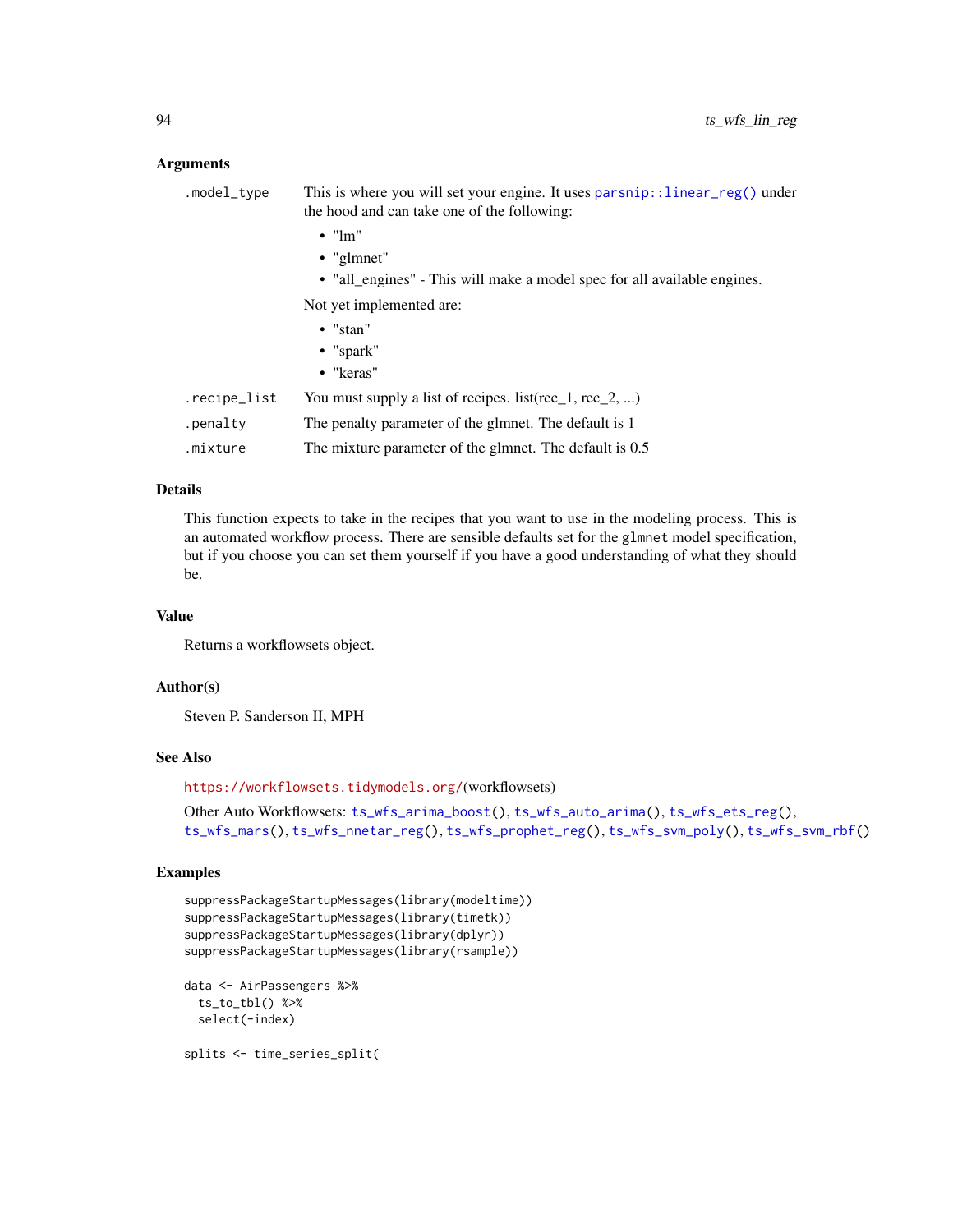# <span id="page-93-0"></span>**Arguments**

| .model_type  | This is where you will set your engine. It uses parsnip::linear_reg() under<br>the hood and can take one of the following: |
|--------------|----------------------------------------------------------------------------------------------------------------------------|
|              | $\cdot$ "lm"                                                                                                               |
|              | • "glmnet"                                                                                                                 |
|              | • "all_engines" - This will make a model spec for all available engines.                                                   |
|              | Not yet implemented are:                                                                                                   |
|              | $\bullet$ "stan"                                                                                                           |
|              | $\bullet$ "spark"                                                                                                          |
|              | • "keras"                                                                                                                  |
| .recipe_list | You must supply a list of recipes. list (rec $1$ , rec $2$ , )                                                             |
| .penalty     | The penalty parameter of the glmnet. The default is 1                                                                      |
| .mixture     | The mixture parameter of the glmnet. The default is 0.5                                                                    |

# Details

This function expects to take in the recipes that you want to use in the modeling process. This is an automated workflow process. There are sensible defaults set for the glmnet model specification, but if you choose you can set them yourself if you have a good understanding of what they should be.

#### Value

Returns a workflowsets object.

# Author(s)

Steven P. Sanderson II, MPH

#### See Also

<https://workflowsets.tidymodels.org/>(workflowsets)

```
Other Auto Workflowsets: ts_wfs_arima_boost(), ts_wfs_auto_arima(), ts_wfs_ets_reg(),
ts_wfs_mars(), ts_wfs_nnetar_reg(), ts_wfs_prophet_reg(), ts_wfs_svm_poly(), ts_wfs_svm_rbf()
```
# Examples

```
suppressPackageStartupMessages(library(modeltime))
suppressPackageStartupMessages(library(timetk))
suppressPackageStartupMessages(library(dplyr))
suppressPackageStartupMessages(library(rsample))
data <- AirPassengers %>%
 ts_to_tbl() %>%
 select(-index)
```
splits <- time\_series\_split(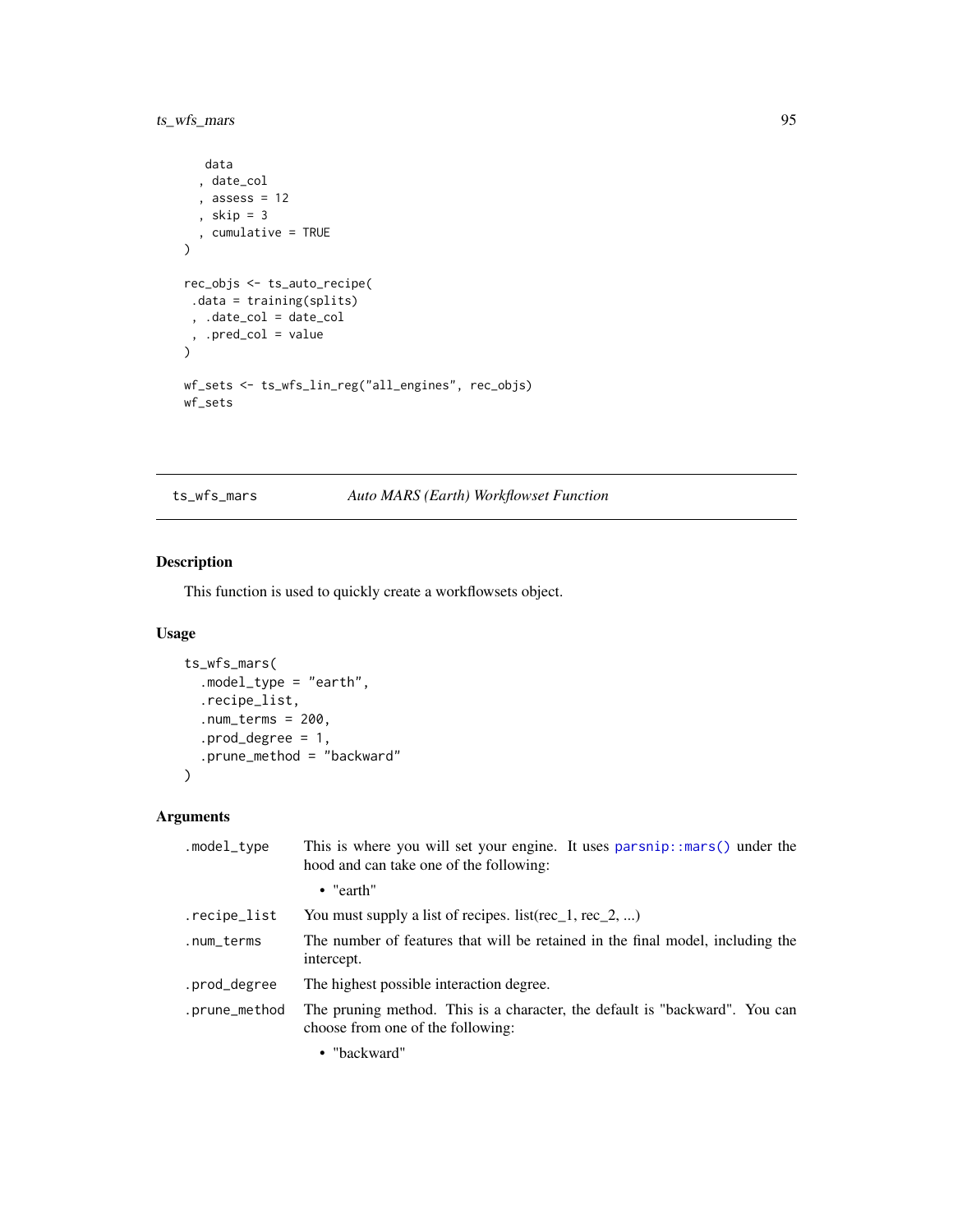<span id="page-94-1"></span>ts\_wfs\_mars 95

```
data
  , date_col
  , assess = 12
  , skip = 3
  , cumulative = TRUE
\overline{)}rec_objs <- ts_auto_recipe(
.data = training(splits)
 , .date_col = date_col
 , .pred_col = value
)
wf_sets <- ts_wfs_lin_reg("all_engines", rec_objs)
wf_sets
```
# <span id="page-94-0"></span>ts\_wfs\_mars *Auto MARS (Earth) Workflowset Function*

#### Description

This function is used to quickly create a workflowsets object.

# Usage

```
ts_wfs_mars(
  .model_type = "earth",
  .recipe_list,
  .num_terms = 200,
  .prod_degree = 1,
  .prune_method = "backward"
\mathcal{L}
```
# Arguments

| .model_type   | This is where you will set your engine. It uses parsnip::mars() under the<br>hood and can take one of the following: |
|---------------|----------------------------------------------------------------------------------------------------------------------|
|               | $\bullet$ "earth"                                                                                                    |
| .recipe_list  | You must supply a list of recipes. list(rec_1, rec_2, )                                                              |
| .num_terms    | The number of features that will be retained in the final model, including the<br>intercept.                         |
| .prod_degree  | The highest possible interaction degree.                                                                             |
| .prune_method | The pruning method. This is a character, the default is "backward". You can<br>choose from one of the following:     |
|               | • "backward"                                                                                                         |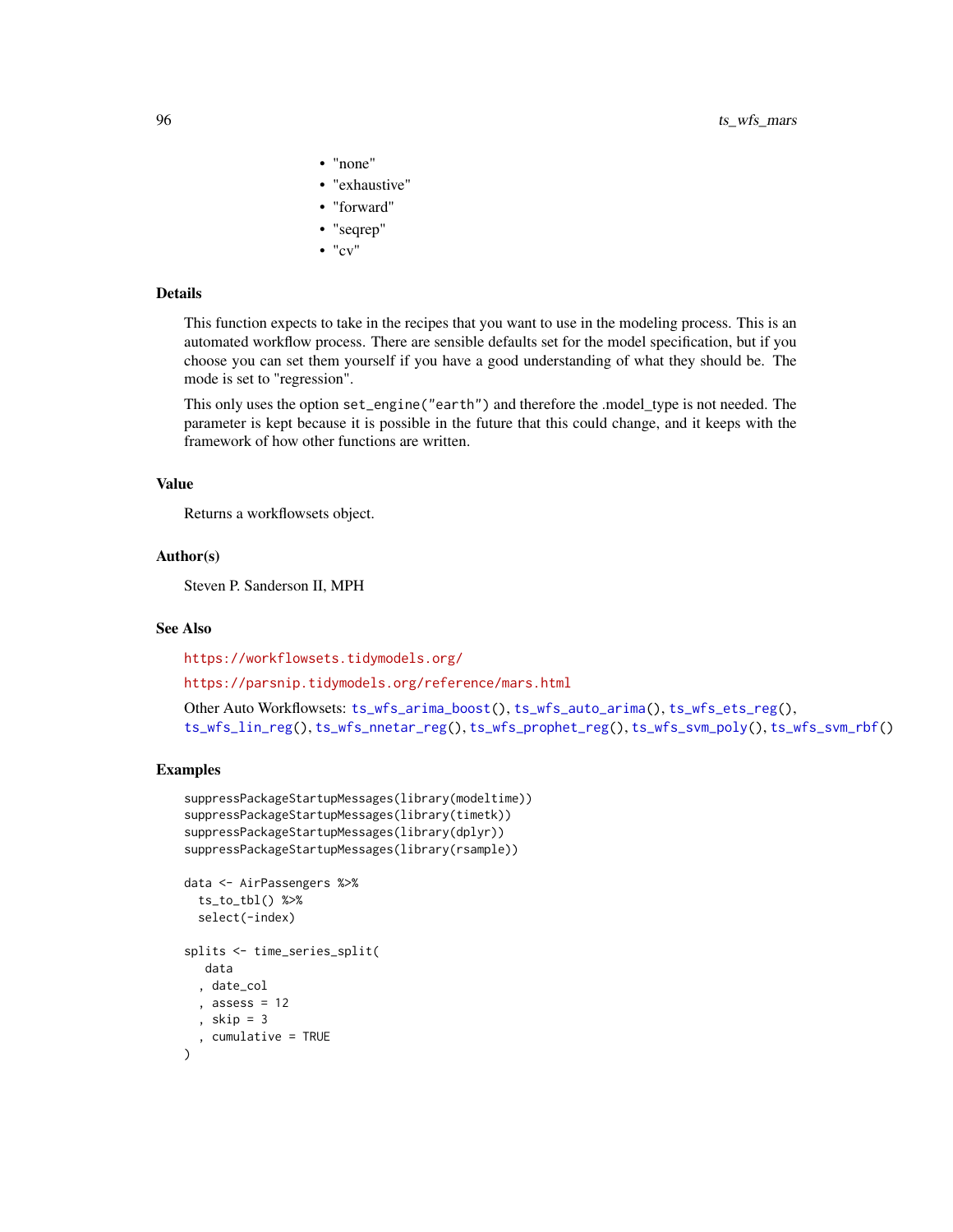- <span id="page-95-0"></span>• "none"
- "exhaustive"
- "forward"
- "seqrep"
- $\bullet$  "cv"

# Details

This function expects to take in the recipes that you want to use in the modeling process. This is an automated workflow process. There are sensible defaults set for the model specification, but if you choose you can set them yourself if you have a good understanding of what they should be. The mode is set to "regression".

This only uses the option set\_engine("earth") and therefore the .model\_type is not needed. The parameter is kept because it is possible in the future that this could change, and it keeps with the framework of how other functions are written.

#### Value

Returns a workflowsets object.

#### Author(s)

Steven P. Sanderson II, MPH

#### See Also

<https://workflowsets.tidymodels.org/>

<https://parsnip.tidymodels.org/reference/mars.html>

Other Auto Workflowsets: [ts\\_wfs\\_arima\\_boost\(](#page-86-0)), [ts\\_wfs\\_auto\\_arima\(](#page-88-0)), [ts\\_wfs\\_ets\\_reg\(](#page-90-0)), [ts\\_wfs\\_lin\\_reg\(](#page-92-0)), [ts\\_wfs\\_nnetar\\_reg\(](#page-96-0)), [ts\\_wfs\\_prophet\\_reg\(](#page-98-0)), [ts\\_wfs\\_svm\\_poly\(](#page-101-0)), [ts\\_wfs\\_svm\\_rbf\(](#page-102-0))

```
suppressPackageStartupMessages(library(modeltime))
suppressPackageStartupMessages(library(timetk))
suppressPackageStartupMessages(library(dplyr))
suppressPackageStartupMessages(library(rsample))
```

```
data <- AirPassengers %>%
  ts_to_tbl() %>%
  select(-index)
splits <- time_series_split(
  data
  , date_col
  , assess = 12, skip = 3
  , cumulative = TRUE
\mathcal{L}
```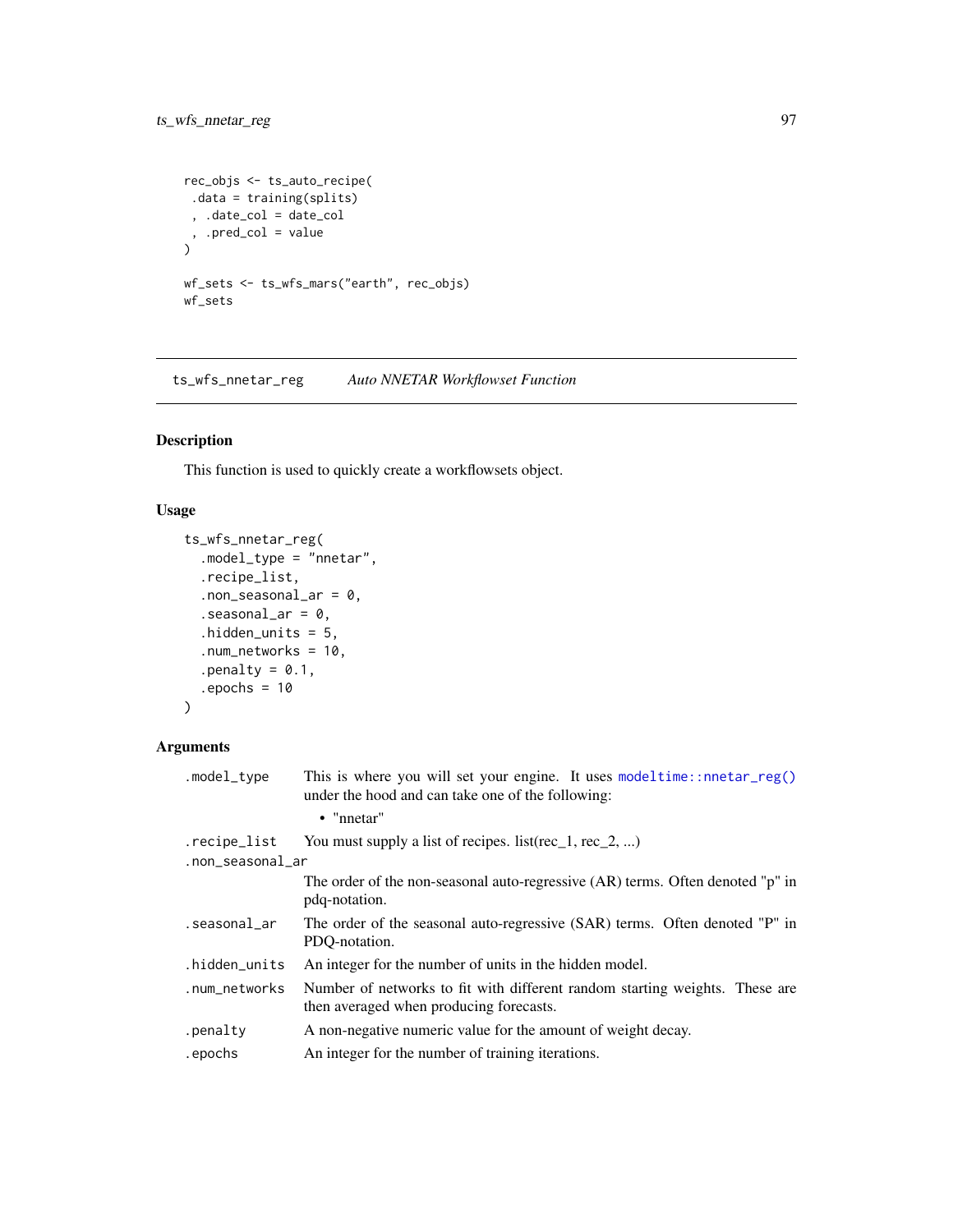```
rec_objs <- ts_auto_recipe(
.data = training(splits)
, .date_col = date_col
 , .pred_col = value
)
wf_sets <- ts_wfs_mars("earth", rec_objs)
wf_sets
```
<span id="page-96-0"></span>ts\_wfs\_nnetar\_reg *Auto NNETAR Workflowset Function*

# Description

This function is used to quickly create a workflowsets object.

# Usage

```
ts_wfs_nnetar_reg(
  .model_type = "nnetar",
  .recipe_list,
  .non_seasonal_ar = 0,
  .seasonal_ar = 0,
  .hidden_units = 5,
  .num_networks = 10,
  .penalty = 0.1,
  epochs = 10\mathcal{L}
```
# Arguments

| .model_type      | This is where you will set your engine. It uses modeltime::nnetar_reg()<br>under the hood and can take one of the following: |
|------------------|------------------------------------------------------------------------------------------------------------------------------|
|                  | $\bullet$ "nnetar"                                                                                                           |
| .recipe_list     | You must supply a list of recipes. list $(\text{rec}_1, \text{rec}_2, )$                                                     |
| .non_seasonal_ar |                                                                                                                              |
|                  | The order of the non-seasonal auto-regressive $(AR)$ terms. Often denoted "p" in<br>pdq-notation.                            |
| .seasonal_ar     | The order of the seasonal auto-regressive (SAR) terms. Often denoted "P" in<br>PDO-notation.                                 |
| .hidden_units    | An integer for the number of units in the hidden model.                                                                      |
| .num_networks    | Number of networks to fit with different random starting weights. These are<br>then averaged when producing forecasts.       |
| .penalty         | A non-negative numeric value for the amount of weight decay.                                                                 |
| .epochs          | An integer for the number of training iterations.                                                                            |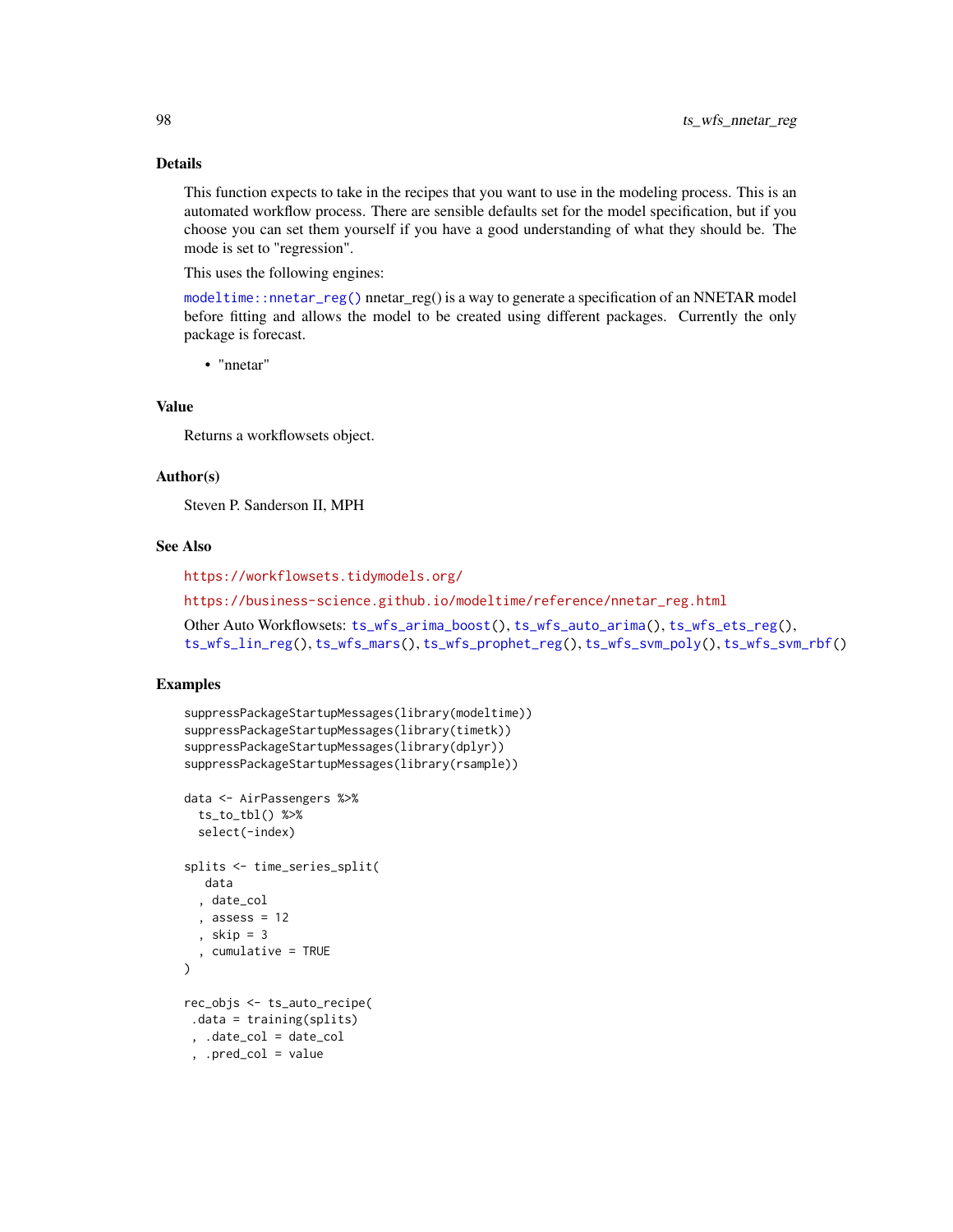# Details

This function expects to take in the recipes that you want to use in the modeling process. This is an automated workflow process. There are sensible defaults set for the model specification, but if you choose you can set them yourself if you have a good understanding of what they should be. The mode is set to "regression".

This uses the following engines:

[modeltime::nnetar\\_reg\(\)](#page-0-0) nnetar\_reg() is a way to generate a specification of an NNETAR model before fitting and allows the model to be created using different packages. Currently the only package is forecast.

• "nnetar"

#### Value

Returns a workflowsets object.

#### Author(s)

Steven P. Sanderson II, MPH

# See Also

<https://workflowsets.tidymodels.org/>

[https://business-science.github.io/modeltime/reference/nnetar\\_reg.html](https://business-science.github.io/modeltime/reference/nnetar_reg.html)

```
Other Auto Workflowsets: ts_wfs_arima_boost(), ts_wfs_auto_arima(), ts_wfs_ets_reg(),
ts_wfs_lin_reg(), ts_wfs_mars(), ts_wfs_prophet_reg(), ts_wfs_svm_poly(), ts_wfs_svm_rbf()
```

```
suppressPackageStartupMessages(library(modeltime))
suppressPackageStartupMessages(library(timetk))
suppressPackageStartupMessages(library(dplyr))
suppressPackageStartupMessages(library(rsample))
data <- AirPassengers %>%
 ts_to_tbl() %>%
 select(-index)
splits <- time_series_split(
  data
  , date_col
  , assess = 12
  , skip = 3
  , cumulative = TRUE
)
rec_objs <- ts_auto_recipe(
.data = training(splits)
 , .date_col = date_col
```
<span id="page-97-0"></span>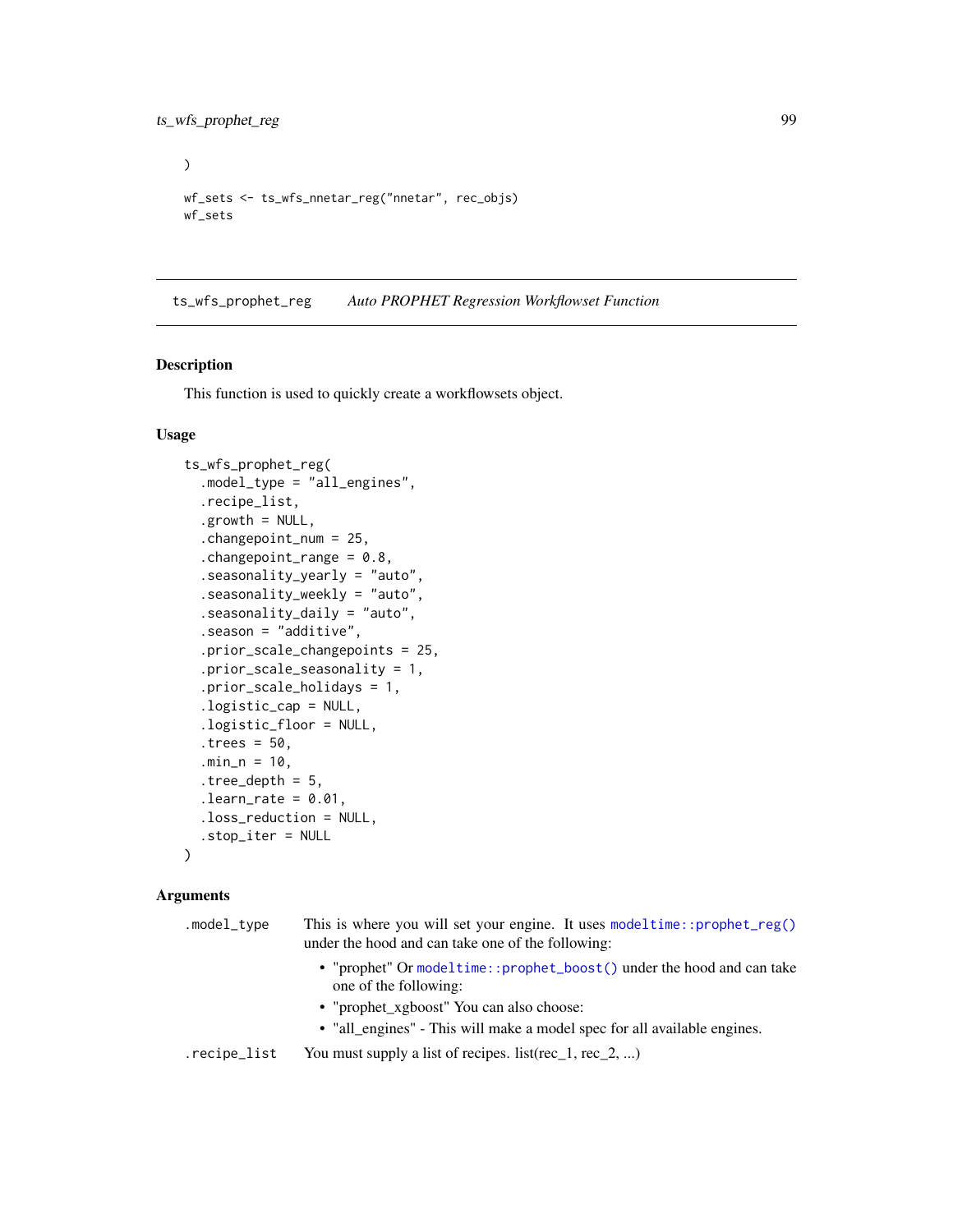```
ts_wfs_prophet_reg 99
```

```
\mathcal{L}wf_sets <- ts_wfs_nnetar_reg("nnetar", rec_objs)
wf_sets
```
<span id="page-98-0"></span>ts\_wfs\_prophet\_reg *Auto PROPHET Regression Workflowset Function*

#### Description

This function is used to quickly create a workflowsets object.

# Usage

```
ts_wfs_prophet_reg(
  .model_type = "all_engines",
  .recipe_list,
  . growth = NULL,
  .changepoint_num = 25,
  R.changepoint_range = 0.8,
  .seasonality_yearly = "auto",
  .seasonality_weekly = "auto",
  .seasonality_daily = "auto",
  .season = "additive",
  .prior_scale_changepoints = 25,
  .prior_scale_seasonality = 1,
  .prior_scale_holidays = 1,
  .logistic_cap = NULL,
  .logistic_floor = NULL,
  .trees = 50,
  .min_n = 10,tree_{depth} = 5,
  .1earn_rate = 0.01,
  .loss_reduction = NULL,
  .stop_iter = NULL
\mathcal{L}
```
#### Arguments

| .model_type  | This is where you will set your engine. It uses modeltime:: prophet_reg()<br>under the hood and can take one of the following: |
|--------------|--------------------------------------------------------------------------------------------------------------------------------|
|              | • "prophet" Or modeltime::prophet_boost() under the hood and can take<br>one of the following:                                 |
|              | • "prophet_xgboost" You can also choose:                                                                                       |
|              | • "all_engines" - This will make a model spec for all available engines.                                                       |
| .recipe_list | You must supply a list of recipes. list $(\text{rec}_1, \text{rec}_2, )$                                                       |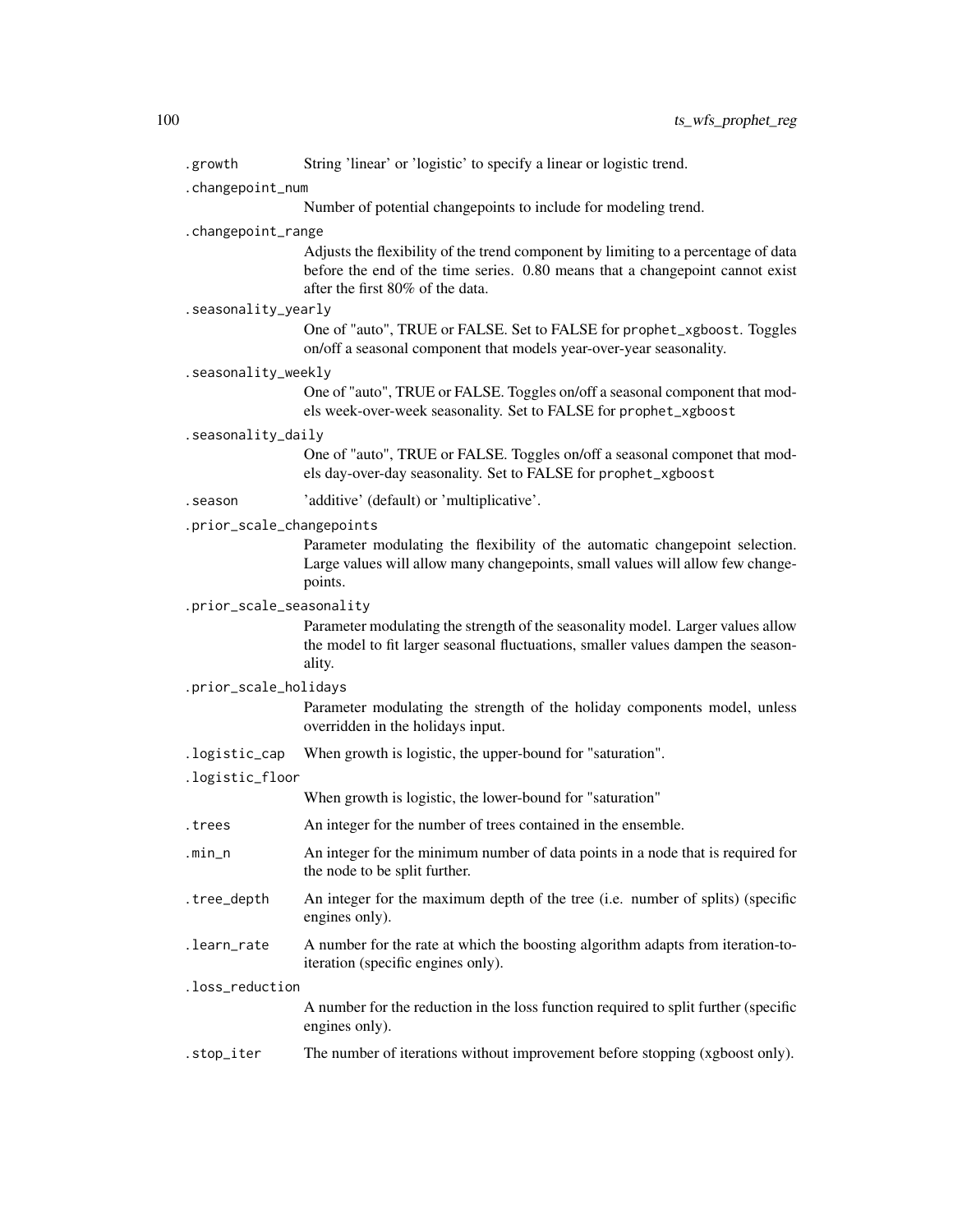| .growth |  | String 'linear' or 'logistic' to specify a linear or logistic trend. |
|---------|--|----------------------------------------------------------------------|
|         |  |                                                                      |

.changepoint\_num

Number of potential changepoints to include for modeling trend.

#### .changepoint\_range

Adjusts the flexibility of the trend component by limiting to a percentage of data before the end of the time series. 0.80 means that a changepoint cannot exist after the first 80% of the data.

.seasonality\_yearly

One of "auto", TRUE or FALSE. Set to FALSE for prophet\_xgboost. Toggles on/off a seasonal component that models year-over-year seasonality.

#### .seasonality\_weekly

One of "auto", TRUE or FALSE. Toggles on/off a seasonal component that models week-over-week seasonality. Set to FALSE for prophet\_xgboost

#### .seasonality\_daily

One of "auto", TRUE or FALSE. Toggles on/off a seasonal componet that models day-over-day seasonality. Set to FALSE for prophet\_xgboost

| .season |  |  | 'additive' (default) or 'multiplicative'. |
|---------|--|--|-------------------------------------------|
|---------|--|--|-------------------------------------------|

#### .prior\_scale\_changepoints

Parameter modulating the flexibility of the automatic changepoint selection. Large values will allow many changepoints, small values will allow few changepoints.

#### .prior\_scale\_seasonality

Parameter modulating the strength of the seasonality model. Larger values allow the model to fit larger seasonal fluctuations, smaller values dampen the seasonality.

#### .prior\_scale\_holidays

Parameter modulating the strength of the holiday components model, unless overridden in the holidays input.

.logistic\_cap When growth is logistic, the upper-bound for "saturation".

#### .logistic\_floor

When growth is logistic, the lower-bound for "saturation"

- .trees An integer for the number of trees contained in the ensemble.
- .min\_n An integer for the minimum number of data points in a node that is required for the node to be split further.
- .tree\_depth An integer for the maximum depth of the tree (i.e. number of splits) (specific engines only).
- .learn\_rate A number for the rate at which the boosting algorithm adapts from iteration-toiteration (specific engines only).

.loss\_reduction

A number for the reduction in the loss function required to split further (specific engines only).

# .stop\_iter The number of iterations without improvement before stopping (xgboost only).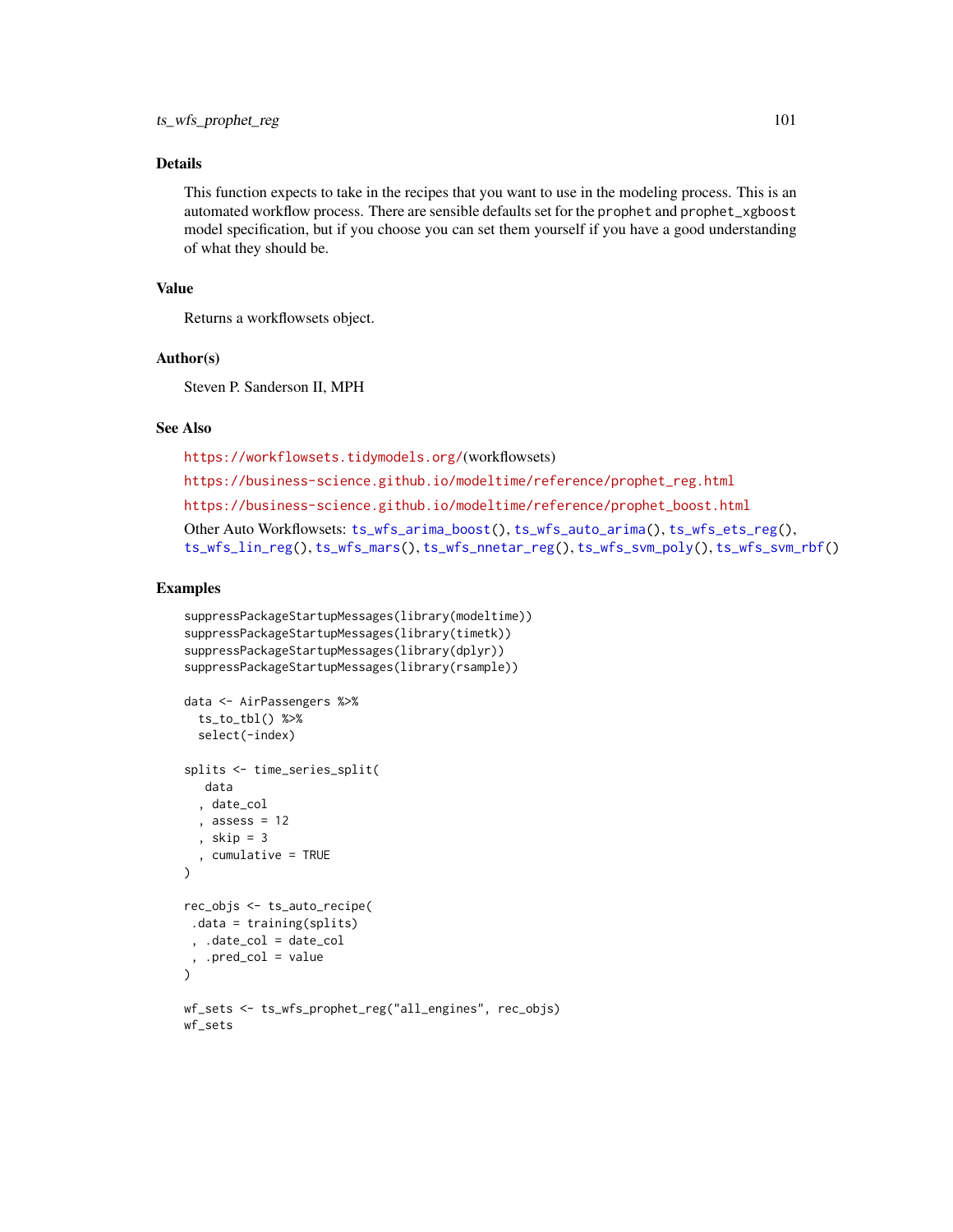# <span id="page-100-0"></span>Details

This function expects to take in the recipes that you want to use in the modeling process. This is an automated workflow process. There are sensible defaults set for the prophet and prophet\_xgboost model specification, but if you choose you can set them yourself if you have a good understanding of what they should be.

#### Value

Returns a workflowsets object.

#### Author(s)

Steven P. Sanderson II, MPH

# See Also

<https://workflowsets.tidymodels.org/>(workflowsets) [https://business-science.github.io/modeltime/reference/prophet\\_reg.html](https://business-science.github.io/modeltime/reference/prophet_reg.html) [https://business-science.github.io/modeltime/reference/prophet\\_boost.html](https://business-science.github.io/modeltime/reference/prophet_boost.html) Other Auto Workflowsets: [ts\\_wfs\\_arima\\_boost\(](#page-86-0)), [ts\\_wfs\\_auto\\_arima\(](#page-88-0)), [ts\\_wfs\\_ets\\_reg\(](#page-90-0)), [ts\\_wfs\\_lin\\_reg\(](#page-92-0)), [ts\\_wfs\\_mars\(](#page-94-0)), [ts\\_wfs\\_nnetar\\_reg\(](#page-96-0)), [ts\\_wfs\\_svm\\_poly\(](#page-101-0)), [ts\\_wfs\\_svm\\_rbf\(](#page-102-0))

```
suppressPackageStartupMessages(library(modeltime))
suppressPackageStartupMessages(library(timetk))
suppressPackageStartupMessages(library(dplyr))
suppressPackageStartupMessages(library(rsample))
data <- AirPassengers %>%
  ts_to_tbl() %>%
  select(-index)
splits <- time_series_split(
  data
  , date_col
  , assess = 12
  , skip = 3
  , cumulative = TRUE
\lambdarec_objs <- ts_auto_recipe(
 .data = training(splits)
 , .date_col = date_col
 , .pred_col = value
\lambdawf_sets <- ts_wfs_prophet_reg("all_engines", rec_objs)
wf_sets
```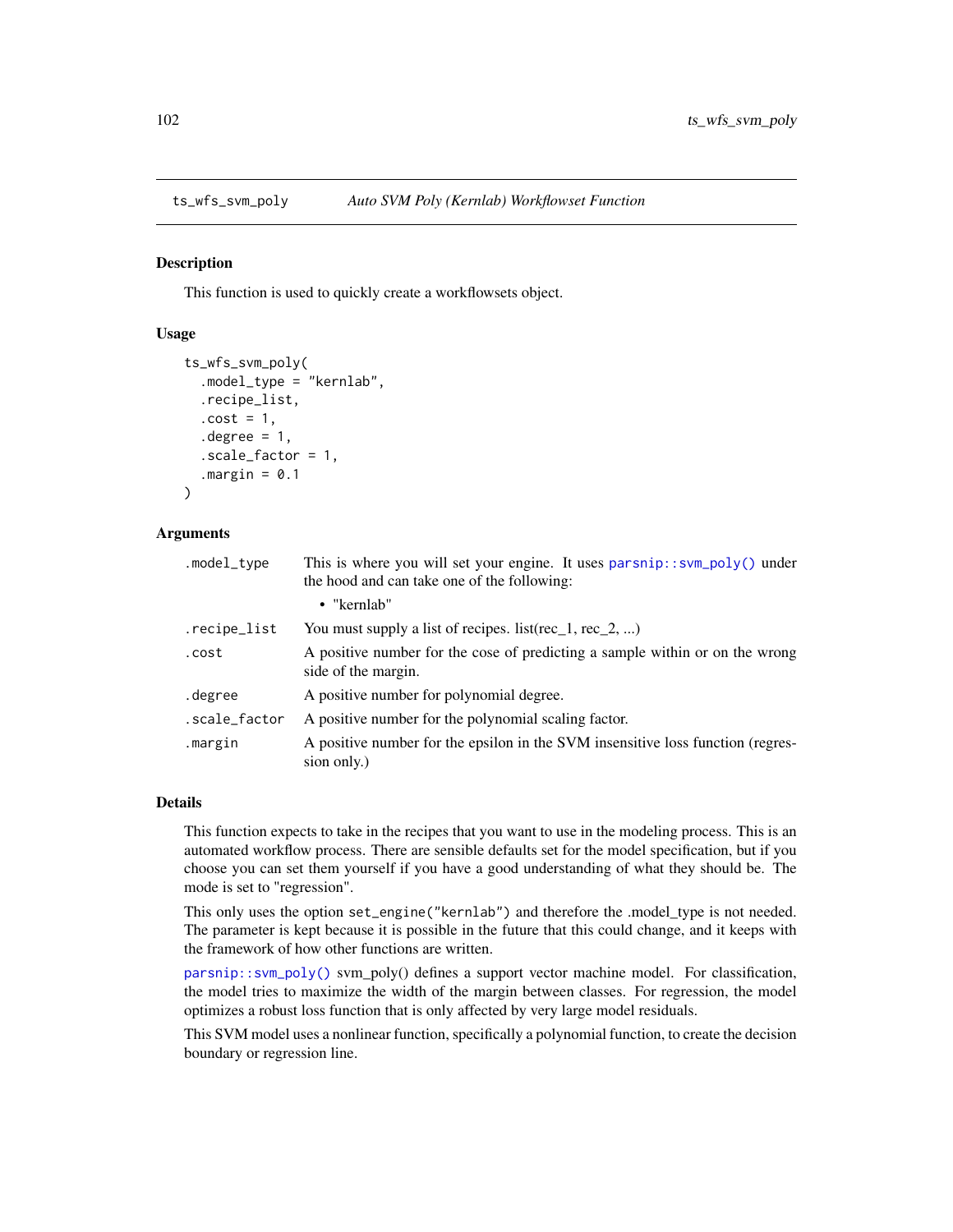<span id="page-101-1"></span><span id="page-101-0"></span>ts\_wfs\_svm\_poly *Auto SVM Poly (Kernlab) Workflowset Function*

#### Description

This function is used to quickly create a workflowsets object.

#### Usage

```
ts_wfs_svm_poly(
  .model_type = "kernlab",
  .recipe_list,
  . \text{cost} = 1,
  degree = 1,
  .scale_factor = 1,
  .margin = 0.1)
```
#### Arguments

| This is where you will set your engine. It uses parsnip::svm_poly() under<br>the hood and can take one of the following: |
|--------------------------------------------------------------------------------------------------------------------------|
| • "kernlab"                                                                                                              |
| You must supply a list of recipes. $list(rec_1, rec_2, )$                                                                |
| A positive number for the cose of predicting a sample within or on the wrong<br>side of the margin.                      |
| A positive number for polynomial degree.                                                                                 |
| A positive number for the polynomial scaling factor.                                                                     |
| A positive number for the epsilon in the SVM insensitive loss function (regres-<br>sion only.)                           |
|                                                                                                                          |

#### Details

This function expects to take in the recipes that you want to use in the modeling process. This is an automated workflow process. There are sensible defaults set for the model specification, but if you choose you can set them yourself if you have a good understanding of what they should be. The mode is set to "regression".

This only uses the option set\_engine("kernlab") and therefore the .model\_type is not needed. The parameter is kept because it is possible in the future that this could change, and it keeps with the framework of how other functions are written.

[parsnip::svm\\_poly\(\)](#page-0-0) svm\_poly() defines a support vector machine model. For classification, the model tries to maximize the width of the margin between classes. For regression, the model optimizes a robust loss function that is only affected by very large model residuals.

This SVM model uses a nonlinear function, specifically a polynomial function, to create the decision boundary or regression line.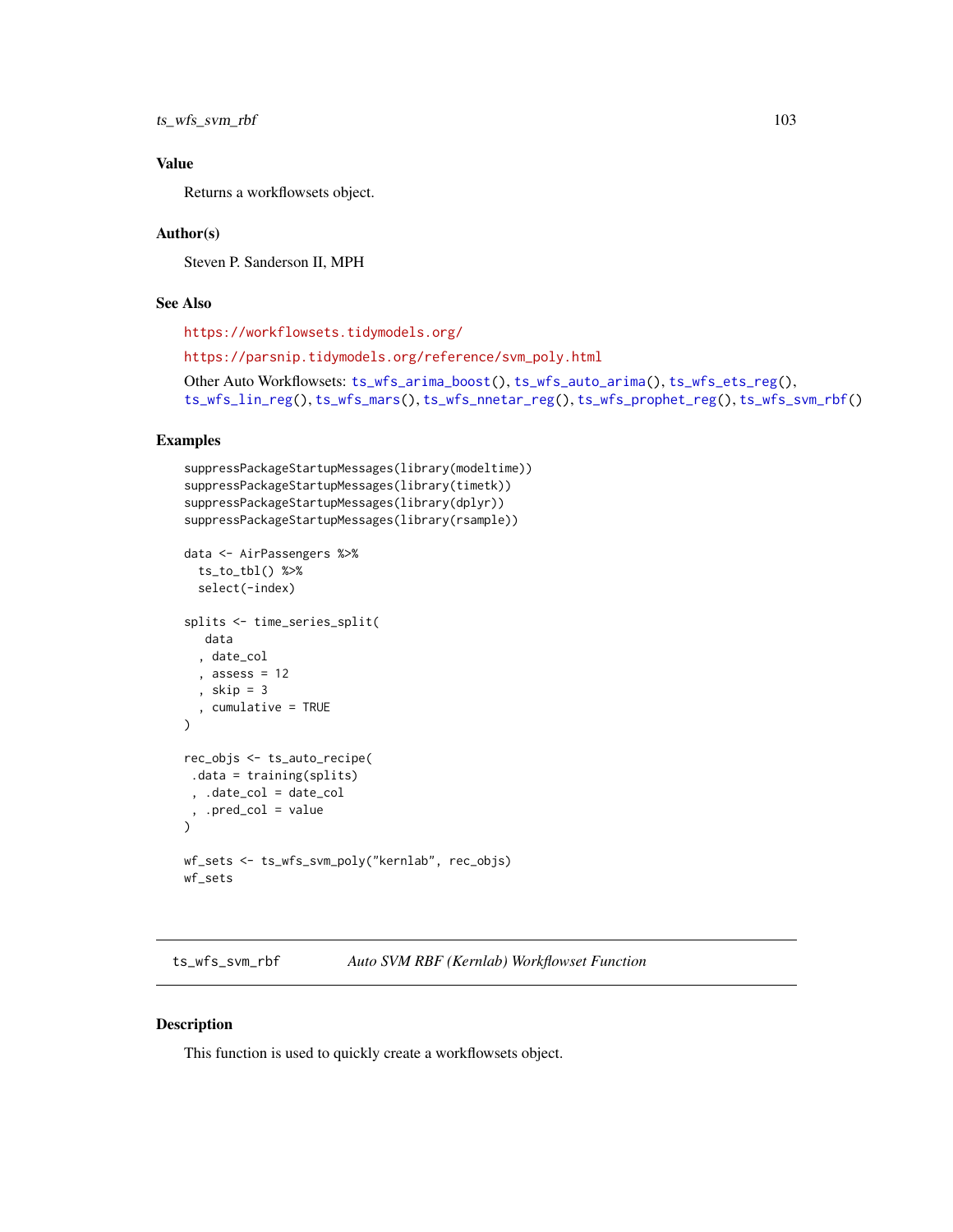<span id="page-102-1"></span>ts\_wfs\_svm\_rbf 103

# Value

Returns a workflowsets object.

#### Author(s)

Steven P. Sanderson II, MPH

# See Also

<https://workflowsets.tidymodels.org/>

[https://parsnip.tidymodels.org/reference/svm\\_poly.html](https://parsnip.tidymodels.org/reference/svm_poly.html)

```
Other Auto Workflowsets: ts_wfs_arima_boost(), ts_wfs_auto_arima(), ts_wfs_ets_reg(),
ts_wfs_lin_reg(), ts_wfs_mars(), ts_wfs_nnetar_reg(), ts_wfs_prophet_reg(), ts_wfs_svm_rbf()
```
# Examples

```
suppressPackageStartupMessages(library(modeltime))
suppressPackageStartupMessages(library(timetk))
suppressPackageStartupMessages(library(dplyr))
suppressPackageStartupMessages(library(rsample))
data <- AirPassengers %>%
  ts_to_tbl() %>%
  select(-index)
splits <- time_series_split(
  data
  , date_col
  , assess = 12, skip = 3
  , cumulative = TRUE
)
rec_objs <- ts_auto_recipe(
.data = training(splits)
 , .date_col = date_col
  , .pred_col = value
\lambdawf_sets <- ts_wfs_svm_poly("kernlab", rec_objs)
wf_sets
```
<span id="page-102-0"></span>ts\_wfs\_svm\_rbf *Auto SVM RBF (Kernlab) Workflowset Function*

#### Description

This function is used to quickly create a workflowsets object.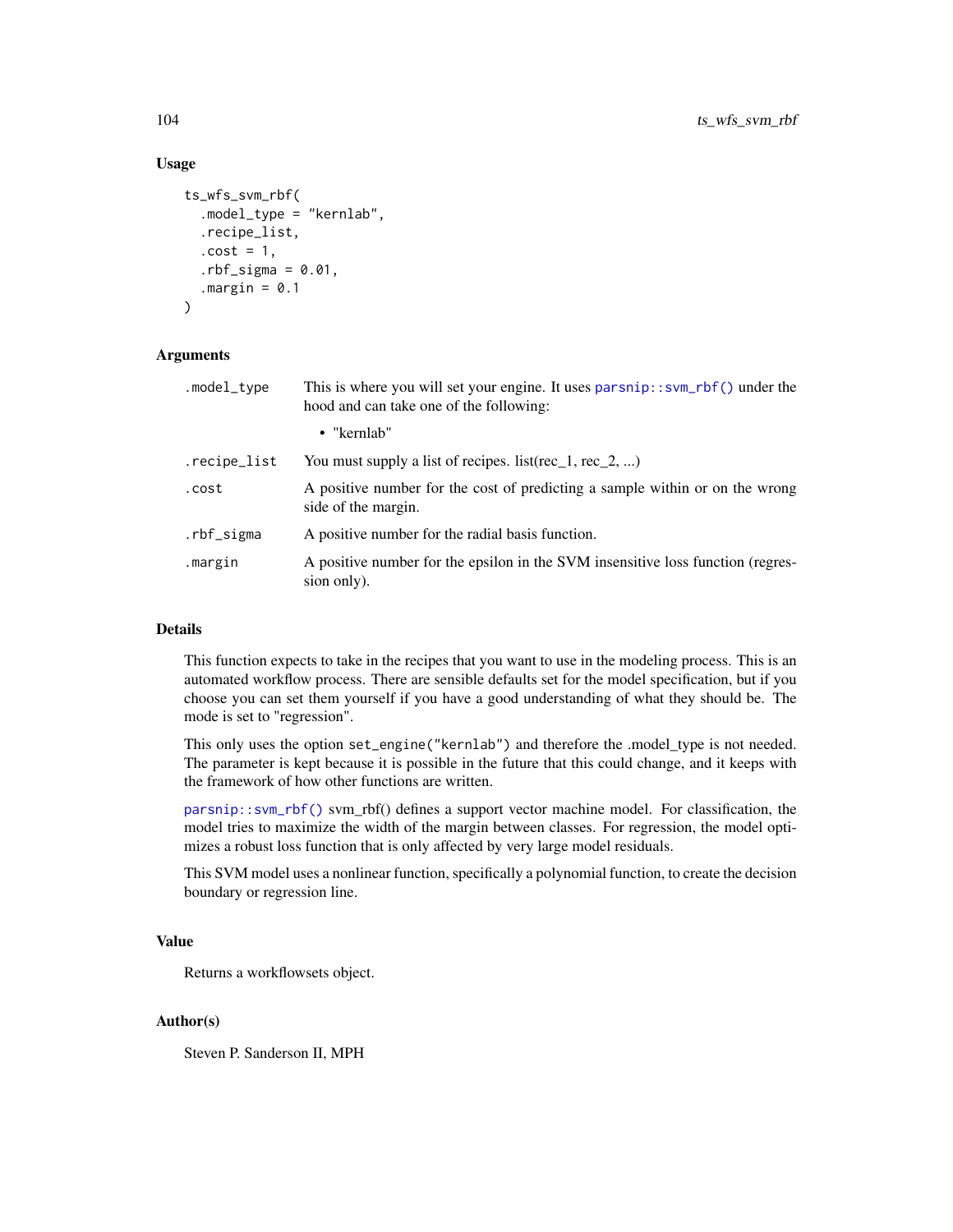#### Usage

```
ts_wfs_svm_rbf(
  .model_type = "kernlab",
  .recipe_list,
  . \text{cost} = 1,
  rbf_sigma = 0.01,
  .margin = 0.1)
```
#### Arguments

| .model_type  | This is where you will set your engine. It uses $param: \mathsf{sym\_rbf}()$ under the<br>hood and can take one of the following: |
|--------------|-----------------------------------------------------------------------------------------------------------------------------------|
|              | • "kernlab"                                                                                                                       |
| .recipe_list | You must supply a list of recipes. list(rec_1, rec_2, )                                                                           |
| .cost        | A positive number for the cost of predicting a sample within or on the wrong<br>side of the margin.                               |
| .rbf_sigma   | A positive number for the radial basis function.                                                                                  |
| .margin      | A positive number for the epsilon in the SVM insensitive loss function (regres-<br>sion only).                                    |

# Details

This function expects to take in the recipes that you want to use in the modeling process. This is an automated workflow process. There are sensible defaults set for the model specification, but if you choose you can set them yourself if you have a good understanding of what they should be. The mode is set to "regression".

This only uses the option set\_engine("kernlab") and therefore the .model\_type is not needed. The parameter is kept because it is possible in the future that this could change, and it keeps with the framework of how other functions are written.

[parsnip::svm\\_rbf\(\)](#page-0-0) svm\_rbf() defines a support vector machine model. For classification, the model tries to maximize the width of the margin between classes. For regression, the model optimizes a robust loss function that is only affected by very large model residuals.

This SVM model uses a nonlinear function, specifically a polynomial function, to create the decision boundary or regression line.

# Value

Returns a workflowsets object.

#### Author(s)

Steven P. Sanderson II, MPH

<span id="page-103-0"></span>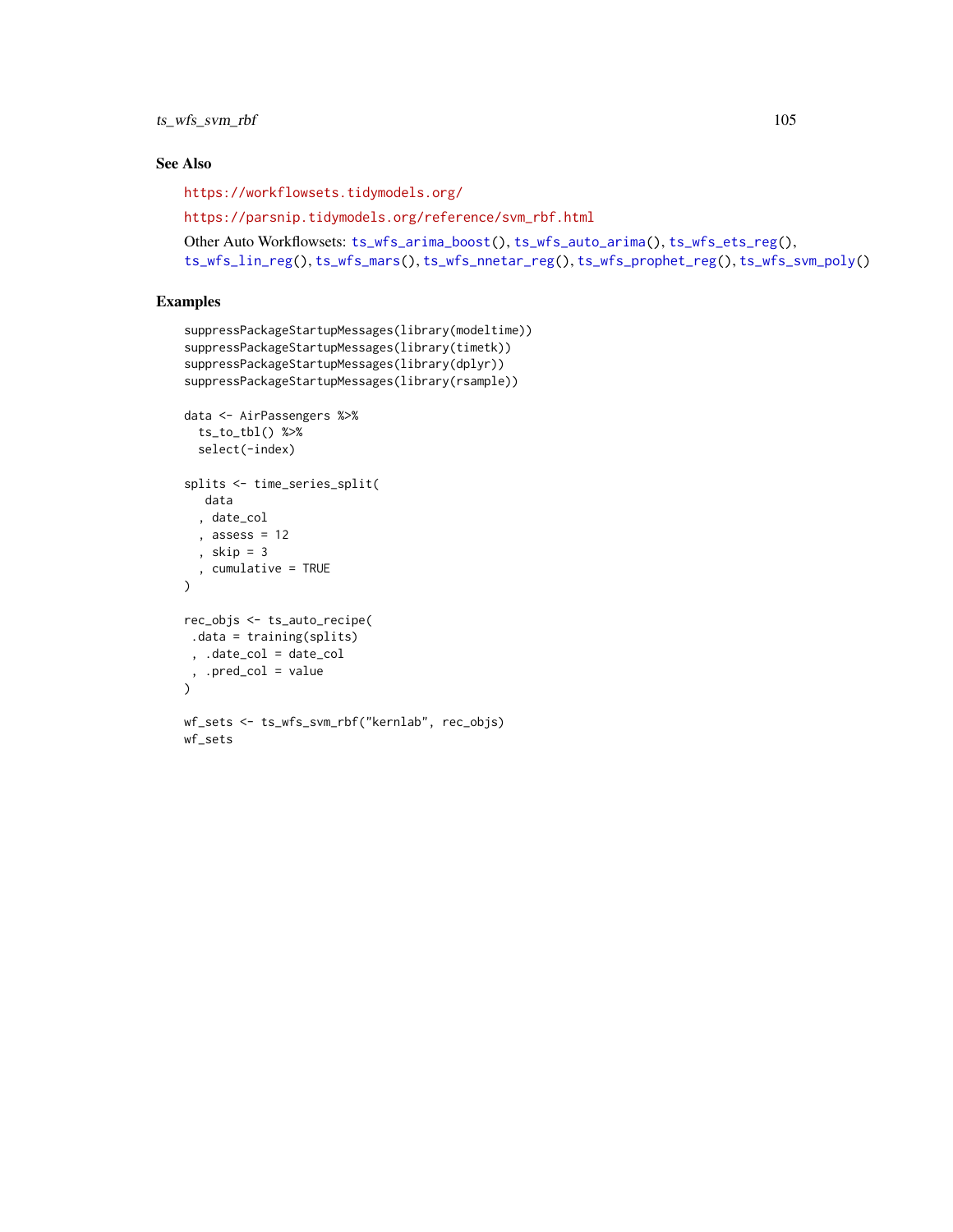# <span id="page-104-0"></span>ts\_wfs\_svm\_rbf 105

# See Also

<https://workflowsets.tidymodels.org/>

[https://parsnip.tidymodels.org/reference/svm\\_rbf.html](https://parsnip.tidymodels.org/reference/svm_rbf.html)

```
Other Auto Workflowsets: ts_wfs_arima_boost(), ts_wfs_auto_arima(), ts_wfs_ets_reg(),
ts_wfs_lin_reg(), ts_wfs_mars(), ts_wfs_nnetar_reg(), ts_wfs_prophet_reg(), ts_wfs_svm_poly()
```

```
suppressPackageStartupMessages(library(modeltime))
suppressPackageStartupMessages(library(timetk))
suppressPackageStartupMessages(library(dplyr))
suppressPackageStartupMessages(library(rsample))
data <- AirPassengers %>%
 ts_to_tbl() %>%
 select(-index)
splits <- time_series_split(
  data
  , date_col
  , assess = 12
  , skip = 3
  , cumulative = TRUE
\mathcal{L}rec_objs <- ts_auto_recipe(
.data = training(splits)
 , .date_col = date_col
 , .pred_col = value
\lambdawf_sets <- ts_wfs_svm_rbf("kernlab", rec_objs)
wf_sets
```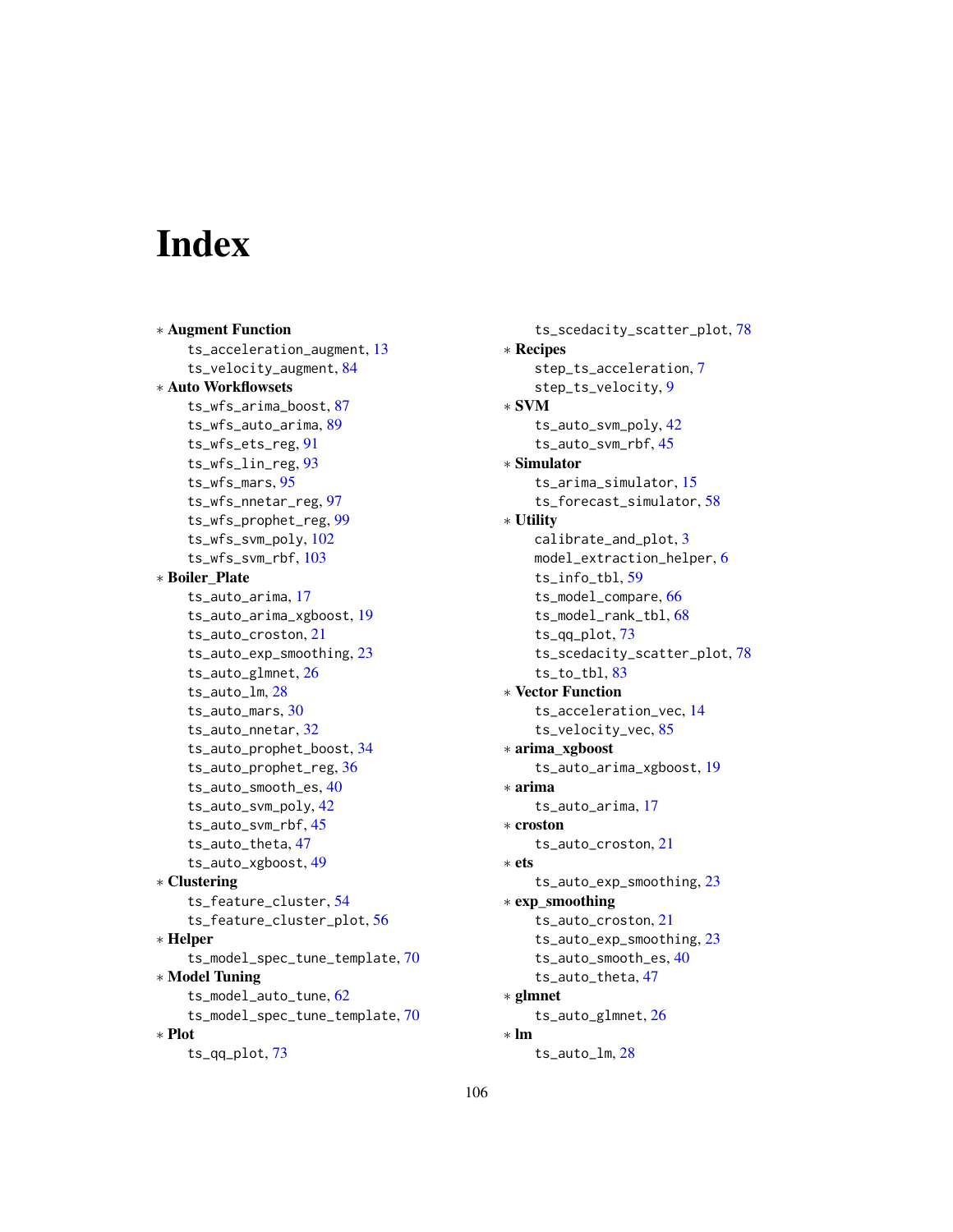# **Index**

∗ Augment Function ts\_acceleration\_augment, [13](#page-12-1) ts\_velocity\_augment, [84](#page-83-1) ∗ Auto Workflowsets ts\_wfs\_arima\_boost, [87](#page-86-1) ts\_wfs\_auto\_arima, [89](#page-88-1) ts\_wfs\_ets\_reg, [91](#page-90-1) ts\_wfs\_lin\_reg, [93](#page-92-1) ts\_wfs\_mars, [95](#page-94-1) ts\_wfs\_nnetar\_reg, [97](#page-96-1) ts\_wfs\_prophet\_reg, [99](#page-98-1) ts\_wfs\_svm\_poly, [102](#page-101-1) ts\_wfs\_svm\_rbf, [103](#page-102-1) ∗ Boiler\_Plate ts\_auto\_arima, [17](#page-16-0) ts\_auto\_arima\_xgboost, [19](#page-18-0) ts\_auto\_croston, [21](#page-20-0) ts\_auto\_exp\_smoothing, [23](#page-22-0) ts\_auto\_glmnet, [26](#page-25-0) ts\_auto\_lm, [28](#page-27-0) ts\_auto\_mars, [30](#page-29-0) ts\_auto\_nnetar, [32](#page-31-0) ts\_auto\_prophet\_boost, [34](#page-33-0) ts\_auto\_prophet\_reg, [36](#page-35-0) ts\_auto\_smooth\_es, [40](#page-39-0) ts\_auto\_svm\_poly, [42](#page-41-0) ts\_auto\_svm\_rbf, [45](#page-44-0) ts\_auto\_theta, [47](#page-46-0) ts\_auto\_xgboost, [49](#page-48-0) ∗ Clustering ts\_feature\_cluster, [54](#page-53-0) ts\_feature\_cluster\_plot, [56](#page-55-0) ∗ Helper ts\_model\_spec\_tune\_template, [70](#page-69-0) ∗ Model Tuning ts\_model\_auto\_tune, [62](#page-61-0) ts\_model\_spec\_tune\_template, [70](#page-69-0) ∗ Plot ts\_qq\_plot, [73](#page-72-1)

ts\_scedacity\_scatter\_plot, [78](#page-77-1) ∗ Recipes step\_ts\_acceleration, [7](#page-6-0) step\_ts\_velocity, [9](#page-8-0) ∗ SVM ts\_auto\_svm\_poly, [42](#page-41-0) ts\_auto\_svm\_rbf, [45](#page-44-0) ∗ Simulator ts\_arima\_simulator, [15](#page-14-0) ts\_forecast\_simulator, [58](#page-57-0) ∗ Utility calibrate\_and\_plot, [3](#page-2-1) model\_extraction\_helper, [6](#page-5-1) ts\_info\_tbl, [59](#page-58-1) ts\_model\_compare, [66](#page-65-1) ts\_model\_rank\_tbl, [68](#page-67-1) ts\_qq\_plot, [73](#page-72-1) ts\_scedacity\_scatter\_plot, [78](#page-77-1) ts\_to\_tbl, [83](#page-82-1) ∗ Vector Function ts\_acceleration\_vec, [14](#page-13-1) ts\_velocity\_vec, [85](#page-84-0) ∗ arima\_xgboost ts\_auto\_arima\_xgboost, [19](#page-18-0) ∗ arima ts\_auto\_arima, [17](#page-16-0) ∗ croston ts\_auto\_croston, [21](#page-20-0) ∗ ets ts\_auto\_exp\_smoothing, [23](#page-22-0) ∗ exp\_smoothing ts\_auto\_croston, [21](#page-20-0) ts\_auto\_exp\_smoothing, [23](#page-22-0) ts\_auto\_smooth\_es, [40](#page-39-0) ts\_auto\_theta, [47](#page-46-0) ∗ glmnet ts\_auto\_glmnet, [26](#page-25-0) ∗ lm ts\_auto\_lm, [28](#page-27-0)

```
106
```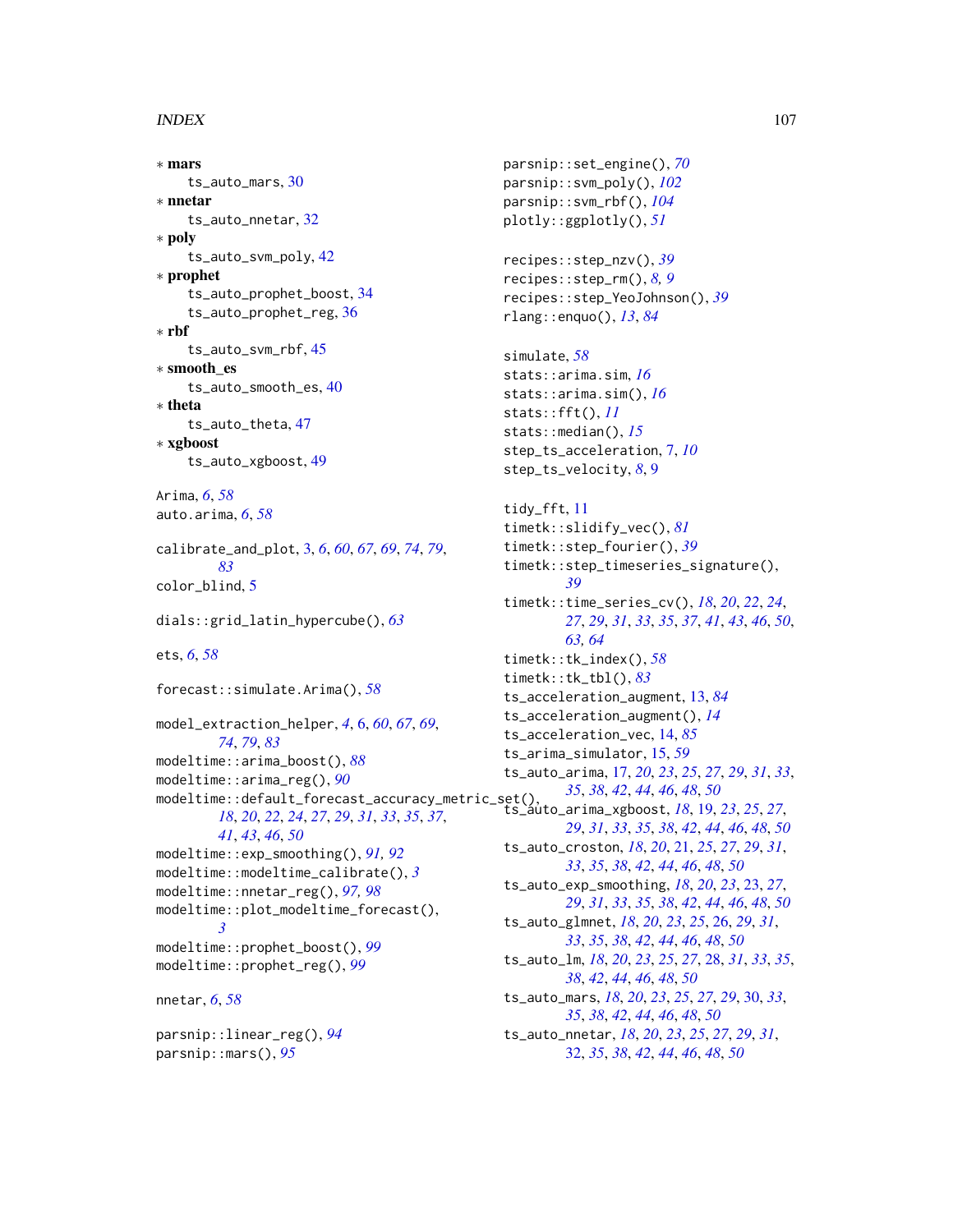#### INDEX  $107$

```
∗ mars
    ts_auto_mars, 30
∗ nnetar
    ts_auto_nnetar, 32
∗ poly
    ts_auto_svm_poly, 42
∗ prophet
    ts_auto_prophet_boost, 34
    ts_auto_prophet_reg, 36
∗ rbf
    ts_auto_svm_rbf, 45
∗ smooth_es
    ts_auto_smooth_es, 40
∗ theta
    ts_auto_theta, 47
∗ xgboost
    ts_auto_xgboost, 49
Arima, 6, 58
auto.arima, 6, 58
calibrate_and_plot, 3, 6, 60, 67, 69, 74, 79,
        83
color_blind, 5
dials::grid_latin_hypercube(), 63
ets, 6, 58
forecast::simulate.Arima(), 58
model_extraction_helper, 4, 6, 60, 67, 69,
        74, 79, 83
modeltime::arima_boost(), 88
modeltime::arima_reg(), 90
modeltime::default_forecast_accuracy_metric_set(),
35, 38, 42, 44, 46, 48, 50
        18, 20, 22, 24, 27, 29, 31, 33, 35, 37,
        41, 43, 46, 50
modeltime::exp_smoothing(), 91, 92
modeltime::modeltime_calibrate(), 3
modeltime::nnetar_reg(), 97, 98
modeltime::plot_modeltime_forecast(),
        3
modeltime::prophet_boost(), 99
modeltime::prophet_reg(), 99
nnetar, 6, 58
parsnip::linear_reg(), 94
parsnip::mars(), 95
```

```
parsnip::set_engine(), 70
parsnip::svm_poly(), 102
parsnip::svm_rbf(), 104
plotly::ggplotly(), 51
recipes::step_nzv(), 39
recipes::step_rm(), 8, 9
recipes::step_YeoJohnson(), 39
rlang::enquo(), 13, 84
simulate, 58
stats::arima.sim, 16
stats::arima.sim(), 16
stats::fft(), 11
stats::median(), 15
step_ts_acceleration, 7, 10
step_ts_velocity, 8, 9
tidy_fft, 11
timetk::slidify_vec(), 81
timetk::step_fourier(), 39
timetk::step_timeseries_signature(),
         39
timetk::time_series_cv(), 18, 20, 22, 24,
         27, 29, 31, 33, 35, 37, 41, 43, 46, 50,
         63, 64
timetk::tk_index(), 58
timetk::tk_tbl(), 83
ts_acceleration_augment, 13, 84
ts_acceleration_augment(), 14
ts_acceleration_vec, 14, 85
ts_arima_simulator, 15, 59
ts_auto_arima, 17, 20, 23, 25, 27, 29, 31, 33,
ts_auto_arima_xgboost, 18, 19, 23, 25, 27,
         29, 31, 33, 35, 38, 42, 44, 46, 48, 50
ts_auto_croston, 18, 20, 21, 25, 27, 29, 31,
         33, 35, 38, 42, 44, 46, 48, 50
ts_auto_exp_smoothing, 18, 20, 23, 23, 27,
         29, 31, 33, 35, 38, 42, 44, 46, 48, 50
ts_auto_glmnet, 18, 20, 23, 25, 26, 29, 31,
         33, 35, 38, 42, 44, 46, 48, 50
ts_auto_lm, 18, 20, 23, 25, 27, 28, 31, 33, 35,
         38, 42, 44, 46, 48, 50
ts_auto_mars, 18, 20, 23, 25, 27, 29, 30, 33,
         35, 38, 42, 44, 46, 48, 50
ts_auto_nnetar, 18, 20, 23, 25, 27, 29, 31,
         32, 35, 38, 42, 44, 46, 48, 50
```